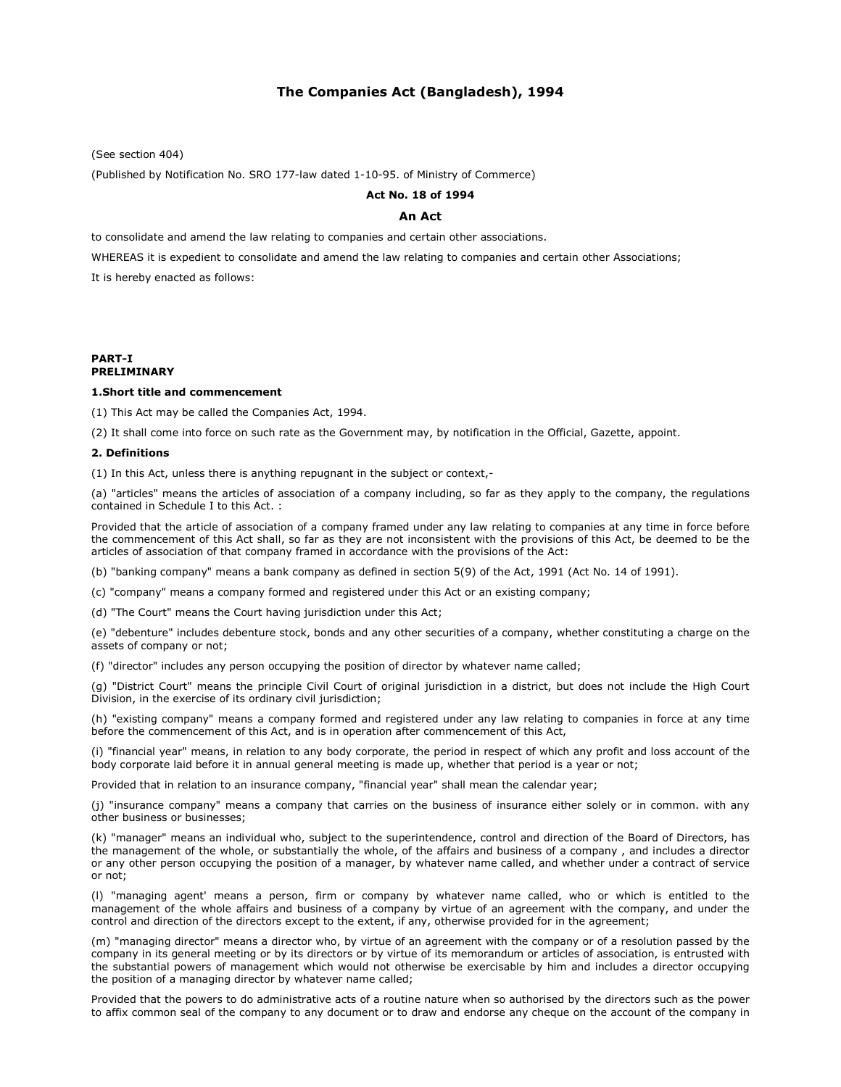# The Companies Act (Bangladesh), 1994

(See section 404)

(Published by Notification No. SRO 177-law dated 1-10-95. of Ministry of Commerce)

## Act No. 18 of 1994

#### An Act

to consolidate and amend the law relating to companies and certain other associations.

WHEREAS it is expedient to consolidate and amend the law relating to companies and certain other Associations;

It is hereby enacted as follows:

## PART-I PRELIMINARY

## 1.Short title and commencement

(1) This Act may be called the Companies Act, 1994.

(2) It shall come into force on such rate as the Government may, by notification in the Official, Gazette, appoint.

## 2. Definitions

(1) In this Act, unless there is anything repugnant in the subject or context,-

(a) "articles" means the articles of association of a company including, so far as they apply to the company, the regulations contained in Schedule I to this Act. :

Provided that the article of association of a company framed under any law relating to companies at any time in force before the commencement of this Act shall, so far as they are not inconsistent with the provisions of this Act, be deemed to be the articles of association of that company framed in accordance with the provisions of the Act:

(b) "banking company" means a bank company as defined in section 5(9) of the Act, 1991 (Act No. 14 of 1991).

(c) "company" means a company formed and registered under this Act or an existing company;

(d) "The Court" means the Court having jurisdiction under this Act;

(e) "debenture" includes debenture stock, bonds and any other securities of a company, whether constituting a charge on the assets of company or not;

(f) "director" includes any person occupying the position of director by whatever name called;

(g) "District Court" means the principle Civil Court of original jurisdiction in a district, but does not include the High Court Division, in the exercise of its ordinary civil jurisdiction;

(h) "existing company" means a company formed and registered under any law relating to companies in force at any time before the commencement of this Act, and is in operation after commencement of this Act,

(i) "financial year" means, in relation to any body corporate, the period in respect of which any profit and loss account of the body corporate laid before it in annual general meeting is made up, whether that period is a year or not;

Provided that in relation to an insurance company, "financial year" shall mean the calendar year;

(j) "insurance company" means a company that carries on the business of insurance either solely or in common. with any other business or businesses;

(k) "manager" means an individual who, subject to the superintendence, control and direction of the Board of Directors, has the management of the whole, or substantially the whole, of the affairs and business of a company , and includes a director or any other person occupying the position of a manager, by whatever name called, and whether under a contract of service or not;

(l) "managing agent' means a person, firm or company by whatever name called, who or which is entitled to the management of the whole affairs and business of a company by virtue of an agreement with the company, and under the control and direction of the directors except to the extent, if any, otherwise provided for in the agreement;

(m) "managing director" means a director who, by virtue of an agreement with the company or of a resolution passed by the company in its general meeting or by its directors or by virtue of its memorandum or articles of association, is entrusted with the substantial powers of management which would not otherwise be exercisable by him and includes a director occupying the position of a managing director by whatever name called;

Provided that the powers to do administrative acts of a routine nature when so authorised by the directors such as the power to affix common seal of the company to any document or to draw and endorse any cheque on the account of the company in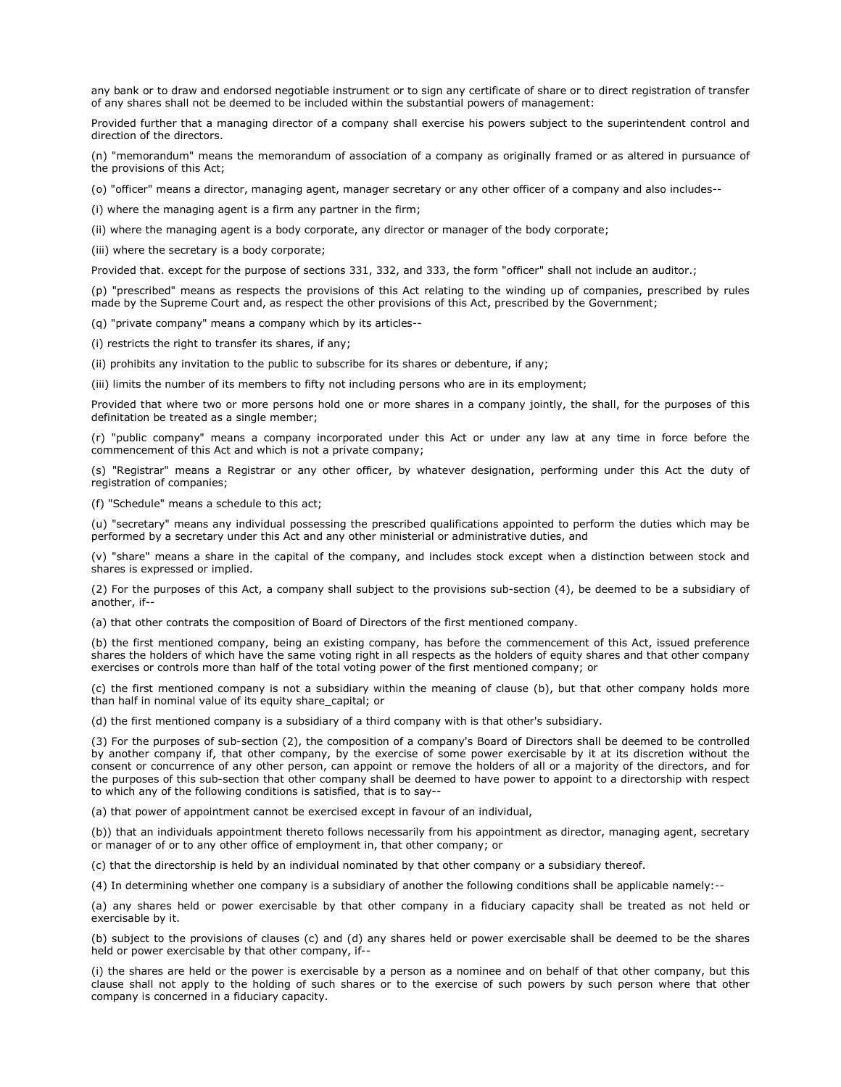any bank or to draw and endorsed negotiable instrument or to sign any certificate of share or to direct registration of transfer of any shares shall not be deemed to be included within the substantial powers of management:

Provided further that a managing director of a company shall exercise his powers subject to the superintendent control and direction of the directors.

(n) "memorandum" means the memorandum of association of a company as originally framed or as altered in pursuance of the provisions of this Act;

(o) "officer" means a director, managing agent, manager secretary or any other officer of a company and also includes--

(i) where the managing agent is a firm any partner in the firm;

(ii) where the managing agent is a body corporate, any director or manager of the body corporate;

(iii) where the secretary is a body corporate;

Provided that. except for the purpose of sections 331, 332, and 333, the form "officer" shall not include an auditor.;

(p) "prescribed" means as respects the provisions of this Act relating to the winding up of companies, prescribed by rules made by the Supreme Court and, as respect the other provisions of this Act, prescribed by the Government;

(q) "private company" means a company which by its articles--

(i) restricts the right to transfer its shares, if any;

(ii) prohibits any invitation to the public to subscribe for its shares or debenture, if any;

(iii) limits the number of its members to fifty not including persons who are in its employment;

Provided that where two or more persons hold one or more shares in a company jointly, the shall, for the purposes of this definitation be treated as a single member;

(r) "public company" means a company incorporated under this Act or under any law at any time in force before the commencement of this Act and which is not a private company;

(s) "Registrar" means a Registrar or any other officer, by whatever designation, performing under this Act the duty of registration of companies;

(f) "Schedule" means a schedule to this act;

(u) "secretary" means any individual possessing the prescribed qualifications appointed to perform the duties which may be performed by a secretary under this Act and any other ministerial or administrative duties, and

(v) "share" means a share in the capital of the company, and includes stock except when a distinction between stock and shares is expressed or implied.

(2) For the purposes of this Act, a company shall subject to the provisions sub-section (4), be deemed to be a subsidiary of another, if--

(a) that other contrats the composition of Board of Directors of the first mentioned company.

(b) the first mentioned company, being an existing company, has before the commencement of this Act, issued preference shares the holders of which have the same voting right in all respects as the holders of equity shares and that other company exercises or controls more than half of the total voting power of the first mentioned company; or

(c) the first mentioned company is not a subsidiary within the meaning of clause (b), but that other company holds more than half in nominal value of its equity share capital; or

(d) the first mentioned company is a subsidiary of a third company with is that other's subsidiary.

(3) For the purposes of sub-section (2), the composition of a company's Board of Directors shall be deemed to be controlled by another company if, that other company, by the exercise of some power exercisable by it at its discretion without the consent or concurrence of any other person, can appoint or remove the holders of all or a majority of the directors, and for the purposes of this sub-section that other company shall be deemed to have power to appoint to a directorship with respect to which any of the following conditions is satisfied, that is to say--

(a) that power of appointment cannot be exercised except in favour of an individual,

(b)) that an individuals appointment thereto follows necessarily from his appointment as director, managing agent, secretary or manager of or to any other office of employment in, that other company; or

(c) that the directorship is held by an individual nominated by that other company or a subsidiary thereof.

(4) In determining whether one company is a subsidiary of another the following conditions shall be applicable namely:--

(a) any shares held or power exercisable by that other company in a fiduciary capacity shall be treated as not held or exercisable by it.

(b) subject to the provisions of clauses (c) and (d) any shares held or power exercisable shall be deemed to be the shares held or power exercisable by that other company, if--

(i) the shares are held or the power is exercisable by a person as a nominee and on behalf of that other company, but this clause shall not apply to the holding of such shares or to the exercise of such powers by such person where that other company is concerned in a fiduciary capacity.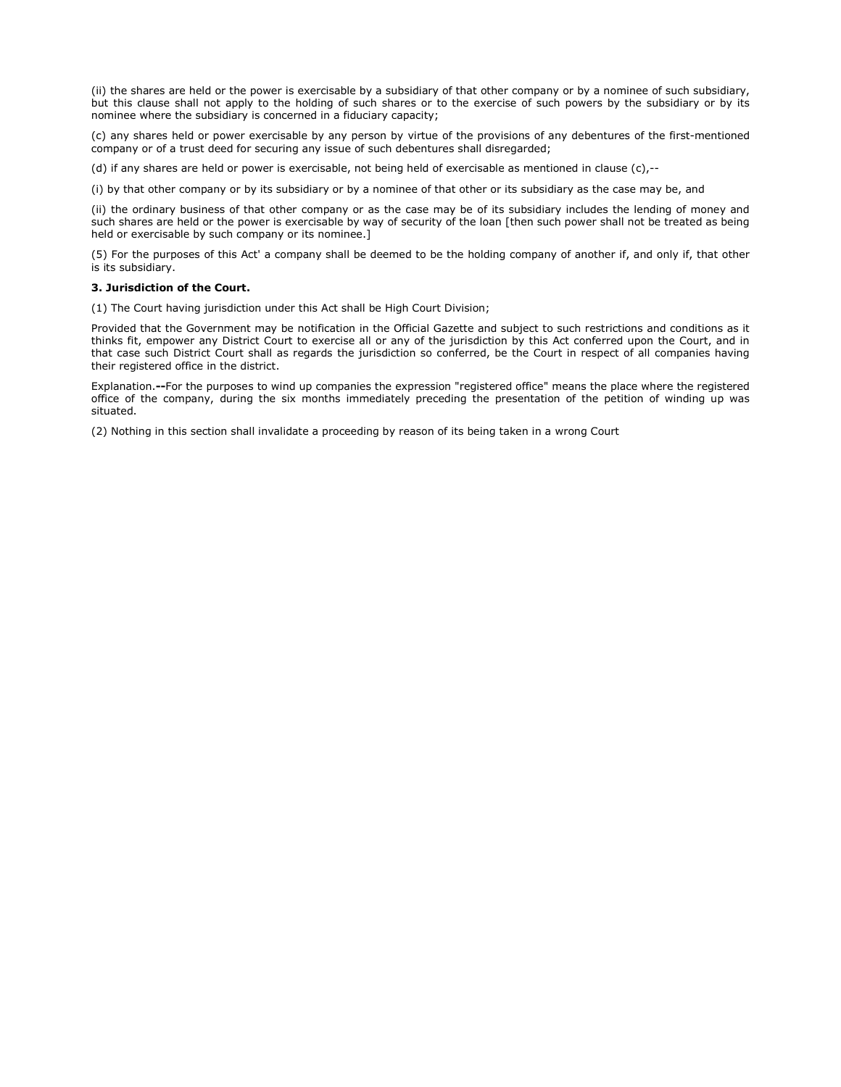(ii) the shares are held or the power is exercisable by a subsidiary of that other company or by a nominee of such subsidiary, but this clause shall not apply to the holding of such shares or to the exercise of such powers by the subsidiary or by its nominee where the subsidiary is concerned in a fiduciary capacity;

(c) any shares held or power exercisable by any person by virtue of the provisions of any debentures of the first-mentioned company or of a trust deed for securing any issue of such debentures shall disregarded;

(d) if any shares are held or power is exercisable, not being held of exercisable as mentioned in clause (c),--

(i) by that other company or by its subsidiary or by a nominee of that other or its subsidiary as the case may be, and

(ii) the ordinary business of that other company or as the case may be of its subsidiary includes the lending of money and such shares are held or the power is exercisable by way of security of the loan [then such power shall not be treated as being held or exercisable by such company or its nominee.]

(5) For the purposes of this Act' a company shall be deemed to be the holding company of another if, and only if, that other is its subsidiary.

## 3. Jurisdiction of the Court.

(1) The Court having jurisdiction under this Act shall be High Court Division;

Provided that the Government may be notification in the Official Gazette and subject to such restrictions and conditions as it thinks fit, empower any District Court to exercise all or any of the jurisdiction by this Act conferred upon the Court, and in that case such District Court shall as regards the jurisdiction so conferred, be the Court in respect of all companies having their registered office in the district.

Explanation.--For the purposes to wind up companies the expression "registered office" means the place where the registered office of the company, during the six months immediately preceding the presentation of the petition of winding up was situated.

(2) Nothing in this section shall invalidate a proceeding by reason of its being taken in a wrong Court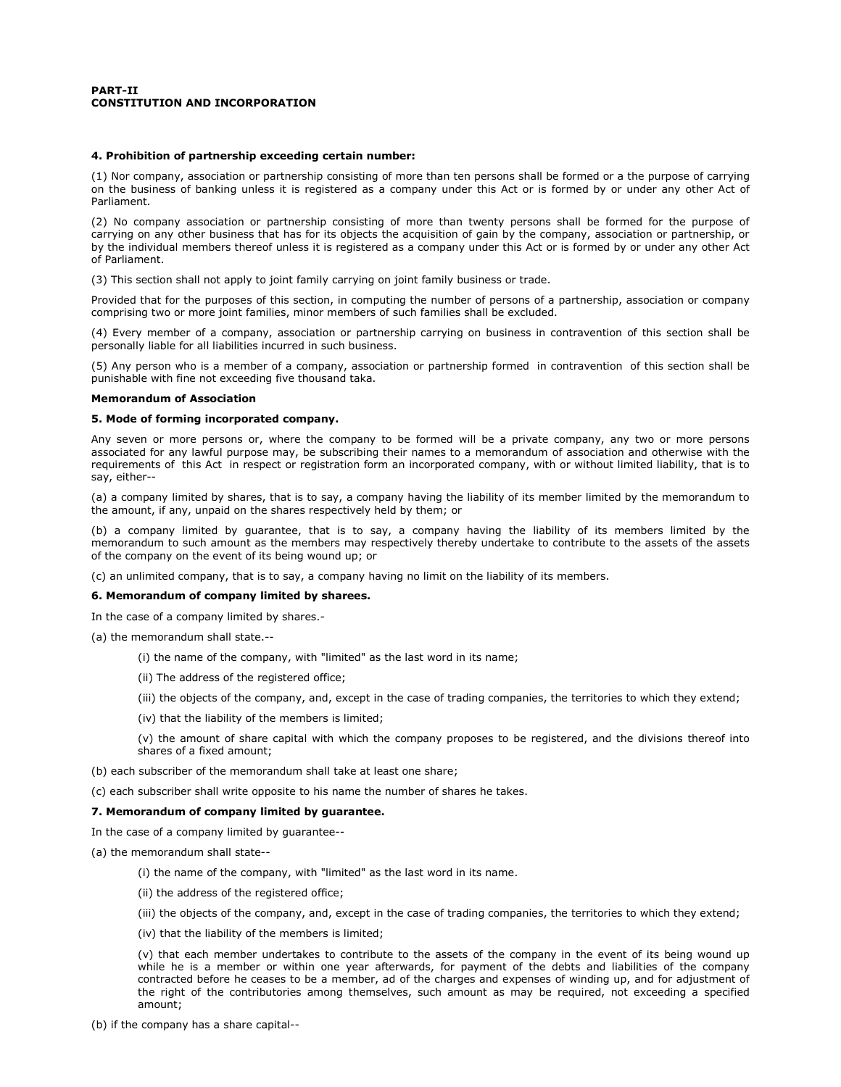## PART-II CONSTITUTION AND INCORPORATION

## 4. Prohibition of partnership exceeding certain number:

(1) Nor company, association or partnership consisting of more than ten persons shall be formed or a the purpose of carrying on the business of banking unless it is registered as a company under this Act or is formed by or under any other Act of Parliament.

(2) No company association or partnership consisting of more than twenty persons shall be formed for the purpose of carrying on any other business that has for its objects the acquisition of gain by the company, association or partnership, or by the individual members thereof unless it is registered as a company under this Act or is formed by or under any other Act of Parliament.

(3) This section shall not apply to joint family carrying on joint family business or trade.

Provided that for the purposes of this section, in computing the number of persons of a partnership, association or company comprising two or more joint families, minor members of such families shall be excluded.

(4) Every member of a company, association or partnership carrying on business in contravention of this section shall be personally liable for all liabilities incurred in such business.

(5) Any person who is a member of a company, association or partnership formed in contravention of this section shall be punishable with fine not exceeding five thousand taka.

### Memorandum of Association

### 5. Mode of forming incorporated company.

Any seven or more persons or, where the company to be formed will be a private company, any two or more persons associated for any lawful purpose may, be subscribing their names to a memorandum of association and otherwise with the requirements of this Act in respect or registration form an incorporated company, with or without limited liability, that is to say, either--

(a) a company limited by shares, that is to say, a company having the liability of its member limited by the memorandum to the amount, if any, unpaid on the shares respectively held by them; or

(b) a company limited by guarantee, that is to say, a company having the liability of its members limited by the memorandum to such amount as the members may respectively thereby undertake to contribute to the assets of the assets of the company on the event of its being wound up; or

(c) an unlimited company, that is to say, a company having no limit on the liability of its members.

### 6. Memorandum of company limited by sharees.

In the case of a company limited by shares.-

(a) the memorandum shall state.--

- (i) the name of the company, with "limited" as the last word in its name;
- (ii) The address of the registered office;
- (iii) the objects of the company, and, except in the case of trading companies, the territories to which they extend;
- (iv) that the liability of the members is limited;

(v) the amount of share capital with which the company proposes to be registered, and the divisions thereof into shares of a fixed amount;

(b) each subscriber of the memorandum shall take at least one share;

(c) each subscriber shall write opposite to his name the number of shares he takes.

#### 7. Memorandum of company limited by guarantee.

In the case of a company limited by guarantee--

- (a) the memorandum shall state--
	- (i) the name of the company, with "limited" as the last word in its name.
	- (ii) the address of the registered office;
	- (iii) the objects of the company, and, except in the case of trading companies, the territories to which they extend;
	- (iv) that the liability of the members is limited;

(v) that each member undertakes to contribute to the assets of the company in the event of its being wound up while he is a member or within one year afterwards, for payment of the debts and liabilities of the company contracted before he ceases to be a member, ad of the charges and expenses of winding up, and for adjustment of the right of the contributories among themselves, such amount as may be required, not exceeding a specified amount;

(b) if the company has a share capital--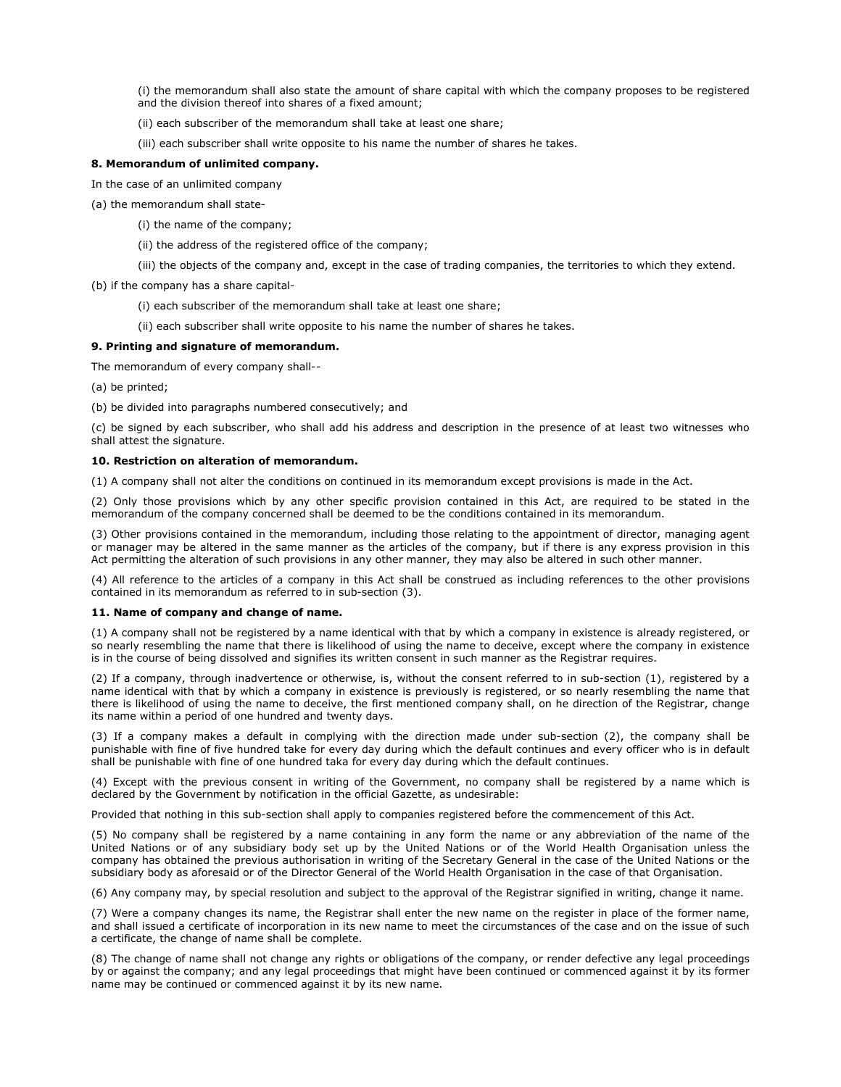(i) the memorandum shall also state the amount of share capital with which the company proposes to be registered and the division thereof into shares of a fixed amount;

- (ii) each subscriber of the memorandum shall take at least one share;
- (iii) each subscriber shall write opposite to his name the number of shares he takes.

## 8. Memorandum of unlimited company.

In the case of an unlimited company

- (a) the memorandum shall state-
	- (i) the name of the company;
	- (ii) the address of the registered office of the company;
	- (iii) the objects of the company and, except in the case of trading companies, the territories to which they extend.

(b) if the company has a share capital-

- (i) each subscriber of the memorandum shall take at least one share;
- (ii) each subscriber shall write opposite to his name the number of shares he takes.

## 9. Printing and signature of memorandum.

The memorandum of every company shall--

(a) be printed;

(b) be divided into paragraphs numbered consecutively; and

(c) be signed by each subscriber, who shall add his address and description in the presence of at least two witnesses who shall attest the signature.

## 10. Restriction on alteration of memorandum.

(1) A company shall not alter the conditions on continued in its memorandum except provisions is made in the Act.

(2) Only those provisions which by any other specific provision contained in this Act, are required to be stated in the memorandum of the company concerned shall be deemed to be the conditions contained in its memorandum.

(3) Other provisions contained in the memorandum, including those relating to the appointment of director, managing agent or manager may be altered in the same manner as the articles of the company, but if there is any express provision in this Act permitting the alteration of such provisions in any other manner, they may also be altered in such other manner.

(4) All reference to the articles of a company in this Act shall be construed as including references to the other provisions contained in its memorandum as referred to in sub-section (3).

### 11. Name of company and change of name.

(1) A company shall not be registered by a name identical with that by which a company in existence is already registered, or so nearly resembling the name that there is likelihood of using the name to deceive, except where the company in existence is in the course of being dissolved and signifies its written consent in such manner as the Registrar requires.

(2) If a company, through inadvertence or otherwise, is, without the consent referred to in sub-section (1), registered by a name identical with that by which a company in existence is previously is registered, or so nearly resembling the name that there is likelihood of using the name to deceive, the first mentioned company shall, on he direction of the Registrar, change its name within a period of one hundred and twenty days.

(3) If a company makes a default in complying with the direction made under sub-section (2), the company shall be punishable with fine of five hundred take for every day during which the default continues and every officer who is in default shall be punishable with fine of one hundred taka for every day during which the default continues.

(4) Except with the previous consent in writing of the Government, no company shall be registered by a name which is declared by the Government by notification in the official Gazette, as undesirable:

Provided that nothing in this sub-section shall apply to companies registered before the commencement of this Act.

(5) No company shall be registered by a name containing in any form the name or any abbreviation of the name of the United Nations or of any subsidiary body set up by the United Nations or of the World Health Organisation unless the company has obtained the previous authorisation in writing of the Secretary General in the case of the United Nations or the subsidiary body as aforesaid or of the Director General of the World Health Organisation in the case of that Organisation.

(6) Any company may, by special resolution and subject to the approval of the Registrar signified in writing, change it name.

(7) Were a company changes its name, the Registrar shall enter the new name on the register in place of the former name, and shall issued a certificate of incorporation in its new name to meet the circumstances of the case and on the issue of such a certificate, the change of name shall be complete.

(8) The change of name shall not change any rights or obligations of the company, or render defective any legal proceedings by or against the company; and any legal proceedings that might have been continued or commenced against it by its former name may be continued or commenced against it by its new name.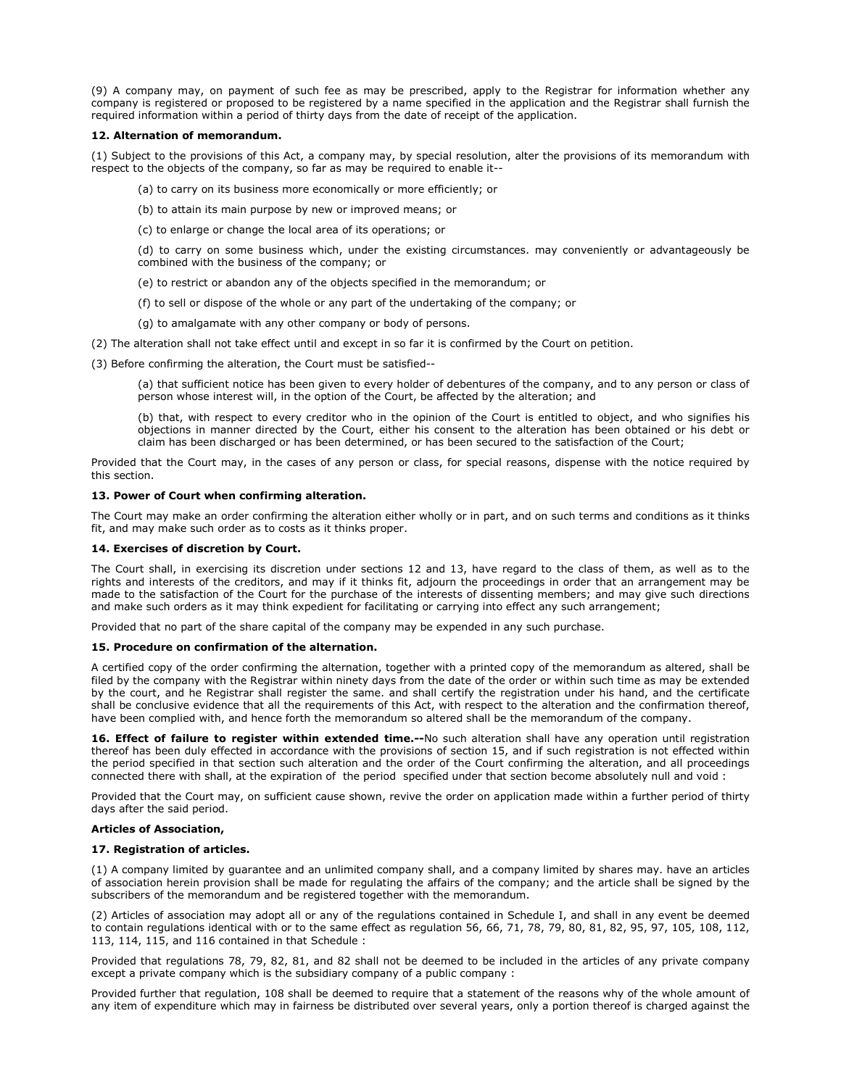(9) A company may, on payment of such fee as may be prescribed, apply to the Registrar for information whether any company is registered or proposed to be registered by a name specified in the application and the Registrar shall furnish the required information within a period of thirty days from the date of receipt of the application.

## 12. Alternation of memorandum.

(1) Subject to the provisions of this Act, a company may, by special resolution, alter the provisions of its memorandum with respect to the objects of the company, so far as may be required to enable it--

- (a) to carry on its business more economically or more efficiently; or
- (b) to attain its main purpose by new or improved means; or
- (c) to enlarge or change the local area of its operations; or

(d) to carry on some business which, under the existing circumstances. may conveniently or advantageously be combined with the business of the company; or

- (e) to restrict or abandon any of the objects specified in the memorandum; or
- (f) to sell or dispose of the whole or any part of the undertaking of the company; or
- (g) to amalgamate with any other company or body of persons.

(2) The alteration shall not take effect until and except in so far it is confirmed by the Court on petition.

(3) Before confirming the alteration, the Court must be satisfied--

(a) that sufficient notice has been given to every holder of debentures of the company, and to any person or class of person whose interest will, in the option of the Court, be affected by the alteration; and

(b) that, with respect to every creditor who in the opinion of the Court is entitled to object, and who signifies his objections in manner directed by the Court, either his consent to the alteration has been obtained or his debt or claim has been discharged or has been determined, or has been secured to the satisfaction of the Court;

Provided that the Court may, in the cases of any person or class, for special reasons, dispense with the notice required by this section.

## 13. Power of Court when confirming alteration.

The Court may make an order confirming the alteration either wholly or in part, and on such terms and conditions as it thinks fit, and may make such order as to costs as it thinks proper.

## 14. Exercises of discretion by Court.

The Court shall, in exercising its discretion under sections 12 and 13, have regard to the class of them, as well as to the rights and interests of the creditors, and may if it thinks fit, adjourn the proceedings in order that an arrangement may be made to the satisfaction of the Court for the purchase of the interests of dissenting members; and may give such directions and make such orders as it may think expedient for facilitating or carrying into effect any such arrangement;

Provided that no part of the share capital of the company may be expended in any such purchase.

### 15. Procedure on confirmation of the alternation.

A certified copy of the order confirming the alternation, together with a printed copy of the memorandum as altered, shall be filed by the company with the Registrar within ninety days from the date of the order or within such time as may be extended by the court, and he Registrar shall register the same. and shall certify the registration under his hand, and the certificate shall be conclusive evidence that all the requirements of this Act, with respect to the alteration and the confirmation thereof, have been complied with, and hence forth the memorandum so altered shall be the memorandum of the company.

16. Effect of failure to register within extended time.--No such alteration shall have any operation until registration thereof has been duly effected in accordance with the provisions of section 15, and if such registration is not effected within the period specified in that section such alteration and the order of the Court confirming the alteration, and all proceedings connected there with shall, at the expiration of the period specified under that section become absolutely null and void :

Provided that the Court may, on sufficient cause shown, revive the order on application made within a further period of thirty days after the said period.

## Articles of Association,

### 17. Registration of articles.

(1) A company limited by guarantee and an unlimited company shall, and a company limited by shares may. have an articles of association herein provision shall be made for regulating the affairs of the company; and the article shall be signed by the subscribers of the memorandum and be registered together with the memorandum.

(2) Articles of association may adopt all or any of the regulations contained in Schedule I, and shall in any event be deemed to contain regulations identical with or to the same effect as regulation 56, 66, 71, 78, 79, 80, 81, 82, 95, 97, 105, 108, 112, 113, 114, 115, and 116 contained in that Schedule :

Provided that regulations 78, 79, 82, 81, and 82 shall not be deemed to be included in the articles of any private company except a private company which is the subsidiary company of a public company :

Provided further that regulation, 108 shall be deemed to require that a statement of the reasons why of the whole amount of any item of expenditure which may in fairness be distributed over several years, only a portion thereof is charged against the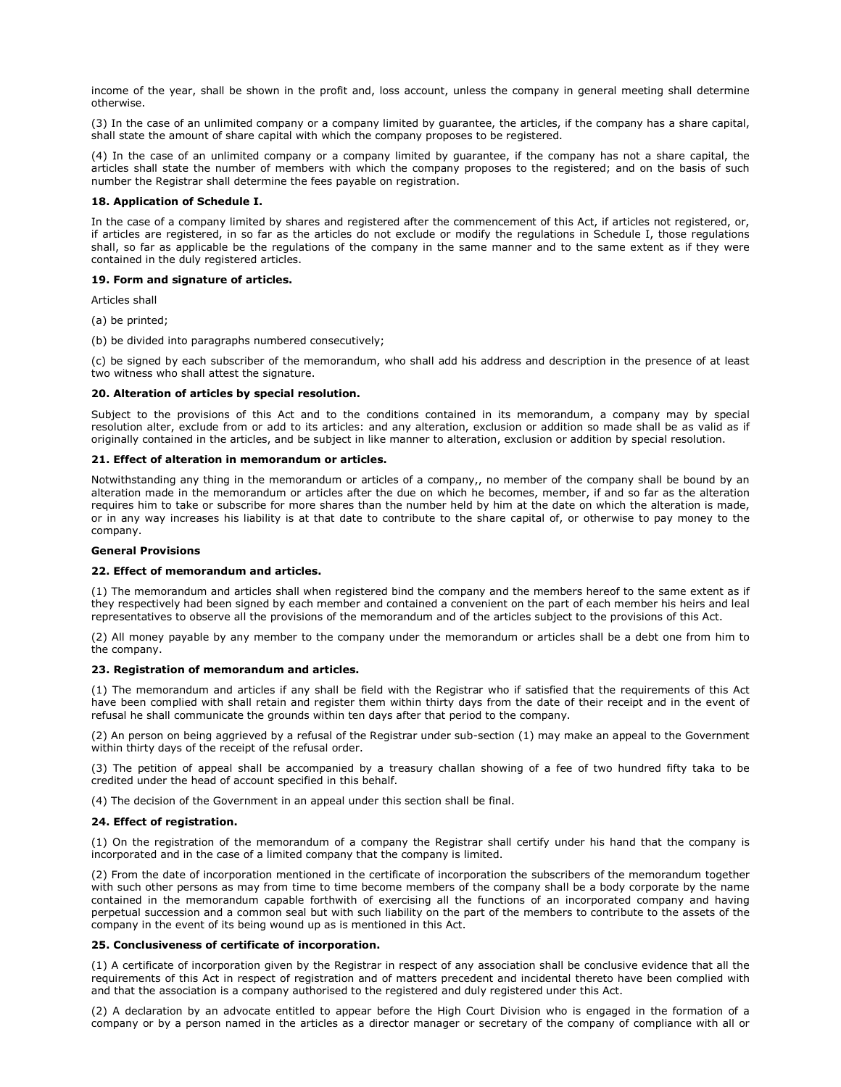income of the year, shall be shown in the profit and, loss account, unless the company in general meeting shall determine otherwise.

(3) In the case of an unlimited company or a company limited by guarantee, the articles, if the company has a share capital, shall state the amount of share capital with which the company proposes to be registered.

(4) In the case of an unlimited company or a company limited by guarantee, if the company has not a share capital, the articles shall state the number of members with which the company proposes to the registered; and on the basis of such number the Registrar shall determine the fees payable on registration.

## 18. Application of Schedule I.

In the case of a company limited by shares and registered after the commencement of this Act, if articles not registered, or, if articles are registered, in so far as the articles do not exclude or modify the regulations in Schedule I, those regulations shall, so far as applicable be the regulations of the company in the same manner and to the same extent as if they were contained in the duly registered articles.

## 19. Form and signature of articles.

Articles shall

- (a) be printed;
- (b) be divided into paragraphs numbered consecutively;

(c) be signed by each subscriber of the memorandum, who shall add his address and description in the presence of at least two witness who shall attest the signature.

## 20. Alteration of articles by special resolution.

Subject to the provisions of this Act and to the conditions contained in its memorandum, a company may by special resolution alter, exclude from or add to its articles: and any alteration, exclusion or addition so made shall be as valid as if originally contained in the articles, and be subject in like manner to alteration, exclusion or addition by special resolution.

### 21. Effect of alteration in memorandum or articles.

Notwithstanding any thing in the memorandum or articles of a company,, no member of the company shall be bound by an alteration made in the memorandum or articles after the due on which he becomes, member, if and so far as the alteration requires him to take or subscribe for more shares than the number held by him at the date on which the alteration is made, or in any way increases his liability is at that date to contribute to the share capital of, or otherwise to pay money to the company.

### General Provisions

### 22. Effect of memorandum and articles.

(1) The memorandum and articles shall when registered bind the company and the members hereof to the same extent as if they respectively had been signed by each member and contained a convenient on the part of each member his heirs and leal representatives to observe all the provisions of the memorandum and of the articles subject to the provisions of this Act.

(2) All money payable by any member to the company under the memorandum or articles shall be a debt one from him to the company.

### 23. Registration of memorandum and articles.

(1) The memorandum and articles if any shall be field with the Registrar who if satisfied that the requirements of this Act have been complied with shall retain and register them within thirty days from the date of their receipt and in the event of refusal he shall communicate the grounds within ten days after that period to the company.

(2) An person on being aggrieved by a refusal of the Registrar under sub-section (1) may make an appeal to the Government within thirty days of the receipt of the refusal order.

(3) The petition of appeal shall be accompanied by a treasury challan showing of a fee of two hundred fifty taka to be credited under the head of account specified in this behalf.

(4) The decision of the Government in an appeal under this section shall be final.

## 24. Effect of registration.

(1) On the registration of the memorandum of a company the Registrar shall certify under his hand that the company is incorporated and in the case of a limited company that the company is limited.

(2) From the date of incorporation mentioned in the certificate of incorporation the subscribers of the memorandum together with such other persons as may from time to time become members of the company shall be a body corporate by the name contained in the memorandum capable forthwith of exercising all the functions of an incorporated company and having perpetual succession and a common seal but with such liability on the part of the members to contribute to the assets of the company in the event of its being wound up as is mentioned in this Act.

### 25. Conclusiveness of certificate of incorporation.

(1) A certificate of incorporation given by the Registrar in respect of any association shall be conclusive evidence that all the requirements of this Act in respect of registration and of matters precedent and incidental thereto have been complied with and that the association is a company authorised to the registered and duly registered under this Act.

(2) A declaration by an advocate entitled to appear before the High Court Division who is engaged in the formation of a company or by a person named in the articles as a director manager or secretary of the company of compliance with all or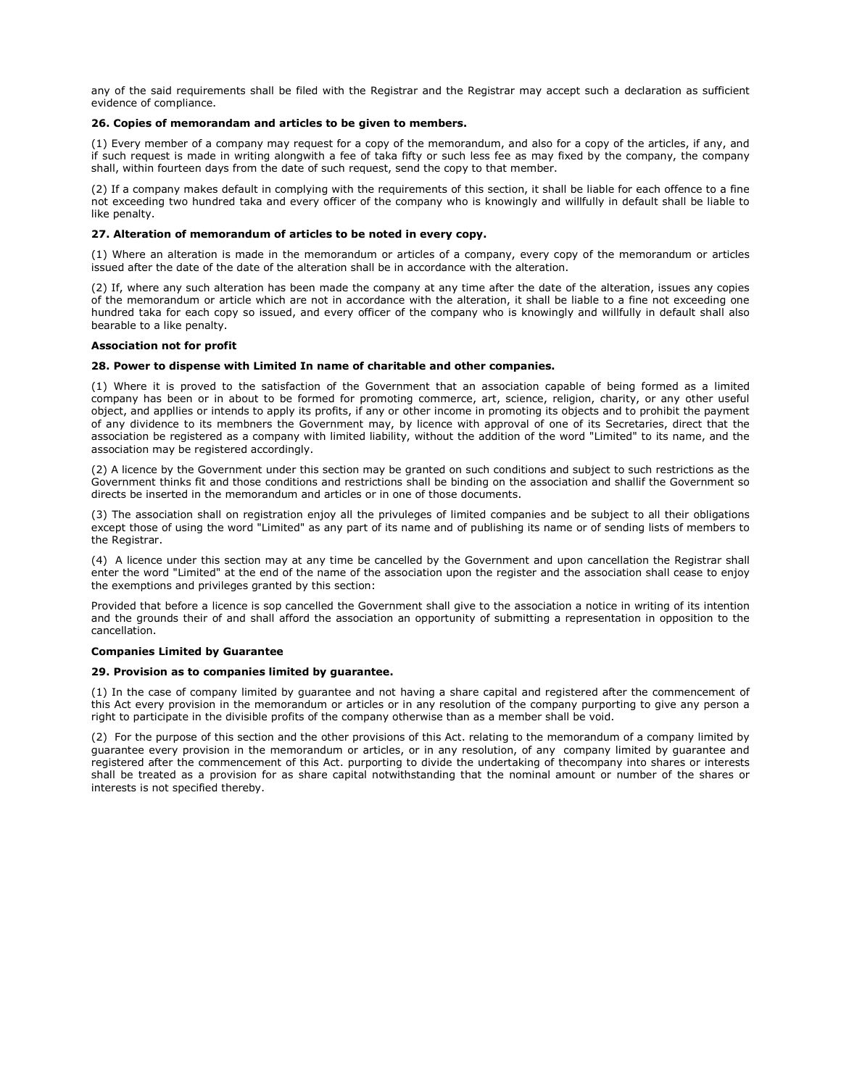any of the said requirements shall be filed with the Registrar and the Registrar may accept such a declaration as sufficient evidence of compliance.

## 26. Copies of memorandam and articles to be given to members.

(1) Every member of a company may request for a copy of the memorandum, and also for a copy of the articles, if any, and if such request is made in writing alongwith a fee of taka fifty or such less fee as may fixed by the company, the company shall, within fourteen days from the date of such request, send the copy to that member.

(2) If a company makes default in complying with the requirements of this section, it shall be liable for each offence to a fine not exceeding two hundred taka and every officer of the company who is knowingly and willfully in default shall be liable to like penalty.

## 27. Alteration of memorandum of articles to be noted in every copy.

(1) Where an alteration is made in the memorandum or articles of a company, every copy of the memorandum or articles issued after the date of the date of the alteration shall be in accordance with the alteration.

(2) If, where any such alteration has been made the company at any time after the date of the alteration, issues any copies of the memorandum or article which are not in accordance with the alteration, it shall be liable to a fine not exceeding one hundred taka for each copy so issued, and every officer of the company who is knowingly and willfully in default shall also bearable to a like penalty.

## Association not for profit

## 28. Power to dispense with Limited In name of charitable and other companies.

(1) Where it is proved to the satisfaction of the Government that an association capable of being formed as a limited company has been or in about to be formed for promoting commerce, art, science, religion, charity, or any other useful object, and appllies or intends to apply its profits, if any or other income in promoting its objects and to prohibit the payment of any dividence to its membners the Government may, by licence with approval of one of its Secretaries, direct that the association be registered as a company with limited liability, without the addition of the word "Limited" to its name, and the association may be registered accordingly.

(2) A licence by the Government under this section may be granted on such conditions and subject to such restrictions as the Government thinks fit and those conditions and restrictions shall be binding on the association and shallif the Government so directs be inserted in the memorandum and articles or in one of those documents.

(3) The association shall on registration enjoy all the privuleges of limited companies and be subject to all their obligations except those of using the word "Limited" as any part of its name and of publishing its name or of sending lists of members to the Registrar.

(4) A licence under this section may at any time be cancelled by the Government and upon cancellation the Registrar shall enter the word "Limited" at the end of the name of the association upon the register and the association shall cease to enjoy the exemptions and privileges granted by this section:

Provided that before a licence is sop cancelled the Government shall give to the association a notice in writing of its intention and the grounds their of and shall afford the association an opportunity of submitting a representation in opposition to the cancellation.

## Companies Limited by Guarantee

### 29. Provision as to companies limited by guarantee.

(1) In the case of company limited by guarantee and not having a share capital and registered after the commencement of this Act every provision in the memorandum or articles or in any resolution of the company purporting to give any person a right to participate in the divisible profits of the company otherwise than as a member shall be void.

(2) For the purpose of this section and the other provisions of this Act. relating to the memorandum of a company limited by guarantee every provision in the memorandum or articles, or in any resolution, of any company limited by guarantee and registered after the commencement of this Act. purporting to divide the undertaking of thecompany into shares or interests shall be treated as a provision for as share capital notwithstanding that the nominal amount or number of the shares or interests is not specified thereby.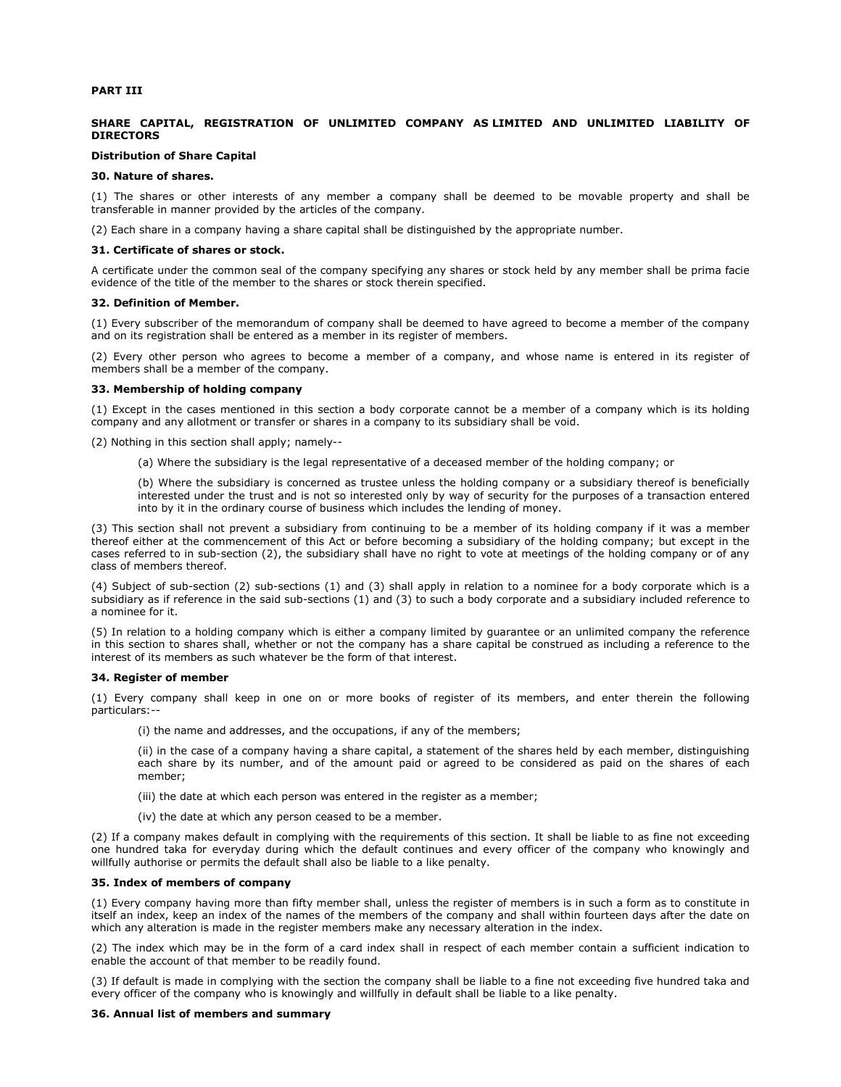# PART III

# SHARE CAPITAL, REGISTRATION OF UNLIMITED COMPANY AS LIMITED AND UNLIMITED LIABILITY OF **DIRECTORS**

### Distribution of Share Capital

#### 30. Nature of shares.

(1) The shares or other interests of any member a company shall be deemed to be movable property and shall be transferable in manner provided by the articles of the company.

(2) Each share in a company having a share capital shall be distinguished by the appropriate number.

#### 31. Certificate of shares or stock.

A certificate under the common seal of the company specifying any shares or stock held by any member shall be prima facie evidence of the title of the member to the shares or stock therein specified.

#### 32. Definition of Member.

(1) Every subscriber of the memorandum of company shall be deemed to have agreed to become a member of the company and on its registration shall be entered as a member in its register of members.

(2) Every other person who agrees to become a member of a company, and whose name is entered in its register of members shall be a member of the company.

#### 33. Membership of holding company

(1) Except in the cases mentioned in this section a body corporate cannot be a member of a company which is its holding company and any allotment or transfer or shares in a company to its subsidiary shall be void.

(2) Nothing in this section shall apply; namely--

(a) Where the subsidiary is the legal representative of a deceased member of the holding company; or

(b) Where the subsidiary is concerned as trustee unless the holding company or a subsidiary thereof is beneficially interested under the trust and is not so interested only by way of security for the purposes of a transaction entered into by it in the ordinary course of business which includes the lending of money.

(3) This section shall not prevent a subsidiary from continuing to be a member of its holding company if it was a member thereof either at the commencement of this Act or before becoming a subsidiary of the holding company; but except in the cases referred to in sub-section (2), the subsidiary shall have no right to vote at meetings of the holding company or of any class of members thereof.

(4) Subject of sub-section (2) sub-sections (1) and (3) shall apply in relation to a nominee for a body corporate which is a subsidiary as if reference in the said sub-sections (1) and (3) to such a body corporate and a subsidiary included reference to a nominee for it.

(5) In relation to a holding company which is either a company limited by guarantee or an unlimited company the reference in this section to shares shall, whether or not the company has a share capital be construed as including a reference to the interest of its members as such whatever be the form of that interest.

#### 34. Register of member

(1) Every company shall keep in one on or more books of register of its members, and enter therein the following particulars:--

(i) the name and addresses, and the occupations, if any of the members;

(ii) in the case of a company having a share capital, a statement of the shares held by each member, distinguishing each share by its number, and of the amount paid or agreed to be considered as paid on the shares of each member;

- (iii) the date at which each person was entered in the register as a member;
- (iv) the date at which any person ceased to be a member.

(2) If a company makes default in complying with the requirements of this section. It shall be liable to as fine not exceeding one hundred taka for everyday during which the default continues and every officer of the company who knowingly and willfully authorise or permits the default shall also be liable to a like penalty.

## 35. Index of members of company

(1) Every company having more than fifty member shall, unless the register of members is in such a form as to constitute in itself an index, keep an index of the names of the members of the company and shall within fourteen days after the date on which any alteration is made in the register members make any necessary alteration in the index.

(2) The index which may be in the form of a card index shall in respect of each member contain a sufficient indication to enable the account of that member to be readily found.

(3) If default is made in complying with the section the company shall be liable to a fine not exceeding five hundred taka and every officer of the company who is knowingly and willfully in default shall be liable to a like penalty.

#### 36. Annual list of members and summary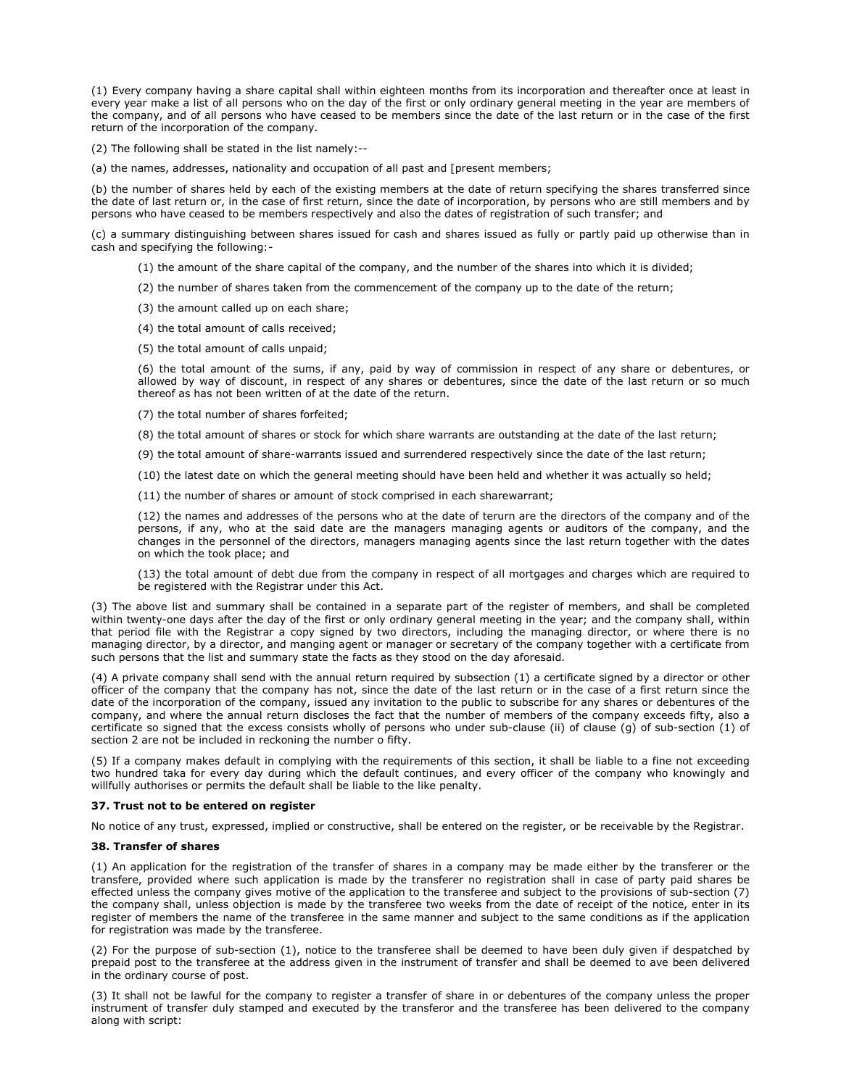(1) Every company having a share capital shall within eighteen months from its incorporation and thereafter once at least in every year make a list of all persons who on the day of the first or only ordinary general meeting in the year are members of the company, and of all persons who have ceased to be members since the date of the last return or in the case of the first return of the incorporation of the company.

(2) The following shall be stated in the list namely:--

(a) the names, addresses, nationality and occupation of all past and [present members;

(b) the number of shares held by each of the existing members at the date of return specifying the shares transferred since the date of last return or, in the case of first return, since the date of incorporation, by persons who are still members and by persons who have ceased to be members respectively and also the dates of registration of such transfer; and

(c) a summary distinguishing between shares issued for cash and shares issued as fully or partly paid up otherwise than in cash and specifying the following:-

- (1) the amount of the share capital of the company, and the number of the shares into which it is divided;
- (2) the number of shares taken from the commencement of the company up to the date of the return;
- (3) the amount called up on each share;
- (4) the total amount of calls received;
- (5) the total amount of calls unpaid;

(6) the total amount of the sums, if any, paid by way of commission in respect of any share or debentures, or allowed by way of discount, in respect of any shares or debentures, since the date of the last return or so much thereof as has not been written of at the date of the return.

- (7) the total number of shares forfeited;
- (8) the total amount of shares or stock for which share warrants are outstanding at the date of the last return;

(9) the total amount of share-warrants issued and surrendered respectively since the date of the last return;

(10) the latest date on which the general meeting should have been held and whether it was actually so held;

(11) the number of shares or amount of stock comprised in each sharewarrant;

(12) the names and addresses of the persons who at the date of terurn are the directors of the company and of the persons, if any, who at the said date are the managers managing agents or auditors of the company, and the changes in the personnel of the directors, managers managing agents since the last return together with the dates on which the took place; and

(13) the total amount of debt due from the company in respect of all mortgages and charges which are required to be registered with the Registrar under this Act.

(3) The above list and summary shall be contained in a separate part of the register of members, and shall be completed within twenty-one days after the day of the first or only ordinary general meeting in the year; and the company shall, within that period file with the Registrar a copy signed by two directors, including the managing director, or where there is no managing director, by a director, and manging agent or manager or secretary of the company together with a certificate from such persons that the list and summary state the facts as they stood on the day aforesaid.

(4) A private company shall send with the annual return required by subsection (1) a certificate signed by a director or other officer of the company that the company has not, since the date of the last return or in the case of a first return since the date of the incorporation of the company, issued any invitation to the public to subscribe for any shares or debentures of the company, and where the annual return discloses the fact that the number of members of the company exceeds fifty, also a certificate so signed that the excess consists wholly of persons who under sub-clause (ii) of clause (g) of sub-section (1) of section 2 are not be included in reckoning the number o fifty.

(5) If a company makes default in complying with the requirements of this section, it shall be liable to a fine not exceeding two hundred taka for every day during which the default continues, and every officer of the company who knowingly and willfully authorises or permits the default shall be liable to the like penalty.

#### 37. Trust not to be entered on register

No notice of any trust, expressed, implied or constructive, shall be entered on the register, or be receivable by the Registrar.

#### 38. Transfer of shares

(1) An application for the registration of the transfer of shares in a company may be made either by the transferer or the transfere, provided where such application is made by the transferer no registration shall in case of party paid shares be effected unless the company gives motive of the application to the transferee and subject to the provisions of sub-section (7) the company shall, unless objection is made by the transferee two weeks from the date of receipt of the notice, enter in its register of members the name of the transferee in the same manner and subject to the same conditions as if the application for registration was made by the transferee.

(2) For the purpose of sub-section (1), notice to the transferee shall be deemed to have been duly given if despatched by prepaid post to the transferee at the address given in the instrument of transfer and shall be deemed to ave been delivered in the ordinary course of post.

(3) It shall not be lawful for the company to register a transfer of share in or debentures of the company unless the proper instrument of transfer duly stamped and executed by the transferor and the transferee has been delivered to the company along with script: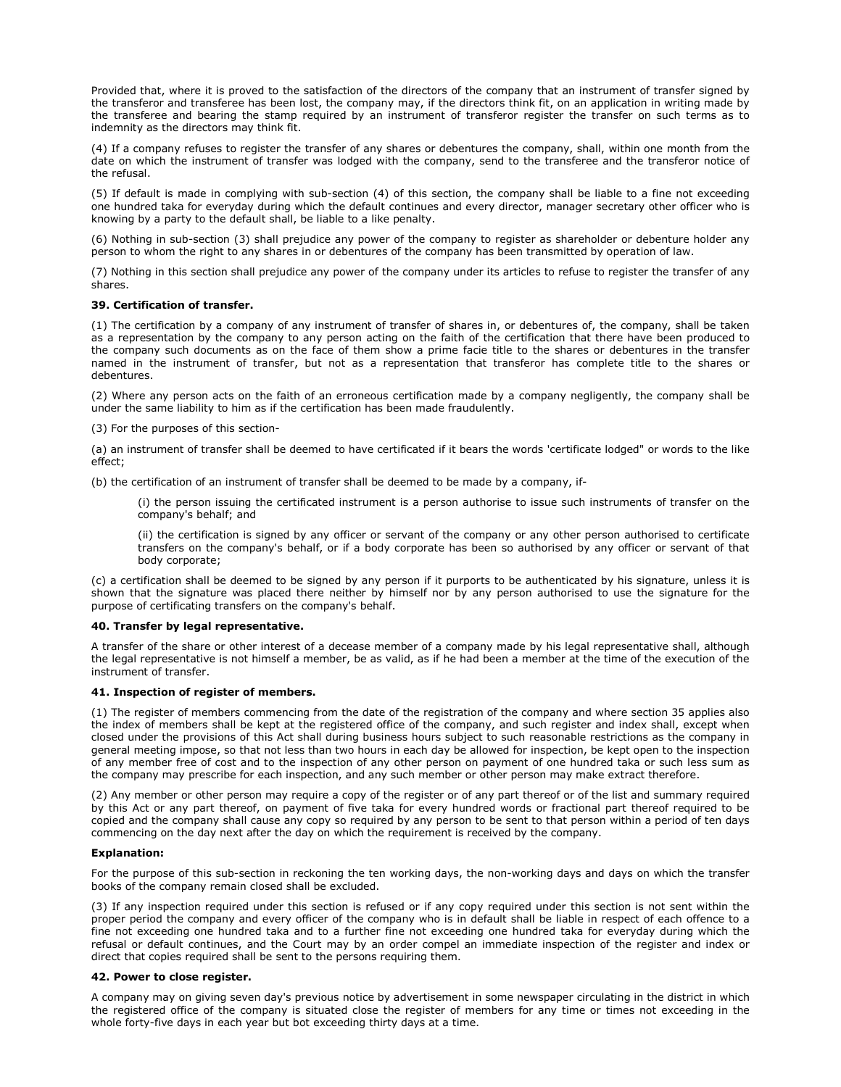Provided that, where it is proved to the satisfaction of the directors of the company that an instrument of transfer signed by the transferor and transferee has been lost, the company may, if the directors think fit, on an application in writing made by the transferee and bearing the stamp required by an instrument of transferor register the transfer on such terms as to indemnity as the directors may think fit.

(4) If a company refuses to register the transfer of any shares or debentures the company, shall, within one month from the date on which the instrument of transfer was lodged with the company, send to the transferee and the transferor notice of the refusal.

(5) If default is made in complying with sub-section (4) of this section, the company shall be liable to a fine not exceeding one hundred taka for everyday during which the default continues and every director, manager secretary other officer who is knowing by a party to the default shall, be liable to a like penalty.

(6) Nothing in sub-section (3) shall prejudice any power of the company to register as shareholder or debenture holder any person to whom the right to any shares in or debentures of the company has been transmitted by operation of law.

(7) Nothing in this section shall prejudice any power of the company under its articles to refuse to register the transfer of any shares.

## 39. Certification of transfer.

(1) The certification by a company of any instrument of transfer of shares in, or debentures of, the company, shall be taken as a representation by the company to any person acting on the faith of the certification that there have been produced to the company such documents as on the face of them show a prime facie title to the shares or debentures in the transfer named in the instrument of transfer, but not as a representation that transferor has complete title to the shares or debentures.

(2) Where any person acts on the faith of an erroneous certification made by a company negligently, the company shall be under the same liability to him as if the certification has been made fraudulently.

(3) For the purposes of this section-

(a) an instrument of transfer shall be deemed to have certificated if it bears the words 'certificate lodged" or words to the like effect;

(b) the certification of an instrument of transfer shall be deemed to be made by a company, if-

(i) the person issuing the certificated instrument is a person authorise to issue such instruments of transfer on the company's behalf; and

(ii) the certification is signed by any officer or servant of the company or any other person authorised to certificate transfers on the company's behalf, or if a body corporate has been so authorised by any officer or servant of that body corporate;

(c) a certification shall be deemed to be signed by any person if it purports to be authenticated by his signature, unless it is shown that the signature was placed there neither by himself nor by any person authorised to use the signature for the purpose of certificating transfers on the company's behalf.

### 40. Transfer by legal representative.

A transfer of the share or other interest of a decease member of a company made by his legal representative shall, although the legal representative is not himself a member, be as valid, as if he had been a member at the time of the execution of the instrument of transfer.

### 41. Inspection of register of members.

(1) The register of members commencing from the date of the registration of the company and where section 35 applies also the index of members shall be kept at the registered office of the company, and such register and index shall, except when closed under the provisions of this Act shall during business hours subject to such reasonable restrictions as the company in general meeting impose, so that not less than two hours in each day be allowed for inspection, be kept open to the inspection of any member free of cost and to the inspection of any other person on payment of one hundred taka or such less sum as the company may prescribe for each inspection, and any such member or other person may make extract therefore.

(2) Any member or other person may require a copy of the register or of any part thereof or of the list and summary required by this Act or any part thereof, on payment of five taka for every hundred words or fractional part thereof required to be copied and the company shall cause any copy so required by any person to be sent to that person within a period of ten days commencing on the day next after the day on which the requirement is received by the company.

## Explanation:

For the purpose of this sub-section in reckoning the ten working days, the non-working days and days on which the transfer books of the company remain closed shall be excluded.

(3) If any inspection required under this section is refused or if any copy required under this section is not sent within the proper period the company and every officer of the company who is in default shall be liable in respect of each offence to a fine not exceeding one hundred taka and to a further fine not exceeding one hundred taka for everyday during which the refusal or default continues, and the Court may by an order compel an immediate inspection of the register and index or direct that copies required shall be sent to the persons requiring them.

### 42. Power to close register.

A company may on giving seven day's previous notice by advertisement in some newspaper circulating in the district in which the registered office of the company is situated close the register of members for any time or times not exceeding in the whole forty-five days in each year but bot exceeding thirty days at a time.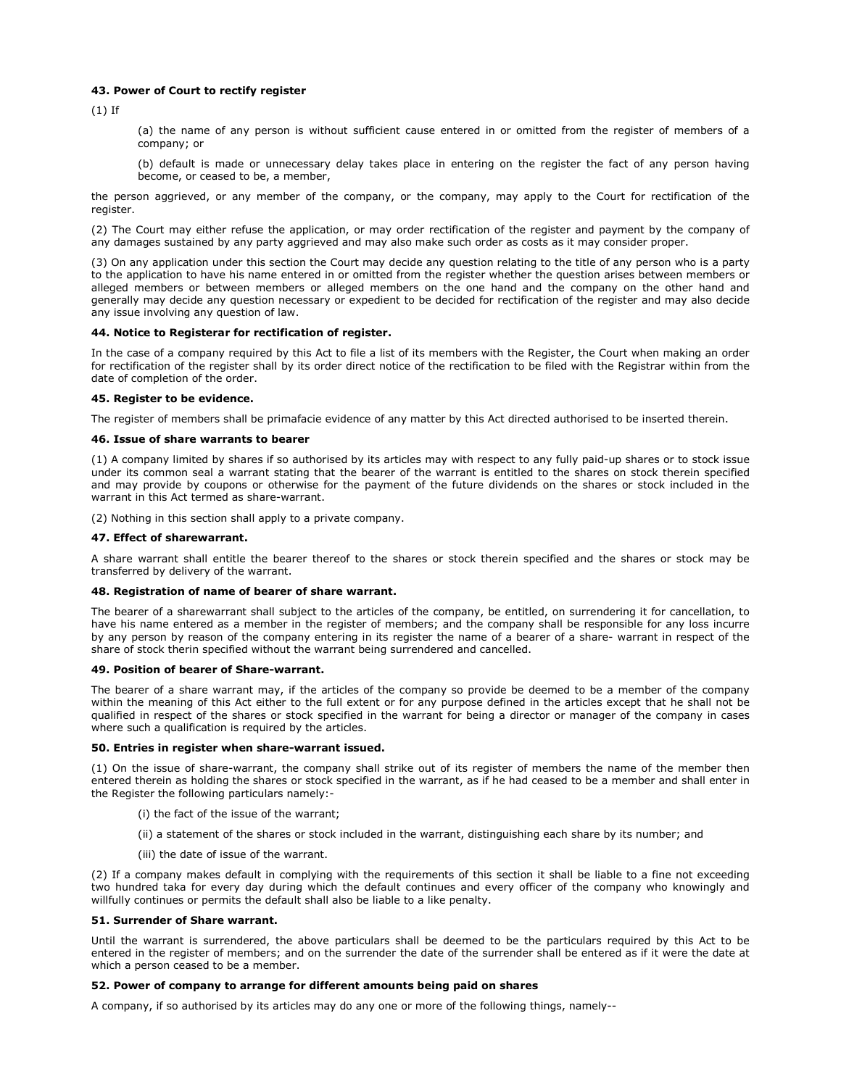## 43. Power of Court to rectify register

(1) If

(a) the name of any person is without sufficient cause entered in or omitted from the register of members of a company; or

(b) default is made or unnecessary delay takes place in entering on the register the fact of any person having become, or ceased to be, a member,

the person aggrieved, or any member of the company, or the company, may apply to the Court for rectification of the register.

(2) The Court may either refuse the application, or may order rectification of the register and payment by the company of any damages sustained by any party aggrieved and may also make such order as costs as it may consider proper.

(3) On any application under this section the Court may decide any question relating to the title of any person who is a party to the application to have his name entered in or omitted from the register whether the question arises between members or alleged members or between members or alleged members on the one hand and the company on the other hand and generally may decide any question necessary or expedient to be decided for rectification of the register and may also decide any issue involving any question of law.

## 44. Notice to Registerar for rectification of register.

In the case of a company required by this Act to file a list of its members with the Register, the Court when making an order for rectification of the register shall by its order direct notice of the rectification to be filed with the Registrar within from the date of completion of the order.

## 45. Register to be evidence.

The register of members shall be primafacie evidence of any matter by this Act directed authorised to be inserted therein.

## 46. Issue of share warrants to bearer

(1) A company limited by shares if so authorised by its articles may with respect to any fully paid-up shares or to stock issue under its common seal a warrant stating that the bearer of the warrant is entitled to the shares on stock therein specified and may provide by coupons or otherwise for the payment of the future dividends on the shares or stock included in the warrant in this Act termed as share-warrant.

(2) Nothing in this section shall apply to a private company.

## 47. Effect of sharewarrant.

A share warrant shall entitle the bearer thereof to the shares or stock therein specified and the shares or stock may be transferred by delivery of the warrant.

## 48. Registration of name of bearer of share warrant.

The bearer of a sharewarrant shall subject to the articles of the company, be entitled, on surrendering it for cancellation, to have his name entered as a member in the register of members; and the company shall be responsible for any loss incurre by any person by reason of the company entering in its register the name of a bearer of a share- warrant in respect of the share of stock therin specified without the warrant being surrendered and cancelled.

### 49. Position of bearer of Share-warrant.

The bearer of a share warrant may, if the articles of the company so provide be deemed to be a member of the company within the meaning of this Act either to the full extent or for any purpose defined in the articles except that he shall not be qualified in respect of the shares or stock specified in the warrant for being a director or manager of the company in cases where such a qualification is required by the articles.

## 50. Entries in register when share-warrant issued.

(1) On the issue of share-warrant, the company shall strike out of its register of members the name of the member then entered therein as holding the shares or stock specified in the warrant, as if he had ceased to be a member and shall enter in the Register the following particulars namely:-

- (i) the fact of the issue of the warrant;
- (ii) a statement of the shares or stock included in the warrant, distinguishing each share by its number; and
- (iii) the date of issue of the warrant.

(2) If a company makes default in complying with the requirements of this section it shall be liable to a fine not exceeding two hundred taka for every day during which the default continues and every officer of the company who knowingly and willfully continues or permits the default shall also be liable to a like penalty.

### 51. Surrender of Share warrant.

Until the warrant is surrendered, the above particulars shall be deemed to be the particulars required by this Act to be entered in the register of members; and on the surrender the date of the surrender shall be entered as if it were the date at which a person ceased to be a member.

## 52. Power of company to arrange for different amounts being paid on shares

A company, if so authorised by its articles may do any one or more of the following things, namely--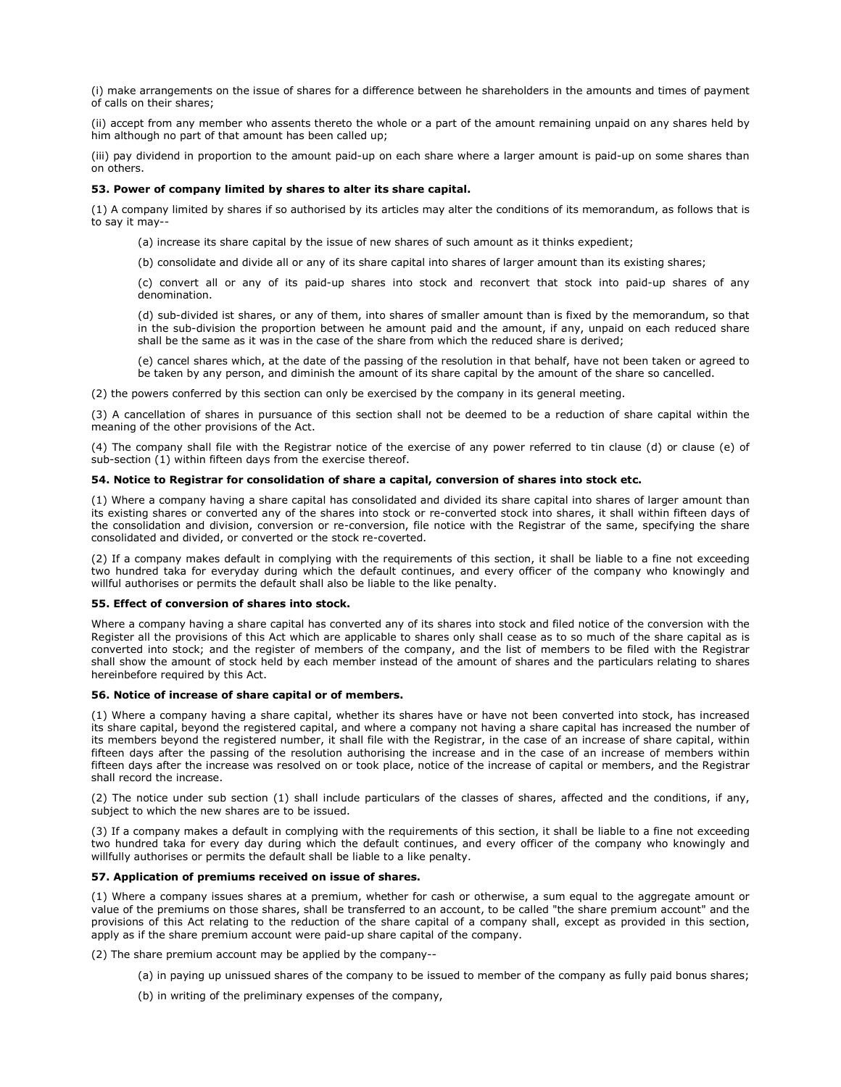(i) make arrangements on the issue of shares for a difference between he shareholders in the amounts and times of payment of calls on their shares;

(ii) accept from any member who assents thereto the whole or a part of the amount remaining unpaid on any shares held by him although no part of that amount has been called up;

(iii) pay dividend in proportion to the amount paid-up on each share where a larger amount is paid-up on some shares than on others.

## 53. Power of company limited by shares to alter its share capital.

(1) A company limited by shares if so authorised by its articles may alter the conditions of its memorandum, as follows that is to say it may--

- (a) increase its share capital by the issue of new shares of such amount as it thinks expedient;
- (b) consolidate and divide all or any of its share capital into shares of larger amount than its existing shares;

(c) convert all or any of its paid-up shares into stock and reconvert that stock into paid-up shares of any denomination.

(d) sub-divided ist shares, or any of them, into shares of smaller amount than is fixed by the memorandum, so that in the sub-division the proportion between he amount paid and the amount, if any, unpaid on each reduced share shall be the same as it was in the case of the share from which the reduced share is derived;

(e) cancel shares which, at the date of the passing of the resolution in that behalf, have not been taken or agreed to be taken by any person, and diminish the amount of its share capital by the amount of the share so cancelled.

(2) the powers conferred by this section can only be exercised by the company in its general meeting.

(3) A cancellation of shares in pursuance of this section shall not be deemed to be a reduction of share capital within the meaning of the other provisions of the Act.

(4) The company shall file with the Registrar notice of the exercise of any power referred to tin clause (d) or clause (e) of sub-section (1) within fifteen days from the exercise thereof.

## 54. Notice to Registrar for consolidation of share a capital, conversion of shares into stock etc.

(1) Where a company having a share capital has consolidated and divided its share capital into shares of larger amount than its existing shares or converted any of the shares into stock or re-converted stock into shares, it shall within fifteen days of the consolidation and division, conversion or re-conversion, file notice with the Registrar of the same, specifying the share consolidated and divided, or converted or the stock re-coverted.

(2) If a company makes default in complying with the requirements of this section, it shall be liable to a fine not exceeding two hundred taka for everyday during which the default continues, and every officer of the company who knowingly and willful authorises or permits the default shall also be liable to the like penalty.

### 55. Effect of conversion of shares into stock.

Where a company having a share capital has converted any of its shares into stock and filed notice of the conversion with the Register all the provisions of this Act which are applicable to shares only shall cease as to so much of the share capital as is converted into stock; and the register of members of the company, and the list of members to be filed with the Registrar shall show the amount of stock held by each member instead of the amount of shares and the particulars relating to shares hereinbefore required by this Act.

### 56. Notice of increase of share capital or of members.

(1) Where a company having a share capital, whether its shares have or have not been converted into stock, has increased its share capital, beyond the registered capital, and where a company not having a share capital has increased the number of its members beyond the registered number, it shall file with the Registrar, in the case of an increase of share capital, within fifteen days after the passing of the resolution authorising the increase and in the case of an increase of members within fifteen days after the increase was resolved on or took place, notice of the increase of capital or members, and the Registrar shall record the increase.

(2) The notice under sub section (1) shall include particulars of the classes of shares, affected and the conditions, if any, subject to which the new shares are to be issued.

(3) If a company makes a default in complying with the requirements of this section, it shall be liable to a fine not exceeding two hundred taka for every day during which the default continues, and every officer of the company who knowingly and willfully authorises or permits the default shall be liable to a like penalty.

### 57. Application of premiums received on issue of shares.

(1) Where a company issues shares at a premium, whether for cash or otherwise, a sum equal to the aggregate amount or value of the premiums on those shares, shall be transferred to an account, to be called "the share premium account" and the provisions of this Act relating to the reduction of the share capital of a company shall, except as provided in this section, apply as if the share premium account were paid-up share capital of the company.

(2) The share premium account may be applied by the company--

- (a) in paying up unissued shares of the company to be issued to member of the company as fully paid bonus shares;
- (b) in writing of the preliminary expenses of the company,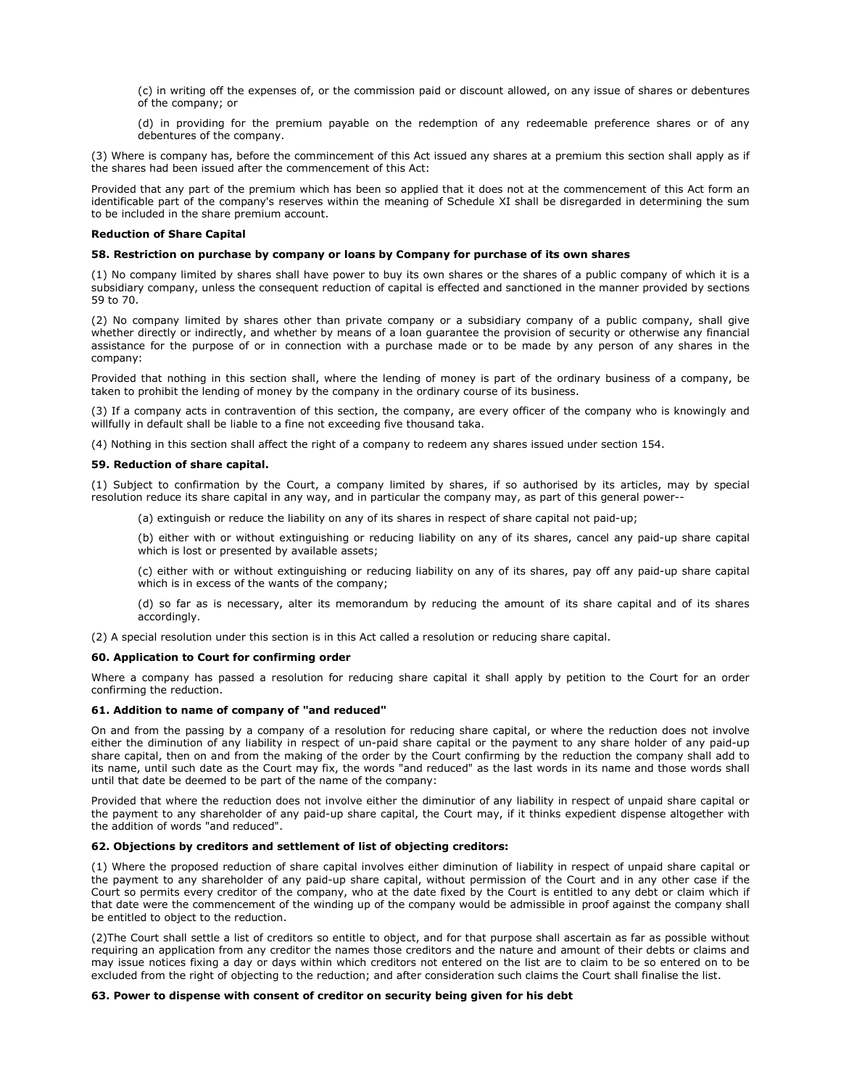(c) in writing off the expenses of, or the commission paid or discount allowed, on any issue of shares or debentures of the company; or

(d) in providing for the premium payable on the redemption of any redeemable preference shares or of any debentures of the company.

(3) Where is company has, before the commincement of this Act issued any shares at a premium this section shall apply as if the shares had been issued after the commencement of this Act:

Provided that any part of the premium which has been so applied that it does not at the commencement of this Act form an identificable part of the company's reserves within the meaning of Schedule XI shall be disregarded in determining the sum to be included in the share premium account.

### Reduction of Share Capital

## 58. Restriction on purchase by company or loans by Company for purchase of its own shares

(1) No company limited by shares shall have power to buy its own shares or the shares of a public company of which it is a subsidiary company, unless the consequent reduction of capital is effected and sanctioned in the manner provided by sections 59 to 70.

(2) No company limited by shares other than private company or a subsidiary company of a public company, shall give whether directly or indirectly, and whether by means of a loan guarantee the provision of security or otherwise any financial assistance for the purpose of or in connection with a purchase made or to be made by any person of any shares in the company:

Provided that nothing in this section shall, where the lending of money is part of the ordinary business of a company, be taken to prohibit the lending of money by the company in the ordinary course of its business.

(3) If a company acts in contravention of this section, the company, are every officer of the company who is knowingly and willfully in default shall be liable to a fine not exceeding five thousand taka.

(4) Nothing in this section shall affect the right of a company to redeem any shares issued under section 154.

## 59. Reduction of share capital.

(1) Subject to confirmation by the Court, a company limited by shares, if so authorised by its articles, may by special resolution reduce its share capital in any way, and in particular the company may, as part of this general power--

(a) extinguish or reduce the liability on any of its shares in respect of share capital not paid-up;

(b) either with or without extinguishing or reducing liability on any of its shares, cancel any paid-up share capital which is lost or presented by available assets;

(c) either with or without extinguishing or reducing liability on any of its shares, pay off any paid-up share capital which is in excess of the wants of the company;

(d) so far as is necessary, alter its memorandum by reducing the amount of its share capital and of its shares accordingly.

(2) A special resolution under this section is in this Act called a resolution or reducing share capital.

### 60. Application to Court for confirming order

Where a company has passed a resolution for reducing share capital it shall apply by petition to the Court for an order confirming the reduction.

## 61. Addition to name of company of "and reduced"

On and from the passing by a company of a resolution for reducing share capital, or where the reduction does not involve either the diminution of any liability in respect of un-paid share capital or the payment to any share holder of any paid-up share capital, then on and from the making of the order by the Court confirming by the reduction the company shall add to its name, until such date as the Court may fix, the words "and reduced" as the last words in its name and those words shall until that date be deemed to be part of the name of the company:

Provided that where the reduction does not involve either the diminutior of any liability in respect of unpaid share capital or the payment to any shareholder of any paid-up share capital, the Court may, if it thinks expedient dispense altogether with the addition of words "and reduced".

## 62. Objections by creditors and settlement of list of objecting creditors:

(1) Where the proposed reduction of share capital involves either diminution of liability in respect of unpaid share capital or the payment to any shareholder of any paid-up share capital, without permission of the Court and in any other case if the Court so permits every creditor of the company, who at the date fixed by the Court is entitled to any debt or claim which if that date were the commencement of the winding up of the company would be admissible in proof against the company shall be entitled to object to the reduction.

(2)The Court shall settle a list of creditors so entitle to object, and for that purpose shall ascertain as far as possible without requiring an application from any creditor the names those creditors and the nature and amount of their debts or claims and may issue notices fixing a day or days within which creditors not entered on the list are to claim to be so entered on to be excluded from the right of objecting to the reduction; and after consideration such claims the Court shall finalise the list.

### 63. Power to dispense with consent of creditor on security being given for his debt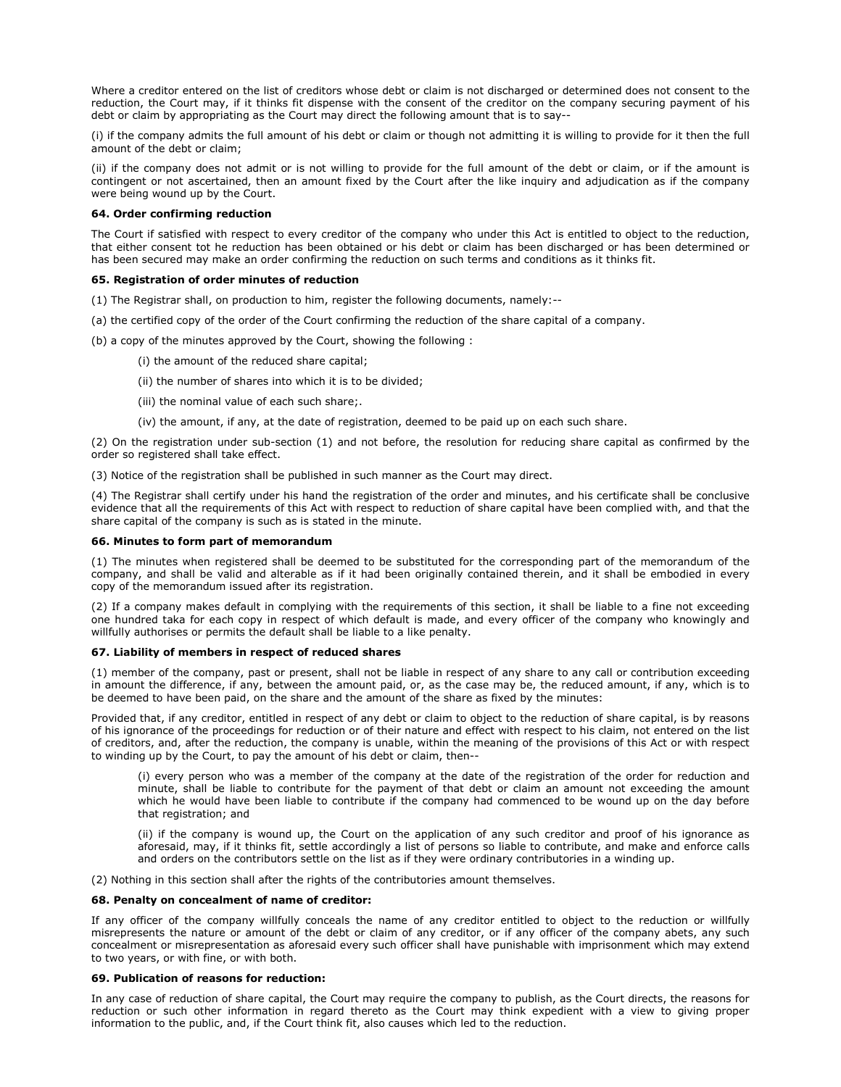Where a creditor entered on the list of creditors whose debt or claim is not discharged or determined does not consent to the reduction, the Court may, if it thinks fit dispense with the consent of the creditor on the company securing payment of his debt or claim by appropriating as the Court may direct the following amount that is to say--

(i) if the company admits the full amount of his debt or claim or though not admitting it is willing to provide for it then the full amount of the debt or claim;

(ii) if the company does not admit or is not willing to provide for the full amount of the debt or claim, or if the amount is contingent or not ascertained, then an amount fixed by the Court after the like inquiry and adjudication as if the company were being wound up by the Court.

### 64. Order confirming reduction

The Court if satisfied with respect to every creditor of the company who under this Act is entitled to object to the reduction, that either consent tot he reduction has been obtained or his debt or claim has been discharged or has been determined or has been secured may make an order confirming the reduction on such terms and conditions as it thinks fit.

## 65. Registration of order minutes of reduction

(1) The Registrar shall, on production to him, register the following documents, namely:--

(a) the certified copy of the order of the Court confirming the reduction of the share capital of a company.

(b) a copy of the minutes approved by the Court, showing the following :

- (i) the amount of the reduced share capital;
- (ii) the number of shares into which it is to be divided;
- (iii) the nominal value of each such share;.
- (iv) the amount, if any, at the date of registration, deemed to be paid up on each such share.

(2) On the registration under sub-section (1) and not before, the resolution for reducing share capital as confirmed by the order so registered shall take effect.

(3) Notice of the registration shall be published in such manner as the Court may direct.

(4) The Registrar shall certify under his hand the registration of the order and minutes, and his certificate shall be conclusive evidence that all the requirements of this Act with respect to reduction of share capital have been complied with, and that the share capital of the company is such as is stated in the minute.

## 66. Minutes to form part of memorandum

(1) The minutes when registered shall be deemed to be substituted for the corresponding part of the memorandum of the company, and shall be valid and alterable as if it had been originally contained therein, and it shall be embodied in every copy of the memorandum issued after its registration.

(2) If a company makes default in complying with the requirements of this section, it shall be liable to a fine not exceeding one hundred taka for each copy in respect of which default is made, and every officer of the company who knowingly and willfully authorises or permits the default shall be liable to a like penalty.

### 67. Liability of members in respect of reduced shares

(1) member of the company, past or present, shall not be liable in respect of any share to any call or contribution exceeding in amount the difference, if any, between the amount paid, or, as the case may be, the reduced amount, if any, which is to be deemed to have been paid, on the share and the amount of the share as fixed by the minutes:

Provided that, if any creditor, entitled in respect of any debt or claim to object to the reduction of share capital, is by reasons of his ignorance of the proceedings for reduction or of their nature and effect with respect to his claim, not entered on the list of creditors, and, after the reduction, the company is unable, within the meaning of the provisions of this Act or with respect to winding up by the Court, to pay the amount of his debt or claim, then--

(i) every person who was a member of the company at the date of the registration of the order for reduction and minute, shall be liable to contribute for the payment of that debt or claim an amount not exceeding the amount which he would have been liable to contribute if the company had commenced to be wound up on the day before that registration; and

(ii) if the company is wound up, the Court on the application of any such creditor and proof of his ignorance as aforesaid, may, if it thinks fit, settle accordingly a list of persons so liable to contribute, and make and enforce calls and orders on the contributors settle on the list as if they were ordinary contributories in a winding up.

(2) Nothing in this section shall after the rights of the contributories amount themselves.

### 68. Penalty on concealment of name of creditor:

If any officer of the company willfully conceals the name of any creditor entitled to object to the reduction or willfully misrepresents the nature or amount of the debt or claim of any creditor, or if any officer of the company abets, any such concealment or misrepresentation as aforesaid every such officer shall have punishable with imprisonment which may extend to two years, or with fine, or with both.

### 69. Publication of reasons for reduction:

In any case of reduction of share capital, the Court may require the company to publish, as the Court directs, the reasons for reduction or such other information in regard thereto as the Court may think expedient with a view to giving proper information to the public, and, if the Court think fit, also causes which led to the reduction.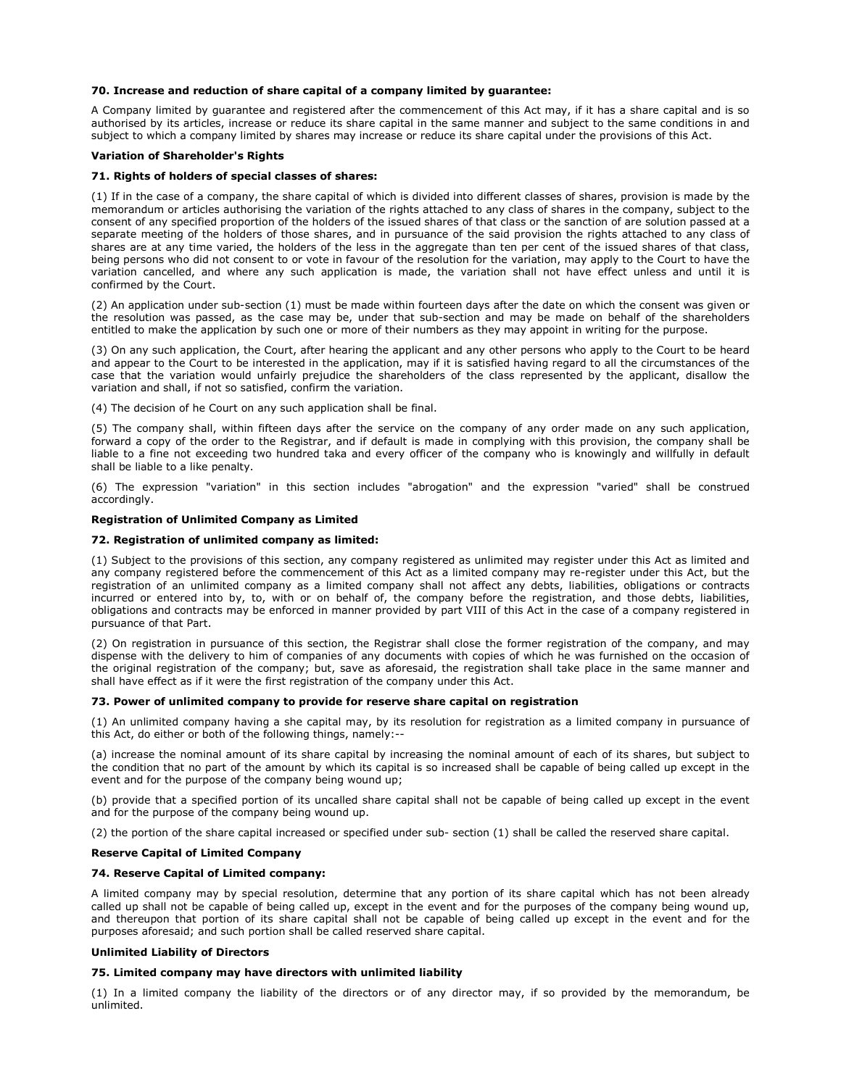### 70. Increase and reduction of share capital of a company limited by guarantee:

A Company limited by guarantee and registered after the commencement of this Act may, if it has a share capital and is so authorised by its articles, increase or reduce its share capital in the same manner and subject to the same conditions in and subject to which a company limited by shares may increase or reduce its share capital under the provisions of this Act.

## Variation of Shareholder's Rights

## 71. Rights of holders of special classes of shares:

(1) If in the case of a company, the share capital of which is divided into different classes of shares, provision is made by the memorandum or articles authorising the variation of the rights attached to any class of shares in the company, subject to the consent of any specified proportion of the holders of the issued shares of that class or the sanction of are solution passed at a separate meeting of the holders of those shares, and in pursuance of the said provision the rights attached to any class of shares are at any time varied, the holders of the less in the aggregate than ten per cent of the issued shares of that class, being persons who did not consent to or vote in favour of the resolution for the variation, may apply to the Court to have the variation cancelled, and where any such application is made, the variation shall not have effect unless and until it is confirmed by the Court.

(2) An application under sub-section (1) must be made within fourteen days after the date on which the consent was given or the resolution was passed, as the case may be, under that sub-section and may be made on behalf of the shareholders entitled to make the application by such one or more of their numbers as they may appoint in writing for the purpose.

(3) On any such application, the Court, after hearing the applicant and any other persons who apply to the Court to be heard and appear to the Court to be interested in the application, may if it is satisfied having regard to all the circumstances of the case that the variation would unfairly prejudice the shareholders of the class represented by the applicant, disallow the variation and shall, if not so satisfied, confirm the variation.

(4) The decision of he Court on any such application shall be final.

(5) The company shall, within fifteen days after the service on the company of any order made on any such application, forward a copy of the order to the Registrar, and if default is made in complying with this provision, the company shall be liable to a fine not exceeding two hundred taka and every officer of the company who is knowingly and willfully in default shall be liable to a like penalty.

(6) The expression "variation" in this section includes "abrogation" and the expression "varied" shall be construed accordingly.

## Registration of Unlimited Company as Limited

#### 72. Registration of unlimited company as limited:

(1) Subject to the provisions of this section, any company registered as unlimited may register under this Act as limited and any company registered before the commencement of this Act as a limited company may re-register under this Act, but the registration of an unlimited company as a limited company shall not affect any debts, liabilities, obligations or contracts incurred or entered into by, to, with or on behalf of, the company before the registration, and those debts, liabilities, obligations and contracts may be enforced in manner provided by part VIII of this Act in the case of a company registered in pursuance of that Part.

(2) On registration in pursuance of this section, the Registrar shall close the former registration of the company, and may dispense with the delivery to him of companies of any documents with copies of which he was furnished on the occasion of the original registration of the company; but, save as aforesaid, the registration shall take place in the same manner and shall have effect as if it were the first registration of the company under this Act.

## 73. Power of unlimited company to provide for reserve share capital on registration

(1) An unlimited company having a she capital may, by its resolution for registration as a limited company in pursuance of this Act, do either or both of the following things, namely:--

(a) increase the nominal amount of its share capital by increasing the nominal amount of each of its shares, but subject to the condition that no part of the amount by which its capital is so increased shall be capable of being called up except in the event and for the purpose of the company being wound up;

(b) provide that a specified portion of its uncalled share capital shall not be capable of being called up except in the event and for the purpose of the company being wound up.

(2) the portion of the share capital increased or specified under sub- section (1) shall be called the reserved share capital.

### Reserve Capital of Limited Company

### 74. Reserve Capital of Limited company:

A limited company may by special resolution, determine that any portion of its share capital which has not been already called up shall not be capable of being called up, except in the event and for the purposes of the company being wound up, and thereupon that portion of its share capital shall not be capable of being called up except in the event and for the purposes aforesaid; and such portion shall be called reserved share capital.

## Unlimited Liability of Directors

## 75. Limited company may have directors with unlimited liability

(1) In a limited company the liability of the directors or of any director may, if so provided by the memorandum, be unlimited.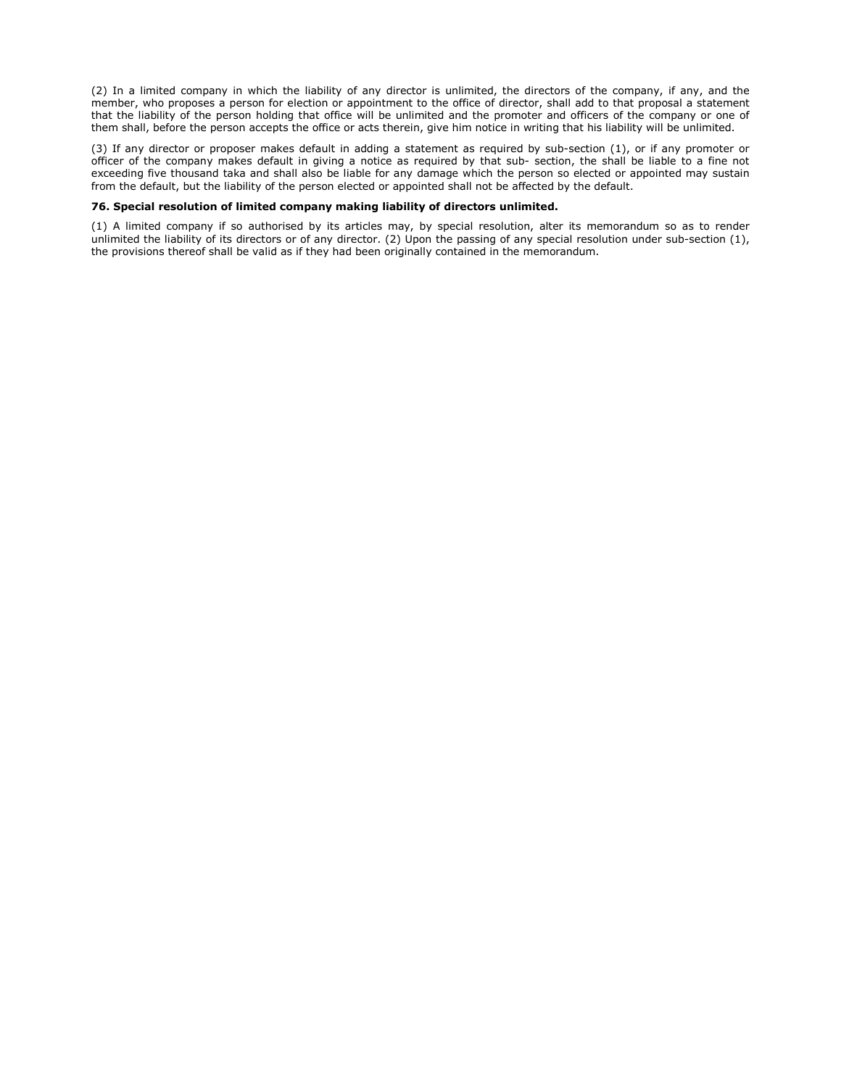(2) In a limited company in which the liability of any director is unlimited, the directors of the company, if any, and the member, who proposes a person for election or appointment to the office of director, shall add to that proposal a statement that the liability of the person holding that office will be unlimited and the promoter and officers of the company or one of them shall, before the person accepts the office or acts therein, give him notice in writing that his liability will be unlimited.

(3) If any director or proposer makes default in adding a statement as required by sub-section (1), or if any promoter or officer of the company makes default in giving a notice as required by that sub- section, the shall be liable to a fine not exceeding five thousand taka and shall also be liable for any damage which the person so elected or appointed may sustain from the default, but the liability of the person elected or appointed shall not be affected by the default.

#### 76. Special resolution of limited company making liability of directors unlimited.

(1) A limited company if so authorised by its articles may, by special resolution, alter its memorandum so as to render unlimited the liability of its directors or of any director. (2) Upon the passing of any special resolution under sub-section (1), the provisions thereof shall be valid as if they had been originally contained in the memorandum.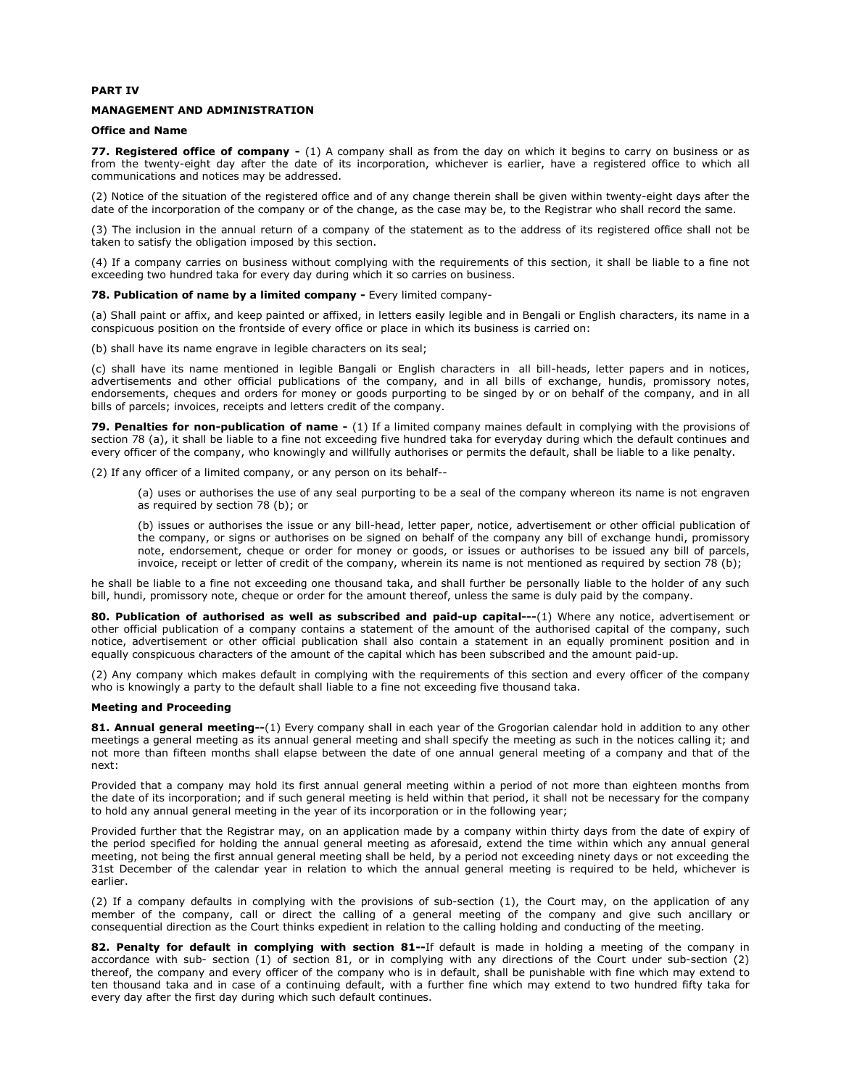## PART IV

# MANAGEMENT AND ADMINISTRATION

## Office and Name

77. Registered office of company - (1) A company shall as from the day on which it begins to carry on business or as from the twenty-eight day after the date of its incorporation, whichever is earlier, have a registered office to which all communications and notices may be addressed.

(2) Notice of the situation of the registered office and of any change therein shall be given within twenty-eight days after the date of the incorporation of the company or of the change, as the case may be, to the Registrar who shall record the same.

(3) The inclusion in the annual return of a company of the statement as to the address of its registered office shall not be taken to satisfy the obligation imposed by this section.

(4) If a company carries on business without complying with the requirements of this section, it shall be liable to a fine not exceeding two hundred taka for every day during which it so carries on business.

### 78. Publication of name by a limited company - Every limited company-

(a) Shall paint or affix, and keep painted or affixed, in letters easily legible and in Bengali or English characters, its name in a conspicuous position on the frontside of every office or place in which its business is carried on:

(b) shall have its name engrave in legible characters on its seal;

(c) shall have its name mentioned in legible Bangali or English characters in all bill-heads, letter papers and in notices, advertisements and other official publications of the company, and in all bills of exchange, hundis, promissory notes, endorsements, cheques and orders for money or goods purporting to be singed by or on behalf of the company, and in all bills of parcels; invoices, receipts and letters credit of the company.

79. Penalties for non-publication of name - (1) If a limited company maines default in complying with the provisions of section 78 (a), it shall be liable to a fine not exceeding five hundred taka for everyday during which the default continues and every officer of the company, who knowingly and willfully authorises or permits the default, shall be liable to a like penalty.

(2) If any officer of a limited company, or any person on its behalf--

(a) uses or authorises the use of any seal purporting to be a seal of the company whereon its name is not engraven as required by section 78 (b); or

(b) issues or authorises the issue or any bill-head, letter paper, notice, advertisement or other official publication of the company, or signs or authorises on be signed on behalf of the company any bill of exchange hundi, promissory note, endorsement, cheque or order for money or goods, or issues or authorises to be issued any bill of parcels, invoice, receipt or letter of credit of the company, wherein its name is not mentioned as required by section 78 (b);

he shall be liable to a fine not exceeding one thousand taka, and shall further be personally liable to the holder of any such bill, hundi, promissory note, cheque or order for the amount thereof, unless the same is duly paid by the company.

80. Publication of authorised as well as subscribed and paid-up capital---(1) Where any notice, advertisement or other official publication of a company contains a statement of the amount of the authorised capital of the company, such notice, advertisement or other official publication shall also contain a statement in an equally prominent position and in equally conspicuous characters of the amount of the capital which has been subscribed and the amount paid-up.

(2) Any company which makes default in complying with the requirements of this section and every officer of the company who is knowingly a party to the default shall liable to a fine not exceeding five thousand taka.

### Meeting and Proceeding

81. Annual general meeting--(1) Every company shall in each year of the Grogorian calendar hold in addition to any other meetings a general meeting as its annual general meeting and shall specify the meeting as such in the notices calling it; and not more than fifteen months shall elapse between the date of one annual general meeting of a company and that of the next:

Provided that a company may hold its first annual general meeting within a period of not more than eighteen months from the date of its incorporation; and if such general meeting is held within that period, it shall not be necessary for the company to hold any annual general meeting in the year of its incorporation or in the following year;

Provided further that the Registrar may, on an application made by a company within thirty days from the date of expiry of the period specified for holding the annual general meeting as aforesaid, extend the time within which any annual general meeting, not being the first annual general meeting shall be held, by a period not exceeding ninety days or not exceeding the 31st December of the calendar year in relation to which the annual general meeting is required to be held, whichever is earlier.

(2) If a company defaults in complying with the provisions of sub-section (1), the Court may, on the application of any member of the company, call or direct the calling of a general meeting of the company and give such ancillary or consequential direction as the Court thinks expedient in relation to the calling holding and conducting of the meeting.

82. Penalty for default in complying with section 81--If default is made in holding a meeting of the company in accordance with sub- section (1) of section 81, or in complying with any directions of the Court under sub-section (2) thereof, the company and every officer of the company who is in default, shall be punishable with fine which may extend to ten thousand taka and in case of a continuing default, with a further fine which may extend to two hundred fifty taka for every day after the first day during which such default continues.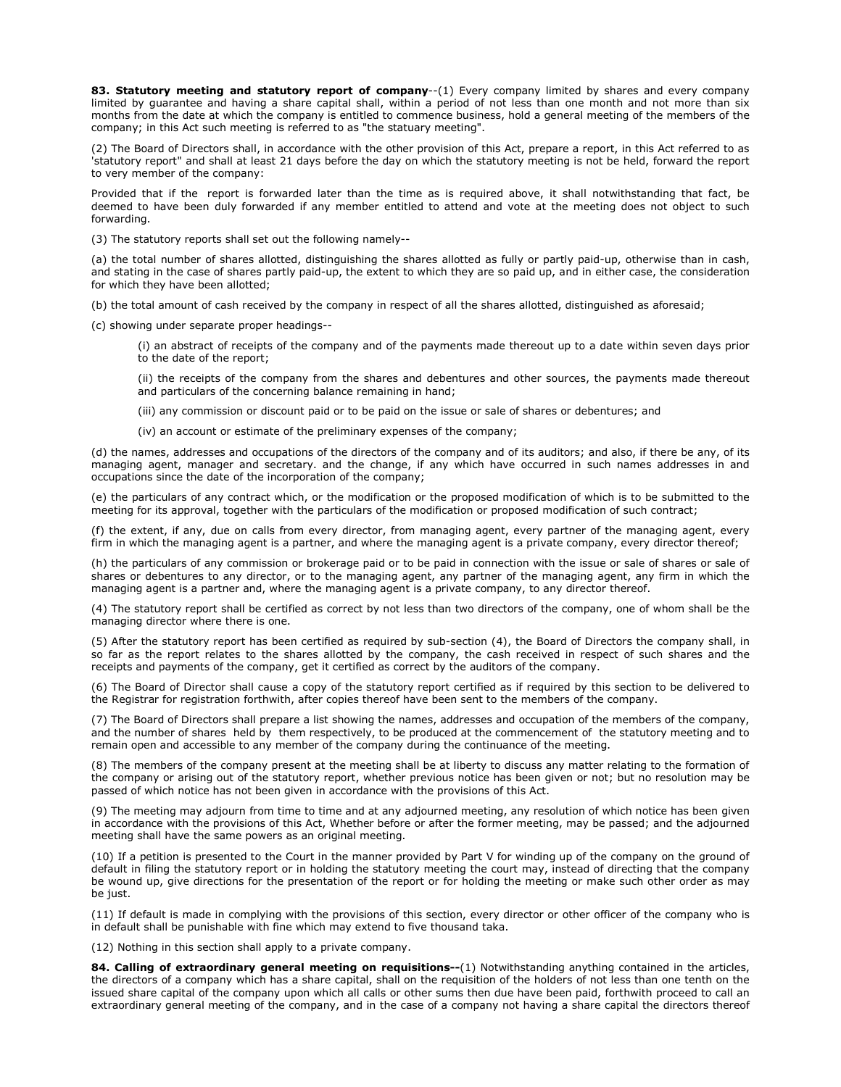83. Statutory meeting and statutory report of company--(1) Every company limited by shares and every company limited by guarantee and having a share capital shall, within a period of not less than one month and not more than six months from the date at which the company is entitled to commence business, hold a general meeting of the members of the company; in this Act such meeting is referred to as "the statuary meeting".

(2) The Board of Directors shall, in accordance with the other provision of this Act, prepare a report, in this Act referred to as 'statutory report" and shall at least 21 days before the day on which the statutory meeting is not be held, forward the report to very member of the company:

Provided that if the report is forwarded later than the time as is required above, it shall notwithstanding that fact, be deemed to have been duly forwarded if any member entitled to attend and vote at the meeting does not object to such forwarding.

(3) The statutory reports shall set out the following namely--

(a) the total number of shares allotted, distinguishing the shares allotted as fully or partly paid-up, otherwise than in cash, and stating in the case of shares partly paid-up, the extent to which they are so paid up, and in either case, the consideration for which they have been allotted;

(b) the total amount of cash received by the company in respect of all the shares allotted, distinguished as aforesaid;

(c) showing under separate proper headings--

(i) an abstract of receipts of the company and of the payments made thereout up to a date within seven days prior to the date of the report;

(ii) the receipts of the company from the shares and debentures and other sources, the payments made thereout and particulars of the concerning balance remaining in hand;

(iii) any commission or discount paid or to be paid on the issue or sale of shares or debentures; and

(iv) an account or estimate of the preliminary expenses of the company;

(d) the names, addresses and occupations of the directors of the company and of its auditors; and also, if there be any, of its managing agent, manager and secretary. and the change, if any which have occurred in such names addresses in and occupations since the date of the incorporation of the company;

(e) the particulars of any contract which, or the modification or the proposed modification of which is to be submitted to the meeting for its approval, together with the particulars of the modification or proposed modification of such contract;

(f) the extent, if any, due on calls from every director, from managing agent, every partner of the managing agent, every firm in which the managing agent is a partner, and where the managing agent is a private company, every director thereof;

(h) the particulars of any commission or brokerage paid or to be paid in connection with the issue or sale of shares or sale of shares or debentures to any director, or to the managing agent, any partner of the managing agent, any firm in which the managing agent is a partner and, where the managing agent is a private company, to any director thereof.

(4) The statutory report shall be certified as correct by not less than two directors of the company, one of whom shall be the managing director where there is one.

(5) After the statutory report has been certified as required by sub-section (4), the Board of Directors the company shall, in so far as the report relates to the shares allotted by the company, the cash received in respect of such shares and the receipts and payments of the company, get it certified as correct by the auditors of the company.

(6) The Board of Director shall cause a copy of the statutory report certified as if required by this section to be delivered to the Registrar for registration forthwith, after copies thereof have been sent to the members of the company.

(7) The Board of Directors shall prepare a list showing the names, addresses and occupation of the members of the company, and the number of shares held by them respectively, to be produced at the commencement of the statutory meeting and to remain open and accessible to any member of the company during the continuance of the meeting.

(8) The members of the company present at the meeting shall be at liberty to discuss any matter relating to the formation of the company or arising out of the statutory report, whether previous notice has been given or not; but no resolution may be passed of which notice has not been given in accordance with the provisions of this Act.

(9) The meeting may adjourn from time to time and at any adjourned meeting, any resolution of which notice has been given in accordance with the provisions of this Act, Whether before or after the former meeting, may be passed; and the adjourned meeting shall have the same powers as an original meeting.

(10) If a petition is presented to the Court in the manner provided by Part V for winding up of the company on the ground of default in filing the statutory report or in holding the statutory meeting the court may, instead of directing that the company be wound up, give directions for the presentation of the report or for holding the meeting or make such other order as may be just.

(11) If default is made in complying with the provisions of this section, every director or other officer of the company who is in default shall be punishable with fine which may extend to five thousand taka.

(12) Nothing in this section shall apply to a private company.

84. Calling of extraordinary general meeting on requisitions--(1) Notwithstanding anything contained in the articles, the directors of a company which has a share capital, shall on the requisition of the holders of not less than one tenth on the issued share capital of the company upon which all calls or other sums then due have been paid, forthwith proceed to call an extraordinary general meeting of the company, and in the case of a company not having a share capital the directors thereof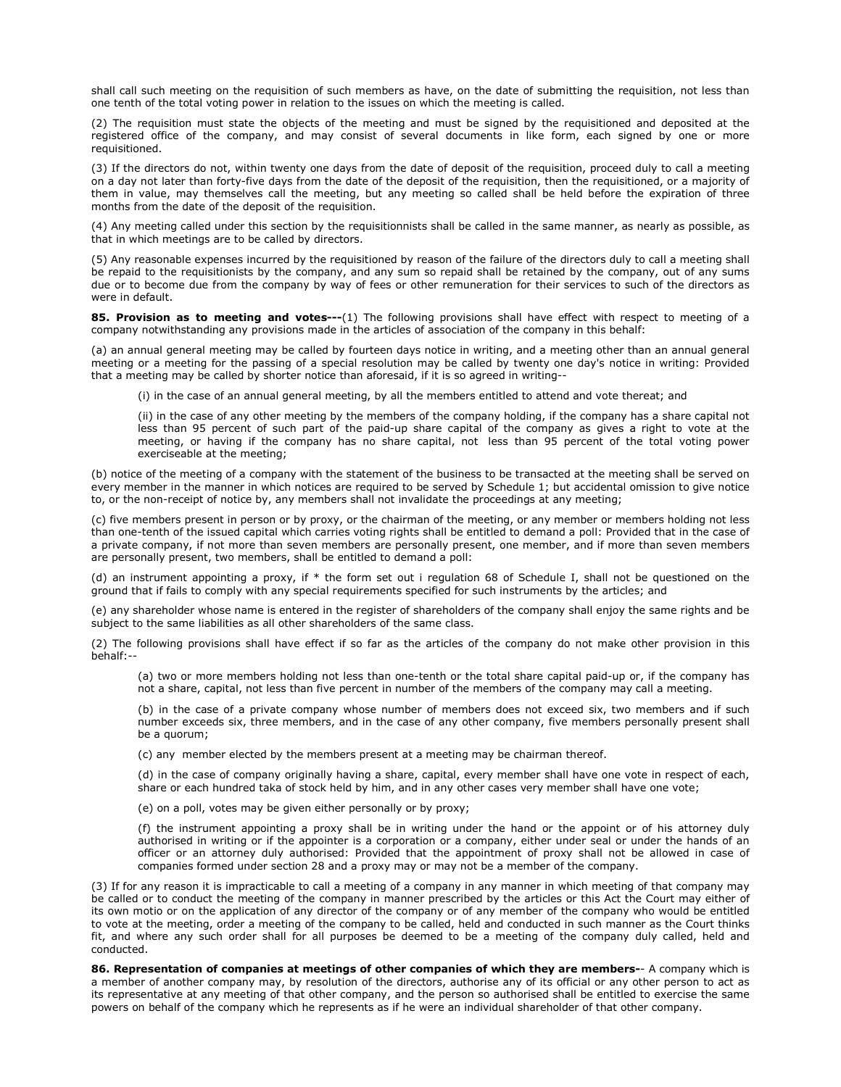shall call such meeting on the requisition of such members as have, on the date of submitting the requisition, not less than one tenth of the total voting power in relation to the issues on which the meeting is called.

(2) The requisition must state the objects of the meeting and must be signed by the requisitioned and deposited at the registered office of the company, and may consist of several documents in like form, each signed by one or more requisitioned.

(3) If the directors do not, within twenty one days from the date of deposit of the requisition, proceed duly to call a meeting on a day not later than forty-five days from the date of the deposit of the requisition, then the requisitioned, or a majority of them in value, may themselves call the meeting, but any meeting so called shall be held before the expiration of three months from the date of the deposit of the requisition.

(4) Any meeting called under this section by the requisitionnists shall be called in the same manner, as nearly as possible, as that in which meetings are to be called by directors.

(5) Any reasonable expenses incurred by the requisitioned by reason of the failure of the directors duly to call a meeting shall be repaid to the requisitionists by the company, and any sum so repaid shall be retained by the company, out of any sums due or to become due from the company by way of fees or other remuneration for their services to such of the directors as were in default.

85. Provision as to meeting and votes---(1) The following provisions shall have effect with respect to meeting of a company notwithstanding any provisions made in the articles of association of the company in this behalf:

(a) an annual general meeting may be called by fourteen days notice in writing, and a meeting other than an annual general meeting or a meeting for the passing of a special resolution may be called by twenty one day's notice in writing: Provided that a meeting may be called by shorter notice than aforesaid, if it is so agreed in writing--

(i) in the case of an annual general meeting, by all the members entitled to attend and vote thereat; and

(ii) in the case of any other meeting by the members of the company holding, if the company has a share capital not less than 95 percent of such part of the paid-up share capital of the company as gives a right to vote at the meeting, or having if the company has no share capital, not less than 95 percent of the total voting power exerciseable at the meeting;

(b) notice of the meeting of a company with the statement of the business to be transacted at the meeting shall be served on every member in the manner in which notices are required to be served by Schedule 1; but accidental omission to give notice to, or the non-receipt of notice by, any members shall not invalidate the proceedings at any meeting;

(c) five members present in person or by proxy, or the chairman of the meeting, or any member or members holding not less than one-tenth of the issued capital which carries voting rights shall be entitled to demand a poll: Provided that in the case of a private company, if not more than seven members are personally present, one member, and if more than seven members are personally present, two members, shall be entitled to demand a poll:

(d) an instrument appointing a proxy, if  $*$  the form set out i regulation 68 of Schedule I, shall not be questioned on the ground that if fails to comply with any special requirements specified for such instruments by the articles; and

(e) any shareholder whose name is entered in the register of shareholders of the company shall enjoy the same rights and be subject to the same liabilities as all other shareholders of the same class.

(2) The following provisions shall have effect if so far as the articles of the company do not make other provision in this behalf:--

(a) two or more members holding not less than one-tenth or the total share capital paid-up or, if the company has not a share, capital, not less than five percent in number of the members of the company may call a meeting.

(b) in the case of a private company whose number of members does not exceed six, two members and if such number exceeds six, three members, and in the case of any other company, five members personally present shall be a quorum;

(c) any member elected by the members present at a meeting may be chairman thereof.

(d) in the case of company originally having a share, capital, every member shall have one vote in respect of each, share or each hundred taka of stock held by him, and in any other cases very member shall have one vote;

(e) on a poll, votes may be given either personally or by proxy;

(f) the instrument appointing a proxy shall be in writing under the hand or the appoint or of his attorney duly authorised in writing or if the appointer is a corporation or a company, either under seal or under the hands of an officer or an attorney duly authorised: Provided that the appointment of proxy shall not be allowed in case of companies formed under section 28 and a proxy may or may not be a member of the company.

(3) If for any reason it is impracticable to call a meeting of a company in any manner in which meeting of that company may be called or to conduct the meeting of the company in manner prescribed by the articles or this Act the Court may either of its own motio or on the application of any director of the company or of any member of the company who would be entitled to vote at the meeting, order a meeting of the company to be called, held and conducted in such manner as the Court thinks fit, and where any such order shall for all purposes be deemed to be a meeting of the company duly called, held and conducted.

86. Representation of companies at meetings of other companies of which they are members-- A company which is a member of another company may, by resolution of the directors, authorise any of its official or any other person to act as its representative at any meeting of that other company, and the person so authorised shall be entitled to exercise the same powers on behalf of the company which he represents as if he were an individual shareholder of that other company.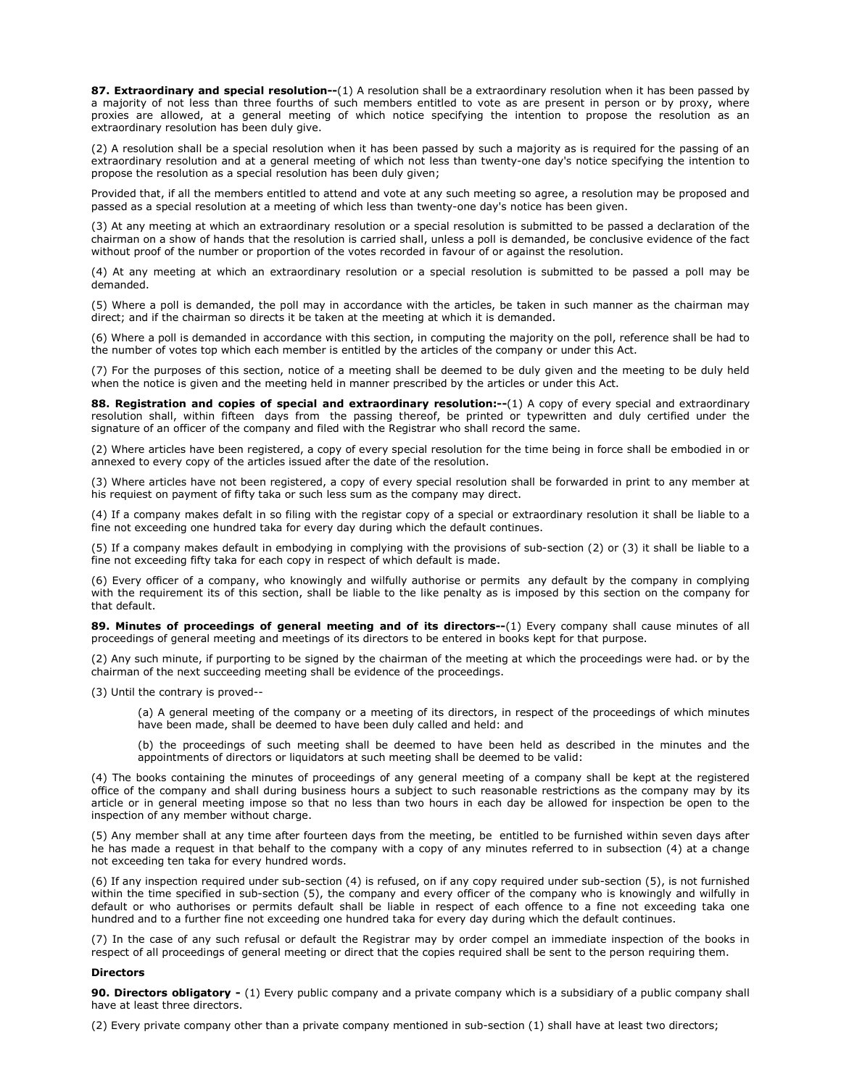87. Extraordinary and special resolution--(1) A resolution shall be a extraordinary resolution when it has been passed by a majority of not less than three fourths of such members entitled to vote as are present in person or by proxy, where proxies are allowed, at a general meeting of which notice specifying the intention to propose the resolution as an extraordinary resolution has been duly give.

(2) A resolution shall be a special resolution when it has been passed by such a majority as is required for the passing of an extraordinary resolution and at a general meeting of which not less than twenty-one day's notice specifying the intention to propose the resolution as a special resolution has been duly given;

Provided that, if all the members entitled to attend and vote at any such meeting so agree, a resolution may be proposed and passed as a special resolution at a meeting of which less than twenty-one day's notice has been given.

(3) At any meeting at which an extraordinary resolution or a special resolution is submitted to be passed a declaration of the chairman on a show of hands that the resolution is carried shall, unless a poll is demanded, be conclusive evidence of the fact without proof of the number or proportion of the votes recorded in favour of or against the resolution.

(4) At any meeting at which an extraordinary resolution or a special resolution is submitted to be passed a poll may be demanded.

(5) Where a poll is demanded, the poll may in accordance with the articles, be taken in such manner as the chairman may direct; and if the chairman so directs it be taken at the meeting at which it is demanded.

(6) Where a poll is demanded in accordance with this section, in computing the majority on the poll, reference shall be had to the number of votes top which each member is entitled by the articles of the company or under this Act.

(7) For the purposes of this section, notice of a meeting shall be deemed to be duly given and the meeting to be duly held when the notice is given and the meeting held in manner prescribed by the articles or under this Act.

88. Registration and copies of special and extraordinary resolution:--(1) A copy of every special and extraordinary resolution shall, within fifteen days from the passing thereof, be printed or typewritten and duly certified under the signature of an officer of the company and filed with the Registrar who shall record the same.

(2) Where articles have been registered, a copy of every special resolution for the time being in force shall be embodied in or annexed to every copy of the articles issued after the date of the resolution.

(3) Where articles have not been registered, a copy of every special resolution shall be forwarded in print to any member at his requiest on payment of fifty taka or such less sum as the company may direct.

(4) If a company makes defalt in so filing with the registar copy of a special or extraordinary resolution it shall be liable to a fine not exceeding one hundred taka for every day during which the default continues.

(5) If a company makes default in embodying in complying with the provisions of sub-section (2) or (3) it shall be liable to a fine not exceeding fifty taka for each copy in respect of which default is made.

(6) Every officer of a company, who knowingly and wilfully authorise or permits any default by the company in complying with the requirement its of this section, shall be liable to the like penalty as is imposed by this section on the company for that default.

89. Minutes of proceedings of general meeting and of its directors--(1) Every company shall cause minutes of all proceedings of general meeting and meetings of its directors to be entered in books kept for that purpose.

(2) Any such minute, if purporting to be signed by the chairman of the meeting at which the proceedings were had. or by the chairman of the next succeeding meeting shall be evidence of the proceedings.

(3) Until the contrary is proved--

(a) A general meeting of the company or a meeting of its directors, in respect of the proceedings of which minutes have been made, shall be deemed to have been duly called and held: and

(b) the proceedings of such meeting shall be deemed to have been held as described in the minutes and the appointments of directors or liquidators at such meeting shall be deemed to be valid:

(4) The books containing the minutes of proceedings of any general meeting of a company shall be kept at the registered office of the company and shall during business hours a subject to such reasonable restrictions as the company may by its article or in general meeting impose so that no less than two hours in each day be allowed for inspection be open to the inspection of any member without charge.

(5) Any member shall at any time after fourteen days from the meeting, be entitled to be furnished within seven days after he has made a request in that behalf to the company with a copy of any minutes referred to in subsection (4) at a change not exceeding ten taka for every hundred words.

(6) If any inspection required under sub-section (4) is refused, on if any copy required under sub-section (5), is not furnished within the time specified in sub-section (5), the company and every officer of the company who is knowingly and wilfully in default or who authorises or permits default shall be liable in respect of each offence to a fine not exceeding taka one hundred and to a further fine not exceeding one hundred taka for every day during which the default continues.

(7) In the case of any such refusal or default the Registrar may by order compel an immediate inspection of the books in respect of all proceedings of general meeting or direct that the copies required shall be sent to the person requiring them.

## Directors

90. Directors obligatory - (1) Every public company and a private company which is a subsidiary of a public company shall have at least three directors.

(2) Every private company other than a private company mentioned in sub-section (1) shall have at least two directors;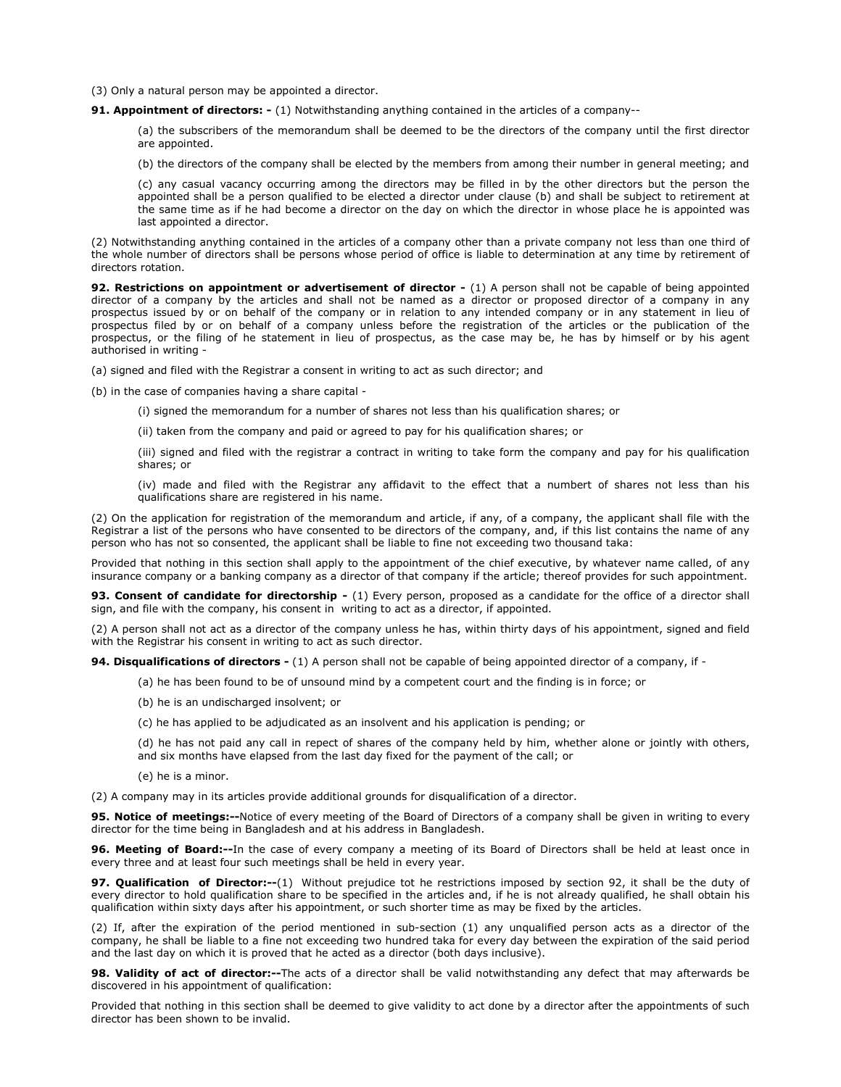(3) Only a natural person may be appointed a director.

91. Appointment of directors:  $-$  (1) Notwithstanding anything contained in the articles of a company--

(a) the subscribers of the memorandum shall be deemed to be the directors of the company until the first director are appointed.

(b) the directors of the company shall be elected by the members from among their number in general meeting; and

(c) any casual vacancy occurring among the directors may be filled in by the other directors but the person the appointed shall be a person qualified to be elected a director under clause (b) and shall be subject to retirement at the same time as if he had become a director on the day on which the director in whose place he is appointed was last appointed a director.

(2) Notwithstanding anything contained in the articles of a company other than a private company not less than one third of the whole number of directors shall be persons whose period of office is liable to determination at any time by retirement of directors rotation.

92. Restrictions on appointment or advertisement of director - (1) A person shall not be capable of being appointed director of a company by the articles and shall not be named as a director or proposed director of a company in any prospectus issued by or on behalf of the company or in relation to any intended company or in any statement in lieu of prospectus filed by or on behalf of a company unless before the registration of the articles or the publication of the prospectus, or the filing of he statement in lieu of prospectus, as the case may be, he has by himself or by his agent authorised in writing -

(a) signed and filed with the Registrar a consent in writing to act as such director; and

(b) in the case of companies having a share capital -

- (i) signed the memorandum for a number of shares not less than his qualification shares; or
- (ii) taken from the company and paid or agreed to pay for his qualification shares; or

(iii) signed and filed with the registrar a contract in writing to take form the company and pay for his qualification shares; or

(iv) made and filed with the Registrar any affidavit to the effect that a numbert of shares not less than his qualifications share are registered in his name.

(2) On the application for registration of the memorandum and article, if any, of a company, the applicant shall file with the Registrar a list of the persons who have consented to be directors of the company, and, if this list contains the name of any person who has not so consented, the applicant shall be liable to fine not exceeding two thousand taka:

Provided that nothing in this section shall apply to the appointment of the chief executive, by whatever name called, of any insurance company or a banking company as a director of that company if the article; thereof provides for such appointment.

93. Consent of candidate for directorship - (1) Every person, proposed as a candidate for the office of a director shall sign, and file with the company, his consent in writing to act as a director, if appointed.

(2) A person shall not act as a director of the company unless he has, within thirty days of his appointment, signed and field with the Registrar his consent in writing to act as such director.

94. Disqualifications of directors - (1) A person shall not be capable of being appointed director of a company, if -

- (a) he has been found to be of unsound mind by a competent court and the finding is in force; or
- (b) he is an undischarged insolvent; or
- (c) he has applied to be adjudicated as an insolvent and his application is pending; or
- (d) he has not paid any call in repect of shares of the company held by him, whether alone or jointly with others, and six months have elapsed from the last day fixed for the payment of the call; or
- (e) he is a minor.

(2) A company may in its articles provide additional grounds for disqualification of a director.

95. Notice of meetings:--Notice of every meeting of the Board of Directors of a company shall be given in writing to every director for the time being in Bangladesh and at his address in Bangladesh.

96. Meeting of Board:--In the case of every company a meeting of its Board of Directors shall be held at least once in every three and at least four such meetings shall be held in every year.

97. Qualification of Director:--(1) Without prejudice tot he restrictions imposed by section 92, it shall be the duty of every director to hold qualification share to be specified in the articles and, if he is not already qualified, he shall obtain his qualification within sixty days after his appointment, or such shorter time as may be fixed by the articles.

(2) If, after the expiration of the period mentioned in sub-section (1) any unqualified person acts as a director of the company, he shall be liable to a fine not exceeding two hundred taka for every day between the expiration of the said period and the last day on which it is proved that he acted as a director (both days inclusive).

98. Validity of act of director:--The acts of a director shall be valid notwithstanding any defect that may afterwards be discovered in his appointment of qualification:

Provided that nothing in this section shall be deemed to give validity to act done by a director after the appointments of such director has been shown to be invalid.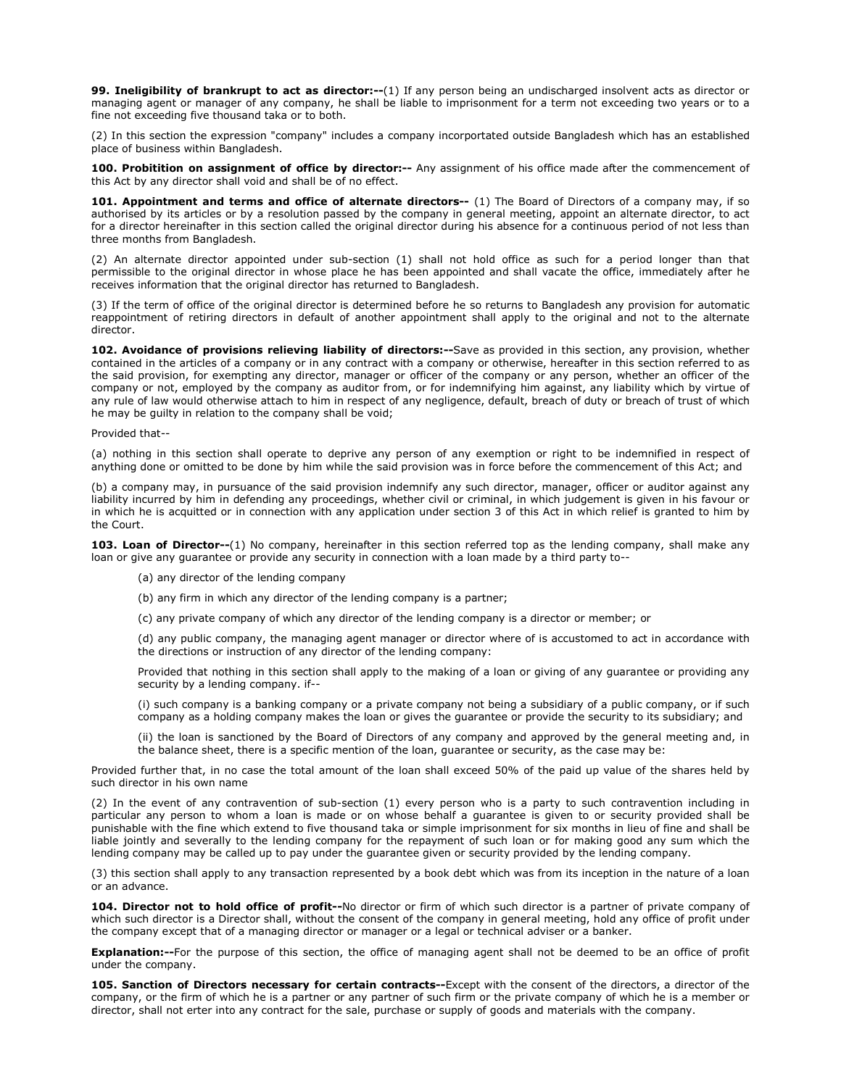99. Ineligibility of brankrupt to act as director:--(1) If any person being an undischarged insolvent acts as director or managing agent or manager of any company, he shall be liable to imprisonment for a term not exceeding two years or to a fine not exceeding five thousand taka or to both.

(2) In this section the expression "company" includes a company incorportated outside Bangladesh which has an established place of business within Bangladesh.

100. Probitition on assignment of office by director:-- Any assignment of his office made after the commencement of this Act by any director shall void and shall be of no effect.

101. Appointment and terms and office of alternate directors-- (1) The Board of Directors of a company may, if so authorised by its articles or by a resolution passed by the company in general meeting, appoint an alternate director, to act for a director hereinafter in this section called the original director during his absence for a continuous period of not less than three months from Bangladesh.

(2) An alternate director appointed under sub-section (1) shall not hold office as such for a period longer than that permissible to the original director in whose place he has been appointed and shall vacate the office, immediately after he receives information that the original director has returned to Bangladesh.

(3) If the term of office of the original director is determined before he so returns to Bangladesh any provision for automatic reappointment of retiring directors in default of another appointment shall apply to the original and not to the alternate director.

102. Avoidance of provisions relieving liability of directors:--Save as provided in this section, any provision, whether contained in the articles of a company or in any contract with a company or otherwise, hereafter in this section referred to as the said provision, for exempting any director, manager or officer of the company or any person, whether an officer of the company or not, employed by the company as auditor from, or for indemnifying him against, any liability which by virtue of any rule of law would otherwise attach to him in respect of any negligence, default, breach of duty or breach of trust of which he may be guilty in relation to the company shall be void;

#### Provided that--

(a) nothing in this section shall operate to deprive any person of any exemption or right to be indemnified in respect of anything done or omitted to be done by him while the said provision was in force before the commencement of this Act; and

(b) a company may, in pursuance of the said provision indemnify any such director, manager, officer or auditor against any liability incurred by him in defending any proceedings, whether civil or criminal, in which judgement is given in his favour or in which he is acquitted or in connection with any application under section 3 of this Act in which relief is granted to him by the Court.

103. Loan of Director--(1) No company, hereinafter in this section referred top as the lending company, shall make any loan or give any guarantee or provide any security in connection with a loan made by a third party to--

(a) any director of the lending company

- (b) any firm in which any director of the lending company is a partner;
- (c) any private company of which any director of the lending company is a director or member; or

(d) any public company, the managing agent manager or director where of is accustomed to act in accordance with the directions or instruction of any director of the lending company:

Provided that nothing in this section shall apply to the making of a loan or giving of any guarantee or providing any security by a lending company. if--

(i) such company is a banking company or a private company not being a subsidiary of a public company, or if such company as a holding company makes the loan or gives the guarantee or provide the security to its subsidiary; and

(ii) the loan is sanctioned by the Board of Directors of any company and approved by the general meeting and, in the balance sheet, there is a specific mention of the loan, guarantee or security, as the case may be:

Provided further that, in no case the total amount of the loan shall exceed 50% of the paid up value of the shares held by such director in his own name

(2) In the event of any contravention of sub-section (1) every person who is a party to such contravention including in particular any person to whom a loan is made or on whose behalf a guarantee is given to or security provided shall be punishable with the fine which extend to five thousand taka or simple imprisonment for six months in lieu of fine and shall be liable jointly and severally to the lending company for the repayment of such loan or for making good any sum which the lending company may be called up to pay under the guarantee given or security provided by the lending company.

(3) this section shall apply to any transaction represented by a book debt which was from its inception in the nature of a loan or an advance.

104. Director not to hold office of profit--No director or firm of which such director is a partner of private company of which such director is a Director shall, without the consent of the company in general meeting, hold any office of profit under the company except that of a managing director or manager or a legal or technical adviser or a banker.

Explanation:--For the purpose of this section, the office of managing agent shall not be deemed to be an office of profit under the company.

105. Sanction of Directors necessary for certain contracts--Except with the consent of the directors, a director of the company, or the firm of which he is a partner or any partner of such firm or the private company of which he is a member or director, shall not erter into any contract for the sale, purchase or supply of goods and materials with the company.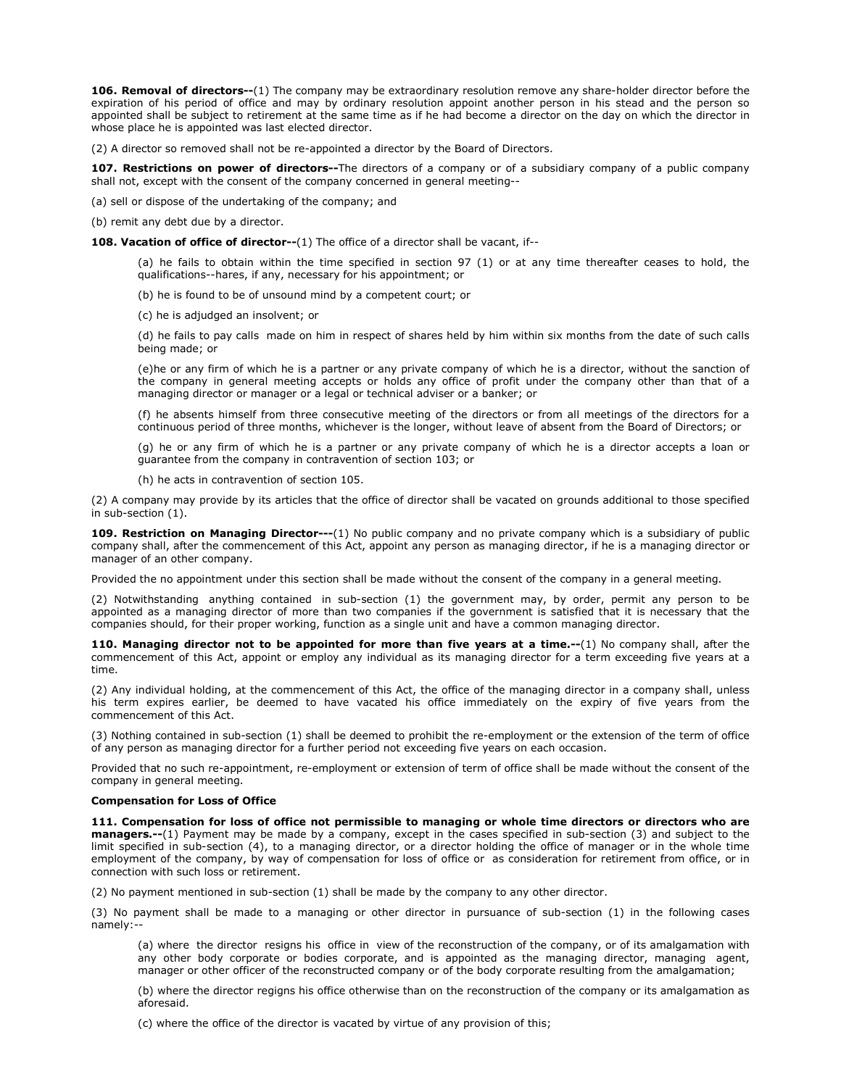106. Removal of directors--(1) The company may be extraordinary resolution remove any share-holder director before the expiration of his period of office and may by ordinary resolution appoint another person in his stead and the person so appointed shall be subject to retirement at the same time as if he had become a director on the day on which the director in whose place he is appointed was last elected director.

(2) A director so removed shall not be re-appointed a director by the Board of Directors.

107. Restrictions on power of directors--The directors of a company or of a subsidiary company of a public company shall not, except with the consent of the company concerned in general meeting--

(a) sell or dispose of the undertaking of the company; and

(b) remit any debt due by a director.

108. Vacation of office of director-- $(1)$  The office of a director shall be vacant, if--

(a) he fails to obtain within the time specified in section 97 (1) or at any time thereafter ceases to hold, the qualifications--hares, if any, necessary for his appointment; or

(b) he is found to be of unsound mind by a competent court; or

(c) he is adjudged an insolvent; or

(d) he fails to pay calls made on him in respect of shares held by him within six months from the date of such calls being made; or

(e)he or any firm of which he is a partner or any private company of which he is a director, without the sanction of the company in general meeting accepts or holds any office of profit under the company other than that of a managing director or manager or a legal or technical adviser or a banker; or

(f) he absents himself from three consecutive meeting of the directors or from all meetings of the directors for a continuous period of three months, whichever is the longer, without leave of absent from the Board of Directors; or

(g) he or any firm of which he is a partner or any private company of which he is a director accepts a loan or guarantee from the company in contravention of section 103; or

(h) he acts in contravention of section 105.

(2) A company may provide by its articles that the office of director shall be vacated on grounds additional to those specified in sub-section (1).

109. Restriction on Managing Director---(1) No public company and no private company which is a subsidiary of public company shall, after the commencement of this Act, appoint any person as managing director, if he is a managing director or manager of an other company.

Provided the no appointment under this section shall be made without the consent of the company in a general meeting.

(2) Notwithstanding anything contained in sub-section (1) the government may, by order, permit any person to be appointed as a managing director of more than two companies if the government is satisfied that it is necessary that the companies should, for their proper working, function as a single unit and have a common managing director.

110. Managing director not to be appointed for more than five years at a time. $-(1)$  No company shall, after the commencement of this Act, appoint or employ any individual as its managing director for a term exceeding five years at a time.

(2) Any individual holding, at the commencement of this Act, the office of the managing director in a company shall, unless his term expires earlier, be deemed to have vacated his office immediately on the expiry of five years from the commencement of this Act.

(3) Nothing contained in sub-section (1) shall be deemed to prohibit the re-employment or the extension of the term of office of any person as managing director for a further period not exceeding five years on each occasion.

Provided that no such re-appointment, re-employment or extension of term of office shall be made without the consent of the company in general meeting.

## Compensation for Loss of Office

111. Compensation for loss of office not permissible to managing or whole time directors or directors who are managers.--(1) Payment may be made by a company, except in the cases specified in sub-section (3) and subject to the limit specified in sub-section (4), to a managing director, or a director holding the office of manager or in the whole time employment of the company, by way of compensation for loss of office or as consideration for retirement from office, or in connection with such loss or retirement.

(2) No payment mentioned in sub-section (1) shall be made by the company to any other director.

(3) No payment shall be made to a managing or other director in pursuance of sub-section (1) in the following cases namely:--

(a) where the director resigns his office in view of the reconstruction of the company, or of its amalgamation with any other body corporate or bodies corporate, and is appointed as the managing director, managing agent, manager or other officer of the reconstructed company or of the body corporate resulting from the amalgamation;

(b) where the director regigns his office otherwise than on the reconstruction of the company or its amalgamation as aforesaid.

(c) where the office of the director is vacated by virtue of any provision of this;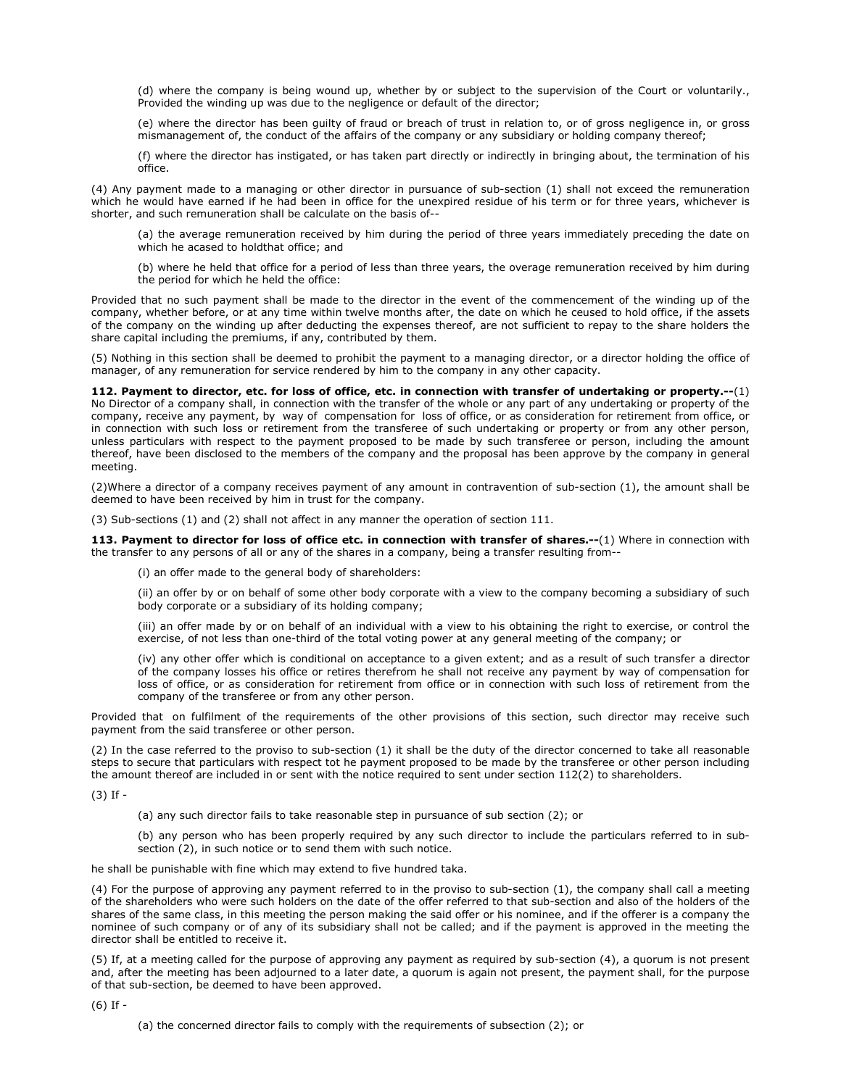(d) where the company is being wound up, whether by or subject to the supervision of the Court or voluntarily., Provided the winding up was due to the negligence or default of the director;

(e) where the director has been guilty of fraud or breach of trust in relation to, or of gross negligence in, or gross mismanagement of, the conduct of the affairs of the company or any subsidiary or holding company thereof;

(f) where the director has instigated, or has taken part directly or indirectly in bringing about, the termination of his office.

(4) Any payment made to a managing or other director in pursuance of sub-section (1) shall not exceed the remuneration which he would have earned if he had been in office for the unexpired residue of his term or for three years, whichever is shorter, and such remuneration shall be calculate on the basis of--

(a) the average remuneration received by him during the period of three years immediately preceding the date on which he acased to holdthat office; and

(b) where he held that office for a period of less than three years, the overage remuneration received by him during the period for which he held the office:

Provided that no such payment shall be made to the director in the event of the commencement of the winding up of the company, whether before, or at any time within twelve months after, the date on which he ceused to hold office, if the assets of the company on the winding up after deducting the expenses thereof, are not sufficient to repay to the share holders the share capital including the premiums, if any, contributed by them.

(5) Nothing in this section shall be deemed to prohibit the payment to a managing director, or a director holding the office of manager, of any remuneration for service rendered by him to the company in any other capacity.

112. Payment to director, etc. for loss of office, etc. in connection with transfer of undertaking or property.--(1) No Director of a company shall, in connection with the transfer of the whole or any part of any undertaking or property of the company, receive any payment, by way of compensation for loss of office, or as consideration for retirement from office, or in connection with such loss or retirement from the transferee of such undertaking or property or from any other person, unless particulars with respect to the payment proposed to be made by such transferee or person, including the amount thereof, have been disclosed to the members of the company and the proposal has been approve by the company in general meeting.

(2)Where a director of a company receives payment of any amount in contravention of sub-section (1), the amount shall be deemed to have been received by him in trust for the company.

(3) Sub-sections (1) and (2) shall not affect in any manner the operation of section 111.

113. Payment to director for loss of office etc. in connection with transfer of shares.--(1) Where in connection with the transfer to any persons of all or any of the shares in a company, being a transfer resulting from--

(i) an offer made to the general body of shareholders:

(ii) an offer by or on behalf of some other body corporate with a view to the company becoming a subsidiary of such body corporate or a subsidiary of its holding company;

(iii) an offer made by or on behalf of an individual with a view to his obtaining the right to exercise, or control the exercise, of not less than one-third of the total voting power at any general meeting of the company; or

(iv) any other offer which is conditional on acceptance to a given extent; and as a result of such transfer a director of the company losses his office or retires therefrom he shall not receive any payment by way of compensation for loss of office, or as consideration for retirement from office or in connection with such loss of retirement from the company of the transferee or from any other person.

Provided that on fulfilment of the requirements of the other provisions of this section, such director may receive such payment from the said transferee or other person.

(2) In the case referred to the proviso to sub-section (1) it shall be the duty of the director concerned to take all reasonable steps to secure that particulars with respect tot he payment proposed to be made by the transferee or other person including the amount thereof are included in or sent with the notice required to sent under section 112(2) to shareholders.

 $(3)$  If -

(a) any such director fails to take reasonable step in pursuance of sub section (2); or

(b) any person who has been properly required by any such director to include the particulars referred to in subsection (2), in such notice or to send them with such notice.

he shall be punishable with fine which may extend to five hundred taka.

(4) For the purpose of approving any payment referred to in the proviso to sub-section (1), the company shall call a meeting of the shareholders who were such holders on the date of the offer referred to that sub-section and also of the holders of the shares of the same class, in this meeting the person making the said offer or his nominee, and if the offerer is a company the nominee of such company or of any of its subsidiary shall not be called; and if the payment is approved in the meeting the director shall be entitled to receive it.

(5) If, at a meeting called for the purpose of approving any payment as required by sub-section (4), a quorum is not present and, after the meeting has been adjourned to a later date, a quorum is again not present, the payment shall, for the purpose of that sub-section, be deemed to have been approved.

 $(6)$  If -

(a) the concerned director fails to comply with the requirements of subsection (2); or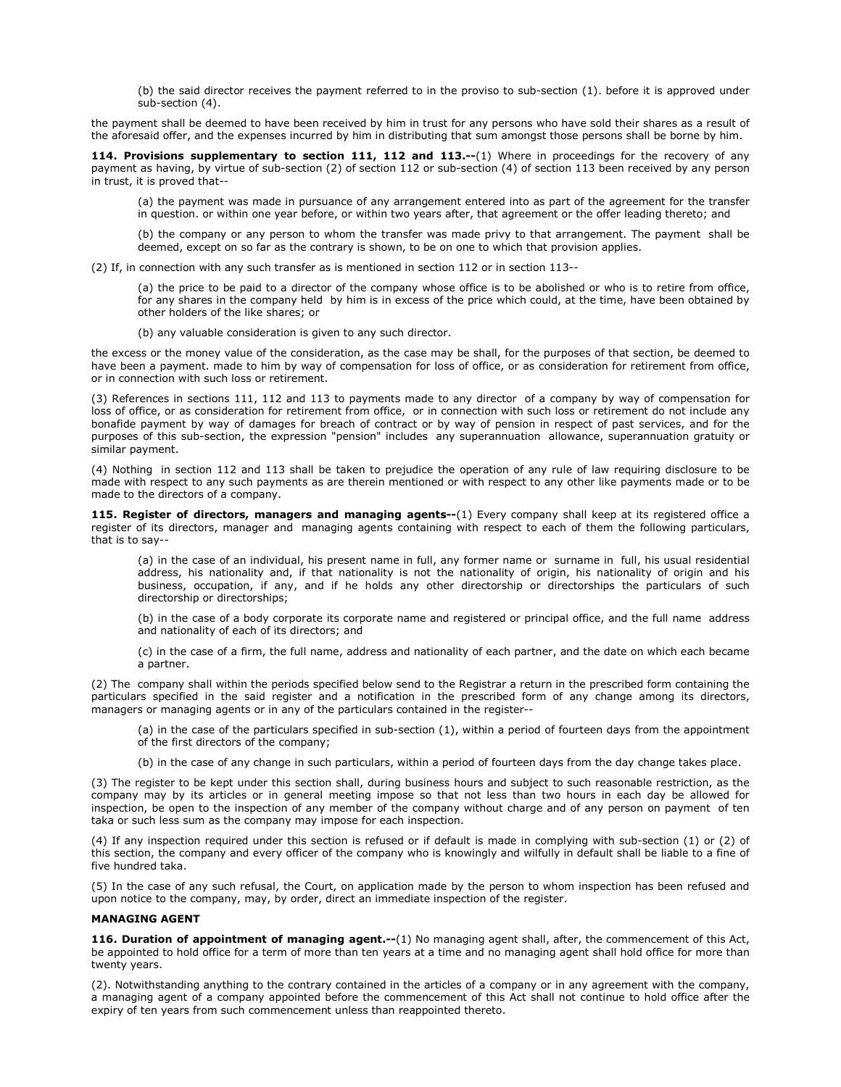(b) the said director receives the payment referred to in the proviso to sub-section (1). before it is approved under sub-section (4).

the payment shall be deemed to have been received by him in trust for any persons who have sold their shares as a result of the aforesaid offer, and the expenses incurred by him in distributing that sum amongst those persons shall be borne by him.

114. Provisions supplementary to section 111, 112 and 113.--(1) Where in proceedings for the recovery of any payment as having, by virtue of sub-section (2) of section 112 or sub-section (4) of section 113 been received by any person in trust, it is proved that--

(a) the payment was made in pursuance of any arrangement entered into as part of the agreement for the transfer in question. or within one year before, or within two years after, that agreement or the offer leading thereto; and

(b) the company or any person to whom the transfer was made privy to that arrangement. The payment shall be deemed, except on so far as the contrary is shown, to be on one to which that provision applies.

(2) If, in connection with any such transfer as is mentioned in section 112 or in section 113--

(a) the price to be paid to a director of the company whose office is to be abolished or who is to retire from office, for any shares in the company held by him is in excess of the price which could, at the time, have been obtained by other holders of the like shares; or

(b) any valuable consideration is given to any such director.

the excess or the money value of the consideration, as the case may be shall, for the purposes of that section, be deemed to have been a payment. made to him by way of compensation for loss of office, or as consideration for retirement from office, or in connection with such loss or retirement.

(3) References in sections 111, 112 and 113 to payments made to any director of a company by way of compensation for loss of office, or as consideration for retirement from office, or in connection with such loss or retirement do not include any bonafide payment by way of damages for breach of contract or by way of pension in respect of past services, and for the purposes of this sub-section, the expression "pension" includes any superannuation allowance, superannuation gratuity or similar payment.

(4) Nothing in section 112 and 113 shall be taken to prejudice the operation of any rule of law requiring disclosure to be made with respect to any such payments as are therein mentioned or with respect to any other like payments made or to be made to the directors of a company.

115. Register of directors, managers and managing agents--(1) Every company shall keep at its registered office a register of its directors, manager and managing agents containing with respect to each of them the following particulars, that is to say--

(a) in the case of an individual, his present name in full, any former name or surname in full, his usual residential address, his nationality and, if that nationality is not the nationality of origin, his nationality of origin and his business, occupation, if any, and if he holds any other directorship or directorships the particulars of such directorship or directorships;

(b) in the case of a body corporate its corporate name and registered or principal office, and the full name address and nationality of each of its directors; and

(c) in the case of a firm, the full name, address and nationality of each partner, and the date on which each became a partner.

(2) The company shall within the periods specified below send to the Registrar a return in the prescribed form containing the particulars specified in the said register and a notification in the prescribed form of any change among its directors, managers or managing agents or in any of the particulars contained in the register--

(a) in the case of the particulars specified in sub-section (1), within a period of fourteen days from the appointment of the first directors of the company;

(b) in the case of any change in such particulars, within a period of fourteen days from the day change takes place.

(3) The register to be kept under this section shall, during business hours and subject to such reasonable restriction, as the company may by its articles or in general meeting impose so that not less than two hours in each day be allowed for inspection, be open to the inspection of any member of the company without charge and of any person on payment of ten taka or such less sum as the company may impose for each inspection.

(4) If any inspection required under this section is refused or if default is made in complying with sub-section (1) or (2) of this section, the company and every officer of the company who is knowingly and wilfully in default shall be liable to a fine of five hundred taka.

(5) In the case of any such refusal, the Court, on application made by the person to whom inspection has been refused and upon notice to the company, may, by order, direct an immediate inspection of the register.

### MANAGING AGENT

116. Duration of appointment of managing agent.--(1) No managing agent shall, after, the commencement of this Act, be appointed to hold office for a term of more than ten years at a time and no managing agent shall hold office for more than twenty years.

(2). Notwithstanding anything to the contrary contained in the articles of a company or in any agreement with the company, a managing agent of a company appointed before the commencement of this Act shall not continue to hold office after the expiry of ten years from such commencement unless than reappointed thereto.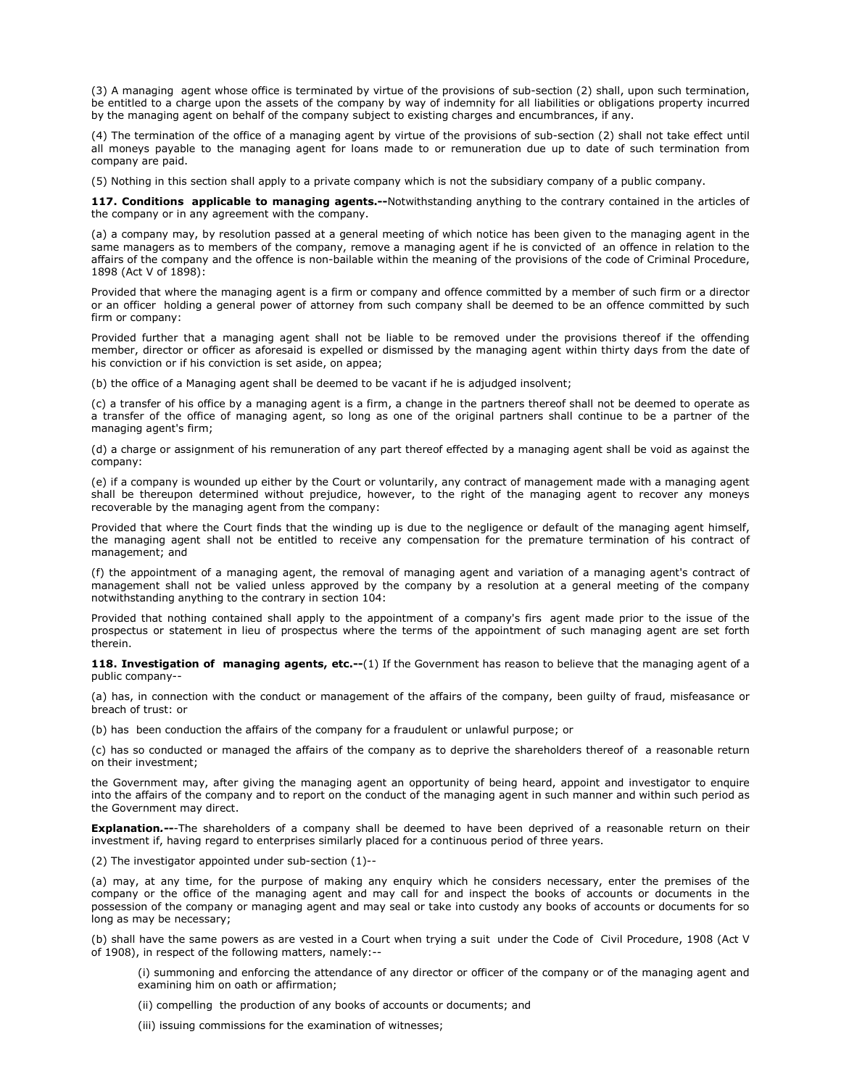(3) A managing agent whose office is terminated by virtue of the provisions of sub-section (2) shall, upon such termination, be entitled to a charge upon the assets of the company by way of indemnity for all liabilities or obligations property incurred by the managing agent on behalf of the company subject to existing charges and encumbrances, if any.

(4) The termination of the office of a managing agent by virtue of the provisions of sub-section (2) shall not take effect until all moneys payable to the managing agent for loans made to or remuneration due up to date of such termination from company are paid.

(5) Nothing in this section shall apply to a private company which is not the subsidiary company of a public company.

117. Conditions applicable to managing agents.--Notwithstanding anything to the contrary contained in the articles of the company or in any agreement with the company.

(a) a company may, by resolution passed at a general meeting of which notice has been given to the managing agent in the same managers as to members of the company, remove a managing agent if he is convicted of an offence in relation to the affairs of the company and the offence is non-bailable within the meaning of the provisions of the code of Criminal Procedure, 1898 (Act V of 1898):

Provided that where the managing agent is a firm or company and offence committed by a member of such firm or a director or an officer holding a general power of attorney from such company shall be deemed to be an offence committed by such firm or company:

Provided further that a managing agent shall not be liable to be removed under the provisions thereof if the offending member, director or officer as aforesaid is expelled or dismissed by the managing agent within thirty days from the date of his conviction or if his conviction is set aside, on appea;

(b) the office of a Managing agent shall be deemed to be vacant if he is adjudged insolvent;

(c) a transfer of his office by a managing agent is a firm, a change in the partners thereof shall not be deemed to operate as a transfer of the office of managing agent, so long as one of the original partners shall continue to be a partner of the managing agent's firm;

(d) a charge or assignment of his remuneration of any part thereof effected by a managing agent shall be void as against the company:

(e) if a company is wounded up either by the Court or voluntarily, any contract of management made with a managing agent shall be thereupon determined without prejudice, however, to the right of the managing agent to recover any moneys recoverable by the managing agent from the company:

Provided that where the Court finds that the winding up is due to the negligence or default of the managing agent himself, the managing agent shall not be entitled to receive any compensation for the premature termination of his contract of management; and

(f) the appointment of a managing agent, the removal of managing agent and variation of a managing agent's contract of management shall not be valied unless approved by the company by a resolution at a general meeting of the company notwithstanding anything to the contrary in section 104:

Provided that nothing contained shall apply to the appointment of a company's firs agent made prior to the issue of the prospectus or statement in lieu of prospectus where the terms of the appointment of such managing agent are set forth therein.

118. Investigation of managing agents, etc. $-(1)$  If the Government has reason to believe that the managing agent of a public company--

(a) has, in connection with the conduct or management of the affairs of the company, been guilty of fraud, misfeasance or breach of trust: or

(b) has been conduction the affairs of the company for a fraudulent or unlawful purpose; or

(c) has so conducted or managed the affairs of the company as to deprive the shareholders thereof of a reasonable return on their investment;

the Government may, after giving the managing agent an opportunity of being heard, appoint and investigator to enquire into the affairs of the company and to report on the conduct of the managing agent in such manner and within such period as the Government may direct.

Explanation.---The shareholders of a company shall be deemed to have been deprived of a reasonable return on their investment if, having regard to enterprises similarly placed for a continuous period of three years.

(2) The investigator appointed under sub-section (1)--

(a) may, at any time, for the purpose of making any enquiry which he considers necessary, enter the premises of the company or the office of the managing agent and may call for and inspect the books of accounts or documents in the possession of the company or managing agent and may seal or take into custody any books of accounts or documents for so long as may be necessary;

(b) shall have the same powers as are vested in a Court when trying a suit under the Code of Civil Procedure, 1908 (Act V of 1908), in respect of the following matters, namely:--

(i) summoning and enforcing the attendance of any director or officer of the company or of the managing agent and examining him on oath or affirmation;

- (ii) compelling the production of any books of accounts or documents; and
- (iii) issuing commissions for the examination of witnesses;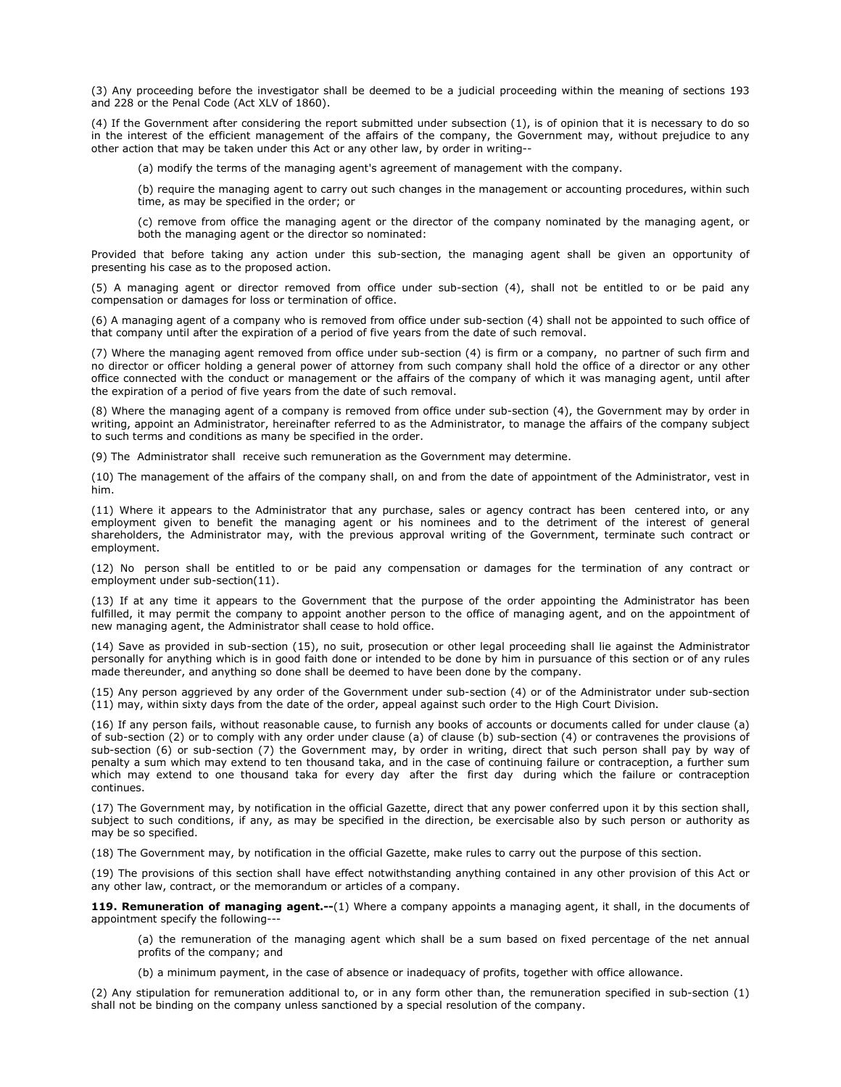(3) Any proceeding before the investigator shall be deemed to be a judicial proceeding within the meaning of sections 193 and 228 or the Penal Code (Act XLV of 1860).

(4) If the Government after considering the report submitted under subsection (1), is of opinion that it is necessary to do so in the interest of the efficient management of the affairs of the company, the Government may, without prejudice to any other action that may be taken under this Act or any other law, by order in writing--

(a) modify the terms of the managing agent's agreement of management with the company.

(b) require the managing agent to carry out such changes in the management or accounting procedures, within such time, as may be specified in the order; or

(c) remove from office the managing agent or the director of the company nominated by the managing agent, or both the managing agent or the director so nominated:

Provided that before taking any action under this sub-section, the managing agent shall be given an opportunity of presenting his case as to the proposed action.

(5) A managing agent or director removed from office under sub-section (4), shall not be entitled to or be paid any compensation or damages for loss or termination of office.

(6) A managing agent of a company who is removed from office under sub-section (4) shall not be appointed to such office of that company until after the expiration of a period of five years from the date of such removal.

(7) Where the managing agent removed from office under sub-section (4) is firm or a company, no partner of such firm and no director or officer holding a general power of attorney from such company shall hold the office of a director or any other office connected with the conduct or management or the affairs of the company of which it was managing agent, until after the expiration of a period of five years from the date of such removal.

(8) Where the managing agent of a company is removed from office under sub-section (4), the Government may by order in writing, appoint an Administrator, hereinafter referred to as the Administrator, to manage the affairs of the company subject to such terms and conditions as many be specified in the order.

(9) The Administrator shall receive such remuneration as the Government may determine.

(10) The management of the affairs of the company shall, on and from the date of appointment of the Administrator, vest in him.

(11) Where it appears to the Administrator that any purchase, sales or agency contract has been centered into, or any employment given to benefit the managing agent or his nominees and to the detriment of the interest of general shareholders, the Administrator may, with the previous approval writing of the Government, terminate such contract or employment.

(12) No person shall be entitled to or be paid any compensation or damages for the termination of any contract or employment under sub-section(11).

(13) If at any time it appears to the Government that the purpose of the order appointing the Administrator has been fulfilled, it may permit the company to appoint another person to the office of managing agent, and on the appointment of new managing agent, the Administrator shall cease to hold office.

(14) Save as provided in sub-section (15), no suit, prosecution or other legal proceeding shall lie against the Administrator personally for anything which is in good faith done or intended to be done by him in pursuance of this section or of any rules made thereunder, and anything so done shall be deemed to have been done by the company.

(15) Any person aggrieved by any order of the Government under sub-section (4) or of the Administrator under sub-section (11) may, within sixty days from the date of the order, appeal against such order to the High Court Division.

(16) If any person fails, without reasonable cause, to furnish any books of accounts or documents called for under clause (a) of sub-section (2) or to comply with any order under clause (a) of clause (b) sub-section (4) or contravenes the provisions of sub-section (6) or sub-section (7) the Government may, by order in writing, direct that such person shall pay by way of penalty a sum which may extend to ten thousand taka, and in the case of continuing failure or contraception, a further sum which may extend to one thousand taka for every day after the first day during which the failure or contraception continues.

(17) The Government may, by notification in the official Gazette, direct that any power conferred upon it by this section shall, subject to such conditions, if any, as may be specified in the direction, be exercisable also by such person or authority as may be so specified.

(18) The Government may, by notification in the official Gazette, make rules to carry out the purpose of this section.

(19) The provisions of this section shall have effect notwithstanding anything contained in any other provision of this Act or any other law, contract, or the memorandum or articles of a company.

119. Remuneration of managing agent.--(1) Where a company appoints a managing agent, it shall, in the documents of appointment specify the following---

(a) the remuneration of the managing agent which shall be a sum based on fixed percentage of the net annual profits of the company; and

(b) a minimum payment, in the case of absence or inadequacy of profits, together with office allowance.

(2) Any stipulation for remuneration additional to, or in any form other than, the remuneration specified in sub-section (1) shall not be binding on the company unless sanctioned by a special resolution of the company.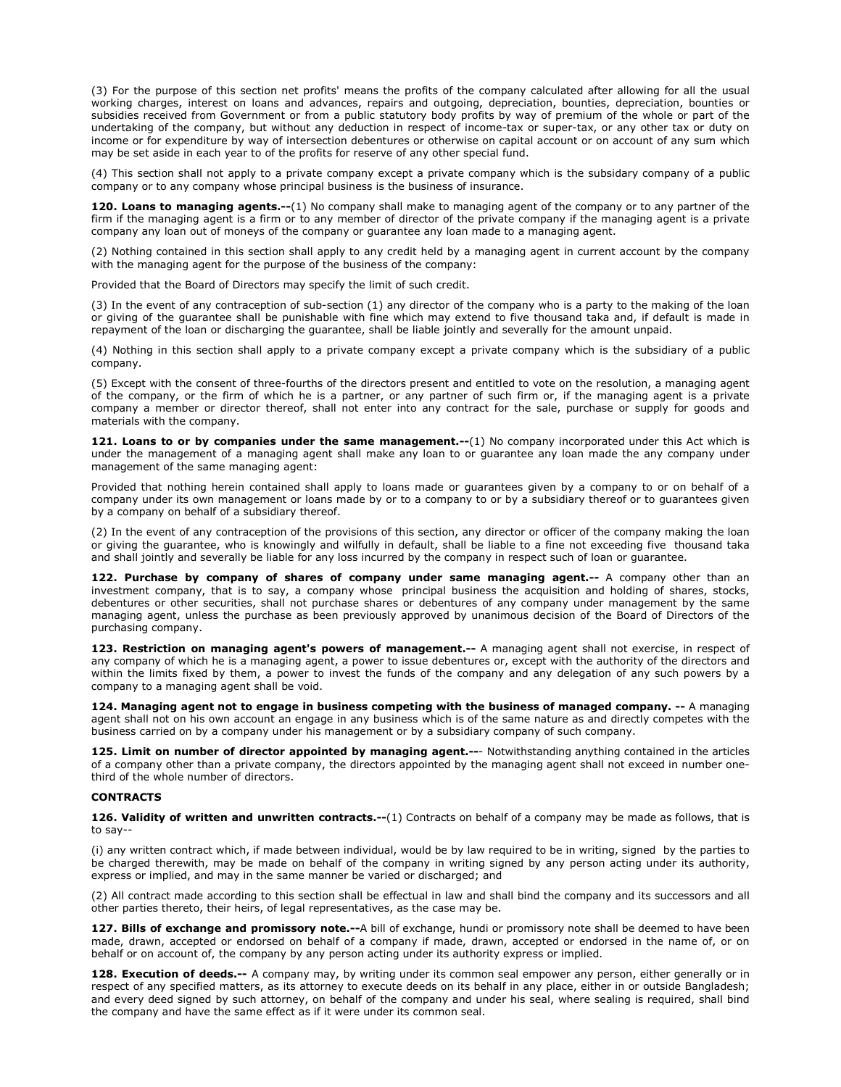(3) For the purpose of this section net profits' means the profits of the company calculated after allowing for all the usual working charges, interest on loans and advances, repairs and outgoing, depreciation, bounties, depreciation, bounties or subsidies received from Government or from a public statutory body profits by way of premium of the whole or part of the undertaking of the company, but without any deduction in respect of income-tax or super-tax, or any other tax or duty on income or for expenditure by way of intersection debentures or otherwise on capital account or on account of any sum which may be set aside in each year to of the profits for reserve of any other special fund.

(4) This section shall not apply to a private company except a private company which is the subsidary company of a public company or to any company whose principal business is the business of insurance.

120. Loans to managing agents.--(1) No company shall make to managing agent of the company or to any partner of the firm if the managing agent is a firm or to any member of director of the private company if the managing agent is a private company any loan out of moneys of the company or guarantee any loan made to a managing agent.

(2) Nothing contained in this section shall apply to any credit held by a managing agent in current account by the company with the managing agent for the purpose of the business of the company:

Provided that the Board of Directors may specify the limit of such credit.

(3) In the event of any contraception of sub-section (1) any director of the company who is a party to the making of the loan or giving of the guarantee shall be punishable with fine which may extend to five thousand taka and, if default is made in repayment of the loan or discharging the guarantee, shall be liable jointly and severally for the amount unpaid.

(4) Nothing in this section shall apply to a private company except a private company which is the subsidiary of a public company.

(5) Except with the consent of three-fourths of the directors present and entitled to vote on the resolution, a managing agent of the company, or the firm of which he is a partner, or any partner of such firm or, if the managing agent is a private company a member or director thereof, shall not enter into any contract for the sale, purchase or supply for goods and materials with the company.

121. Loans to or by companies under the same management.--(1) No company incorporated under this Act which is under the management of a managing agent shall make any loan to or guarantee any loan made the any company under management of the same managing agent:

Provided that nothing herein contained shall apply to loans made or guarantees given by a company to or on behalf of a company under its own management or loans made by or to a company to or by a subsidiary thereof or to guarantees given by a company on behalf of a subsidiary thereof.

(2) In the event of any contraception of the provisions of this section, any director or officer of the company making the loan or giving the guarantee, who is knowingly and wilfully in default, shall be liable to a fine not exceeding five thousand taka and shall jointly and severally be liable for any loss incurred by the company in respect such of loan or guarantee.

122. Purchase by company of shares of company under same managing agent.-- A company other than an investment company, that is to say, a company whose principal business the acquisition and holding of shares, stocks, debentures or other securities, shall not purchase shares or debentures of any company under management by the same managing agent, unless the purchase as been previously approved by unanimous decision of the Board of Directors of the purchasing company.

123. Restriction on managing agent's powers of management.-- A managing agent shall not exercise, in respect of any company of which he is a managing agent, a power to issue debentures or, except with the authority of the directors and within the limits fixed by them, a power to invest the funds of the company and any delegation of any such powers by a company to a managing agent shall be void.

124. Managing agent not to engage in business competing with the business of managed company. -- A managing agent shall not on his own account an engage in any business which is of the same nature as and directly competes with the business carried on by a company under his management or by a subsidiary company of such company.

125. Limit on number of director appointed by managing agent.--- Notwithstanding anything contained in the articles of a company other than a private company, the directors appointed by the managing agent shall not exceed in number onethird of the whole number of directors.

## **CONTRACTS**

126. Validity of written and unwritten contracts.--(1) Contracts on behalf of a company may be made as follows, that is to say--

(i) any written contract which, if made between individual, would be by law required to be in writing, signed by the parties to be charged therewith, may be made on behalf of the company in writing signed by any person acting under its authority, express or implied, and may in the same manner be varied or discharged; and

(2) All contract made according to this section shall be effectual in law and shall bind the company and its successors and all other parties thereto, their heirs, of legal representatives, as the case may be.

127. Bills of exchange and promissory note.--A bill of exchange, hundi or promissory note shall be deemed to have been made, drawn, accepted or endorsed on behalf of a company if made, drawn, accepted or endorsed in the name of, or on behalf or on account of, the company by any person acting under its authority express or implied.

128. Execution of deeds.-- A company may, by writing under its common seal empower any person, either generally or in respect of any specified matters, as its attorney to execute deeds on its behalf in any place, either in or outside Bangladesh; and every deed signed by such attorney, on behalf of the company and under his seal, where sealing is required, shall bind the company and have the same effect as if it were under its common seal.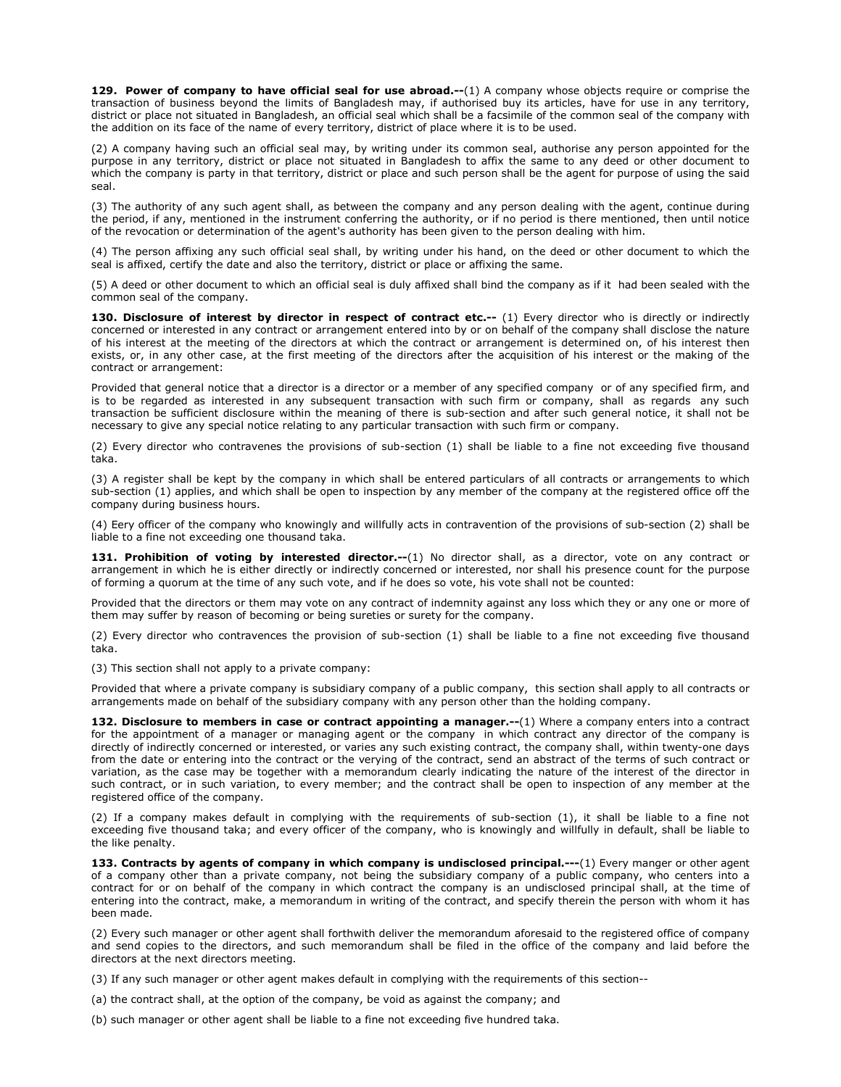129. Power of company to have official seal for use abroad. $-(1)$  A company whose objects require or comprise the transaction of business beyond the limits of Bangladesh may, if authorised buy its articles, have for use in any territory, district or place not situated in Bangladesh, an official seal which shall be a facsimile of the common seal of the company with the addition on its face of the name of every territory, district of place where it is to be used.

(2) A company having such an official seal may, by writing under its common seal, authorise any person appointed for the purpose in any territory, district or place not situated in Bangladesh to affix the same to any deed or other document to which the company is party in that territory, district or place and such person shall be the agent for purpose of using the said seal.

(3) The authority of any such agent shall, as between the company and any person dealing with the agent, continue during the period, if any, mentioned in the instrument conferring the authority, or if no period is there mentioned, then until notice of the revocation or determination of the agent's authority has been given to the person dealing with him.

(4) The person affixing any such official seal shall, by writing under his hand, on the deed or other document to which the seal is affixed, certify the date and also the territory, district or place or affixing the same.

(5) A deed or other document to which an official seal is duly affixed shall bind the company as if it had been sealed with the common seal of the company.

130. Disclosure of interest by director in respect of contract etc.-- (1) Every director who is directly or indirectly concerned or interested in any contract or arrangement entered into by or on behalf of the company shall disclose the nature of his interest at the meeting of the directors at which the contract or arrangement is determined on, of his interest then exists, or, in any other case, at the first meeting of the directors after the acquisition of his interest or the making of the contract or arrangement:

Provided that general notice that a director is a director or a member of any specified company or of any specified firm, and is to be regarded as interested in any subsequent transaction with such firm or company, shall as regards any such transaction be sufficient disclosure within the meaning of there is sub-section and after such general notice, it shall not be necessary to give any special notice relating to any particular transaction with such firm or company.

(2) Every director who contravenes the provisions of sub-section (1) shall be liable to a fine not exceeding five thousand taka.

(3) A register shall be kept by the company in which shall be entered particulars of all contracts or arrangements to which sub-section (1) applies, and which shall be open to inspection by any member of the company at the registered office off the company during business hours.

(4) Eery officer of the company who knowingly and willfully acts in contravention of the provisions of sub-section (2) shall be liable to a fine not exceeding one thousand taka.

131. Prohibition of voting by interested director.--(1) No director shall, as a director, vote on any contract or arrangement in which he is either directly or indirectly concerned or interested, nor shall his presence count for the purpose of forming a quorum at the time of any such vote, and if he does so vote, his vote shall not be counted:

Provided that the directors or them may vote on any contract of indemnity against any loss which they or any one or more of them may suffer by reason of becoming or being sureties or surety for the company.

(2) Every director who contravences the provision of sub-section (1) shall be liable to a fine not exceeding five thousand taka.

(3) This section shall not apply to a private company:

Provided that where a private company is subsidiary company of a public company, this section shall apply to all contracts or arrangements made on behalf of the subsidiary company with any person other than the holding company.

132. Disclosure to members in case or contract appointing a manager.--(1) Where a company enters into a contract for the appointment of a manager or managing agent or the company in which contract any director of the company is directly of indirectly concerned or interested, or varies any such existing contract, the company shall, within twenty-one days from the date or entering into the contract or the verying of the contract, send an abstract of the terms of such contract or variation, as the case may be together with a memorandum clearly indicating the nature of the interest of the director in such contract, or in such variation, to every member; and the contract shall be open to inspection of any member at the registered office of the company.

(2) If a company makes default in complying with the requirements of sub-section (1), it shall be liable to a fine not exceeding five thousand taka; and every officer of the company, who is knowingly and willfully in default, shall be liable to the like penalty.

133. Contracts by agents of company in which company is undisclosed principal.---(1) Every manger or other agent of a company other than a private company, not being the subsidiary company of a public company, who centers into a contract for or on behalf of the company in which contract the company is an undisclosed principal shall, at the time of entering into the contract, make, a memorandum in writing of the contract, and specify therein the person with whom it has been made.

(2) Every such manager or other agent shall forthwith deliver the memorandum aforesaid to the registered office of company and send copies to the directors, and such memorandum shall be filed in the office of the company and laid before the directors at the next directors meeting.

(3) If any such manager or other agent makes default in complying with the requirements of this section--

(a) the contract shall, at the option of the company, be void as against the company; and

(b) such manager or other agent shall be liable to a fine not exceeding five hundred taka.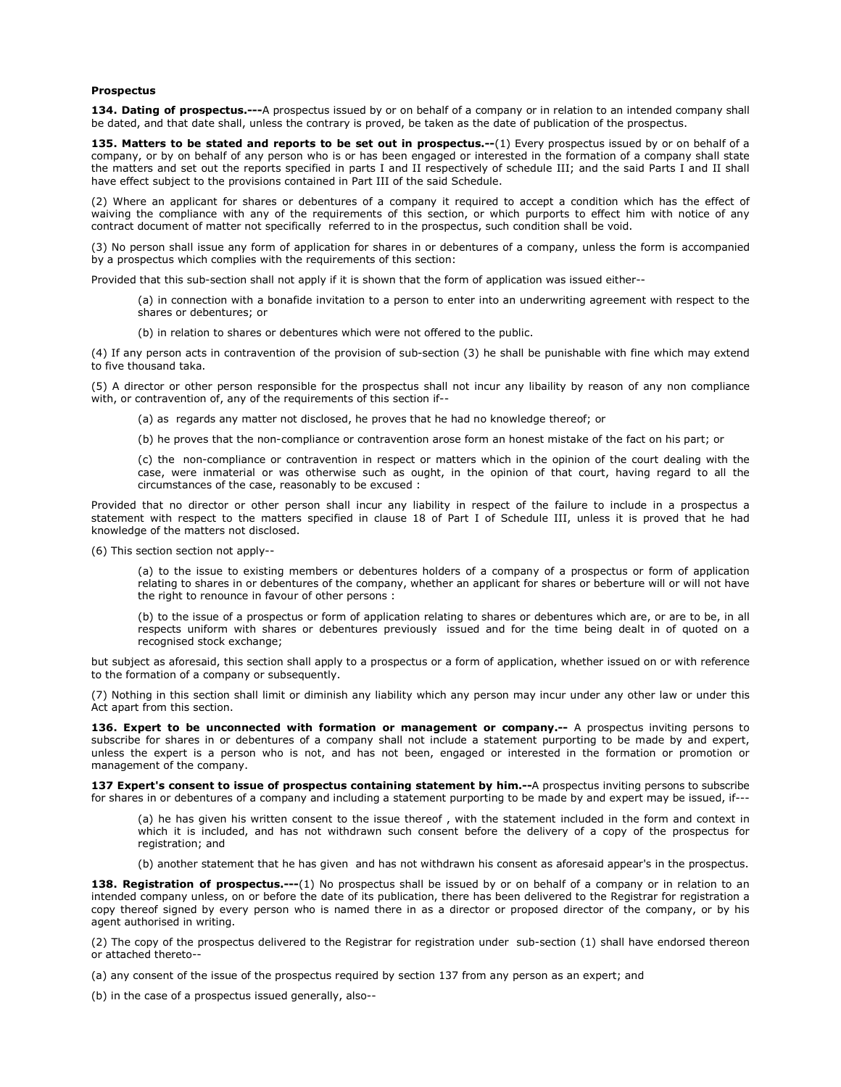#### Prospectus

134. Dating of prospectus.---A prospectus issued by or on behalf of a company or in relation to an intended company shall be dated, and that date shall, unless the contrary is proved, be taken as the date of publication of the prospectus.

135. Matters to be stated and reports to be set out in prospectus.--(1) Every prospectus issued by or on behalf of a company, or by on behalf of any person who is or has been engaged or interested in the formation of a company shall state the matters and set out the reports specified in parts I and II respectively of schedule III; and the said Parts I and II shall have effect subject to the provisions contained in Part III of the said Schedule.

(2) Where an applicant for shares or debentures of a company it required to accept a condition which has the effect of waiving the compliance with any of the requirements of this section, or which purports to effect him with notice of any contract document of matter not specifically referred to in the prospectus, such condition shall be void.

(3) No person shall issue any form of application for shares in or debentures of a company, unless the form is accompanied by a prospectus which complies with the requirements of this section:

Provided that this sub-section shall not apply if it is shown that the form of application was issued either--

- (a) in connection with a bonafide invitation to a person to enter into an underwriting agreement with respect to the shares or debentures; or
- (b) in relation to shares or debentures which were not offered to the public.

(4) If any person acts in contravention of the provision of sub-section (3) he shall be punishable with fine which may extend to five thousand taka.

(5) A director or other person responsible for the prospectus shall not incur any libaility by reason of any non compliance with, or contravention of, any of the requirements of this section if--

- (a) as regards any matter not disclosed, he proves that he had no knowledge thereof; or
- (b) he proves that the non-compliance or contravention arose form an honest mistake of the fact on his part; or

(c) the non-compliance or contravention in respect or matters which in the opinion of the court dealing with the case, were inmaterial or was otherwise such as ought, in the opinion of that court, having regard to all the circumstances of the case, reasonably to be excused :

Provided that no director or other person shall incur any liability in respect of the failure to include in a prospectus a statement with respect to the matters specified in clause 18 of Part I of Schedule III, unless it is proved that he had knowledge of the matters not disclosed.

(6) This section section not apply--

(a) to the issue to existing members or debentures holders of a company of a prospectus or form of application relating to shares in or debentures of the company, whether an applicant for shares or beberture will or will not have the right to renounce in favour of other persons :

(b) to the issue of a prospectus or form of application relating to shares or debentures which are, or are to be, in all respects uniform with shares or debentures previously issued and for the time being dealt in of quoted on a recognised stock exchange;

but subject as aforesaid, this section shall apply to a prospectus or a form of application, whether issued on or with reference to the formation of a company or subsequently.

(7) Nothing in this section shall limit or diminish any liability which any person may incur under any other law or under this Act apart from this section.

136. Expert to be unconnected with formation or management or company.-- A prospectus inviting persons to subscribe for shares in or debentures of a company shall not include a statement purporting to be made by and expert, unless the expert is a person who is not, and has not been, engaged or interested in the formation or promotion or management of the company.

137 Expert's consent to issue of prospectus containing statement by him.--A prospectus inviting persons to subscribe for shares in or debentures of a company and including a statement purporting to be made by and expert may be issued, if---

(a) he has given his written consent to the issue thereof , with the statement included in the form and context in which it is included, and has not withdrawn such consent before the delivery of a copy of the prospectus for registration; and

(b) another statement that he has given and has not withdrawn his consent as aforesaid appear's in the prospectus.

138. Registration of prospectus.---(1) No prospectus shall be issued by or on behalf of a company or in relation to an intended company unless, on or before the date of its publication, there has been delivered to the Registrar for registration a copy thereof signed by every person who is named there in as a director or proposed director of the company, or by his agent authorised in writing.

(2) The copy of the prospectus delivered to the Registrar for registration under sub-section (1) shall have endorsed thereon or attached thereto--

(a) any consent of the issue of the prospectus required by section 137 from any person as an expert; and

(b) in the case of a prospectus issued generally, also--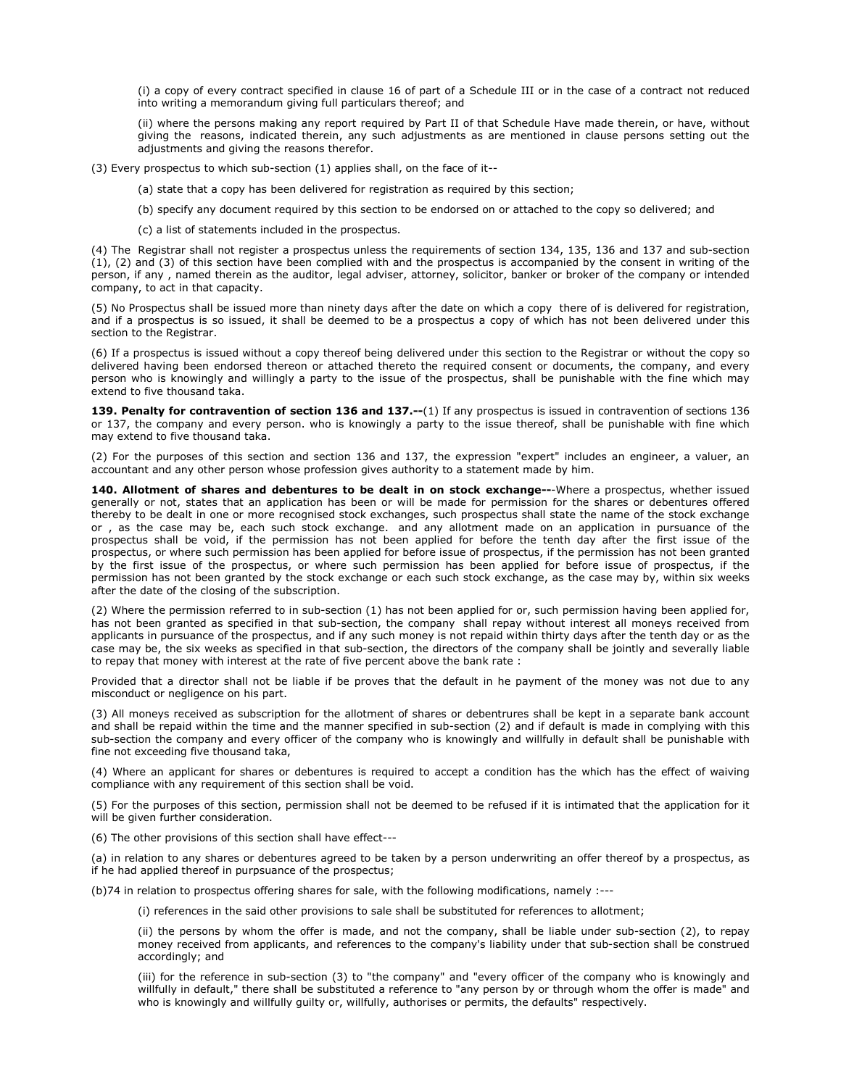(i) a copy of every contract specified in clause 16 of part of a Schedule III or in the case of a contract not reduced into writing a memorandum giving full particulars thereof; and

(ii) where the persons making any report required by Part II of that Schedule Have made therein, or have, without giving the reasons, indicated therein, any such adjustments as are mentioned in clause persons setting out the adjustments and giving the reasons therefor.

(3) Every prospectus to which sub-section (1) applies shall, on the face of it--

- (a) state that a copy has been delivered for registration as required by this section;
- (b) specify any document required by this section to be endorsed on or attached to the copy so delivered; and
- (c) a list of statements included in the prospectus.

(4) The Registrar shall not register a prospectus unless the requirements of section 134, 135, 136 and 137 and sub-section (1), (2) and (3) of this section have been complied with and the prospectus is accompanied by the consent in writing of the person, if any , named therein as the auditor, legal adviser, attorney, solicitor, banker or broker of the company or intended company, to act in that capacity.

(5) No Prospectus shall be issued more than ninety days after the date on which a copy there of is delivered for registration, and if a prospectus is so issued, it shall be deemed to be a prospectus a copy of which has not been delivered under this section to the Registrar.

(6) If a prospectus is issued without a copy thereof being delivered under this section to the Registrar or without the copy so delivered having been endorsed thereon or attached thereto the required consent or documents, the company, and every person who is knowingly and willingly a party to the issue of the prospectus, shall be punishable with the fine which may extend to five thousand taka.

139. Penalty for contravention of section 136 and 137.--(1) If any prospectus is issued in contravention of sections 136 or 137, the company and every person. who is knowingly a party to the issue thereof, shall be punishable with fine which may extend to five thousand taka.

(2) For the purposes of this section and section 136 and 137, the expression "expert" includes an engineer, a valuer, an accountant and any other person whose profession gives authority to a statement made by him.

140. Allotment of shares and debentures to be dealt in on stock exchange---Where a prospectus, whether issued generally or not, states that an application has been or will be made for permission for the shares or debentures offered thereby to be dealt in one or more recognised stock exchanges, such prospectus shall state the name of the stock exchange or , as the case may be, each such stock exchange. and any allotment made on an application in pursuance of the prospectus shall be void, if the permission has not been applied for before the tenth day after the first issue of the prospectus, or where such permission has been applied for before issue of prospectus, if the permission has not been granted by the first issue of the prospectus, or where such permission has been applied for before issue of prospectus, if the permission has not been granted by the stock exchange or each such stock exchange, as the case may by, within six weeks after the date of the closing of the subscription.

(2) Where the permission referred to in sub-section (1) has not been applied for or, such permission having been applied for, has not been granted as specified in that sub-section, the company shall repay without interest all moneys received from applicants in pursuance of the prospectus, and if any such money is not repaid within thirty days after the tenth day or as the case may be, the six weeks as specified in that sub-section, the directors of the company shall be jointly and severally liable to repay that money with interest at the rate of five percent above the bank rate :

Provided that a director shall not be liable if be proves that the default in he payment of the money was not due to any misconduct or negligence on his part.

(3) All moneys received as subscription for the allotment of shares or debentrures shall be kept in a separate bank account and shall be repaid within the time and the manner specified in sub-section (2) and if default is made in complying with this sub-section the company and every officer of the company who is knowingly and willfully in default shall be punishable with fine not exceeding five thousand taka,

(4) Where an applicant for shares or debentures is required to accept a condition has the which has the effect of waiving compliance with any requirement of this section shall be void.

(5) For the purposes of this section, permission shall not be deemed to be refused if it is intimated that the application for it will be given further consideration.

(6) The other provisions of this section shall have effect---

(a) in relation to any shares or debentures agreed to be taken by a person underwriting an offer thereof by a prospectus, as if he had applied thereof in purpsuance of the prospectus;

(b)74 in relation to prospectus offering shares for sale, with the following modifications, namely :---

(i) references in the said other provisions to sale shall be substituted for references to allotment;

(ii) the persons by whom the offer is made, and not the company, shall be liable under sub-section (2), to repay money received from applicants, and references to the company's liability under that sub-section shall be construed accordingly; and

(iii) for the reference in sub-section (3) to "the company" and "every officer of the company who is knowingly and willfully in default," there shall be substituted a reference to "any person by or through whom the offer is made" and who is knowingly and willfully guilty or, willfully, authorises or permits, the defaults" respectively.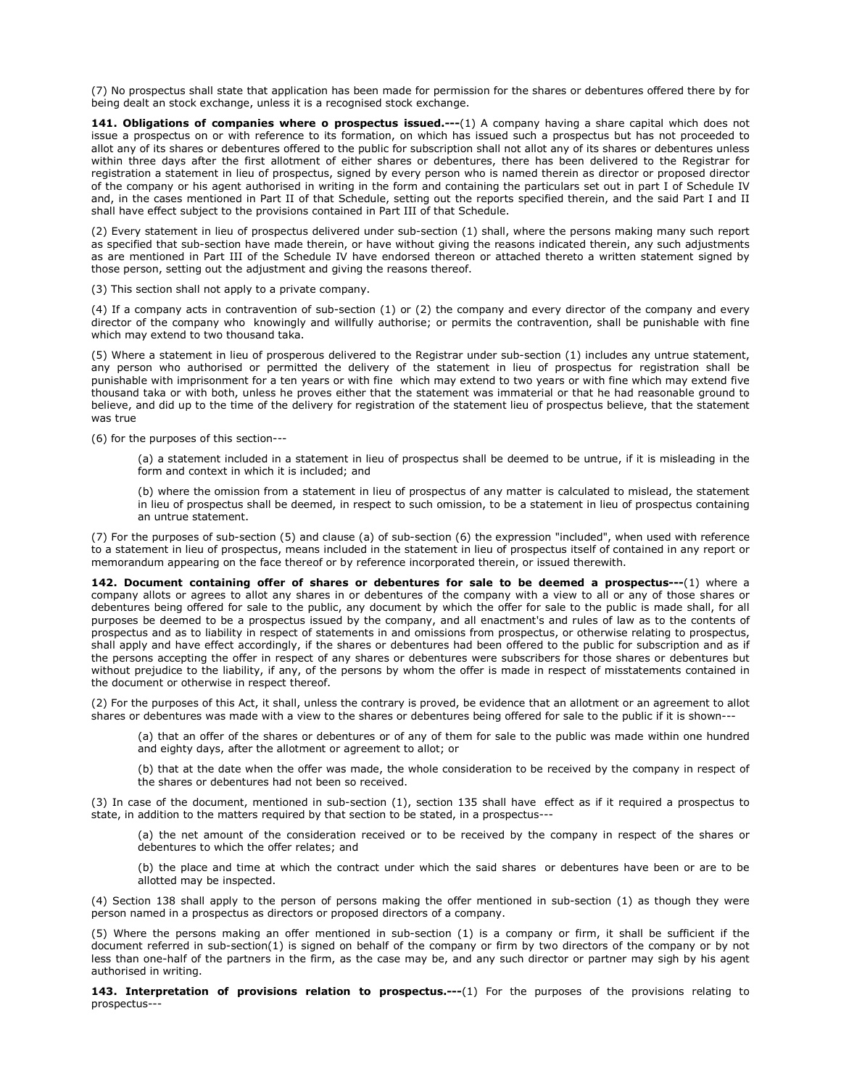(7) No prospectus shall state that application has been made for permission for the shares or debentures offered there by for being dealt an stock exchange, unless it is a recognised stock exchange.

141. Obligations of companies where o prospectus issued.---(1) A company having a share capital which does not issue a prospectus on or with reference to its formation, on which has issued such a prospectus but has not proceeded to allot any of its shares or debentures offered to the public for subscription shall not allot any of its shares or debentures unless within three days after the first allotment of either shares or debentures, there has been delivered to the Registrar for registration a statement in lieu of prospectus, signed by every person who is named therein as director or proposed director of the company or his agent authorised in writing in the form and containing the particulars set out in part I of Schedule IV and, in the cases mentioned in Part II of that Schedule, setting out the reports specified therein, and the said Part I and II shall have effect subject to the provisions contained in Part III of that Schedule.

(2) Every statement in lieu of prospectus delivered under sub-section (1) shall, where the persons making many such report as specified that sub-section have made therein, or have without giving the reasons indicated therein, any such adjustments as are mentioned in Part III of the Schedule IV have endorsed thereon or attached thereto a written statement signed by those person, setting out the adjustment and giving the reasons thereof.

(3) This section shall not apply to a private company.

(4) If a company acts in contravention of sub-section (1) or (2) the company and every director of the company and every director of the company who knowingly and willfully authorise; or permits the contravention, shall be punishable with fine which may extend to two thousand taka.

(5) Where a statement in lieu of prosperous delivered to the Registrar under sub-section (1) includes any untrue statement, any person who authorised or permitted the delivery of the statement in lieu of prospectus for registration shall be punishable with imprisonment for a ten years or with fine which may extend to two years or with fine which may extend five thousand taka or with both, unless he proves either that the statement was immaterial or that he had reasonable ground to believe, and did up to the time of the delivery for registration of the statement lieu of prospectus believe, that the statement was true

(6) for the purposes of this section---

(a) a statement included in a statement in lieu of prospectus shall be deemed to be untrue, if it is misleading in the form and context in which it is included; and

(b) where the omission from a statement in lieu of prospectus of any matter is calculated to mislead, the statement in lieu of prospectus shall be deemed, in respect to such omission, to be a statement in lieu of prospectus containing an untrue statement.

(7) For the purposes of sub-section (5) and clause (a) of sub-section (6) the expression "included", when used with reference to a statement in lieu of prospectus, means included in the statement in lieu of prospectus itself of contained in any report or memorandum appearing on the face thereof or by reference incorporated therein, or issued therewith.

142. Document containing offer of shares or debentures for sale to be deemed a prospectus---(1) where a company allots or agrees to allot any shares in or debentures of the company with a view to all or any of those shares or debentures being offered for sale to the public, any document by which the offer for sale to the public is made shall, for all purposes be deemed to be a prospectus issued by the company, and all enactment's and rules of law as to the contents of prospectus and as to liability in respect of statements in and omissions from prospectus, or otherwise relating to prospectus, shall apply and have effect accordingly, if the shares or debentures had been offered to the public for subscription and as if the persons accepting the offer in respect of any shares or debentures were subscribers for those shares or debentures but without prejudice to the liability, if any, of the persons by whom the offer is made in respect of misstatements contained in the document or otherwise in respect thereof.

(2) For the purposes of this Act, it shall, unless the contrary is proved, be evidence that an allotment or an agreement to allot shares or debentures was made with a view to the shares or debentures being offered for sale to the public if it is shown---

(a) that an offer of the shares or debentures or of any of them for sale to the public was made within one hundred and eighty days, after the allotment or agreement to allot; or

(b) that at the date when the offer was made, the whole consideration to be received by the company in respect of the shares or debentures had not been so received.

(3) In case of the document, mentioned in sub-section (1), section 135 shall have effect as if it required a prospectus to state, in addition to the matters required by that section to be stated, in a prospectus---

(a) the net amount of the consideration received or to be received by the company in respect of the shares or debentures to which the offer relates; and

(b) the place and time at which the contract under which the said shares or debentures have been or are to be allotted may be inspected.

(4) Section 138 shall apply to the person of persons making the offer mentioned in sub-section (1) as though they were person named in a prospectus as directors or proposed directors of a company.

(5) Where the persons making an offer mentioned in sub-section (1) is a company or firm, it shall be sufficient if the document referred in sub-section(1) is signed on behalf of the company or firm by two directors of the company or by not less than one-half of the partners in the firm, as the case may be, and any such director or partner may sigh by his agent authorised in writing.

143. Interpretation of provisions relation to prospectus.---(1) For the purposes of the provisions relating to prospectus---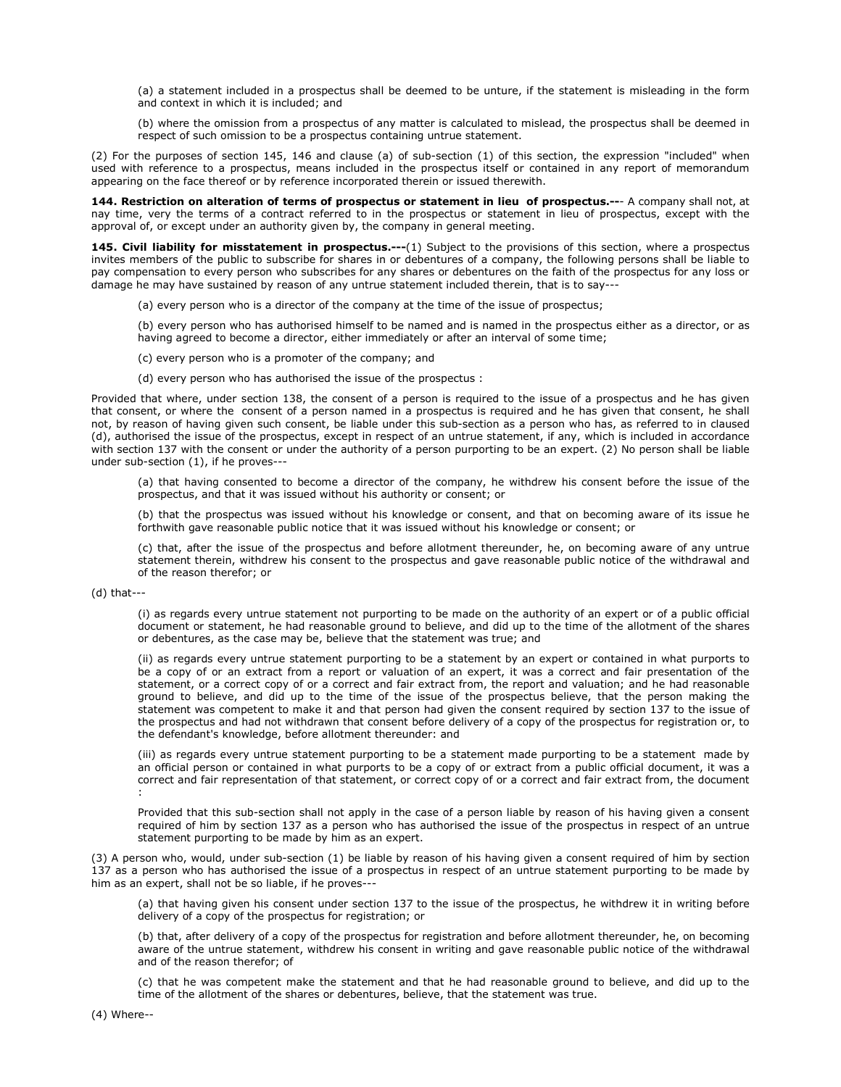(a) a statement included in a prospectus shall be deemed to be unture, if the statement is misleading in the form and context in which it is included; and

(b) where the omission from a prospectus of any matter is calculated to mislead, the prospectus shall be deemed in respect of such omission to be a prospectus containing untrue statement.

(2) For the purposes of section 145, 146 and clause (a) of sub-section (1) of this section, the expression "included" when used with reference to a prospectus, means included in the prospectus itself or contained in any report of memorandum appearing on the face thereof or by reference incorporated therein or issued therewith.

144. Restriction on alteration of terms of prospectus or statement in lieu of prospectus.--- A company shall not, at nay time, very the terms of a contract referred to in the prospectus or statement in lieu of prospectus, except with the approval of, or except under an authority given by, the company in general meeting.

145. Civil liability for misstatement in prospectus.---(1) Subject to the provisions of this section, where a prospectus invites members of the public to subscribe for shares in or debentures of a company, the following persons shall be liable to pay compensation to every person who subscribes for any shares or debentures on the faith of the prospectus for any loss or damage he may have sustained by reason of any untrue statement included therein, that is to say---

(a) every person who is a director of the company at the time of the issue of prospectus;

(b) every person who has authorised himself to be named and is named in the prospectus either as a director, or as having agreed to become a director, either immediately or after an interval of some time;

- (c) every person who is a promoter of the company; and
- (d) every person who has authorised the issue of the prospectus :

Provided that where, under section 138, the consent of a person is required to the issue of a prospectus and he has given that consent, or where the consent of a person named in a prospectus is required and he has given that consent, he shall not, by reason of having given such consent, be liable under this sub-section as a person who has, as referred to in claused (d), authorised the issue of the prospectus, except in respect of an untrue statement, if any, which is included in accordance with section 137 with the consent or under the authority of a person purporting to be an expert. (2) No person shall be liable under sub-section (1), if he proves---

(a) that having consented to become a director of the company, he withdrew his consent before the issue of the prospectus, and that it was issued without his authority or consent; or

(b) that the prospectus was issued without his knowledge or consent, and that on becoming aware of its issue he forthwith gave reasonable public notice that it was issued without his knowledge or consent; or

(c) that, after the issue of the prospectus and before allotment thereunder, he, on becoming aware of any untrue statement therein, withdrew his consent to the prospectus and gave reasonable public notice of the withdrawal and of the reason therefor; or

#### (d) that---

(i) as regards every untrue statement not purporting to be made on the authority of an expert or of a public official document or statement, he had reasonable ground to believe, and did up to the time of the allotment of the shares or debentures, as the case may be, believe that the statement was true; and

(ii) as regards every untrue statement purporting to be a statement by an expert or contained in what purports to be a copy of or an extract from a report or valuation of an expert, it was a correct and fair presentation of the statement, or a correct copy of or a correct and fair extract from, the report and valuation; and he had reasonable ground to believe, and did up to the time of the issue of the prospectus believe, that the person making the statement was competent to make it and that person had given the consent required by section 137 to the issue of the prospectus and had not withdrawn that consent before delivery of a copy of the prospectus for registration or, to the defendant's knowledge, before allotment thereunder: and

(iii) as regards every untrue statement purporting to be a statement made purporting to be a statement made by an official person or contained in what purports to be a copy of or extract from a public official document, it was a correct and fair representation of that statement, or correct copy of or a correct and fair extract from, the document :

Provided that this sub-section shall not apply in the case of a person liable by reason of his having given a consent required of him by section 137 as a person who has authorised the issue of the prospectus in respect of an untrue statement purporting to be made by him as an expert.

(3) A person who, would, under sub-section (1) be liable by reason of his having given a consent required of him by section 137 as a person who has authorised the issue of a prospectus in respect of an untrue statement purporting to be made by him as an expert, shall not be so liable, if he proves-

(a) that having given his consent under section 137 to the issue of the prospectus, he withdrew it in writing before delivery of a copy of the prospectus for registration; or

(b) that, after delivery of a copy of the prospectus for registration and before allotment thereunder, he, on becoming aware of the untrue statement, withdrew his consent in writing and gave reasonable public notice of the withdrawal and of the reason therefor; of

(c) that he was competent make the statement and that he had reasonable ground to believe, and did up to the time of the allotment of the shares or debentures, believe, that the statement was true.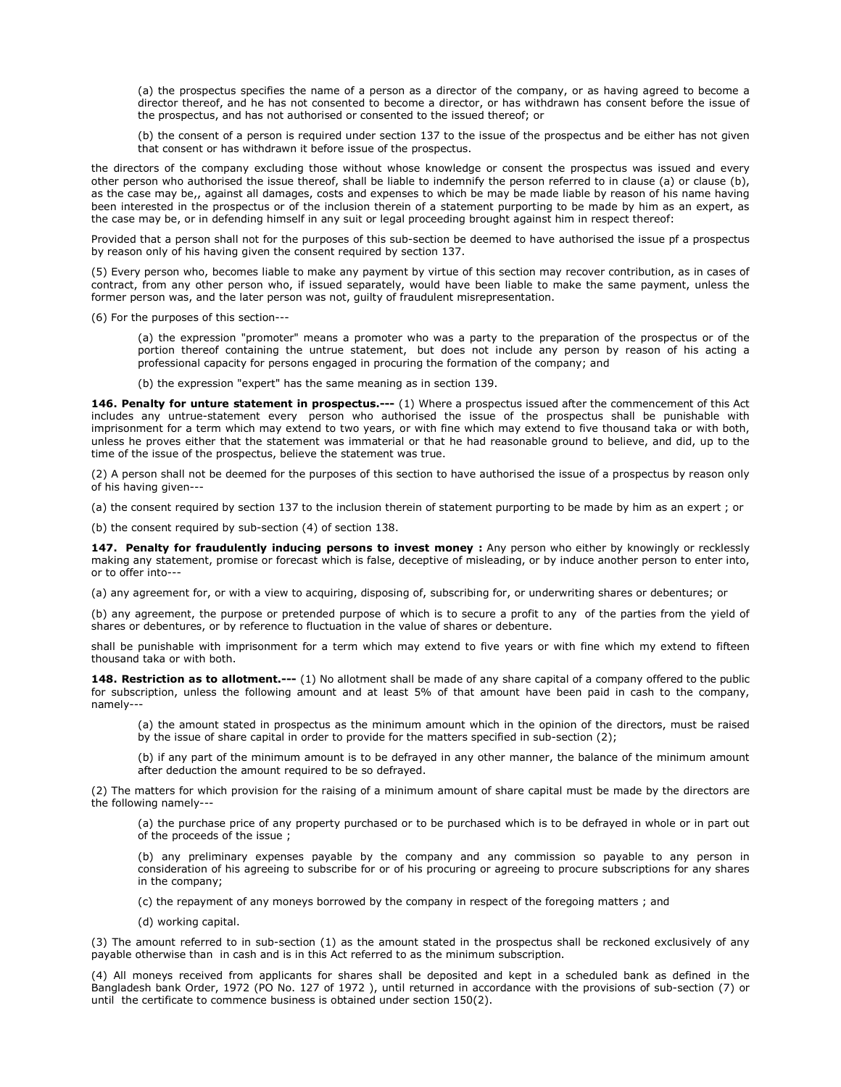(a) the prospectus specifies the name of a person as a director of the company, or as having agreed to become a director thereof, and he has not consented to become a director, or has withdrawn has consent before the issue of the prospectus, and has not authorised or consented to the issued thereof; or

(b) the consent of a person is required under section 137 to the issue of the prospectus and be either has not given that consent or has withdrawn it before issue of the prospectus.

the directors of the company excluding those without whose knowledge or consent the prospectus was issued and every other person who authorised the issue thereof, shall be liable to indemnify the person referred to in clause (a) or clause (b), as the case may be,, against all damages, costs and expenses to which be may be made liable by reason of his name having been interested in the prospectus or of the inclusion therein of a statement purporting to be made by him as an expert, as the case may be, or in defending himself in any suit or legal proceeding brought against him in respect thereof:

Provided that a person shall not for the purposes of this sub-section be deemed to have authorised the issue pf a prospectus by reason only of his having given the consent required by section 137.

(5) Every person who, becomes liable to make any payment by virtue of this section may recover contribution, as in cases of contract, from any other person who, if issued separately, would have been liable to make the same payment, unless the former person was, and the later person was not, guilty of fraudulent misrepresentation.

(6) For the purposes of this section---

(a) the expression "promoter" means a promoter who was a party to the preparation of the prospectus or of the portion thereof containing the untrue statement, but does not include any person by reason of his acting a professional capacity for persons engaged in procuring the formation of the company; and

(b) the expression "expert" has the same meaning as in section 139.

146. Penalty for unture statement in prospectus.--- (1) Where a prospectus issued after the commencement of this Act includes any untrue-statement every person who authorised the issue of the prospectus shall be punishable with imprisonment for a term which may extend to two years, or with fine which may extend to five thousand taka or with both, unless he proves either that the statement was immaterial or that he had reasonable ground to believe, and did, up to the time of the issue of the prospectus, believe the statement was true.

(2) A person shall not be deemed for the purposes of this section to have authorised the issue of a prospectus by reason only of his having given---

(a) the consent required by section 137 to the inclusion therein of statement purporting to be made by him as an expert ; or

(b) the consent required by sub-section (4) of section 138.

147. Penalty for fraudulently inducing persons to invest money : Any person who either by knowingly or recklessly making any statement, promise or forecast which is false, deceptive of misleading, or by induce another person to enter into, or to offer into---

(a) any agreement for, or with a view to acquiring, disposing of, subscribing for, or underwriting shares or debentures; or

(b) any agreement, the purpose or pretended purpose of which is to secure a profit to any of the parties from the yield of shares or debentures, or by reference to fluctuation in the value of shares or debenture.

shall be punishable with imprisonment for a term which may extend to five years or with fine which my extend to fifteen thousand taka or with both.

148. Restriction as to allotment.--- (1) No allotment shall be made of any share capital of a company offered to the public for subscription, unless the following amount and at least 5% of that amount have been paid in cash to the company, namely---

(a) the amount stated in prospectus as the minimum amount which in the opinion of the directors, must be raised by the issue of share capital in order to provide for the matters specified in sub-section (2);

(b) if any part of the minimum amount is to be defrayed in any other manner, the balance of the minimum amount after deduction the amount required to be so defrayed.

(2) The matters for which provision for the raising of a minimum amount of share capital must be made by the directors are the following namely---

(a) the purchase price of any property purchased or to be purchased which is to be defrayed in whole or in part out of the proceeds of the issue ;

(b) any preliminary expenses payable by the company and any commission so payable to any person in consideration of his agreeing to subscribe for or of his procuring or agreeing to procure subscriptions for any shares in the company;

(c) the repayment of any moneys borrowed by the company in respect of the foregoing matters ; and

(d) working capital.

(3) The amount referred to in sub-section (1) as the amount stated in the prospectus shall be reckoned exclusively of any payable otherwise than in cash and is in this Act referred to as the minimum subscription.

(4) All moneys received from applicants for shares shall be deposited and kept in a scheduled bank as defined in the Bangladesh bank Order, 1972 (PO No. 127 of 1972 ), until returned in accordance with the provisions of sub-section (7) or until the certificate to commence business is obtained under section 150(2).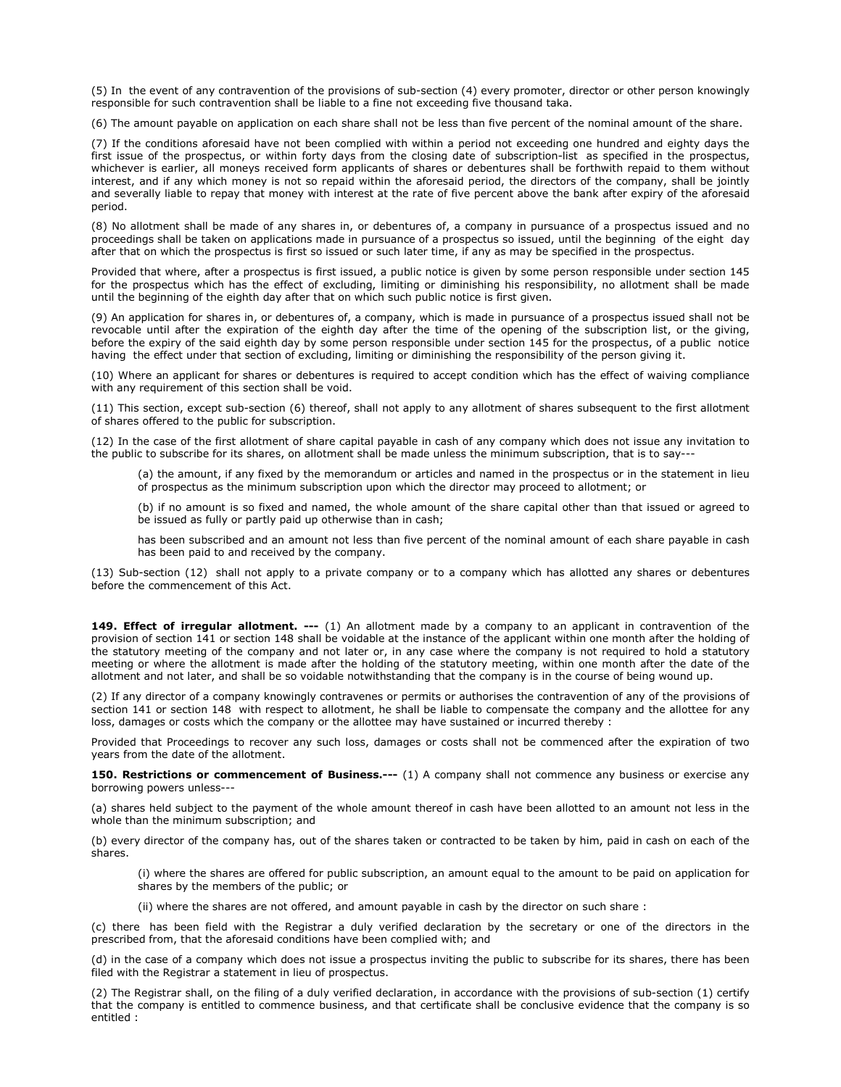(5) In the event of any contravention of the provisions of sub-section (4) every promoter, director or other person knowingly responsible for such contravention shall be liable to a fine not exceeding five thousand taka.

(6) The amount payable on application on each share shall not be less than five percent of the nominal amount of the share.

(7) If the conditions aforesaid have not been complied with within a period not exceeding one hundred and eighty days the first issue of the prospectus, or within forty days from the closing date of subscription-list as specified in the prospectus, whichever is earlier, all moneys received form applicants of shares or debentures shall be forthwith repaid to them without interest, and if any which money is not so repaid within the aforesaid period, the directors of the company, shall be jointly and severally liable to repay that money with interest at the rate of five percent above the bank after expiry of the aforesaid period.

(8) No allotment shall be made of any shares in, or debentures of, a company in pursuance of a prospectus issued and no proceedings shall be taken on applications made in pursuance of a prospectus so issued, until the beginning of the eight day after that on which the prospectus is first so issued or such later time, if any as may be specified in the prospectus.

Provided that where, after a prospectus is first issued, a public notice is given by some person responsible under section 145 for the prospectus which has the effect of excluding, limiting or diminishing his responsibility, no allotment shall be made until the beginning of the eighth day after that on which such public notice is first given.

(9) An application for shares in, or debentures of, a company, which is made in pursuance of a prospectus issued shall not be revocable until after the expiration of the eighth day after the time of the opening of the subscription list, or the giving, before the expiry of the said eighth day by some person responsible under section 145 for the prospectus, of a public notice having the effect under that section of excluding, limiting or diminishing the responsibility of the person giving it.

(10) Where an applicant for shares or debentures is required to accept condition which has the effect of waiving compliance with any requirement of this section shall be void.

(11) This section, except sub-section (6) thereof, shall not apply to any allotment of shares subsequent to the first allotment of shares offered to the public for subscription.

(12) In the case of the first allotment of share capital payable in cash of any company which does not issue any invitation to the public to subscribe for its shares, on allotment shall be made unless the minimum subscription, that is to say---

(a) the amount, if any fixed by the memorandum or articles and named in the prospectus or in the statement in lieu of prospectus as the minimum subscription upon which the director may proceed to allotment; or

(b) if no amount is so fixed and named, the whole amount of the share capital other than that issued or agreed to be issued as fully or partly paid up otherwise than in cash;

has been subscribed and an amount not less than five percent of the nominal amount of each share payable in cash has been paid to and received by the company.

(13) Sub-section (12) shall not apply to a private company or to a company which has allotted any shares or debentures before the commencement of this Act.

149. Effect of irregular allotment. --- (1) An allotment made by a company to an applicant in contravention of the provision of section 141 or section 148 shall be voidable at the instance of the applicant within one month after the holding of the statutory meeting of the company and not later or, in any case where the company is not required to hold a statutory meeting or where the allotment is made after the holding of the statutory meeting, within one month after the date of the allotment and not later, and shall be so voidable notwithstanding that the company is in the course of being wound up.

(2) If any director of a company knowingly contravenes or permits or authorises the contravention of any of the provisions of section 141 or section 148 with respect to allotment, he shall be liable to compensate the company and the allottee for any loss, damages or costs which the company or the allottee may have sustained or incurred thereby :

Provided that Proceedings to recover any such loss, damages or costs shall not be commenced after the expiration of two years from the date of the allotment.

150. Restrictions or commencement of Business.--- (1) A company shall not commence any business or exercise any borrowing powers unless---

(a) shares held subject to the payment of the whole amount thereof in cash have been allotted to an amount not less in the whole than the minimum subscription; and

(b) every director of the company has, out of the shares taken or contracted to be taken by him, paid in cash on each of the shares.

(i) where the shares are offered for public subscription, an amount equal to the amount to be paid on application for shares by the members of the public; or

(ii) where the shares are not offered, and amount payable in cash by the director on such share :

(c) there has been field with the Registrar a duly verified declaration by the secretary or one of the directors in the prescribed from, that the aforesaid conditions have been complied with; and

(d) in the case of a company which does not issue a prospectus inviting the public to subscribe for its shares, there has been filed with the Registrar a statement in lieu of prospectus.

(2) The Registrar shall, on the filing of a duly verified declaration, in accordance with the provisions of sub-section (1) certify that the company is entitled to commence business, and that certificate shall be conclusive evidence that the company is so entitled :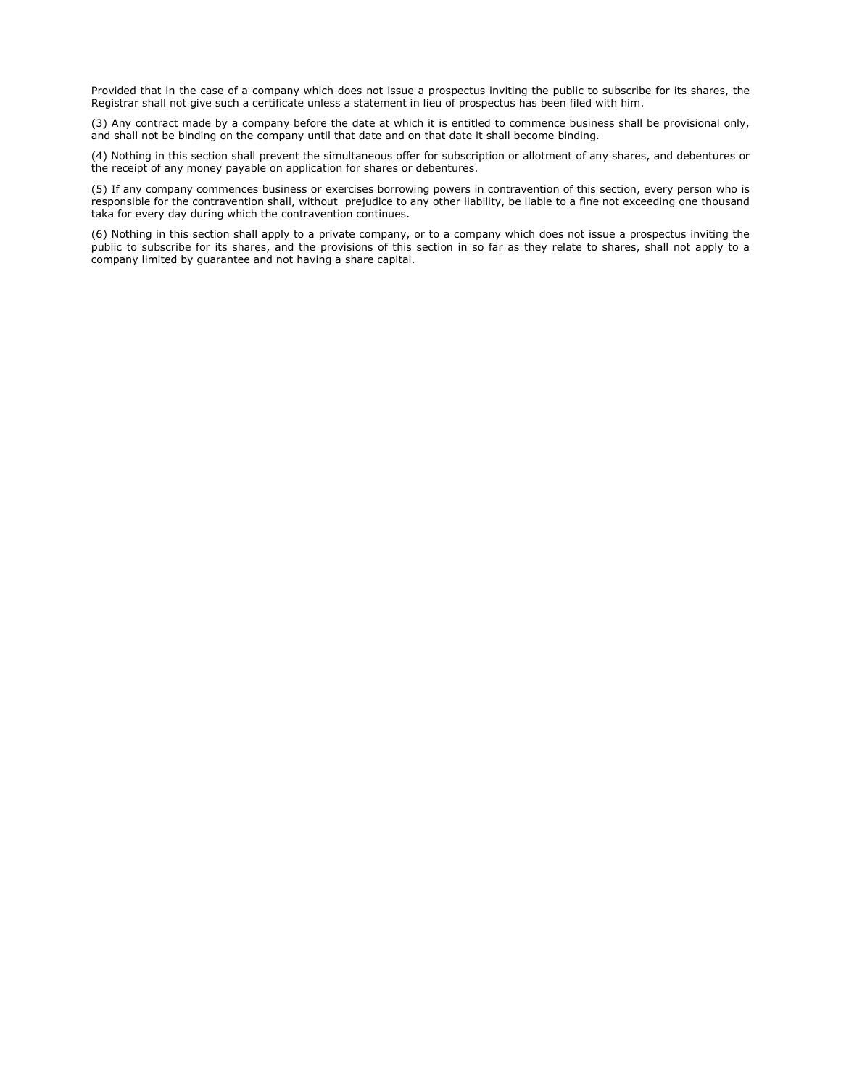Provided that in the case of a company which does not issue a prospectus inviting the public to subscribe for its shares, the Registrar shall not give such a certificate unless a statement in lieu of prospectus has been filed with him.

(3) Any contract made by a company before the date at which it is entitled to commence business shall be provisional only, and shall not be binding on the company until that date and on that date it shall become binding.

(4) Nothing in this section shall prevent the simultaneous offer for subscription or allotment of any shares, and debentures or the receipt of any money payable on application for shares or debentures.

(5) If any company commences business or exercises borrowing powers in contravention of this section, every person who is responsible for the contravention shall, without prejudice to any other liability, be liable to a fine not exceeding one thousand taka for every day during which the contravention continues.

(6) Nothing in this section shall apply to a private company, or to a company which does not issue a prospectus inviting the public to subscribe for its shares, and the provisions of this section in so far as they relate to shares, shall not apply to a company limited by guarantee and not having a share capital.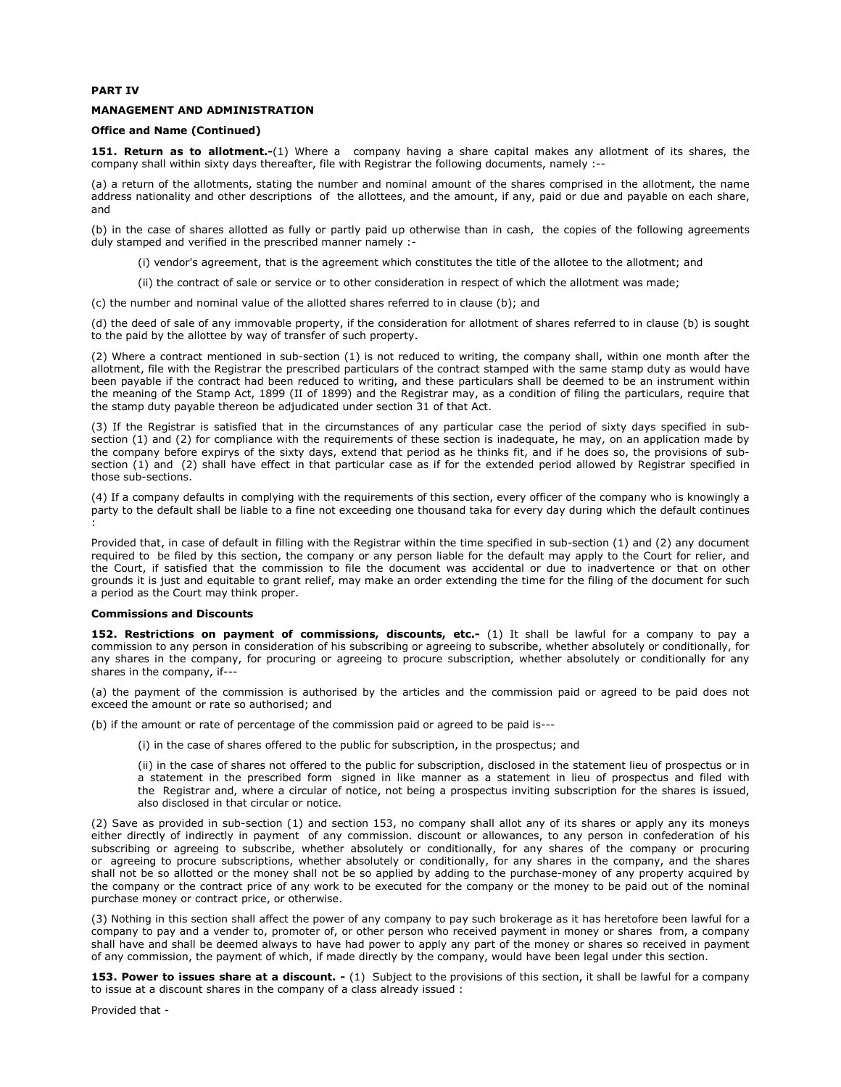# PART IV

## MANAGEMENT AND ADMINISTRATION

## Office and Name (Continued)

151. Return as to allotment.-(1) Where a company having a share capital makes any allotment of its shares, the company shall within sixty days thereafter, file with Registrar the following documents, namely :--

(a) a return of the allotments, stating the number and nominal amount of the shares comprised in the allotment, the name address nationality and other descriptions of the allottees, and the amount, if any, paid or due and payable on each share, and

(b) in the case of shares allotted as fully or partly paid up otherwise than in cash, the copies of the following agreements duly stamped and verified in the prescribed manner namely :-

(i) vendor's agreement, that is the agreement which constitutes the title of the allotee to the allotment; and

(ii) the contract of sale or service or to other consideration in respect of which the allotment was made;

(c) the number and nominal value of the allotted shares referred to in clause (b); and

(d) the deed of sale of any immovable property, if the consideration for allotment of shares referred to in clause (b) is sought to the paid by the allottee by way of transfer of such property.

(2) Where a contract mentioned in sub-section (1) is not reduced to writing, the company shall, within one month after the allotment, file with the Registrar the prescribed particulars of the contract stamped with the same stamp duty as would have been payable if the contract had been reduced to writing, and these particulars shall be deemed to be an instrument within the meaning of the Stamp Act, 1899 (II of 1899) and the Registrar may, as a condition of filing the particulars, require that the stamp duty payable thereon be adjudicated under section 31 of that Act.

(3) If the Registrar is satisfied that in the circumstances of any particular case the period of sixty days specified in subsection (1) and (2) for compliance with the requirements of these section is inadequate, he may, on an application made by the company before expirys of the sixty days, extend that period as he thinks fit, and if he does so, the provisions of subsection (1) and (2) shall have effect in that particular case as if for the extended period allowed by Registrar specified in those sub-sections.

(4) If a company defaults in complying with the requirements of this section, every officer of the company who is knowingly a party to the default shall be liable to a fine not exceeding one thousand taka for every day during which the default continues :

Provided that, in case of default in filling with the Registrar within the time specified in sub-section (1) and (2) any document required to be filed by this section, the company or any person liable for the default may apply to the Court for relier, and the Court, if satisfied that the commission to file the document was accidental or due to inadvertence or that on other grounds it is just and equitable to grant relief, may make an order extending the time for the filing of the document for such a period as the Court may think proper.

### Commissions and Discounts

152. Restrictions on payment of commissions, discounts, etc.- (1) It shall be lawful for a company to pay a commission to any person in consideration of his subscribing or agreeing to subscribe, whether absolutely or conditionally, for any shares in the company, for procuring or agreeing to procure subscription, whether absolutely or conditionally for any shares in the company, if---

(a) the payment of the commission is authorised by the articles and the commission paid or agreed to be paid does not exceed the amount or rate so authorised; and

(b) if the amount or rate of percentage of the commission paid or agreed to be paid is---

(i) in the case of shares offered to the public for subscription, in the prospectus; and

(ii) in the case of shares not offered to the public for subscription, disclosed in the statement lieu of prospectus or in a statement in the prescribed form signed in like manner as a statement in lieu of prospectus and filed with the Registrar and, where a circular of notice, not being a prospectus inviting subscription for the shares is issued, also disclosed in that circular or notice.

(2) Save as provided in sub-section (1) and section 153, no company shall allot any of its shares or apply any its moneys either directly of indirectly in payment of any commission. discount or allowances, to any person in confederation of his subscribing or agreeing to subscribe, whether absolutely or conditionally, for any shares of the company or procuring or agreeing to procure subscriptions, whether absolutely or conditionally, for any shares in the company, and the shares shall not be so allotted or the money shall not be so applied by adding to the purchase-money of any property acquired by the company or the contract price of any work to be executed for the company or the money to be paid out of the nominal purchase money or contract price, or otherwise.

(3) Nothing in this section shall affect the power of any company to pay such brokerage as it has heretofore been lawful for a company to pay and a vender to, promoter of, or other person who received payment in money or shares from, a company shall have and shall be deemed always to have had power to apply any part of the money or shares so received in payment of any commission, the payment of which, if made directly by the company, would have been legal under this section.

153. Power to issues share at a discount. - (1) Subject to the provisions of this section, it shall be lawful for a company to issue at a discount shares in the company of a class already issued :

Provided that -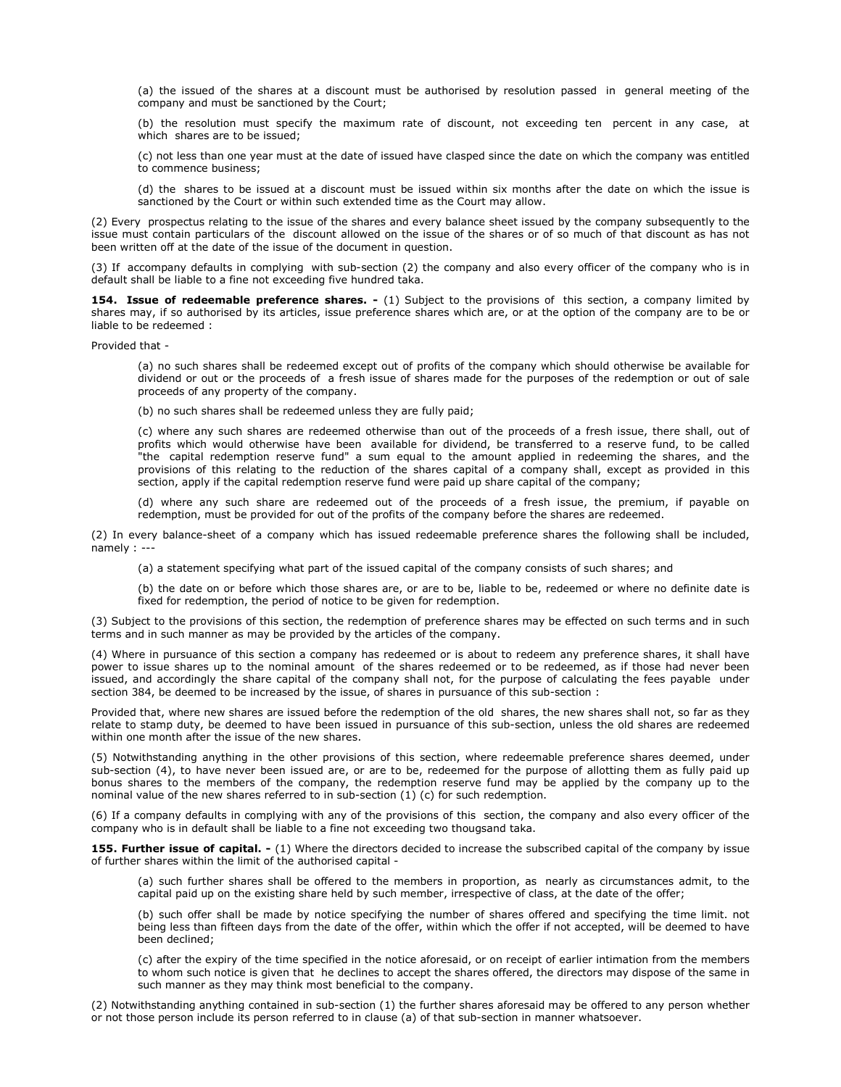(a) the issued of the shares at a discount must be authorised by resolution passed in general meeting of the company and must be sanctioned by the Court;

(b) the resolution must specify the maximum rate of discount, not exceeding ten percent in any case, at which shares are to be issued;

(c) not less than one year must at the date of issued have clasped since the date on which the company was entitled to commence business;

(d) the shares to be issued at a discount must be issued within six months after the date on which the issue is sanctioned by the Court or within such extended time as the Court may allow.

(2) Every prospectus relating to the issue of the shares and every balance sheet issued by the company subsequently to the issue must contain particulars of the discount allowed on the issue of the shares or of so much of that discount as has not been written off at the date of the issue of the document in question.

(3) If accompany defaults in complying with sub-section (2) the company and also every officer of the company who is in default shall be liable to a fine not exceeding five hundred taka.

154. Issue of redeemable preference shares. - (1) Subject to the provisions of this section, a company limited by shares may, if so authorised by its articles, issue preference shares which are, or at the option of the company are to be or liable to be redeemed :

Provided that -

(a) no such shares shall be redeemed except out of profits of the company which should otherwise be available for dividend or out or the proceeds of a fresh issue of shares made for the purposes of the redemption or out of sale proceeds of any property of the company.

(b) no such shares shall be redeemed unless they are fully paid;

(c) where any such shares are redeemed otherwise than out of the proceeds of a fresh issue, there shall, out of profits which would otherwise have been available for dividend, be transferred to a reserve fund, to be called "the capital redemption reserve fund" a sum equal to the amount applied in redeeming the shares, and the provisions of this relating to the reduction of the shares capital of a company shall, except as provided in this section, apply if the capital redemption reserve fund were paid up share capital of the company;

(d) where any such share are redeemed out of the proceeds of a fresh issue, the premium, if payable on redemption, must be provided for out of the profits of the company before the shares are redeemed.

(2) In every balance-sheet of a company which has issued redeemable preference shares the following shall be included, namely : ---

(a) a statement specifying what part of the issued capital of the company consists of such shares; and

(b) the date on or before which those shares are, or are to be, liable to be, redeemed or where no definite date is fixed for redemption, the period of notice to be given for redemption.

(3) Subject to the provisions of this section, the redemption of preference shares may be effected on such terms and in such terms and in such manner as may be provided by the articles of the company.

(4) Where in pursuance of this section a company has redeemed or is about to redeem any preference shares, it shall have power to issue shares up to the nominal amount of the shares redeemed or to be redeemed, as if those had never been issued, and accordingly the share capital of the company shall not, for the purpose of calculating the fees payable under section 384, be deemed to be increased by the issue, of shares in pursuance of this sub-section :

Provided that, where new shares are issued before the redemption of the old shares, the new shares shall not, so far as they relate to stamp duty, be deemed to have been issued in pursuance of this sub-section, unless the old shares are redeemed within one month after the issue of the new shares.

(5) Notwithstanding anything in the other provisions of this section, where redeemable preference shares deemed, under sub-section (4), to have never been issued are, or are to be, redeemed for the purpose of allotting them as fully paid up bonus shares to the members of the company, the redemption reserve fund may be applied by the company up to the nominal value of the new shares referred to in sub-section (1) (c) for such redemption.

(6) If a company defaults in complying with any of the provisions of this section, the company and also every officer of the company who is in default shall be liable to a fine not exceeding two thougsand taka.

155. Further issue of capital. - (1) Where the directors decided to increase the subscribed capital of the company by issue of further shares within the limit of the authorised capital -

(a) such further shares shall be offered to the members in proportion, as nearly as circumstances admit, to the capital paid up on the existing share held by such member, irrespective of class, at the date of the offer;

(b) such offer shall be made by notice specifying the number of shares offered and specifying the time limit. not being less than fifteen days from the date of the offer, within which the offer if not accepted, will be deemed to have been declined;

(c) after the expiry of the time specified in the notice aforesaid, or on receipt of earlier intimation from the members to whom such notice is given that he declines to accept the shares offered, the directors may dispose of the same in such manner as they may think most beneficial to the company.

(2) Notwithstanding anything contained in sub-section (1) the further shares aforesaid may be offered to any person whether or not those person include its person referred to in clause (a) of that sub-section in manner whatsoever.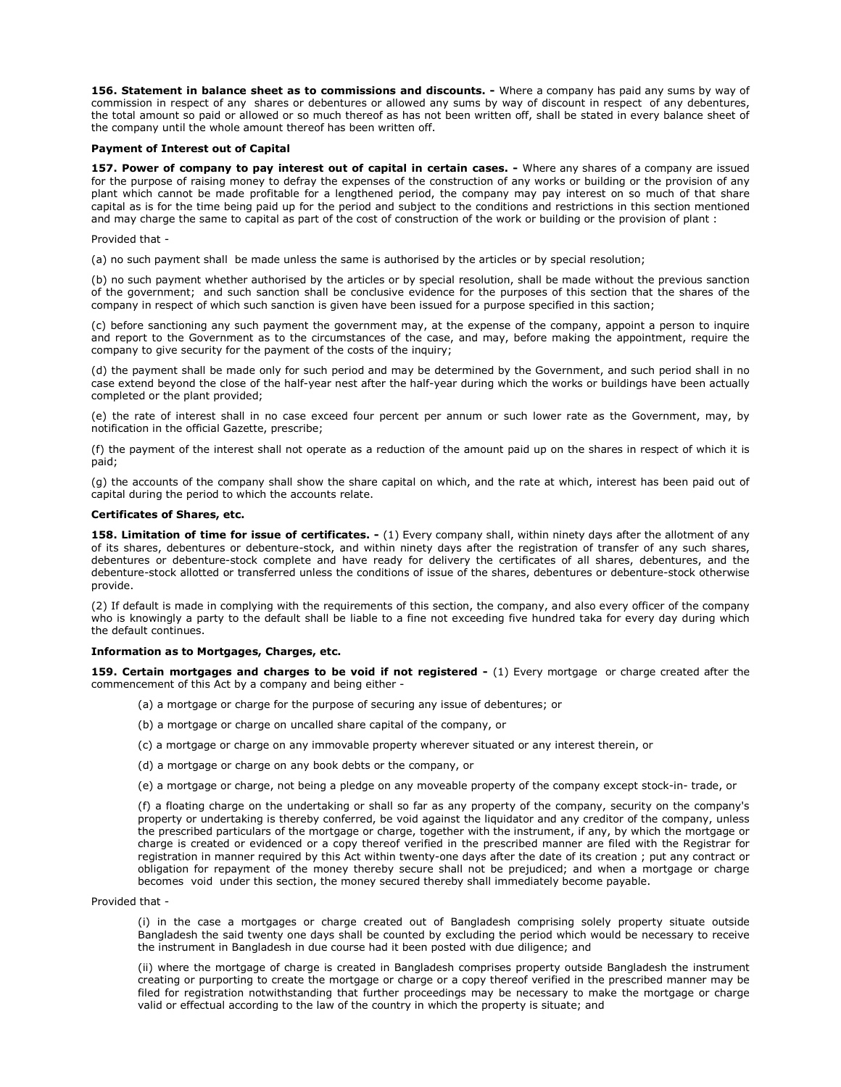156. Statement in balance sheet as to commissions and discounts. - Where a company has paid any sums by way of commission in respect of any shares or debentures or allowed any sums by way of discount in respect of any debentures, the total amount so paid or allowed or so much thereof as has not been written off, shall be stated in every balance sheet of the company until the whole amount thereof has been written off.

### Payment of Interest out of Capital

157. Power of company to pay interest out of capital in certain cases. - Where any shares of a company are issued for the purpose of raising money to defray the expenses of the construction of any works or building or the provision of any plant which cannot be made profitable for a lengthened period, the company may pay interest on so much of that share capital as is for the time being paid up for the period and subject to the conditions and restrictions in this section mentioned and may charge the same to capital as part of the cost of construction of the work or building or the provision of plant :

#### Provided that -

(a) no such payment shall be made unless the same is authorised by the articles or by special resolution;

(b) no such payment whether authorised by the articles or by special resolution, shall be made without the previous sanction of the government; and such sanction shall be conclusive evidence for the purposes of this section that the shares of the company in respect of which such sanction is given have been issued for a purpose specified in this saction;

(c) before sanctioning any such payment the government may, at the expense of the company, appoint a person to inquire and report to the Government as to the circumstances of the case, and may, before making the appointment, require the company to give security for the payment of the costs of the inquiry;

(d) the payment shall be made only for such period and may be determined by the Government, and such period shall in no case extend beyond the close of the half-year nest after the half-year during which the works or buildings have been actually completed or the plant provided;

(e) the rate of interest shall in no case exceed four percent per annum or such lower rate as the Government, may, by notification in the official Gazette, prescribe;

(f) the payment of the interest shall not operate as a reduction of the amount paid up on the shares in respect of which it is paid;

(g) the accounts of the company shall show the share capital on which, and the rate at which, interest has been paid out of capital during the period to which the accounts relate.

#### Certificates of Shares, etc.

158. Limitation of time for issue of certificates. - (1) Every company shall, within ninety days after the allotment of any of its shares, debentures or debenture-stock, and within ninety days after the registration of transfer of any such shares, debentures or debenture-stock complete and have ready for delivery the certificates of all shares, debentures, and the debenture-stock allotted or transferred unless the conditions of issue of the shares, debentures or debenture-stock otherwise provide.

(2) If default is made in complying with the requirements of this section, the company, and also every officer of the company who is knowingly a party to the default shall be liable to a fine not exceeding five hundred taka for every day during which the default continues.

### Information as to Mortgages, Charges, etc.

159. Certain mortgages and charges to be void if not registered - (1) Every mortgage or charge created after the commencement of this Act by a company and being either -

- (a) a mortgage or charge for the purpose of securing any issue of debentures; or
- (b) a mortgage or charge on uncalled share capital of the company, or
- (c) a mortgage or charge on any immovable property wherever situated or any interest therein, or
- (d) a mortgage or charge on any book debts or the company, or
- (e) a mortgage or charge, not being a pledge on any moveable property of the company except stock-in- trade, or

(f) a floating charge on the undertaking or shall so far as any property of the company, security on the company's property or undertaking is thereby conferred, be void against the liquidator and any creditor of the company, unless the prescribed particulars of the mortgage or charge, together with the instrument, if any, by which the mortgage or charge is created or evidenced or a copy thereof verified in the prescribed manner are filed with the Registrar for registration in manner required by this Act within twenty-one days after the date of its creation ; put any contract or obligation for repayment of the money thereby secure shall not be prejudiced; and when a mortgage or charge becomes void under this section, the money secured thereby shall immediately become payable.

Provided that -

(i) in the case a mortgages or charge created out of Bangladesh comprising solely property situate outside Bangladesh the said twenty one days shall be counted by excluding the period which would be necessary to receive the instrument in Bangladesh in due course had it been posted with due diligence; and

(ii) where the mortgage of charge is created in Bangladesh comprises property outside Bangladesh the instrument creating or purporting to create the mortgage or charge or a copy thereof verified in the prescribed manner may be filed for registration notwithstanding that further proceedings may be necessary to make the mortgage or charge valid or effectual according to the law of the country in which the property is situate; and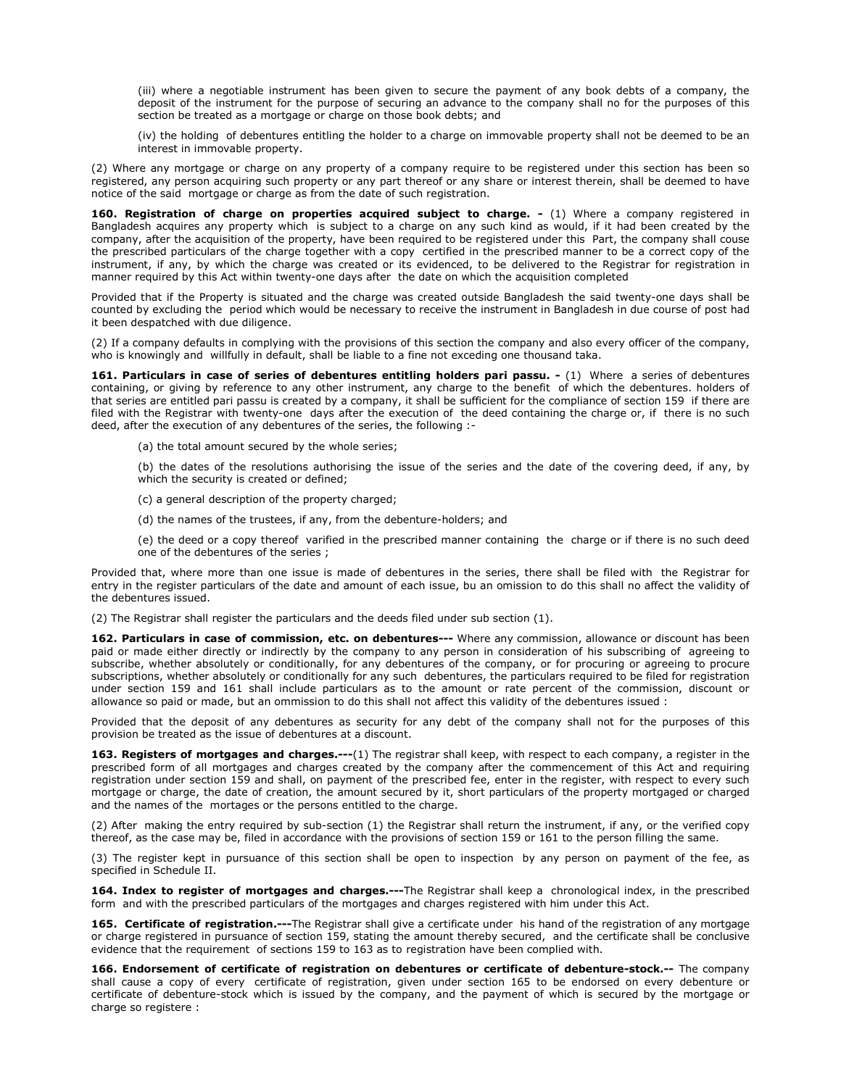(iii) where a negotiable instrument has been given to secure the payment of any book debts of a company, the deposit of the instrument for the purpose of securing an advance to the company shall no for the purposes of this section be treated as a mortgage or charge on those book debts; and

(iv) the holding of debentures entitling the holder to a charge on immovable property shall not be deemed to be an interest in immovable property.

(2) Where any mortgage or charge on any property of a company require to be registered under this section has been so registered, any person acquiring such property or any part thereof or any share or interest therein, shall be deemed to have notice of the said mortgage or charge as from the date of such registration.

160. Registration of charge on properties acquired subject to charge. - (1) Where a company registered in Bangladesh acquires any property which is subject to a charge on any such kind as would, if it had been created by the company, after the acquisition of the property, have been required to be registered under this Part, the company shall couse the prescribed particulars of the charge together with a copy certified in the prescribed manner to be a correct copy of the instrument, if any, by which the charge was created or its evidenced, to be delivered to the Registrar for registration in manner required by this Act within twenty-one days after the date on which the acquisition completed

Provided that if the Property is situated and the charge was created outside Bangladesh the said twenty-one days shall be counted by excluding the period which would be necessary to receive the instrument in Bangladesh in due course of post had it been despatched with due diligence.

(2) If a company defaults in complying with the provisions of this section the company and also every officer of the company, who is knowingly and willfully in default, shall be liable to a fine not exceding one thousand taka.

161. Particulars in case of series of debentures entitling holders pari passu. - (1) Where a series of debentures containing, or giving by reference to any other instrument, any charge to the benefit of which the debentures. holders of that series are entitled pari passu is created by a company, it shall be sufficient for the compliance of section 159 if there are filed with the Registrar with twenty-one days after the execution of the deed containing the charge or, if there is no such deed, after the execution of any debentures of the series, the following :-

(a) the total amount secured by the whole series;

(b) the dates of the resolutions authorising the issue of the series and the date of the covering deed, if any, by which the security is created or defined;

- (c) a general description of the property charged;
- (d) the names of the trustees, if any, from the debenture-holders; and
- (e) the deed or a copy thereof varified in the prescribed manner containing the charge or if there is no such deed one of the debentures of the series ;

Provided that, where more than one issue is made of debentures in the series, there shall be filed with the Registrar for entry in the register particulars of the date and amount of each issue, bu an omission to do this shall no affect the validity of the debentures issued.

(2) The Registrar shall register the particulars and the deeds filed under sub section (1).

162. Particulars in case of commission, etc. on debentures--- Where any commission, allowance or discount has been paid or made either directly or indirectly by the company to any person in consideration of his subscribing of agreeing to subscribe, whether absolutely or conditionally, for any debentures of the company, or for procuring or agreeing to procure subscriptions, whether absolutely or conditionally for any such debentures, the particulars required to be filed for registration under section 159 and 161 shall include particulars as to the amount or rate percent of the commission, discount or allowance so paid or made, but an ommission to do this shall not affect this validity of the debentures issued :

Provided that the deposit of any debentures as security for any debt of the company shall not for the purposes of this provision be treated as the issue of debentures at a discount.

163. Registers of mortgages and charges.---(1) The registrar shall keep, with respect to each company, a register in the prescribed form of all mortgages and charges created by the company after the commencement of this Act and requiring registration under section 159 and shall, on payment of the prescribed fee, enter in the register, with respect to every such mortgage or charge, the date of creation, the amount secured by it, short particulars of the property mortgaged or charged and the names of the mortages or the persons entitled to the charge.

(2) After making the entry required by sub-section (1) the Registrar shall return the instrument, if any, or the verified copy thereof, as the case may be, filed in accordance with the provisions of section 159 or 161 to the person filling the same.

(3) The register kept in pursuance of this section shall be open to inspection by any person on payment of the fee, as specified in Schedule II.

164. Index to register of mortgages and charges.---The Registrar shall keep a chronological index, in the prescribed form and with the prescribed particulars of the mortgages and charges registered with him under this Act.

165. Certificate of registration.---The Registrar shall give a certificate under his hand of the registration of any mortgage or charge registered in pursuance of section 159, stating the amount thereby secured, and the certificate shall be conclusive evidence that the requirement of sections 159 to 163 as to registration have been complied with.

166. Endorsement of certificate of registration on debentures or certificate of debenture-stock.-- The company shall cause a copy of every certificate of registration, given under section 165 to be endorsed on every debenture or certificate of debenture-stock which is issued by the company, and the payment of which is secured by the mortgage or charge so registere :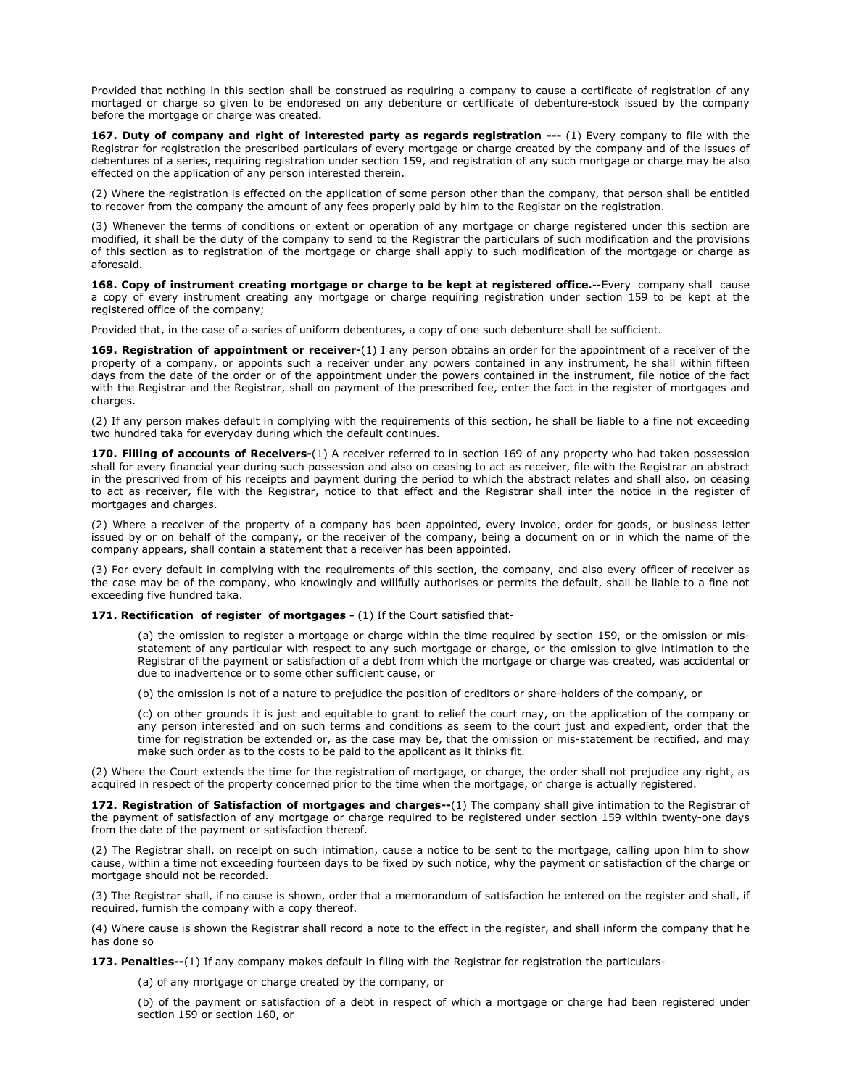Provided that nothing in this section shall be construed as requiring a company to cause a certificate of registration of any mortaged or charge so given to be endoresed on any debenture or certificate of debenture-stock issued by the company before the mortgage or charge was created.

167. Duty of company and right of interested party as regards registration --- (1) Every company to file with the Registrar for registration the prescribed particulars of every mortgage or charge created by the company and of the issues of debentures of a series, requiring registration under section 159, and registration of any such mortgage or charge may be also effected on the application of any person interested therein.

(2) Where the registration is effected on the application of some person other than the company, that person shall be entitled to recover from the company the amount of any fees properly paid by him to the Registar on the registration.

(3) Whenever the terms of conditions or extent or operation of any mortgage or charge registered under this section are modified, it shall be the duty of the company to send to the Registrar the particulars of such modification and the provisions of this section as to registration of the mortgage or charge shall apply to such modification of the mortgage or charge as aforesaid.

168. Copy of instrument creating mortgage or charge to be kept at registered office.--Every company shall cause a copy of every instrument creating any mortgage or charge requiring registration under section 159 to be kept at the registered office of the company;

Provided that, in the case of a series of uniform debentures, a copy of one such debenture shall be sufficient.

169. Registration of appointment or receiver-(1) I any person obtains an order for the appointment of a receiver of the property of a company, or appoints such a receiver under any powers contained in any instrument, he shall within fifteen days from the date of the order or of the appointment under the powers contained in the instrument, file notice of the fact with the Registrar and the Registrar, shall on payment of the prescribed fee, enter the fact in the register of mortgages and charges.

(2) If any person makes default in complying with the requirements of this section, he shall be liable to a fine not exceeding two hundred taka for everyday during which the default continues.

170. Filling of accounts of Receivers-(1) A receiver referred to in section 169 of any property who had taken possession shall for every financial year during such possession and also on ceasing to act as receiver, file with the Registrar an abstract in the prescrived from of his receipts and payment during the period to which the abstract relates and shall also, on ceasing to act as receiver, file with the Registrar, notice to that effect and the Registrar shall inter the notice in the register of mortgages and charges.

(2) Where a receiver of the property of a company has been appointed, every invoice, order for goods, or business letter issued by or on behalf of the company, or the receiver of the company, being a document on or in which the name of the company appears, shall contain a statement that a receiver has been appointed.

(3) For every default in complying with the requirements of this section, the company, and also every officer of receiver as the case may be of the company, who knowingly and willfully authorises or permits the default, shall be liable to a fine not exceeding five hundred taka.

171. Rectification of register of mortgages - (1) If the Court satisfied that-

(a) the omission to register a mortgage or charge within the time required by section 159, or the omission or misstatement of any particular with respect to any such mortgage or charge, or the omission to give intimation to the Registrar of the payment or satisfaction of a debt from which the mortgage or charge was created, was accidental or due to inadvertence or to some other sufficient cause, or

(b) the omission is not of a nature to prejudice the position of creditors or share-holders of the company, or

(c) on other grounds it is just and equitable to grant to relief the court may, on the application of the company or any person interested and on such terms and conditions as seem to the court just and expedient, order that the time for registration be extended or, as the case may be, that the omission or mis-statement be rectified, and may make such order as to the costs to be paid to the applicant as it thinks fit.

(2) Where the Court extends the time for the registration of mortgage, or charge, the order shall not prejudice any right, as acquired in respect of the property concerned prior to the time when the mortgage, or charge is actually registered.

172. Registration of Satisfaction of mortgages and charges--(1) The company shall give intimation to the Registrar of the payment of satisfaction of any mortgage or charge required to be registered under section 159 within twenty-one days from the date of the payment or satisfaction thereof.

(2) The Registrar shall, on receipt on such intimation, cause a notice to be sent to the mortgage, calling upon him to show cause, within a time not exceeding fourteen days to be fixed by such notice, why the payment or satisfaction of the charge or mortgage should not be recorded.

(3) The Registrar shall, if no cause is shown, order that a memorandum of satisfaction he entered on the register and shall, if required, furnish the company with a copy thereof.

(4) Where cause is shown the Registrar shall record a note to the effect in the register, and shall inform the company that he has done so

173. Penalties--(1) If any company makes default in filing with the Registrar for registration the particulars-

(a) of any mortgage or charge created by the company, or

(b) of the payment or satisfaction of a debt in respect of which a mortgage or charge had been registered under section 159 or section 160, or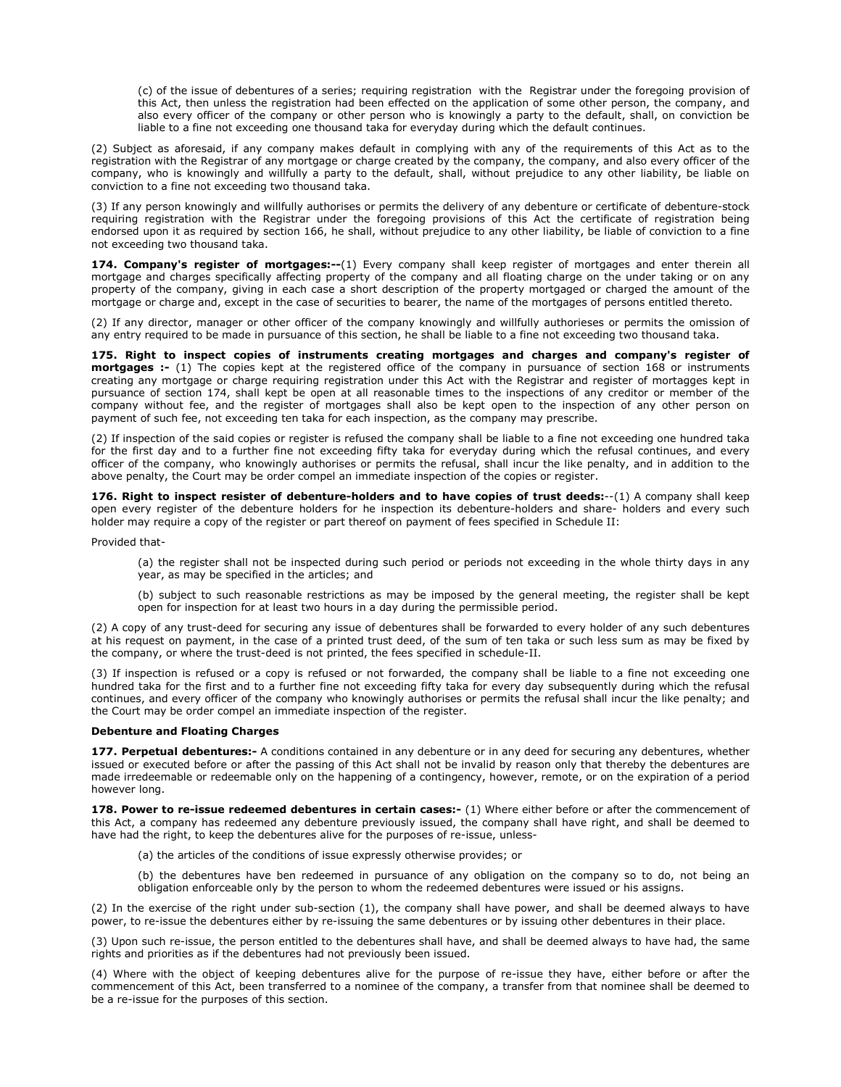(c) of the issue of debentures of a series; requiring registration with the Registrar under the foregoing provision of this Act, then unless the registration had been effected on the application of some other person, the company, and also every officer of the company or other person who is knowingly a party to the default, shall, on conviction be liable to a fine not exceeding one thousand taka for everyday during which the default continues.

(2) Subject as aforesaid, if any company makes default in complying with any of the requirements of this Act as to the registration with the Registrar of any mortgage or charge created by the company, the company, and also every officer of the company, who is knowingly and willfully a party to the default, shall, without prejudice to any other liability, be liable on conviction to a fine not exceeding two thousand taka.

(3) If any person knowingly and willfully authorises or permits the delivery of any debenture or certificate of debenture-stock requiring registration with the Registrar under the foregoing provisions of this Act the certificate of registration being endorsed upon it as required by section 166, he shall, without prejudice to any other liability, be liable of conviction to a fine not exceeding two thousand taka.

174. Company's register of mortgages:--(1) Every company shall keep register of mortgages and enter therein all mortgage and charges specifically affecting property of the company and all floating charge on the under taking or on any property of the company, giving in each case a short description of the property mortgaged or charged the amount of the mortgage or charge and, except in the case of securities to bearer, the name of the mortgages of persons entitled thereto.

(2) If any director, manager or other officer of the company knowingly and willfully authorieses or permits the omission of any entry required to be made in pursuance of this section, he shall be liable to a fine not exceeding two thousand taka.

175. Right to inspect copies of instruments creating mortgages and charges and company's register of mortgages :- (1) The copies kept at the registered office of the company in pursuance of section 168 or instruments creating any mortgage or charge requiring registration under this Act with the Registrar and register of mortagges kept in pursuance of section 174, shall kept be open at all reasonable times to the inspections of any creditor or member of the company without fee, and the register of mortgages shall also be kept open to the inspection of any other person on payment of such fee, not exceeding ten taka for each inspection, as the company may prescribe.

(2) If inspection of the said copies or register is refused the company shall be liable to a fine not exceeding one hundred taka for the first day and to a further fine not exceeding fifty taka for everyday during which the refusal continues, and every officer of the company, who knowingly authorises or permits the refusal, shall incur the like penalty, and in addition to the above penalty, the Court may be order compel an immediate inspection of the copies or register.

176. Right to inspect resister of debenture-holders and to have copies of trust deeds:--(1) A company shall keep open every register of the debenture holders for he inspection its debenture-holders and share- holders and every such holder may require a copy of the register or part thereof on payment of fees specified in Schedule II:

Provided that-

(a) the register shall not be inspected during such period or periods not exceeding in the whole thirty days in any year, as may be specified in the articles; and

(b) subject to such reasonable restrictions as may be imposed by the general meeting, the register shall be kept open for inspection for at least two hours in a day during the permissible period.

(2) A copy of any trust-deed for securing any issue of debentures shall be forwarded to every holder of any such debentures at his request on payment, in the case of a printed trust deed, of the sum of ten taka or such less sum as may be fixed by the company, or where the trust-deed is not printed, the fees specified in schedule-II.

(3) If inspection is refused or a copy is refused or not forwarded, the company shall be liable to a fine not exceeding one hundred taka for the first and to a further fine not exceeding fifty taka for every day subsequently during which the refusal continues, and every officer of the company who knowingly authorises or permits the refusal shall incur the like penalty; and the Court may be order compel an immediate inspection of the register.

### Debenture and Floating Charges

177. Perpetual debentures:- A conditions contained in any debenture or in any deed for securing any debentures, whether issued or executed before or after the passing of this Act shall not be invalid by reason only that thereby the debentures are made irredeemable or redeemable only on the happening of a contingency, however, remote, or on the expiration of a period however long.

178. Power to re-issue redeemed debentures in certain cases:- (1) Where either before or after the commencement of this Act, a company has redeemed any debenture previously issued, the company shall have right, and shall be deemed to have had the right, to keep the debentures alive for the purposes of re-issue, unless-

(a) the articles of the conditions of issue expressly otherwise provides; or

(b) the debentures have ben redeemed in pursuance of any obligation on the company so to do, not being an obligation enforceable only by the person to whom the redeemed debentures were issued or his assigns.

(2) In the exercise of the right under sub-section (1), the company shall have power, and shall be deemed always to have power, to re-issue the debentures either by re-issuing the same debentures or by issuing other debentures in their place.

(3) Upon such re-issue, the person entitled to the debentures shall have, and shall be deemed always to have had, the same rights and priorities as if the debentures had not previously been issued.

(4) Where with the object of keeping debentures alive for the purpose of re-issue they have, either before or after the commencement of this Act, been transferred to a nominee of the company, a transfer from that nominee shall be deemed to be a re-issue for the purposes of this section.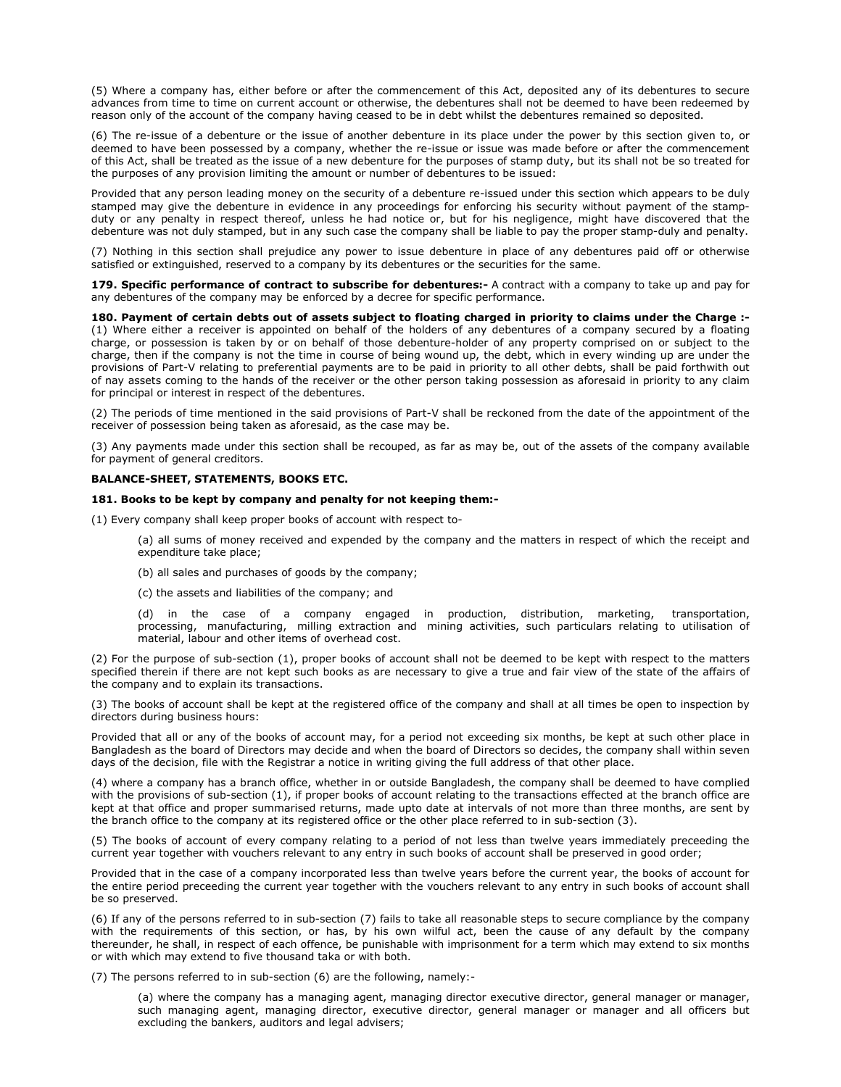(5) Where a company has, either before or after the commencement of this Act, deposited any of its debentures to secure advances from time to time on current account or otherwise, the debentures shall not be deemed to have been redeemed by reason only of the account of the company having ceased to be in debt whilst the debentures remained so deposited.

(6) The re-issue of a debenture or the issue of another debenture in its place under the power by this section given to, or deemed to have been possessed by a company, whether the re-issue or issue was made before or after the commencement of this Act, shall be treated as the issue of a new debenture for the purposes of stamp duty, but its shall not be so treated for the purposes of any provision limiting the amount or number of debentures to be issued:

Provided that any person leading money on the security of a debenture re-issued under this section which appears to be duly stamped may give the debenture in evidence in any proceedings for enforcing his security without payment of the stampduty or any penalty in respect thereof, unless he had notice or, but for his negligence, might have discovered that the debenture was not duly stamped, but in any such case the company shall be liable to pay the proper stamp-duly and penalty.

(7) Nothing in this section shall prejudice any power to issue debenture in place of any debentures paid off or otherwise satisfied or extinguished, reserved to a company by its debentures or the securities for the same.

179. Specific performance of contract to subscribe for debentures:- A contract with a company to take up and pay for any debentures of the company may be enforced by a decree for specific performance.

180. Payment of certain debts out of assets subject to floating charged in priority to claims under the Charge :- (1) Where either a receiver is appointed on behalf of the holders of any debentures of a company secured by a floating charge, or possession is taken by or on behalf of those debenture-holder of any property comprised on or subject to the charge, then if the company is not the time in course of being wound up, the debt, which in every winding up are under the provisions of Part-V relating to preferential payments are to be paid in priority to all other debts, shall be paid forthwith out of nay assets coming to the hands of the receiver or the other person taking possession as aforesaid in priority to any claim for principal or interest in respect of the debentures.

(2) The periods of time mentioned in the said provisions of Part-V shall be reckoned from the date of the appointment of the receiver of possession being taken as aforesaid, as the case may be.

(3) Any payments made under this section shall be recouped, as far as may be, out of the assets of the company available for payment of general creditors.

# BALANCE-SHEET, STATEMENTS, BOOKS ETC.

#### 181. Books to be kept by company and penalty for not keeping them:-

(1) Every company shall keep proper books of account with respect to-

(a) all sums of money received and expended by the company and the matters in respect of which the receipt and expenditure take place;

- (b) all sales and purchases of goods by the company;
- (c) the assets and liabilities of the company; and

(d) in the case of a company engaged in production, distribution, marketing, transportation, processing, manufacturing, milling extraction and mining activities, such particulars relating to utilisation of material, labour and other items of overhead cost.

(2) For the purpose of sub-section (1), proper books of account shall not be deemed to be kept with respect to the matters specified therein if there are not kept such books as are necessary to give a true and fair view of the state of the affairs of the company and to explain its transactions.

(3) The books of account shall be kept at the registered office of the company and shall at all times be open to inspection by directors during business hours:

Provided that all or any of the books of account may, for a period not exceeding six months, be kept at such other place in Bangladesh as the board of Directors may decide and when the board of Directors so decides, the company shall within seven days of the decision, file with the Registrar a notice in writing giving the full address of that other place.

(4) where a company has a branch office, whether in or outside Bangladesh, the company shall be deemed to have complied with the provisions of sub-section (1), if proper books of account relating to the transactions effected at the branch office are kept at that office and proper summarised returns, made upto date at intervals of not more than three months, are sent by the branch office to the company at its registered office or the other place referred to in sub-section (3).

(5) The books of account of every company relating to a period of not less than twelve years immediately preceeding the current year together with vouchers relevant to any entry in such books of account shall be preserved in good order;

Provided that in the case of a company incorporated less than twelve years before the current year, the books of account for the entire period preceeding the current year together with the vouchers relevant to any entry in such books of account shall be so preserved.

(6) If any of the persons referred to in sub-section (7) fails to take all reasonable steps to secure compliance by the company with the requirements of this section, or has, by his own wilful act, been the cause of any default by the company thereunder, he shall, in respect of each offence, be punishable with imprisonment for a term which may extend to six months or with which may extend to five thousand taka or with both.

(7) The persons referred to in sub-section (6) are the following, namely:-

(a) where the company has a managing agent, managing director executive director, general manager or manager, such managing agent, managing director, executive director, general manager or manager and all officers but excluding the bankers, auditors and legal advisers;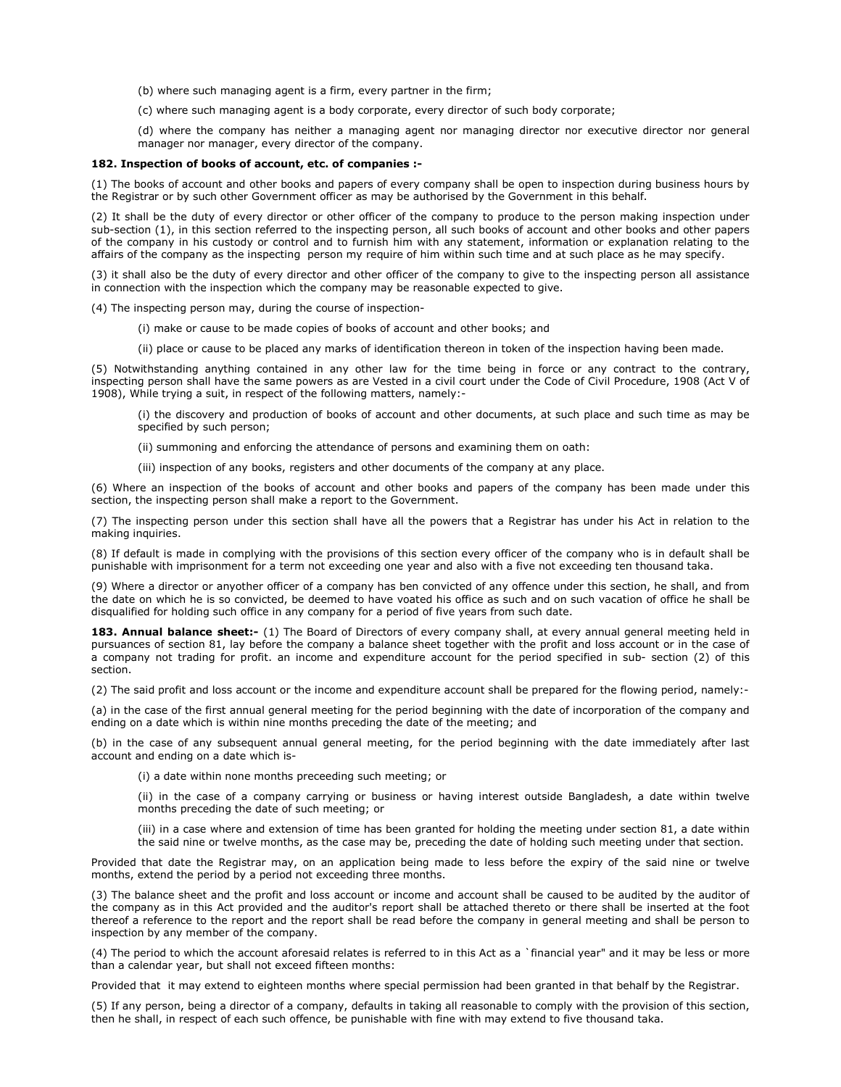- (b) where such managing agent is a firm, every partner in the firm;
- (c) where such managing agent is a body corporate, every director of such body corporate;
- (d) where the company has neither a managing agent nor managing director nor executive director nor general manager nor manager, every director of the company.

#### 182. Inspection of books of account, etc. of companies :-

(1) The books of account and other books and papers of every company shall be open to inspection during business hours by the Registrar or by such other Government officer as may be authorised by the Government in this behalf.

(2) It shall be the duty of every director or other officer of the company to produce to the person making inspection under sub-section (1), in this section referred to the inspecting person, all such books of account and other books and other papers of the company in his custody or control and to furnish him with any statement, information or explanation relating to the affairs of the company as the inspecting person my require of him within such time and at such place as he may specify.

(3) it shall also be the duty of every director and other officer of the company to give to the inspecting person all assistance in connection with the inspection which the company may be reasonable expected to give.

- (4) The inspecting person may, during the course of inspection-
	- (i) make or cause to be made copies of books of account and other books; and
	- (ii) place or cause to be placed any marks of identification thereon in token of the inspection having been made.

(5) Notwithstanding anything contained in any other law for the time being in force or any contract to the contrary, inspecting person shall have the same powers as are Vested in a civil court under the Code of Civil Procedure, 1908 (Act V of 1908), While trying a suit, in respect of the following matters, namely:-

(i) the discovery and production of books of account and other documents, at such place and such time as may be specified by such person;

- (ii) summoning and enforcing the attendance of persons and examining them on oath:
- (iii) inspection of any books, registers and other documents of the company at any place.

(6) Where an inspection of the books of account and other books and papers of the company has been made under this section, the inspecting person shall make a report to the Government.

(7) The inspecting person under this section shall have all the powers that a Registrar has under his Act in relation to the making inquiries.

(8) If default is made in complying with the provisions of this section every officer of the company who is in default shall be punishable with imprisonment for a term not exceeding one year and also with a five not exceeding ten thousand taka.

(9) Where a director or anyother officer of a company has ben convicted of any offence under this section, he shall, and from the date on which he is so convicted, be deemed to have voated his office as such and on such vacation of office he shall be disqualified for holding such office in any company for a period of five years from such date.

183. Annual balance sheet:- (1) The Board of Directors of every company shall, at every annual general meeting held in pursuances of section 81, lay before the company a balance sheet together with the profit and loss account or in the case of a company not trading for profit. an income and expenditure account for the period specified in sub- section (2) of this section.

(2) The said profit and loss account or the income and expenditure account shall be prepared for the flowing period, namely:-

(a) in the case of the first annual general meeting for the period beginning with the date of incorporation of the company and ending on a date which is within nine months preceding the date of the meeting; and

(b) in the case of any subsequent annual general meeting, for the period beginning with the date immediately after last account and ending on a date which is-

(i) a date within none months preceeding such meeting; or

(ii) in the case of a company carrying or business or having interest outside Bangladesh, a date within twelve months preceding the date of such meeting; or

(iii) in a case where and extension of time has been granted for holding the meeting under section 81, a date within the said nine or twelve months, as the case may be, preceding the date of holding such meeting under that section.

Provided that date the Registrar may, on an application being made to less before the expiry of the said nine or twelve months, extend the period by a period not exceeding three months.

(3) The balance sheet and the profit and loss account or income and account shall be caused to be audited by the auditor of the company as in this Act provided and the auditor's report shall be attached thereto or there shall be inserted at the foot thereof a reference to the report and the report shall be read before the company in general meeting and shall be person to inspection by any member of the company.

(4) The period to which the account aforesaid relates is referred to in this Act as a `financial year" and it may be less or more than a calendar year, but shall not exceed fifteen months:

Provided that it may extend to eighteen months where special permission had been granted in that behalf by the Registrar.

(5) If any person, being a director of a company, defaults in taking all reasonable to comply with the provision of this section, then he shall, in respect of each such offence, be punishable with fine with may extend to five thousand taka.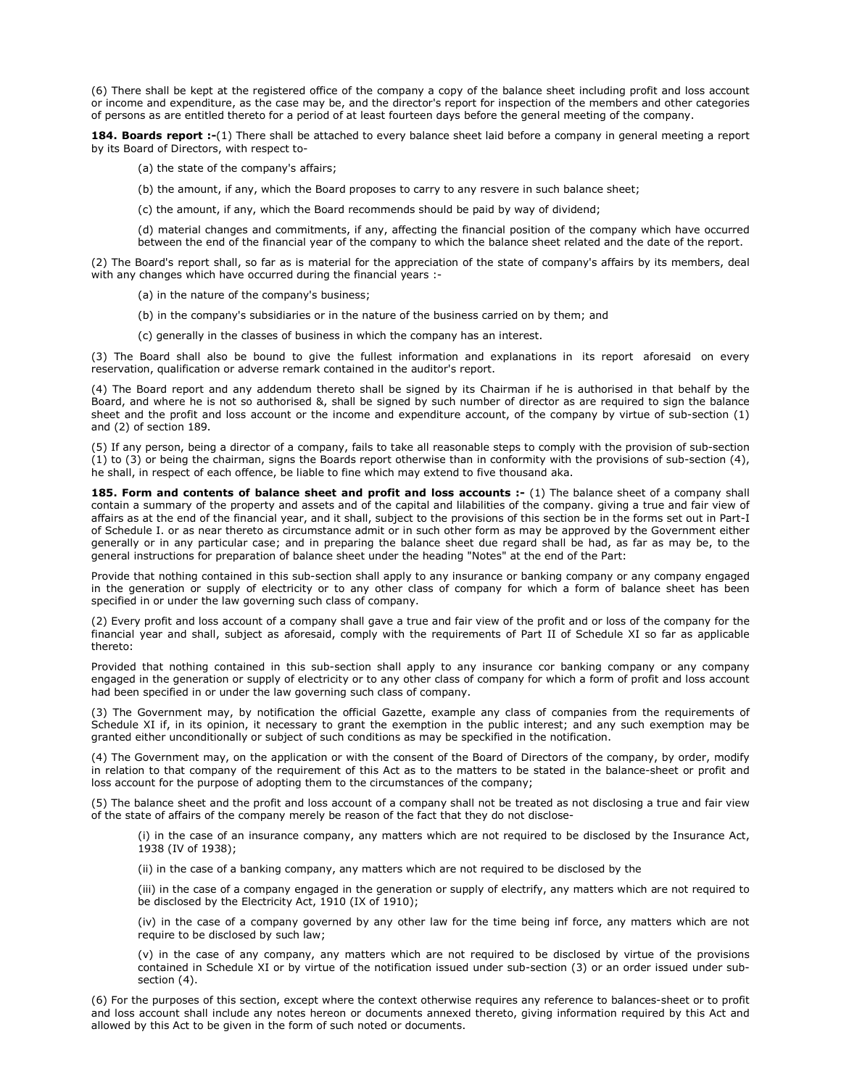(6) There shall be kept at the registered office of the company a copy of the balance sheet including profit and loss account or income and expenditure, as the case may be, and the director's report for inspection of the members and other categories of persons as are entitled thereto for a period of at least fourteen days before the general meeting of the company.

184. Boards report :-(1) There shall be attached to every balance sheet laid before a company in general meeting a report by its Board of Directors, with respect to-

(a) the state of the company's affairs;

(b) the amount, if any, which the Board proposes to carry to any resvere in such balance sheet;

(c) the amount, if any, which the Board recommends should be paid by way of dividend;

(d) material changes and commitments, if any, affecting the financial position of the company which have occurred between the end of the financial year of the company to which the balance sheet related and the date of the report.

(2) The Board's report shall, so far as is material for the appreciation of the state of company's affairs by its members, deal with any changes which have occurred during the financial years :-

- (a) in the nature of the company's business;
- (b) in the company's subsidiaries or in the nature of the business carried on by them; and
- (c) generally in the classes of business in which the company has an interest.

(3) The Board shall also be bound to give the fullest information and explanations in its report aforesaid on every reservation, qualification or adverse remark contained in the auditor's report.

(4) The Board report and any addendum thereto shall be signed by its Chairman if he is authorised in that behalf by the Board, and where he is not so authorised &, shall be signed by such number of director as are required to sign the balance sheet and the profit and loss account or the income and expenditure account, of the company by virtue of sub-section (1) and (2) of section 189.

(5) If any person, being a director of a company, fails to take all reasonable steps to comply with the provision of sub-section (1) to (3) or being the chairman, signs the Boards report otherwise than in conformity with the provisions of sub-section (4), he shall, in respect of each offence, be liable to fine which may extend to five thousand aka.

185. Form and contents of balance sheet and profit and loss accounts :- (1) The balance sheet of a company shall contain a summary of the property and assets and of the capital and lilabilities of the company. giving a true and fair view of affairs as at the end of the financial year, and it shall, subject to the provisions of this section be in the forms set out in Part-I of Schedule I. or as near thereto as circumstance admit or in such other form as may be approved by the Government either generally or in any particular case; and in preparing the balance sheet due regard shall be had, as far as may be, to the general instructions for preparation of balance sheet under the heading "Notes" at the end of the Part:

Provide that nothing contained in this sub-section shall apply to any insurance or banking company or any company engaged in the generation or supply of electricity or to any other class of company for which a form of balance sheet has been specified in or under the law governing such class of company.

(2) Every profit and loss account of a company shall gave a true and fair view of the profit and or loss of the company for the financial year and shall, subject as aforesaid, comply with the requirements of Part II of Schedule XI so far as applicable thereto:

Provided that nothing contained in this sub-section shall apply to any insurance cor banking company or any company engaged in the generation or supply of electricity or to any other class of company for which a form of profit and loss account had been specified in or under the law governing such class of company.

(3) The Government may, by notification the official Gazette, example any class of companies from the requirements of Schedule XI if, in its opinion, it necessary to grant the exemption in the public interest; and any such exemption may be granted either unconditionally or subject of such conditions as may be speckified in the notification.

(4) The Government may, on the application or with the consent of the Board of Directors of the company, by order, modify in relation to that company of the requirement of this Act as to the matters to be stated in the balance-sheet or profit and loss account for the purpose of adopting them to the circumstances of the company;

(5) The balance sheet and the profit and loss account of a company shall not be treated as not disclosing a true and fair view of the state of affairs of the company merely be reason of the fact that they do not disclose-

(i) in the case of an insurance company, any matters which are not required to be disclosed by the Insurance Act, 1938 (IV of 1938);

(ii) in the case of a banking company, any matters which are not required to be disclosed by the

(iii) in the case of a company engaged in the generation or supply of electrify, any matters which are not required to be disclosed by the Electricity Act, 1910 (IX of 1910);

(iv) in the case of a company governed by any other law for the time being inf force, any matters which are not require to be disclosed by such law;

(v) in the case of any company, any matters which are not required to be disclosed by virtue of the provisions contained in Schedule XI or by virtue of the notification issued under sub-section (3) or an order issued under subsection (4).

(6) For the purposes of this section, except where the context otherwise requires any reference to balances-sheet or to profit and loss account shall include any notes hereon or documents annexed thereto, giving information required by this Act and allowed by this Act to be given in the form of such noted or documents.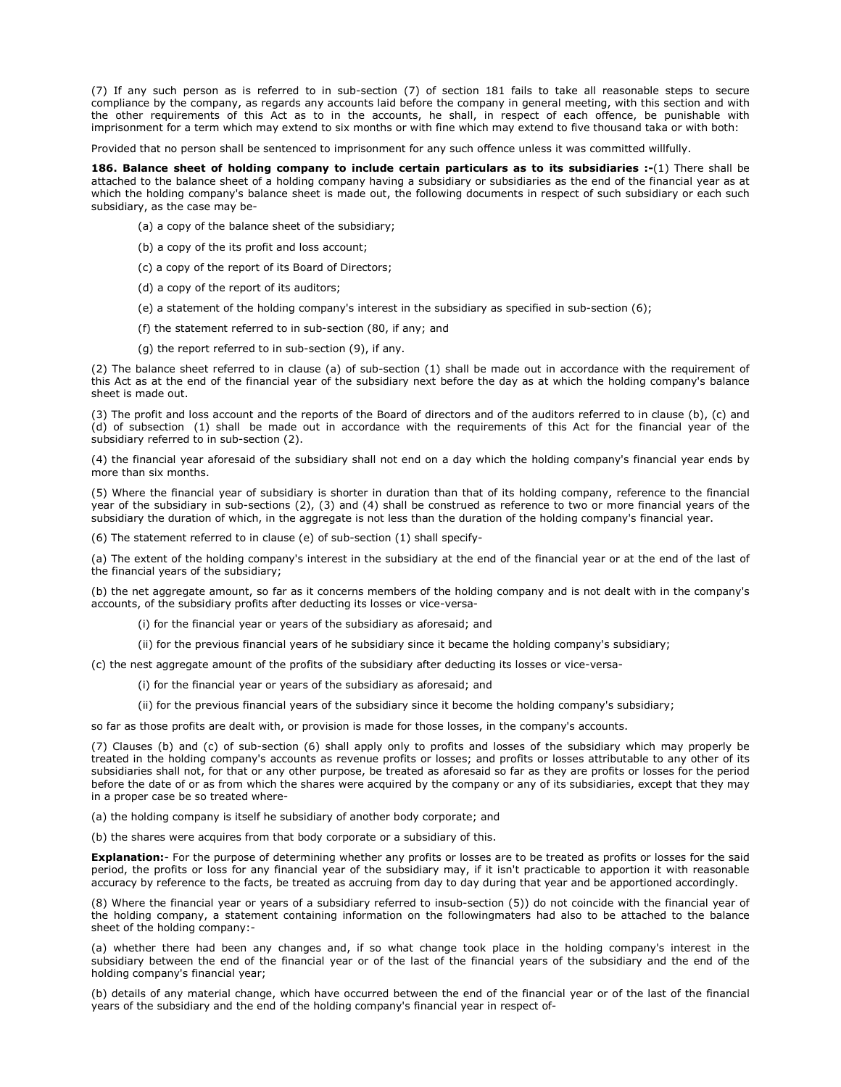(7) If any such person as is referred to in sub-section (7) of section 181 fails to take all reasonable steps to secure compliance by the company, as regards any accounts laid before the company in general meeting, with this section and with the other requirements of this Act as to in the accounts, he shall, in respect of each offence, be punishable with imprisonment for a term which may extend to six months or with fine which may extend to five thousand taka or with both:

Provided that no person shall be sentenced to imprisonment for any such offence unless it was committed willfully.

186. Balance sheet of holding company to include certain particulars as to its subsidiaries :-(1) There shall be attached to the balance sheet of a holding company having a subsidiary or subsidiaries as the end of the financial year as at which the holding company's balance sheet is made out, the following documents in respect of such subsidiary or each such subsidiary, as the case may be-

- (a) a copy of the balance sheet of the subsidiary;
- (b) a copy of the its profit and loss account;
- (c) a copy of the report of its Board of Directors;
- (d) a copy of the report of its auditors;
- (e) a statement of the holding company's interest in the subsidiary as specified in sub-section (6);
- (f) the statement referred to in sub-section (80, if any; and
- (g) the report referred to in sub-section (9), if any.

(2) The balance sheet referred to in clause (a) of sub-section (1) shall be made out in accordance with the requirement of this Act as at the end of the financial year of the subsidiary next before the day as at which the holding company's balance sheet is made out.

(3) The profit and loss account and the reports of the Board of directors and of the auditors referred to in clause (b), (c) and (d) of subsection (1) shall be made out in accordance with the requirements of this Act for the financial year of the subsidiary referred to in sub-section (2).

(4) the financial year aforesaid of the subsidiary shall not end on a day which the holding company's financial year ends by more than six months.

(5) Where the financial year of subsidiary is shorter in duration than that of its holding company, reference to the financial year of the subsidiary in sub-sections (2), (3) and (4) shall be construed as reference to two or more financial years of the subsidiary the duration of which, in the aggregate is not less than the duration of the holding company's financial year.

(6) The statement referred to in clause (e) of sub-section (1) shall specify-

(a) The extent of the holding company's interest in the subsidiary at the end of the financial year or at the end of the last of the financial years of the subsidiary;

(b) the net aggregate amount, so far as it concerns members of the holding company and is not dealt with in the company's accounts, of the subsidiary profits after deducting its losses or vice-versa-

- (i) for the financial year or years of the subsidiary as aforesaid; and
- (ii) for the previous financial years of he subsidiary since it became the holding company's subsidiary;

(c) the nest aggregate amount of the profits of the subsidiary after deducting its losses or vice-versa-

- (i) for the financial year or years of the subsidiary as aforesaid; and
- (ii) for the previous financial years of the subsidiary since it become the holding company's subsidiary;

so far as those profits are dealt with, or provision is made for those losses, in the company's accounts.

(7) Clauses (b) and (c) of sub-section (6) shall apply only to profits and losses of the subsidiary which may properly be treated in the holding company's accounts as revenue profits or losses; and profits or losses attributable to any other of its subsidiaries shall not, for that or any other purpose, be treated as aforesaid so far as they are profits or losses for the period before the date of or as from which the shares were acquired by the company or any of its subsidiaries, except that they may in a proper case be so treated where-

(a) the holding company is itself he subsidiary of another body corporate; and

(b) the shares were acquires from that body corporate or a subsidiary of this.

Explanation:- For the purpose of determining whether any profits or losses are to be treated as profits or losses for the said period, the profits or loss for any financial year of the subsidiary may, if it isn't practicable to apportion it with reasonable accuracy by reference to the facts, be treated as accruing from day to day during that year and be apportioned accordingly.

(8) Where the financial year or years of a subsidiary referred to insub-section (5)) do not coincide with the financial year of the holding company, a statement containing information on the followingmaters had also to be attached to the balance sheet of the holding company:-

(a) whether there had been any changes and, if so what change took place in the holding company's interest in the subsidiary between the end of the financial year or of the last of the financial years of the subsidiary and the end of the holding company's financial year;

(b) details of any material change, which have occurred between the end of the financial year or of the last of the financial years of the subsidiary and the end of the holding company's financial year in respect of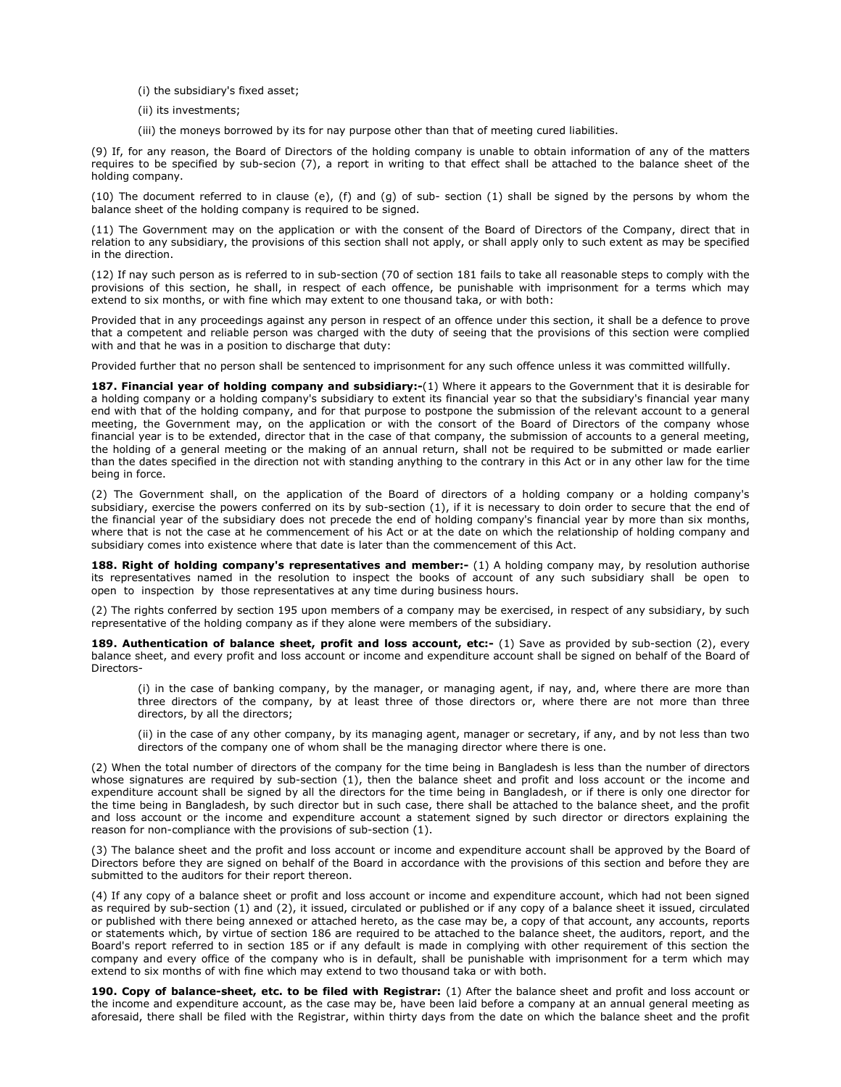(i) the subsidiary's fixed asset;

- (ii) its investments;
- (iii) the moneys borrowed by its for nay purpose other than that of meeting cured liabilities.

(9) If, for any reason, the Board of Directors of the holding company is unable to obtain information of any of the matters requires to be specified by sub-secion (7), a report in writing to that effect shall be attached to the balance sheet of the holding company.

(10) The document referred to in clause (e), (f) and (g) of sub- section (1) shall be signed by the persons by whom the balance sheet of the holding company is required to be signed.

(11) The Government may on the application or with the consent of the Board of Directors of the Company, direct that in relation to any subsidiary, the provisions of this section shall not apply, or shall apply only to such extent as may be specified in the direction.

(12) If nay such person as is referred to in sub-section (70 of section 181 fails to take all reasonable steps to comply with the provisions of this section, he shall, in respect of each offence, be punishable with imprisonment for a terms which may extend to six months, or with fine which may extent to one thousand taka, or with both:

Provided that in any proceedings against any person in respect of an offence under this section, it shall be a defence to prove that a competent and reliable person was charged with the duty of seeing that the provisions of this section were complied with and that he was in a position to discharge that duty:

Provided further that no person shall be sentenced to imprisonment for any such offence unless it was committed willfully.

187. Financial year of holding company and subsidiary:-(1) Where it appears to the Government that it is desirable for a holding company or a holding company's subsidiary to extent its financial year so that the subsidiary's financial year many end with that of the holding company, and for that purpose to postpone the submission of the relevant account to a general meeting, the Government may, on the application or with the consort of the Board of Directors of the company whose financial year is to be extended, director that in the case of that company, the submission of accounts to a general meeting, the holding of a general meeting or the making of an annual return, shall not be required to be submitted or made earlier than the dates specified in the direction not with standing anything to the contrary in this Act or in any other law for the time being in force.

(2) The Government shall, on the application of the Board of directors of a holding company or a holding company's subsidiary, exercise the powers conferred on its by sub-section (1), if it is necessary to doin order to secure that the end of the financial year of the subsidiary does not precede the end of holding company's financial year by more than six months, where that is not the case at he commencement of his Act or at the date on which the relationship of holding company and subsidiary comes into existence where that date is later than the commencement of this Act.

188. Right of holding company's representatives and member:- (1) A holding company may, by resolution authorise its representatives named in the resolution to inspect the books of account of any such subsidiary shall be open to open to inspection by those representatives at any time during business hours.

(2) The rights conferred by section 195 upon members of a company may be exercised, in respect of any subsidiary, by such representative of the holding company as if they alone were members of the subsidiary.

189. Authentication of balance sheet, profit and loss account, etc:- (1) Save as provided by sub-section (2), every balance sheet, and every profit and loss account or income and expenditure account shall be signed on behalf of the Board of Directors-

(i) in the case of banking company, by the manager, or managing agent, if nay, and, where there are more than three directors of the company, by at least three of those directors or, where there are not more than three directors, by all the directors;

(ii) in the case of any other company, by its managing agent, manager or secretary, if any, and by not less than two directors of the company one of whom shall be the managing director where there is one.

(2) When the total number of directors of the company for the time being in Bangladesh is less than the number of directors whose signatures are required by sub-section (1), then the balance sheet and profit and loss account or the income and expenditure account shall be signed by all the directors for the time being in Bangladesh, or if there is only one director for the time being in Bangladesh, by such director but in such case, there shall be attached to the balance sheet, and the profit and loss account or the income and expenditure account a statement signed by such director or directors explaining the reason for non-compliance with the provisions of sub-section (1).

(3) The balance sheet and the profit and loss account or income and expenditure account shall be approved by the Board of Directors before they are signed on behalf of the Board in accordance with the provisions of this section and before they are submitted to the auditors for their report thereon.

(4) If any copy of a balance sheet or profit and loss account or income and expenditure account, which had not been signed as required by sub-section (1) and (2), it issued, circulated or published or if any copy of a balance sheet it issued, circulated or published with there being annexed or attached hereto, as the case may be, a copy of that account, any accounts, reports or statements which, by virtue of section 186 are required to be attached to the balance sheet, the auditors, report, and the Board's report referred to in section 185 or if any default is made in complying with other requirement of this section the company and every office of the company who is in default, shall be punishable with imprisonment for a term which may extend to six months of with fine which may extend to two thousand taka or with both.

190. Copy of balance-sheet, etc. to be filed with Registrar: (1) After the balance sheet and profit and loss account or the income and expenditure account, as the case may be, have been laid before a company at an annual general meeting as aforesaid, there shall be filed with the Registrar, within thirty days from the date on which the balance sheet and the profit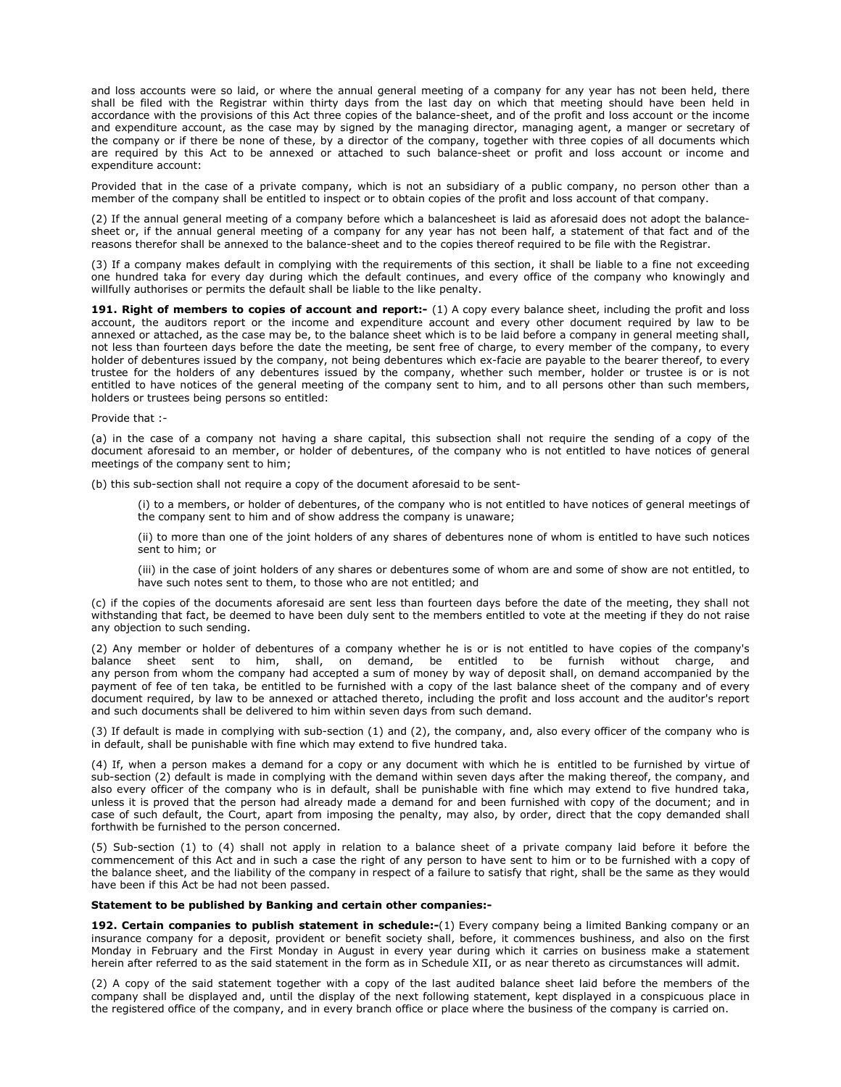and loss accounts were so laid, or where the annual general meeting of a company for any year has not been held, there shall be filed with the Registrar within thirty days from the last day on which that meeting should have been held in accordance with the provisions of this Act three copies of the balance-sheet, and of the profit and loss account or the income and expenditure account, as the case may by signed by the managing director, managing agent, a manger or secretary of the company or if there be none of these, by a director of the company, together with three copies of all documents which are required by this Act to be annexed or attached to such balance-sheet or profit and loss account or income and expenditure account:

Provided that in the case of a private company, which is not an subsidiary of a public company, no person other than a member of the company shall be entitled to inspect or to obtain copies of the profit and loss account of that company.

(2) If the annual general meeting of a company before which a balancesheet is laid as aforesaid does not adopt the balancesheet or, if the annual general meeting of a company for any year has not been half, a statement of that fact and of the reasons therefor shall be annexed to the balance-sheet and to the copies thereof required to be file with the Registrar.

(3) If a company makes default in complying with the requirements of this section, it shall be liable to a fine not exceeding one hundred taka for every day during which the default continues, and every office of the company who knowingly and willfully authorises or permits the default shall be liable to the like penalty.

191. Right of members to copies of account and report:- (1) A copy every balance sheet, including the profit and loss account, the auditors report or the income and expenditure account and every other document required by law to be annexed or attached, as the case may be, to the balance sheet which is to be laid before a company in general meeting shall, not less than fourteen days before the date the meeting, be sent free of charge, to every member of the company, to every holder of debentures issued by the company, not being debentures which ex-facie are payable to the bearer thereof, to every trustee for the holders of any debentures issued by the company, whether such member, holder or trustee is or is not entitled to have notices of the general meeting of the company sent to him, and to all persons other than such members, holders or trustees being persons so entitled:

#### Provide that :-

(a) in the case of a company not having a share capital, this subsection shall not require the sending of a copy of the document aforesaid to an member, or holder of debentures, of the company who is not entitled to have notices of general meetings of the company sent to him;

(b) this sub-section shall not require a copy of the document aforesaid to be sent-

(i) to a members, or holder of debentures, of the company who is not entitled to have notices of general meetings of the company sent to him and of show address the company is unaware;

(ii) to more than one of the joint holders of any shares of debentures none of whom is entitled to have such notices sent to him; or

(iii) in the case of joint holders of any shares or debentures some of whom are and some of show are not entitled, to have such notes sent to them, to those who are not entitled; and

(c) if the copies of the documents aforesaid are sent less than fourteen days before the date of the meeting, they shall not withstanding that fact, be deemed to have been duly sent to the members entitled to vote at the meeting if they do not raise any objection to such sending.

(2) Any member or holder of debentures of a company whether he is or is not entitled to have copies of the company's balance sheet sent to him, shall, on demand, be entitled to be furnish without charge, and any person from whom the company had accepted a sum of money by way of deposit shall, on demand accompanied by the payment of fee of ten taka, be entitled to be furnished with a copy of the last balance sheet of the company and of every document required, by law to be annexed or attached thereto, including the profit and loss account and the auditor's report and such documents shall be delivered to him within seven days from such demand.

(3) If default is made in complying with sub-section (1) and (2), the company, and, also every officer of the company who is in default, shall be punishable with fine which may extend to five hundred taka.

(4) If, when a person makes a demand for a copy or any document with which he is entitled to be furnished by virtue of sub-section (2) default is made in complying with the demand within seven days after the making thereof, the company, and also every officer of the company who is in default, shall be punishable with fine which may extend to five hundred taka, unless it is proved that the person had already made a demand for and been furnished with copy of the document; and in case of such default, the Court, apart from imposing the penalty, may also, by order, direct that the copy demanded shall forthwith be furnished to the person concerned.

(5) Sub-section (1) to (4) shall not apply in relation to a balance sheet of a private company laid before it before the commencement of this Act and in such a case the right of any person to have sent to him or to be furnished with a copy of the balance sheet, and the liability of the company in respect of a failure to satisfy that right, shall be the same as they would have been if this Act be had not been passed.

## Statement to be published by Banking and certain other companies:-

192. Certain companies to publish statement in schedule:-(1) Every company being a limited Banking company or an insurance company for a deposit, provident or benefit society shall, before, it commences bushiness, and also on the first Monday in February and the First Monday in August in every year during which it carries on business make a statement herein after referred to as the said statement in the form as in Schedule XII, or as near thereto as circumstances will admit.

(2) A copy of the said statement together with a copy of the last audited balance sheet laid before the members of the company shall be displayed and, until the display of the next following statement, kept displayed in a conspicuous place in the registered office of the company, and in every branch office or place where the business of the company is carried on.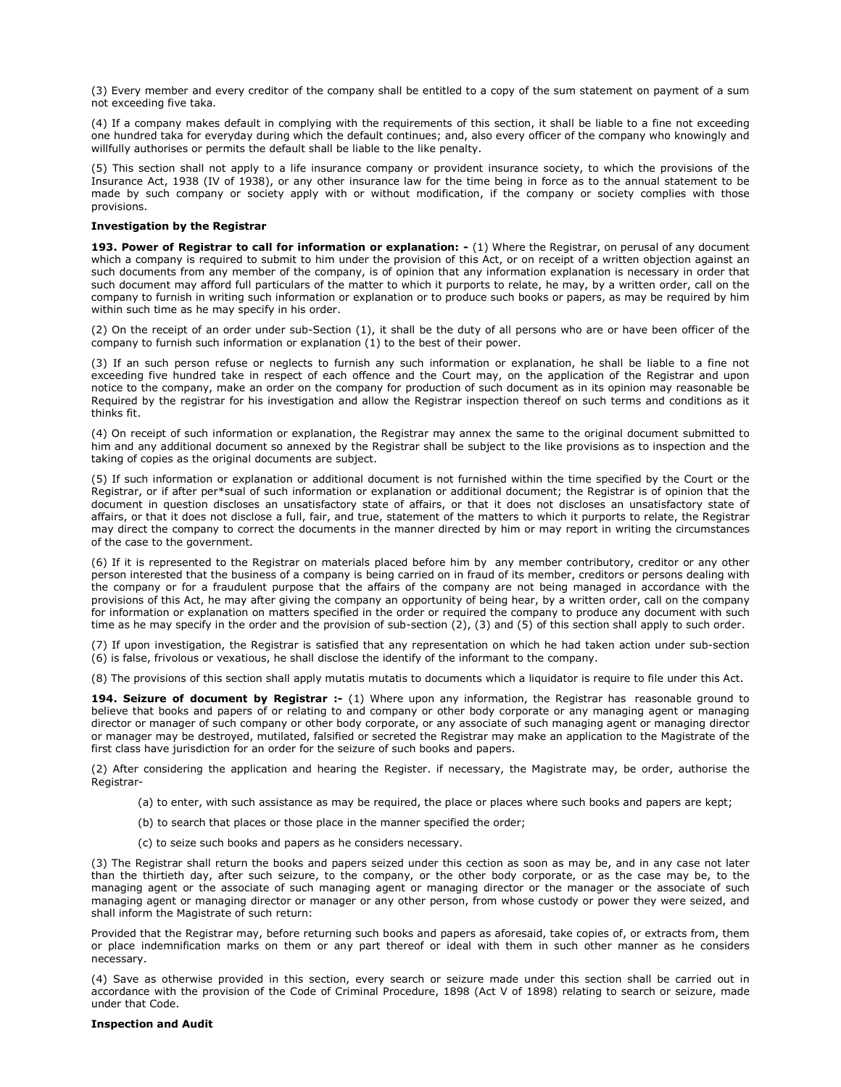(3) Every member and every creditor of the company shall be entitled to a copy of the sum statement on payment of a sum not exceeding five taka.

(4) If a company makes default in complying with the requirements of this section, it shall be liable to a fine not exceeding one hundred taka for everyday during which the default continues; and, also every officer of the company who knowingly and willfully authorises or permits the default shall be liable to the like penalty.

(5) This section shall not apply to a life insurance company or provident insurance society, to which the provisions of the Insurance Act, 1938 (IV of 1938), or any other insurance law for the time being in force as to the annual statement to be made by such company or society apply with or without modification, if the company or society complies with those provisions.

#### Investigation by the Registrar

193. Power of Registrar to call for information or explanation: - (1) Where the Registrar, on perusal of any document which a company is required to submit to him under the provision of this Act, or on receipt of a written objection against an such documents from any member of the company, is of opinion that any information explanation is necessary in order that such document may afford full particulars of the matter to which it purports to relate, he may, by a written order, call on the company to furnish in writing such information or explanation or to produce such books or papers, as may be required by him within such time as he may specify in his order.

(2) On the receipt of an order under sub-Section (1), it shall be the duty of all persons who are or have been officer of the company to furnish such information or explanation (1) to the best of their power.

(3) If an such person refuse or neglects to furnish any such information or explanation, he shall be liable to a fine not exceeding five hundred take in respect of each offence and the Court may, on the application of the Registrar and upon notice to the company, make an order on the company for production of such document as in its opinion may reasonable be Required by the registrar for his investigation and allow the Registrar inspection thereof on such terms and conditions as it thinks fit.

(4) On receipt of such information or explanation, the Registrar may annex the same to the original document submitted to him and any additional document so annexed by the Registrar shall be subject to the like provisions as to inspection and the taking of copies as the original documents are subject.

(5) If such information or explanation or additional document is not furnished within the time specified by the Court or the Registrar, or if after per\*sual of such information or explanation or additional document; the Registrar is of opinion that the document in question discloses an unsatisfactory state of affairs, or that it does not discloses an unsatisfactory state of affairs, or that it does not disclose a full, fair, and true, statement of the matters to which it purports to relate, the Registrar may direct the company to correct the documents in the manner directed by him or may report in writing the circumstances of the case to the government.

(6) If it is represented to the Registrar on materials placed before him by any member contributory, creditor or any other person interested that the business of a company is being carried on in fraud of its member, creditors or persons dealing with the company or for a fraudulent purpose that the affairs of the company are not being managed in accordance with the provisions of this Act, he may after giving the company an opportunity of being hear, by a written order, call on the company for information or explanation on matters specified in the order or required the company to produce any document with such time as he may specify in the order and the provision of sub-section (2), (3) and (5) of this section shall apply to such order.

(7) If upon investigation, the Registrar is satisfied that any representation on which he had taken action under sub-section (6) is false, frivolous or vexatious, he shall disclose the identify of the informant to the company.

(8) The provisions of this section shall apply mutatis mutatis to documents which a liquidator is require to file under this Act.

194. Seizure of document by Registrar :- (1) Where upon any information, the Registrar has reasonable ground to believe that books and papers of or relating to and company or other body corporate or any managing agent or managing director or manager of such company or other body corporate, or any associate of such managing agent or managing director or manager may be destroyed, mutilated, falsified or secreted the Registrar may make an application to the Magistrate of the first class have jurisdiction for an order for the seizure of such books and papers.

(2) After considering the application and hearing the Register. if necessary, the Magistrate may, be order, authorise the Registrar-

- (a) to enter, with such assistance as may be required, the place or places where such books and papers are kept;
- (b) to search that places or those place in the manner specified the order;
- (c) to seize such books and papers as he considers necessary.

(3) The Registrar shall return the books and papers seized under this cection as soon as may be, and in any case not later than the thirtieth day, after such seizure, to the company, or the other body corporate, or as the case may be, to the managing agent or the associate of such managing agent or managing director or the manager or the associate of such managing agent or managing director or manager or any other person, from whose custody or power they were seized, and shall inform the Magistrate of such return:

Provided that the Registrar may, before returning such books and papers as aforesaid, take copies of, or extracts from, them or place indemnification marks on them or any part thereof or ideal with them in such other manner as he considers necessary.

(4) Save as otherwise provided in this section, every search or seizure made under this section shall be carried out in accordance with the provision of the Code of Criminal Procedure, 1898 (Act V of 1898) relating to search or seizure, made under that Code.

#### Inspection and Audit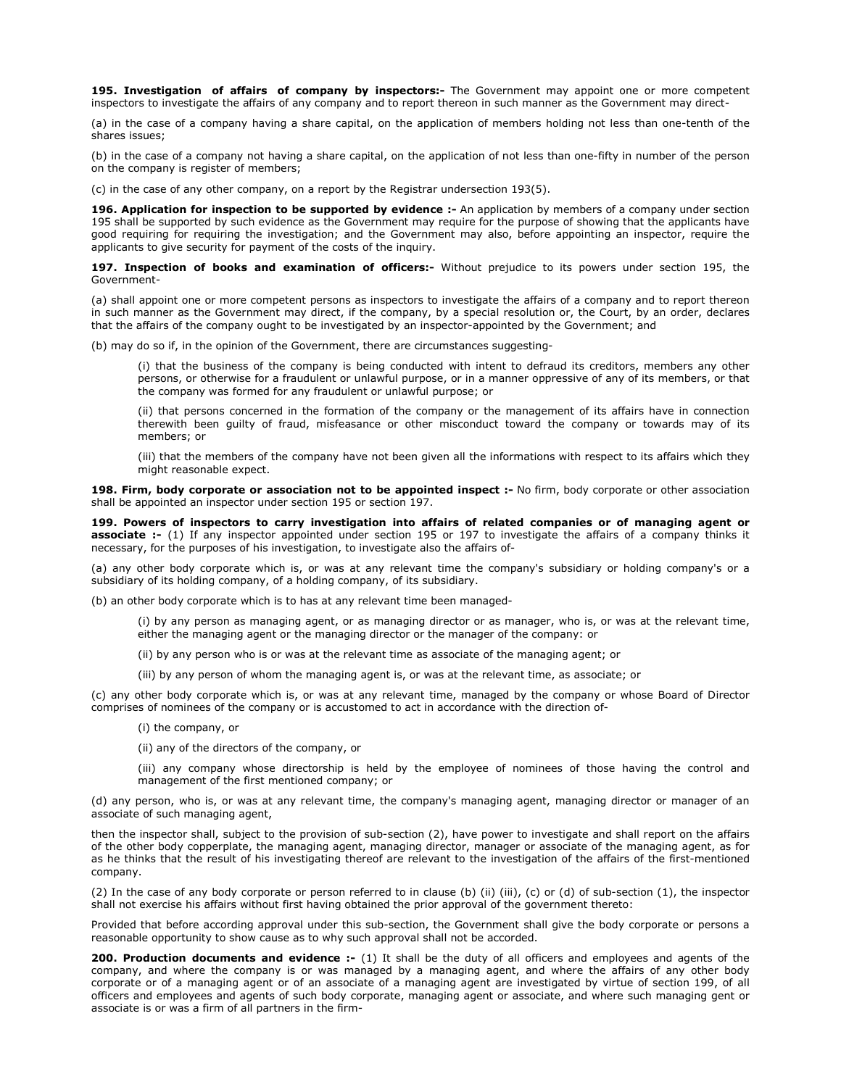195. Investigation of affairs of company by inspectors:- The Government may appoint one or more competent inspectors to investigate the affairs of any company and to report thereon in such manner as the Government may direct-

(a) in the case of a company having a share capital, on the application of members holding not less than one-tenth of the shares issues;

(b) in the case of a company not having a share capital, on the application of not less than one-fifty in number of the person on the company is register of members;

(c) in the case of any other company, on a report by the Registrar undersection 193(5).

196. Application for inspection to be supported by evidence :- An application by members of a company under section 195 shall be supported by such evidence as the Government may require for the purpose of showing that the applicants have good requiring for requiring the investigation; and the Government may also, before appointing an inspector, require the applicants to give security for payment of the costs of the inquiry.

197. Inspection of books and examination of officers:- Without prejudice to its powers under section 195, the Government-

(a) shall appoint one or more competent persons as inspectors to investigate the affairs of a company and to report thereon in such manner as the Government may direct, if the company, by a special resolution or, the Court, by an order, declares that the affairs of the company ought to be investigated by an inspector-appointed by the Government; and

(b) may do so if, in the opinion of the Government, there are circumstances suggesting-

(i) that the business of the company is being conducted with intent to defraud its creditors, members any other persons, or otherwise for a fraudulent or unlawful purpose, or in a manner oppressive of any of its members, or that the company was formed for any fraudulent or unlawful purpose; or

(ii) that persons concerned in the formation of the company or the management of its affairs have in connection therewith been guilty of fraud, misfeasance or other misconduct toward the company or towards may of its members; or

(iii) that the members of the company have not been given all the informations with respect to its affairs which they might reasonable expect.

198. Firm, body corporate or association not to be appointed inspect :- No firm, body corporate or other association shall be appointed an inspector under section 195 or section 197.

199. Powers of inspectors to carry investigation into affairs of related companies or of managing agent or **associate :-** (1) If any inspector appointed under section 195 or 197 to investigate the affairs of a company thinks it necessary, for the purposes of his investigation, to investigate also the affairs of-

(a) any other body corporate which is, or was at any relevant time the company's subsidiary or holding company's or a subsidiary of its holding company, of a holding company, of its subsidiary.

(b) an other body corporate which is to has at any relevant time been managed-

(i) by any person as managing agent, or as managing director or as manager, who is, or was at the relevant time, either the managing agent or the managing director or the manager of the company: or

(ii) by any person who is or was at the relevant time as associate of the managing agent; or

(iii) by any person of whom the managing agent is, or was at the relevant time, as associate; or

(c) any other body corporate which is, or was at any relevant time, managed by the company or whose Board of Director comprises of nominees of the company or is accustomed to act in accordance with the direction of-

- (i) the company, or
- (ii) any of the directors of the company, or

(iii) any company whose directorship is held by the employee of nominees of those having the control and management of the first mentioned company; or

(d) any person, who is, or was at any relevant time, the company's managing agent, managing director or manager of an associate of such managing agent,

then the inspector shall, subject to the provision of sub-section (2), have power to investigate and shall report on the affairs of the other body copperplate, the managing agent, managing director, manager or associate of the managing agent, as for as he thinks that the result of his investigating thereof are relevant to the investigation of the affairs of the first-mentioned company.

(2) In the case of any body corporate or person referred to in clause (b) (ii) (iii), (c) or (d) of sub-section (1), the inspector shall not exercise his affairs without first having obtained the prior approval of the government thereto:

Provided that before according approval under this sub-section, the Government shall give the body corporate or persons a reasonable opportunity to show cause as to why such approval shall not be accorded.

200. Production documents and evidence :- (1) It shall be the duty of all officers and employees and agents of the company, and where the company is or was managed by a managing agent, and where the affairs of any other body corporate or of a managing agent or of an associate of a managing agent are investigated by virtue of section 199, of all officers and employees and agents of such body corporate, managing agent or associate, and where such managing gent or associate is or was a firm of all partners in the firm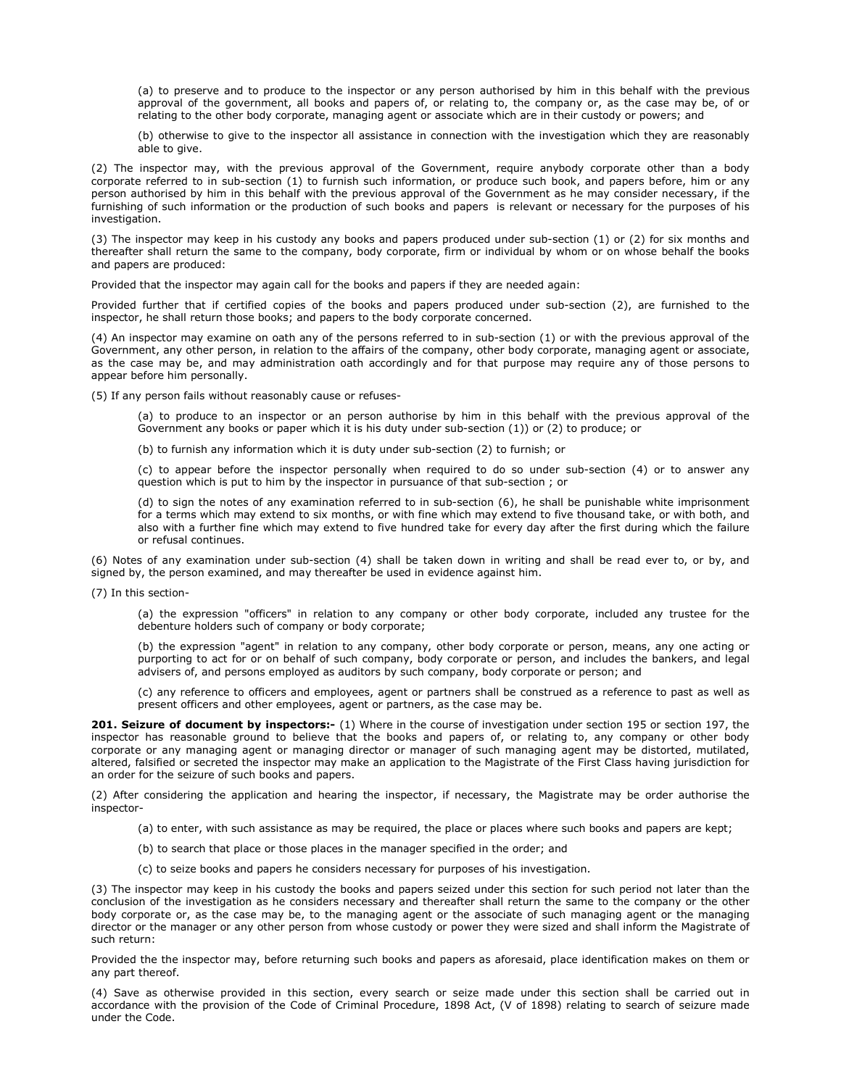(a) to preserve and to produce to the inspector or any person authorised by him in this behalf with the previous approval of the government, all books and papers of, or relating to, the company or, as the case may be, of or relating to the other body corporate, managing agent or associate which are in their custody or powers; and

(b) otherwise to give to the inspector all assistance in connection with the investigation which they are reasonably able to give.

(2) The inspector may, with the previous approval of the Government, require anybody corporate other than a body corporate referred to in sub-section (1) to furnish such information, or produce such book, and papers before, him or any person authorised by him in this behalf with the previous approval of the Government as he may consider necessary, if the furnishing of such information or the production of such books and papers is relevant or necessary for the purposes of his investigation.

(3) The inspector may keep in his custody any books and papers produced under sub-section (1) or (2) for six months and thereafter shall return the same to the company, body corporate, firm or individual by whom or on whose behalf the books and papers are produced:

Provided that the inspector may again call for the books and papers if they are needed again:

Provided further that if certified copies of the books and papers produced under sub-section (2), are furnished to the inspector, he shall return those books; and papers to the body corporate concerned.

(4) An inspector may examine on oath any of the persons referred to in sub-section (1) or with the previous approval of the Government, any other person, in relation to the affairs of the company, other body corporate, managing agent or associate, as the case may be, and may administration oath accordingly and for that purpose may require any of those persons to appear before him personally.

(5) If any person fails without reasonably cause or refuses-

(a) to produce to an inspector or an person authorise by him in this behalf with the previous approval of the Government any books or paper which it is his duty under sub-section (1)) or (2) to produce; or

(b) to furnish any information which it is duty under sub-section (2) to furnish; or

(c) to appear before the inspector personally when required to do so under sub-section (4) or to answer any question which is put to him by the inspector in pursuance of that sub-section ; or

(d) to sign the notes of any examination referred to in sub-section (6), he shall be punishable white imprisonment for a terms which may extend to six months, or with fine which may extend to five thousand take, or with both, and also with a further fine which may extend to five hundred take for every day after the first during which the failure or refusal continues.

(6) Notes of any examination under sub-section (4) shall be taken down in writing and shall be read ever to, or by, and signed by, the person examined, and may thereafter be used in evidence against him.

(7) In this section-

(a) the expression "officers" in relation to any company or other body corporate, included any trustee for the debenture holders such of company or body corporate;

(b) the expression "agent" in relation to any company, other body corporate or person, means, any one acting or purporting to act for or on behalf of such company, body corporate or person, and includes the bankers, and legal advisers of, and persons employed as auditors by such company, body corporate or person; and

(c) any reference to officers and employees, agent or partners shall be construed as a reference to past as well as present officers and other employees, agent or partners, as the case may be.

201. Seizure of document by inspectors:- (1) Where in the course of investigation under section 195 or section 197, the inspector has reasonable ground to believe that the books and papers of, or relating to, any company or other body corporate or any managing agent or managing director or manager of such managing agent may be distorted, mutilated, altered, falsified or secreted the inspector may make an application to the Magistrate of the First Class having jurisdiction for an order for the seizure of such books and papers.

(2) After considering the application and hearing the inspector, if necessary, the Magistrate may be order authorise the inspector-

- (a) to enter, with such assistance as may be required, the place or places where such books and papers are kept;
- (b) to search that place or those places in the manager specified in the order; and
- (c) to seize books and papers he considers necessary for purposes of his investigation.

(3) The inspector may keep in his custody the books and papers seized under this section for such period not later than the conclusion of the investigation as he considers necessary and thereafter shall return the same to the company or the other body corporate or, as the case may be, to the managing agent or the associate of such managing agent or the managing director or the manager or any other person from whose custody or power they were sized and shall inform the Magistrate of such return:

Provided the the inspector may, before returning such books and papers as aforesaid, place identification makes on them or any part thereof.

(4) Save as otherwise provided in this section, every search or seize made under this section shall be carried out in accordance with the provision of the Code of Criminal Procedure, 1898 Act, (V of 1898) relating to search of seizure made under the Code.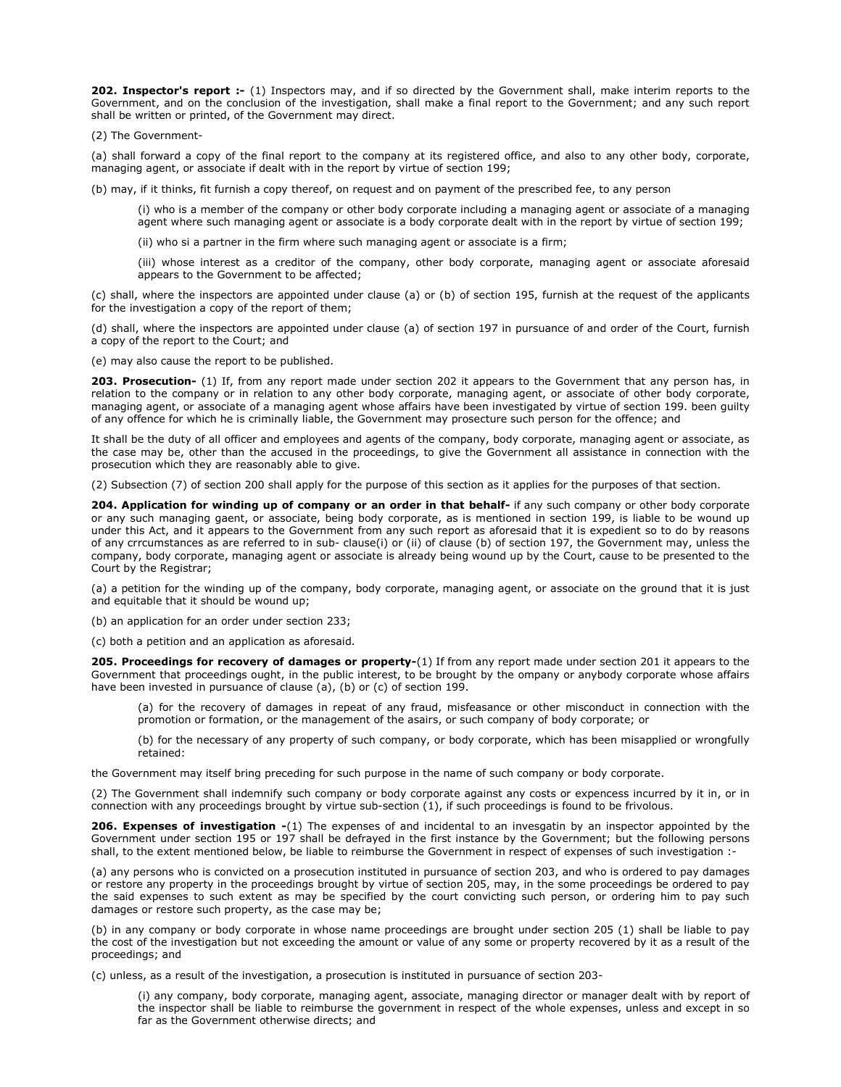202. Inspector's report :- (1) Inspectors may, and if so directed by the Government shall, make interim reports to the Government, and on the conclusion of the investigation, shall make a final report to the Government; and any such report shall be written or printed, of the Government may direct.

(2) The Government-

(a) shall forward a copy of the final report to the company at its registered office, and also to any other body, corporate, managing agent, or associate if dealt with in the report by virtue of section 199;

(b) may, if it thinks, fit furnish a copy thereof, on request and on payment of the prescribed fee, to any person

(i) who is a member of the company or other body corporate including a managing agent or associate of a managing agent where such managing agent or associate is a body corporate dealt with in the report by virtue of section 199;

(ii) who si a partner in the firm where such managing agent or associate is a firm;

(iii) whose interest as a creditor of the company, other body corporate, managing agent or associate aforesaid appears to the Government to be affected;

(c) shall, where the inspectors are appointed under clause (a) or (b) of section 195, furnish at the request of the applicants for the investigation a copy of the report of them;

(d) shall, where the inspectors are appointed under clause (a) of section 197 in pursuance of and order of the Court, furnish a copy of the report to the Court; and

(e) may also cause the report to be published.

203. Prosecution- (1) If, from any report made under section 202 it appears to the Government that any person has, in relation to the company or in relation to any other body corporate, managing agent, or associate of other body corporate, managing agent, or associate of a managing agent whose affairs have been investigated by virtue of section 199. been guilty of any offence for which he is criminally liable, the Government may prosecture such person for the offence; and

It shall be the duty of all officer and employees and agents of the company, body corporate, managing agent or associate, as the case may be, other than the accused in the proceedings, to give the Government all assistance in connection with the prosecution which they are reasonably able to give.

(2) Subsection (7) of section 200 shall apply for the purpose of this section as it applies for the purposes of that section.

204. Application for winding up of company or an order in that behalf- if any such company or other body corporate or any such managing gaent, or associate, being body corporate, as is mentioned in section 199, is liable to be wound up under this Act, and it appears to the Government from any such report as aforesaid that it is expedient so to do by reasons of any crrcumstances as are referred to in sub- clause(i) or (ii) of clause (b) of section 197, the Government may, unless the company, body corporate, managing agent or associate is already being wound up by the Court, cause to be presented to the Court by the Registrar;

(a) a petition for the winding up of the company, body corporate, managing agent, or associate on the ground that it is just and equitable that it should be wound up;

(b) an application for an order under section 233;

(c) both a petition and an application as aforesaid.

205. Proceedings for recovery of damages or property-(1) If from any report made under section 201 it appears to the Government that proceedings ought, in the public interest, to be brought by the ompany or anybody corporate whose affairs have been invested in pursuance of clause (a), (b) or (c) of section 199.

(a) for the recovery of damages in repeat of any fraud, misfeasance or other misconduct in connection with the promotion or formation, or the management of the asairs, or such company of body corporate; or

(b) for the necessary of any property of such company, or body corporate, which has been misapplied or wrongfully retained:

the Government may itself bring preceding for such purpose in the name of such company or body corporate.

(2) The Government shall indemnify such company or body corporate against any costs or expencess incurred by it in, or in connection with any proceedings brought by virtue sub-section (1), if such proceedings is found to be frivolous.

206. Expenses of investigation  $-(1)$  The expenses of and incidental to an invesgatin by an inspector appointed by the Government under section 195 or 197 shall be defrayed in the first instance by the Government; but the following persons shall, to the extent mentioned below, be liable to reimburse the Government in respect of expenses of such investigation :-

(a) any persons who is convicted on a prosecution instituted in pursuance of section 203, and who is ordered to pay damages or restore any property in the proceedings brought by virtue of section 205, may, in the some proceedings be ordered to pay the said expenses to such extent as may be specified by the court convicting such person, or ordering him to pay such damages or restore such property, as the case may be;

(b) in any company or body corporate in whose name proceedings are brought under section 205 (1) shall be liable to pay the cost of the investigation but not exceeding the amount or value of any some or property recovered by it as a result of the proceedings; and

(c) unless, as a result of the investigation, a prosecution is instituted in pursuance of section 203-

(i) any company, body corporate, managing agent, associate, managing director or manager dealt with by report of the inspector shall be liable to reimburse the government in respect of the whole expenses, unless and except in so far as the Government otherwise directs; and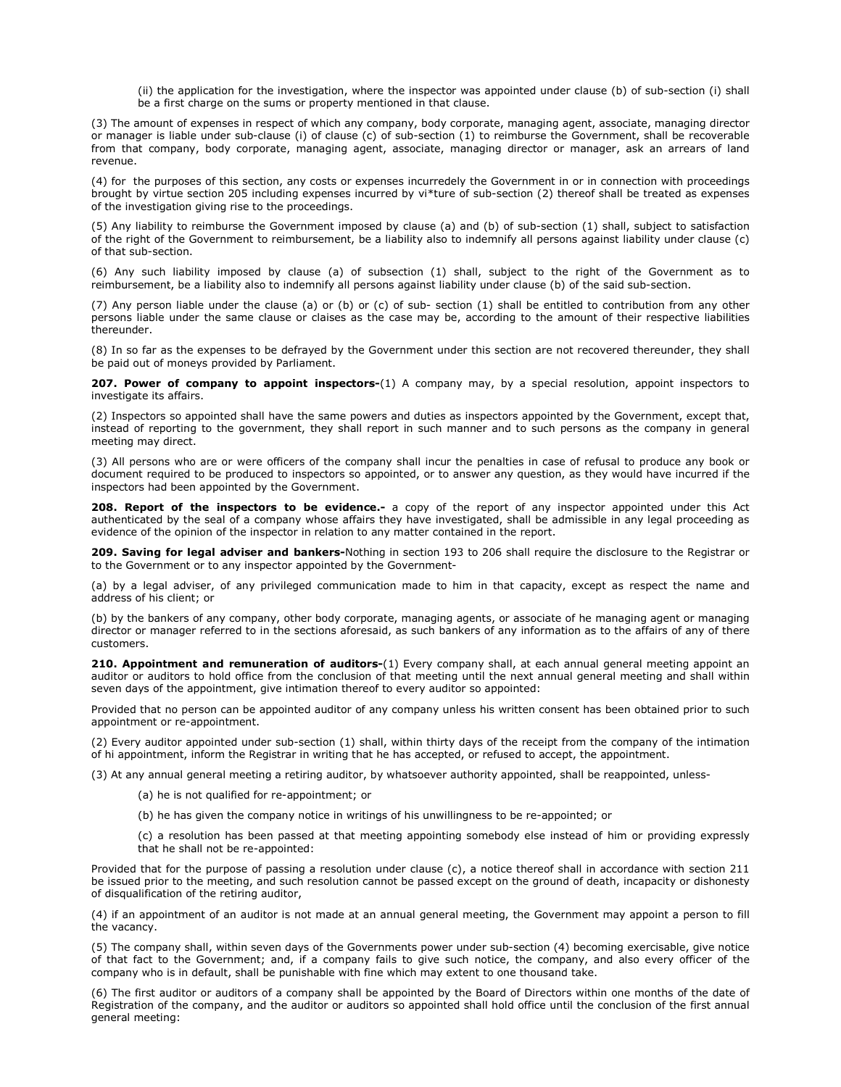(ii) the application for the investigation, where the inspector was appointed under clause (b) of sub-section (i) shall be a first charge on the sums or property mentioned in that clause.

(3) The amount of expenses in respect of which any company, body corporate, managing agent, associate, managing director or manager is liable under sub-clause (i) of clause (c) of sub-section (1) to reimburse the Government, shall be recoverable from that company, body corporate, managing agent, associate, managing director or manager, ask an arrears of land revenue.

(4) for the purposes of this section, any costs or expenses incurredely the Government in or in connection with proceedings brought by virtue section 205 including expenses incurred by vi\*ture of sub-section (2) thereof shall be treated as expenses of the investigation giving rise to the proceedings.

(5) Any liability to reimburse the Government imposed by clause (a) and (b) of sub-section (1) shall, subject to satisfaction of the right of the Government to reimbursement, be a liability also to indemnify all persons against liability under clause (c) of that sub-section.

(6) Any such liability imposed by clause (a) of subsection (1) shall, subject to the right of the Government as to reimbursement, be a liability also to indemnify all persons against liability under clause (b) of the said sub-section.

(7) Any person liable under the clause (a) or (b) or (c) of sub- section (1) shall be entitled to contribution from any other persons liable under the same clause or claises as the case may be, according to the amount of their respective liabilities thereunder.

(8) In so far as the expenses to be defrayed by the Government under this section are not recovered thereunder, they shall be paid out of moneys provided by Parliament.

207. Power of company to appoint inspectors-(1) A company may, by a special resolution, appoint inspectors to investigate its affairs.

(2) Inspectors so appointed shall have the same powers and duties as inspectors appointed by the Government, except that, instead of reporting to the government, they shall report in such manner and to such persons as the company in general meeting may direct.

(3) All persons who are or were officers of the company shall incur the penalties in case of refusal to produce any book or document required to be produced to inspectors so appointed, or to answer any question, as they would have incurred if the inspectors had been appointed by the Government.

208. Report of the inspectors to be evidence.- a copy of the report of any inspector appointed under this Act authenticated by the seal of a company whose affairs they have investigated, shall be admissible in any legal proceeding as evidence of the opinion of the inspector in relation to any matter contained in the report.

209. Saving for legal adviser and bankers-Nothing in section 193 to 206 shall require the disclosure to the Registrar or to the Government or to any inspector appointed by the Government-

(a) by a legal adviser, of any privileged communication made to him in that capacity, except as respect the name and address of his client; or

(b) by the bankers of any company, other body corporate, managing agents, or associate of he managing agent or managing director or manager referred to in the sections aforesaid, as such bankers of any information as to the affairs of any of there customers.

210. Appointment and remuneration of auditors-(1) Every company shall, at each annual general meeting appoint an auditor or auditors to hold office from the conclusion of that meeting until the next annual general meeting and shall within seven days of the appointment, give intimation thereof to every auditor so appointed:

Provided that no person can be appointed auditor of any company unless his written consent has been obtained prior to such appointment or re-appointment.

(2) Every auditor appointed under sub-section (1) shall, within thirty days of the receipt from the company of the intimation of hi appointment, inform the Registrar in writing that he has accepted, or refused to accept, the appointment.

(3) At any annual general meeting a retiring auditor, by whatsoever authority appointed, shall be reappointed, unless-

- (a) he is not qualified for re-appointment; or
- (b) he has given the company notice in writings of his unwillingness to be re-appointed; or

(c) a resolution has been passed at that meeting appointing somebody else instead of him or providing expressly that he shall not be re-appointed:

Provided that for the purpose of passing a resolution under clause (c), a notice thereof shall in accordance with section 211 be issued prior to the meeting, and such resolution cannot be passed except on the ground of death, incapacity or dishonesty of disqualification of the retiring auditor,

(4) if an appointment of an auditor is not made at an annual general meeting, the Government may appoint a person to fill the vacancy.

(5) The company shall, within seven days of the Governments power under sub-section (4) becoming exercisable, give notice of that fact to the Government; and, if a company fails to give such notice, the company, and also every officer of the company who is in default, shall be punishable with fine which may extent to one thousand take.

(6) The first auditor or auditors of a company shall be appointed by the Board of Directors within one months of the date of Registration of the company, and the auditor or auditors so appointed shall hold office until the conclusion of the first annual general meeting: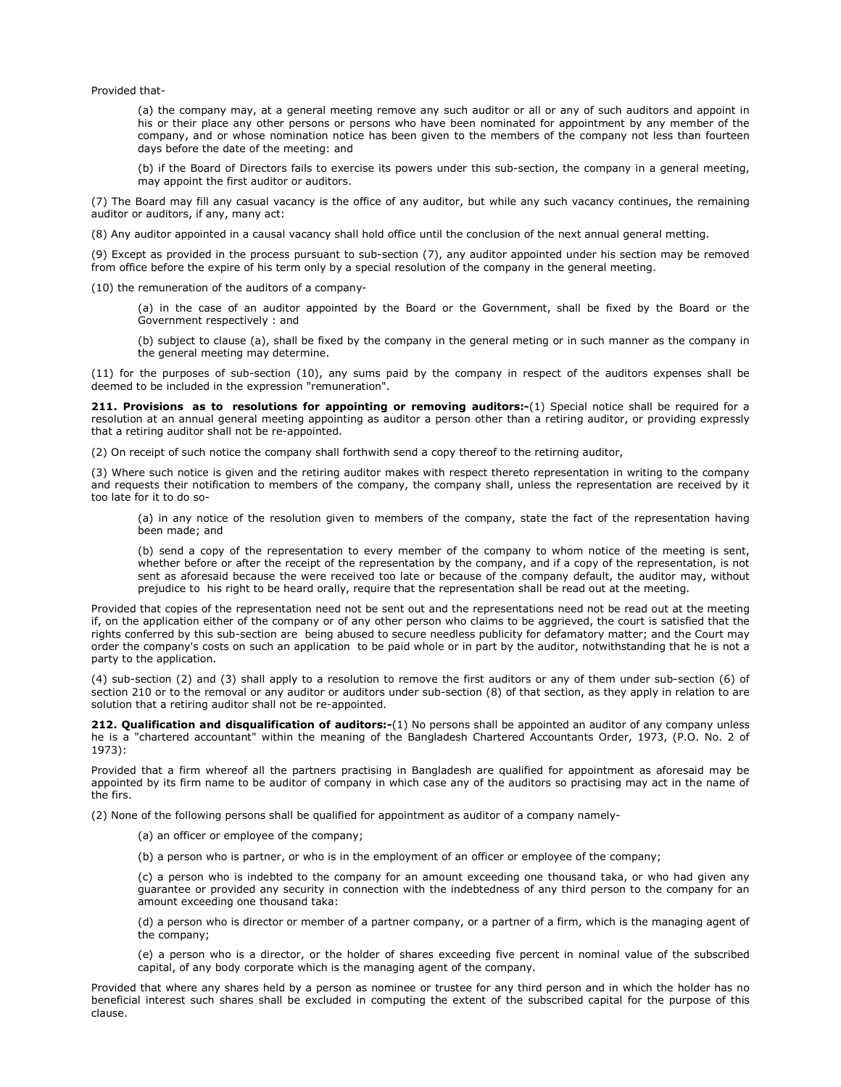Provided that-

(a) the company may, at a general meeting remove any such auditor or all or any of such auditors and appoint in his or their place any other persons or persons who have been nominated for appointment by any member of the company, and or whose nomination notice has been given to the members of the company not less than fourteen days before the date of the meeting: and

(b) if the Board of Directors fails to exercise its powers under this sub-section, the company in a general meeting, may appoint the first auditor or auditors.

(7) The Board may fill any casual vacancy is the office of any auditor, but while any such vacancy continues, the remaining auditor or auditors, if any, many act:

(8) Any auditor appointed in a causal vacancy shall hold office until the conclusion of the next annual general metting.

(9) Except as provided in the process pursuant to sub-section (7), any auditor appointed under his section may be removed from office before the expire of his term only by a special resolution of the company in the general meeting.

(10) the remuneration of the auditors of a company-

(a) in the case of an auditor appointed by the Board or the Government, shall be fixed by the Board or the Government respectively : and

(b) subject to clause (a), shall be fixed by the company in the general meting or in such manner as the company in the general meeting may determine.

(11) for the purposes of sub-section (10), any sums paid by the company in respect of the auditors expenses shall be deemed to be included in the expression "remuneration".

211. Provisions as to resolutions for appointing or removing auditors:-(1) Special notice shall be required for a resolution at an annual general meeting appointing as auditor a person other than a retiring auditor, or providing expressly that a retiring auditor shall not be re-appointed.

(2) On receipt of such notice the company shall forthwith send a copy thereof to the retirning auditor,

(3) Where such notice is given and the retiring auditor makes with respect thereto representation in writing to the company and requests their notification to members of the company, the company shall, unless the representation are received by it too late for it to do so-

(a) in any notice of the resolution given to members of the company, state the fact of the representation having been made; and

(b) send a copy of the representation to every member of the company to whom notice of the meeting is sent, whether before or after the receipt of the representation by the company, and if a copy of the representation, is not sent as aforesaid because the were received too late or because of the company default, the auditor may, without prejudice to his right to be heard orally, require that the representation shall be read out at the meeting.

Provided that copies of the representation need not be sent out and the representations need not be read out at the meeting if, on the application either of the company or of any other person who claims to be aggrieved, the court is satisfied that the rights conferred by this sub-section are being abused to secure needless publicity for defamatory matter; and the Court may order the company's costs on such an application to be paid whole or in part by the auditor, notwithstanding that he is not a party to the application.

(4) sub-section (2) and (3) shall apply to a resolution to remove the first auditors or any of them under sub-section (6) of section 210 or to the removal or any auditor or auditors under sub-section (8) of that section, as they apply in relation to are solution that a retiring auditor shall not be re-appointed.

212. Qualification and disqualification of auditors:-(1) No persons shall be appointed an auditor of any company unless he is a "chartered accountant" within the meaning of the Bangladesh Chartered Accountants Order, 1973, (P.O. No. 2 of 1973):

Provided that a firm whereof all the partners practising in Bangladesh are qualified for appointment as aforesaid may be appointed by its firm name to be auditor of company in which case any of the auditors so practising may act in the name of the firs.

(2) None of the following persons shall be qualified for appointment as auditor of a company namely-

(a) an officer or employee of the company;

(b) a person who is partner, or who is in the employment of an officer or employee of the company;

(c) a person who is indebted to the company for an amount exceeding one thousand taka, or who had given any guarantee or provided any security in connection with the indebtedness of any third person to the company for an amount exceeding one thousand taka:

(d) a person who is director or member of a partner company, or a partner of a firm, which is the managing agent of the company;

(e) a person who is a director, or the holder of shares exceeding five percent in nominal value of the subscribed capital, of any body corporate which is the managing agent of the company.

Provided that where any shares held by a person as nominee or trustee for any third person and in which the holder has no beneficial interest such shares shall be excluded in computing the extent of the subscribed capital for the purpose of this clause.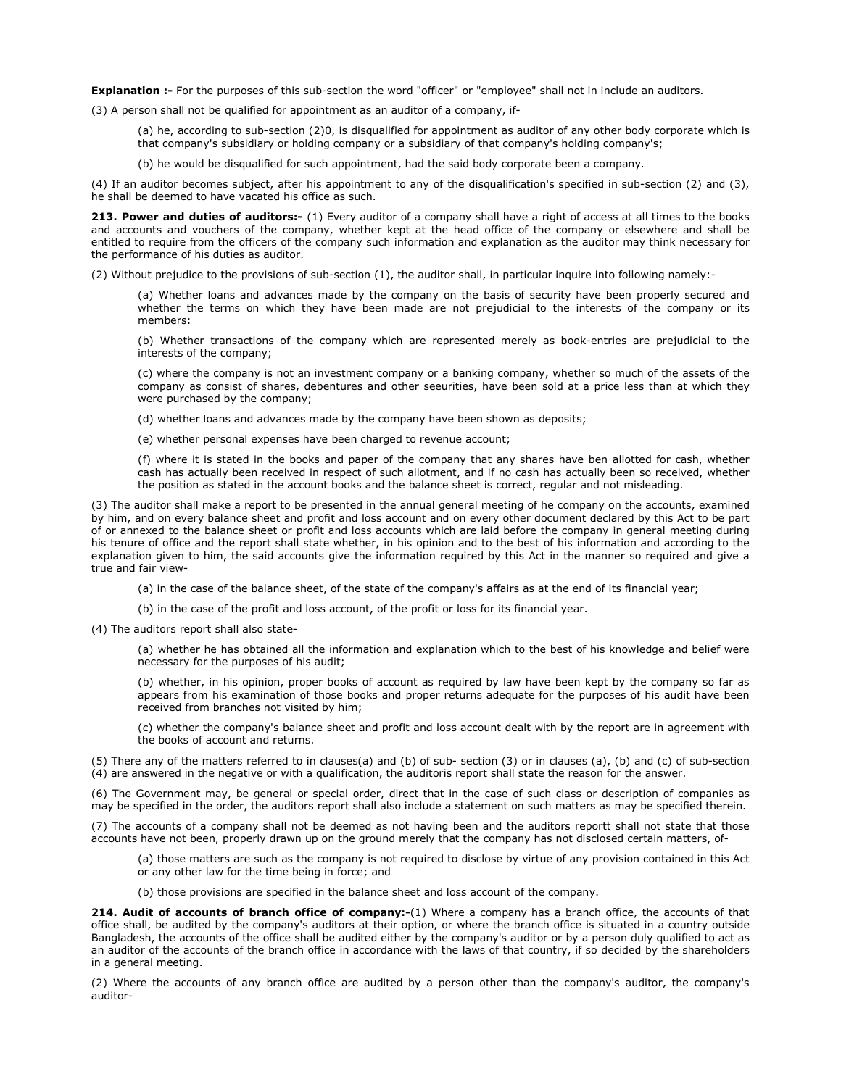**Explanation :-** For the purposes of this sub-section the word "officer" or "employee" shall not in include an auditors.

(3) A person shall not be qualified for appointment as an auditor of a company, if-

(a) he, according to sub-section (2)0, is disqualified for appointment as auditor of any other body corporate which is that company's subsidiary or holding company or a subsidiary of that company's holding company's;

(b) he would be disqualified for such appointment, had the said body corporate been a company.

(4) If an auditor becomes subject, after his appointment to any of the disqualification's specified in sub-section (2) and (3), he shall be deemed to have vacated his office as such.

213. Power and duties of auditors:- (1) Every auditor of a company shall have a right of access at all times to the books and accounts and vouchers of the company, whether kept at the head office of the company or elsewhere and shall be entitled to require from the officers of the company such information and explanation as the auditor may think necessary for the performance of his duties as auditor.

(2) Without prejudice to the provisions of sub-section (1), the auditor shall, in particular inquire into following namely:-

(a) Whether loans and advances made by the company on the basis of security have been properly secured and whether the terms on which they have been made are not prejudicial to the interests of the company or its members:

(b) Whether transactions of the company which are represented merely as book-entries are prejudicial to the interests of the company;

(c) where the company is not an investment company or a banking company, whether so much of the assets of the company as consist of shares, debentures and other seeurities, have been sold at a price less than at which they were purchased by the company;

(d) whether loans and advances made by the company have been shown as deposits;

(e) whether personal expenses have been charged to revenue account;

(f) where it is stated in the books and paper of the company that any shares have ben allotted for cash, whether cash has actually been received in respect of such allotment, and if no cash has actually been so received, whether the position as stated in the account books and the balance sheet is correct, regular and not misleading.

(3) The auditor shall make a report to be presented in the annual general meeting of he company on the accounts, examined by him, and on every balance sheet and profit and loss account and on every other document declared by this Act to be part of or annexed to the balance sheet or profit and loss accounts which are laid before the company in general meeting during his tenure of office and the report shall state whether, in his opinion and to the best of his information and according to the explanation given to him, the said accounts give the information required by this Act in the manner so required and give a true and fair view-

(a) in the case of the balance sheet, of the state of the company's affairs as at the end of its financial year;

(b) in the case of the profit and loss account, of the profit or loss for its financial year.

(4) The auditors report shall also state-

(a) whether he has obtained all the information and explanation which to the best of his knowledge and belief were necessary for the purposes of his audit;

(b) whether, in his opinion, proper books of account as required by law have been kept by the company so far as appears from his examination of those books and proper returns adequate for the purposes of his audit have been received from branches not visited by him;

(c) whether the company's balance sheet and profit and loss account dealt with by the report are in agreement with the books of account and returns.

(5) There any of the matters referred to in clauses(a) and (b) of sub- section (3) or in clauses (a), (b) and (c) of sub-section (4) are answered in the negative or with a qualification, the auditoris report shall state the reason for the answer.

(6) The Government may, be general or special order, direct that in the case of such class or description of companies as may be specified in the order, the auditors report shall also include a statement on such matters as may be specified therein.

(7) The accounts of a company shall not be deemed as not having been and the auditors reportt shall not state that those accounts have not been, properly drawn up on the ground merely that the company has not disclosed certain matters, of-

(a) those matters are such as the company is not required to disclose by virtue of any provision contained in this Act or any other law for the time being in force; and

(b) those provisions are specified in the balance sheet and loss account of the company.

214. Audit of accounts of branch office of company:-(1) Where a company has a branch office, the accounts of that office shall, be audited by the company's auditors at their option, or where the branch office is situated in a country outside Bangladesh, the accounts of the office shall be audited either by the company's auditor or by a person duly qualified to act as an auditor of the accounts of the branch office in accordance with the laws of that country, if so decided by the shareholders in a general meeting.

(2) Where the accounts of any branch office are audited by a person other than the company's auditor, the company's auditor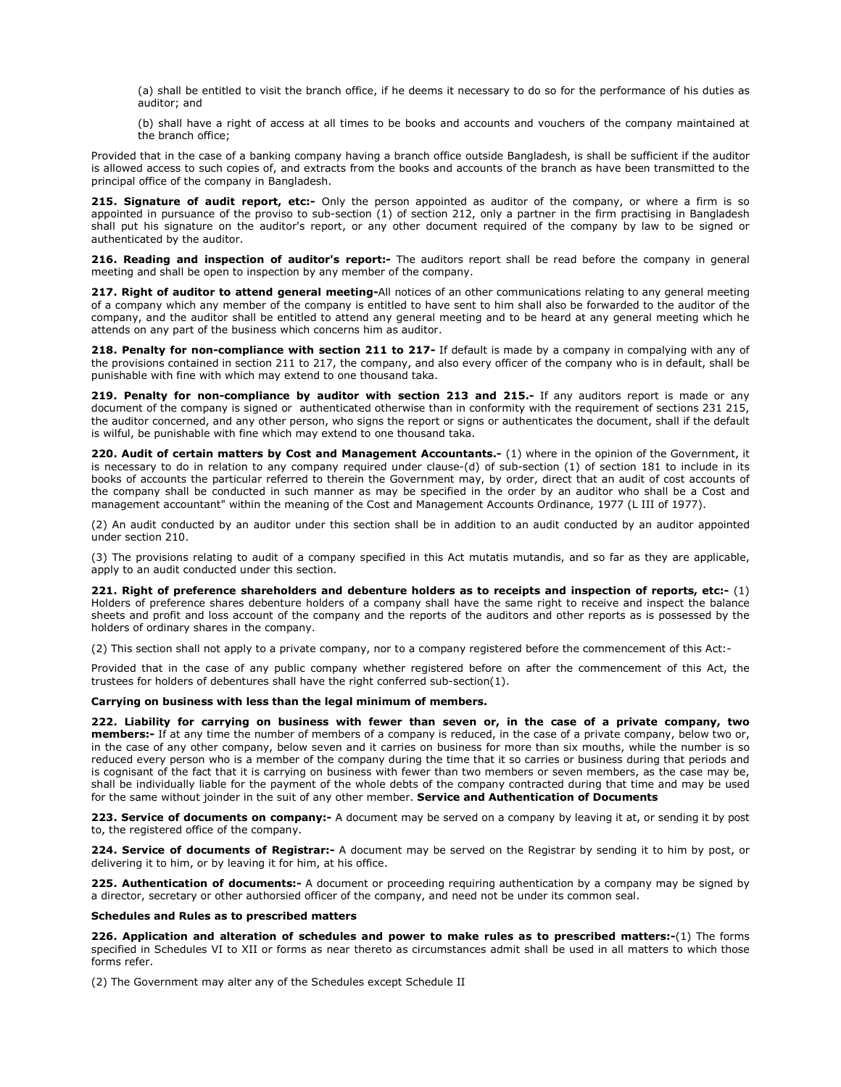(a) shall be entitled to visit the branch office, if he deems it necessary to do so for the performance of his duties as auditor; and

(b) shall have a right of access at all times to be books and accounts and vouchers of the company maintained at the branch office;

Provided that in the case of a banking company having a branch office outside Bangladesh, is shall be sufficient if the auditor is allowed access to such copies of, and extracts from the books and accounts of the branch as have been transmitted to the principal office of the company in Bangladesh.

215. Signature of audit report, etc:- Only the person appointed as auditor of the company, or where a firm is so appointed in pursuance of the proviso to sub-section (1) of section 212, only a partner in the firm practising in Bangladesh shall put his signature on the auditor's report, or any other document required of the company by law to be signed or authenticated by the auditor.

216. Reading and inspection of auditor's report:- The auditors report shall be read before the company in general meeting and shall be open to inspection by any member of the company.

217. Right of auditor to attend general meeting-All notices of an other communications relating to any general meeting of a company which any member of the company is entitled to have sent to him shall also be forwarded to the auditor of the company, and the auditor shall be entitled to attend any general meeting and to be heard at any general meeting which he attends on any part of the business which concerns him as auditor.

218. Penalty for non-compliance with section 211 to 217- If default is made by a company in compalying with any of the provisions contained in section 211 to 217, the company, and also every officer of the company who is in default, shall be punishable with fine with which may extend to one thousand taka.

219. Penalty for non-compliance by auditor with section 213 and 215.- If any auditors report is made or any document of the company is signed or authenticated otherwise than in conformity with the requirement of sections 231 215, the auditor concerned, and any other person, who signs the report or signs or authenticates the document, shall if the default is wilful, be punishable with fine which may extend to one thousand taka.

220. Audit of certain matters by Cost and Management Accountants.- (1) where in the opinion of the Government, it is necessary to do in relation to any company required under clause-(d) of sub-section (1) of section 181 to include in its books of accounts the particular referred to therein the Government may, by order, direct that an audit of cost accounts of the company shall be conducted in such manner as may be specified in the order by an auditor who shall be a Cost and management accountant" within the meaning of the Cost and Management Accounts Ordinance, 1977 (L III of 1977).

(2) An audit conducted by an auditor under this section shall be in addition to an audit conducted by an auditor appointed under section 210.

(3) The provisions relating to audit of a company specified in this Act mutatis mutandis, and so far as they are applicable, apply to an audit conducted under this section.

221. Right of preference shareholders and debenture holders as to receipts and inspection of reports, etc:-  $(1)$ Holders of preference shares debenture holders of a company shall have the same right to receive and inspect the balance sheets and profit and loss account of the company and the reports of the auditors and other reports as is possessed by the holders of ordinary shares in the company.

(2) This section shall not apply to a private company, nor to a company registered before the commencement of this Act:-

Provided that in the case of any public company whether registered before on after the commencement of this Act, the trustees for holders of debentures shall have the right conferred sub-section(1).

Carrying on business with less than the legal minimum of members.

222. Liability for carrying on business with fewer than seven or, in the case of a private company, two members:- If at any time the number of members of a company is reduced, in the case of a private company, below two or, in the case of any other company, below seven and it carries on business for more than six mouths, while the number is so reduced every person who is a member of the company during the time that it so carries or business during that periods and is cognisant of the fact that it is carrying on business with fewer than two members or seven members, as the case may be, shall be individually liable for the payment of the whole debts of the company contracted during that time and may be used for the same without joinder in the suit of any other member. Service and Authentication of Documents

223. Service of documents on company:- A document may be served on a company by leaving it at, or sending it by post to, the registered office of the company.

224. Service of documents of Registrar:- A document may be served on the Registrar by sending it to him by post, or delivering it to him, or by leaving it for him, at his office.

225. Authentication of documents:- A document or proceeding requiring authentication by a company may be signed by a director, secretary or other authorsied officer of the company, and need not be under its common seal.

Schedules and Rules as to prescribed matters

226. Application and alteration of schedules and power to make rules as to prescribed matters:-(1) The forms specified in Schedules VI to XII or forms as near thereto as circumstances admit shall be used in all matters to which those forms refer.

(2) The Government may alter any of the Schedules except Schedule II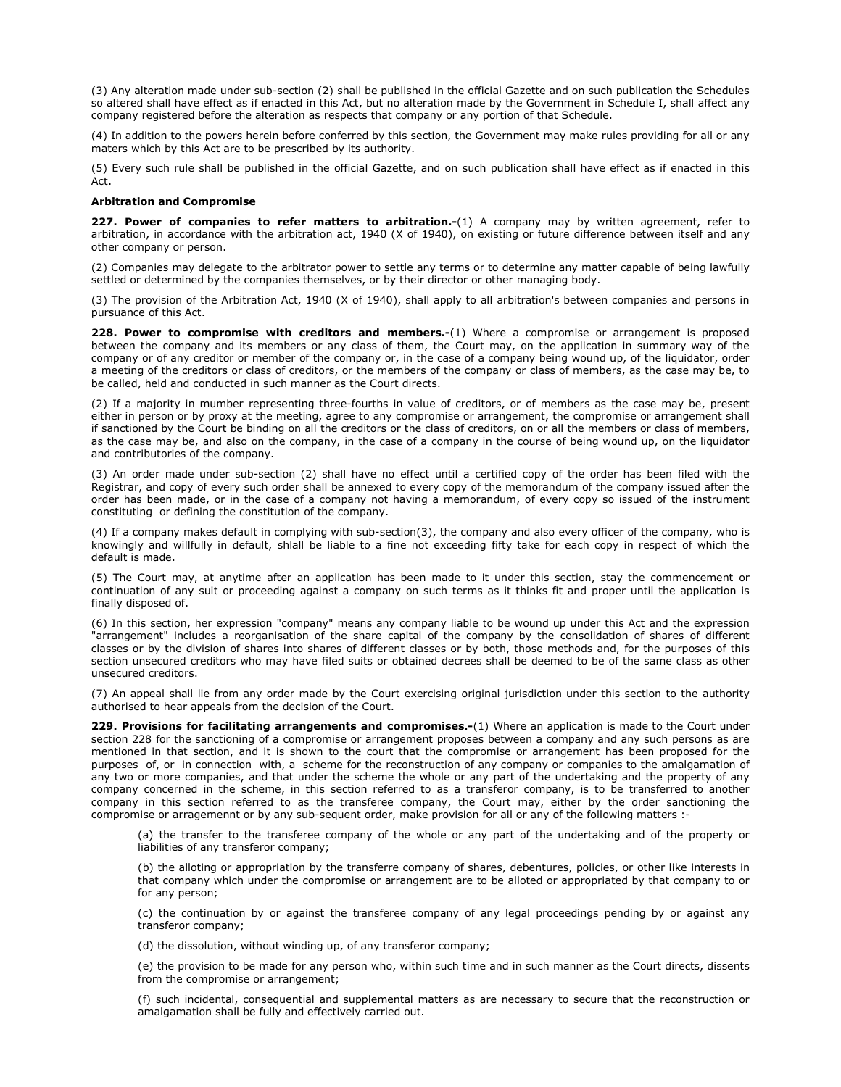(3) Any alteration made under sub-section (2) shall be published in the official Gazette and on such publication the Schedules so altered shall have effect as if enacted in this Act, but no alteration made by the Government in Schedule I, shall affect any company registered before the alteration as respects that company or any portion of that Schedule.

(4) In addition to the powers herein before conferred by this section, the Government may make rules providing for all or any maters which by this Act are to be prescribed by its authority.

(5) Every such rule shall be published in the official Gazette, and on such publication shall have effect as if enacted in this Act.

#### Arbitration and Compromise

227. Power of companies to refer matters to arbitration.-(1) A company may by written agreement, refer to arbitration, in accordance with the arbitration act, 1940 (X of 1940), on existing or future difference between itself and any other company or person.

(2) Companies may delegate to the arbitrator power to settle any terms or to determine any matter capable of being lawfully settled or determined by the companies themselves, or by their director or other managing body.

(3) The provision of the Arbitration Act, 1940 (X of 1940), shall apply to all arbitration's between companies and persons in pursuance of this Act.

228. Power to compromise with creditors and members.-(1) Where a compromise or arrangement is proposed between the company and its members or any class of them, the Court may, on the application in summary way of the company or of any creditor or member of the company or, in the case of a company being wound up, of the liquidator, order a meeting of the creditors or class of creditors, or the members of the company or class of members, as the case may be, to be called, held and conducted in such manner as the Court directs.

(2) If a majority in mumber representing three-fourths in value of creditors, or of members as the case may be, present either in person or by proxy at the meeting, agree to any compromise or arrangement, the compromise or arrangement shall if sanctioned by the Court be binding on all the creditors or the class of creditors, on or all the members or class of members, as the case may be, and also on the company, in the case of a company in the course of being wound up, on the liquidator and contributories of the company.

(3) An order made under sub-section (2) shall have no effect until a certified copy of the order has been filed with the Registrar, and copy of every such order shall be annexed to every copy of the memorandum of the company issued after the order has been made, or in the case of a company not having a memorandum, of every copy so issued of the instrument constituting or defining the constitution of the company.

(4) If a company makes default in complying with sub-section(3), the company and also every officer of the company, who is knowingly and willfully in default, shlall be liable to a fine not exceeding fifty take for each copy in respect of which the default is made.

(5) The Court may, at anytime after an application has been made to it under this section, stay the commencement or continuation of any suit or proceeding against a company on such terms as it thinks fit and proper until the application is finally disposed of.

(6) In this section, her expression "company" means any company liable to be wound up under this Act and the expression "arrangement" includes a reorganisation of the share capital of the company by the consolidation of shares of different classes or by the division of shares into shares of different classes or by both, those methods and, for the purposes of this section unsecured creditors who may have filed suits or obtained decrees shall be deemed to be of the same class as other unsecured creditors.

(7) An appeal shall lie from any order made by the Court exercising original jurisdiction under this section to the authority authorised to hear appeals from the decision of the Court.

229. Provisions for facilitating arrangements and compromises.-(1) Where an application is made to the Court under section 228 for the sanctioning of a compromise or arrangement proposes between a company and any such persons as are mentioned in that section, and it is shown to the court that the compromise or arrangement has been proposed for the purposes of, or in connection with, a scheme for the reconstruction of any company or companies to the amalgamation of any two or more companies, and that under the scheme the whole or any part of the undertaking and the property of any company concerned in the scheme, in this section referred to as a transferor company, is to be transferred to another company in this section referred to as the transferee company, the Court may, either by the order sanctioning the compromise or arragemennt or by any sub-sequent order, make provision for all or any of the following matters :-

(a) the transfer to the transferee company of the whole or any part of the undertaking and of the property or liabilities of any transferor company;

(b) the alloting or appropriation by the transferre company of shares, debentures, policies, or other like interests in that company which under the compromise or arrangement are to be alloted or appropriated by that company to or for any person;

(c) the continuation by or against the transferee company of any legal proceedings pending by or against any transferor company;

(d) the dissolution, without winding up, of any transferor company;

(e) the provision to be made for any person who, within such time and in such manner as the Court directs, dissents from the compromise or arrangement;

(f) such incidental, consequential and supplemental matters as are necessary to secure that the reconstruction or amalgamation shall be fully and effectively carried out.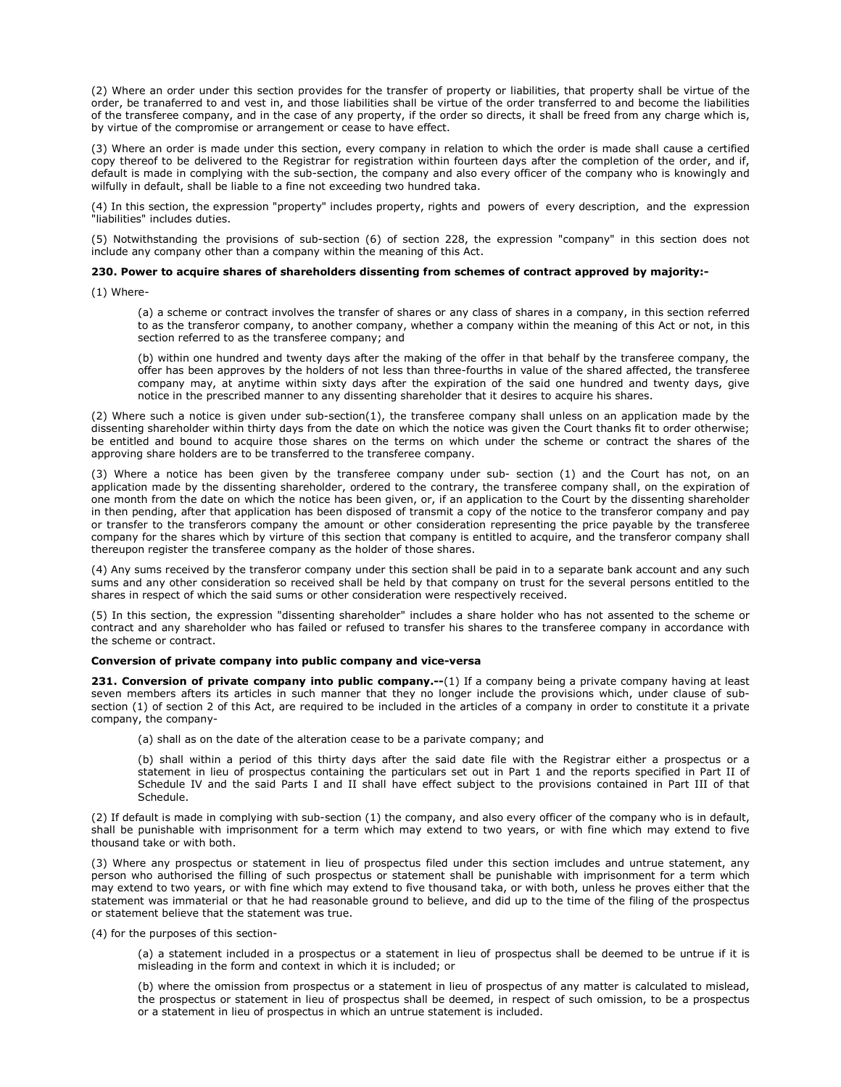(2) Where an order under this section provides for the transfer of property or liabilities, that property shall be virtue of the order, be tranaferred to and vest in, and those liabilities shall be virtue of the order transferred to and become the liabilities of the transferee company, and in the case of any property, if the order so directs, it shall be freed from any charge which is, by virtue of the compromise or arrangement or cease to have effect.

(3) Where an order is made under this section, every company in relation to which the order is made shall cause a certified copy thereof to be delivered to the Registrar for registration within fourteen days after the completion of the order, and if, default is made in complying with the sub-section, the company and also every officer of the company who is knowingly and wilfully in default, shall be liable to a fine not exceeding two hundred taka.

(4) In this section, the expression "property" includes property, rights and powers of every description, and the expression "liabilities" includes duties.

(5) Notwithstanding the provisions of sub-section (6) of section 228, the expression "company" in this section does not include any company other than a company within the meaning of this Act.

## 230. Power to acquire shares of shareholders dissenting from schemes of contract approved by majority:-

(1) Where-

(a) a scheme or contract involves the transfer of shares or any class of shares in a company, in this section referred to as the transferor company, to another company, whether a company within the meaning of this Act or not, in this section referred to as the transferee company; and

(b) within one hundred and twenty days after the making of the offer in that behalf by the transferee company, the offer has been approves by the holders of not less than three-fourths in value of the shared affected, the transferee company may, at anytime within sixty days after the expiration of the said one hundred and twenty days, give notice in the prescribed manner to any dissenting shareholder that it desires to acquire his shares.

(2) Where such a notice is given under sub-section(1), the transferee company shall unless on an application made by the dissenting shareholder within thirty days from the date on which the notice was given the Court thanks fit to order otherwise; be entitled and bound to acquire those shares on the terms on which under the scheme or contract the shares of the approving share holders are to be transferred to the transferee company.

(3) Where a notice has been given by the transferee company under sub- section (1) and the Court has not, on an application made by the dissenting shareholder, ordered to the contrary, the transferee company shall, on the expiration of one month from the date on which the notice has been given, or, if an application to the Court by the dissenting shareholder in then pending, after that application has been disposed of transmit a copy of the notice to the transferor company and pay or transfer to the transferors company the amount or other consideration representing the price payable by the transferee company for the shares which by virture of this section that company is entitled to acquire, and the transferor company shall thereupon register the transferee company as the holder of those shares.

(4) Any sums received by the transferor company under this section shall be paid in to a separate bank account and any such sums and any other consideration so received shall be held by that company on trust for the several persons entitled to the shares in respect of which the said sums or other consideration were respectively received.

(5) In this section, the expression "dissenting shareholder" includes a share holder who has not assented to the scheme or contract and any shareholder who has failed or refused to transfer his shares to the transferee company in accordance with the scheme or contract.

### Conversion of private company into public company and vice-versa

231. Conversion of private company into public company.--(1) If a company being a private company having at least seven members afters its articles in such manner that they no longer include the provisions which, under clause of subsection (1) of section 2 of this Act, are required to be included in the articles of a company in order to constitute it a private company, the company-

(a) shall as on the date of the alteration cease to be a parivate company; and

(b) shall within a period of this thirty days after the said date file with the Registrar either a prospectus or a statement in lieu of prospectus containing the particulars set out in Part 1 and the reports specified in Part II of Schedule IV and the said Parts I and II shall have effect subject to the provisions contained in Part III of that Schedule.

(2) If default is made in complying with sub-section (1) the company, and also every officer of the company who is in default, shall be punishable with imprisonment for a term which may extend to two years, or with fine which may extend to five thousand take or with both.

(3) Where any prospectus or statement in lieu of prospectus filed under this section imcludes and untrue statement, any person who authorised the filling of such prospectus or statement shall be punishable with imprisonment for a term which may extend to two years, or with fine which may extend to five thousand taka, or with both, unless he proves either that the statement was immaterial or that he had reasonable ground to believe, and did up to the time of the filing of the prospectus or statement believe that the statement was true.

(4) for the purposes of this section-

(a) a statement included in a prospectus or a statement in lieu of prospectus shall be deemed to be untrue if it is misleading in the form and context in which it is included; or

(b) where the omission from prospectus or a statement in lieu of prospectus of any matter is calculated to mislead, the prospectus or statement in lieu of prospectus shall be deemed, in respect of such omission, to be a prospectus or a statement in lieu of prospectus in which an untrue statement is included.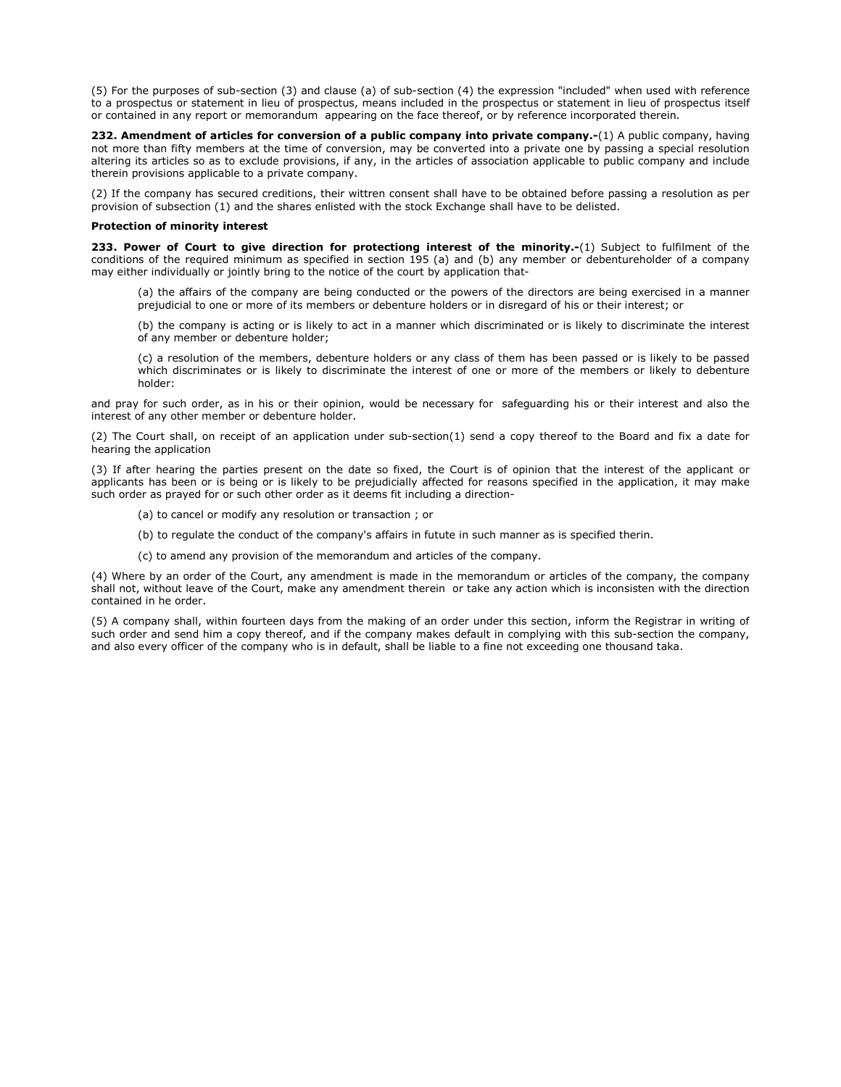(5) For the purposes of sub-section (3) and clause (a) of sub-section (4) the expression "included" when used with reference to a prospectus or statement in lieu of prospectus, means included in the prospectus or statement in lieu of prospectus itself or contained in any report or memorandum appearing on the face thereof, or by reference incorporated therein.

232. Amendment of articles for conversion of a public company into private company.-(1) A public company, having not more than fifty members at the time of conversion, may be converted into a private one by passing a special resolution altering its articles so as to exclude provisions, if any, in the articles of association applicable to public company and include therein provisions applicable to a private company.

(2) If the company has secured creditions, their wittren consent shall have to be obtained before passing a resolution as per provision of subsection (1) and the shares enlisted with the stock Exchange shall have to be delisted.

#### Protection of minority interest

233. Power of Court to give direction for protectiong interest of the minority.-(1) Subject to fulfilment of the conditions of the required minimum as specified in section 195 (a) and (b) any member or debentureholder of a company may either individually or jointly bring to the notice of the court by application that-

(a) the affairs of the company are being conducted or the powers of the directors are being exercised in a manner prejudicial to one or more of its members or debenture holders or in disregard of his or their interest; or

(b) the company is acting or is likely to act in a manner which discriminated or is likely to discriminate the interest of any member or debenture holder;

(c) a resolution of the members, debenture holders or any class of them has been passed or is likely to be passed which discriminates or is likely to discriminate the interest of one or more of the members or likely to debenture holder:

and pray for such order, as in his or their opinion, would be necessary for safeguarding his or their interest and also the interest of any other member or debenture holder.

(2) The Court shall, on receipt of an application under sub-section(1) send a copy thereof to the Board and fix a date for hearing the application

(3) If after hearing the parties present on the date so fixed, the Court is of opinion that the interest of the applicant or applicants has been or is being or is likely to be prejudicially affected for reasons specified in the application, it may make such order as prayed for or such other order as it deems fit including a direction-

- (a) to cancel or modify any resolution or transaction ; or
- (b) to regulate the conduct of the company's affairs in futute in such manner as is specified therin.
- (c) to amend any provision of the memorandum and articles of the company.

(4) Where by an order of the Court, any amendment is made in the memorandum or articles of the company, the company shall not, without leave of the Court, make any amendment therein or take any action which is inconsisten with the direction contained in he order.

(5) A company shall, within fourteen days from the making of an order under this section, inform the Registrar in writing of such order and send him a copy thereof, and if the company makes default in complying with this sub-section the company, and also every officer of the company who is in default, shall be liable to a fine not exceeding one thousand taka.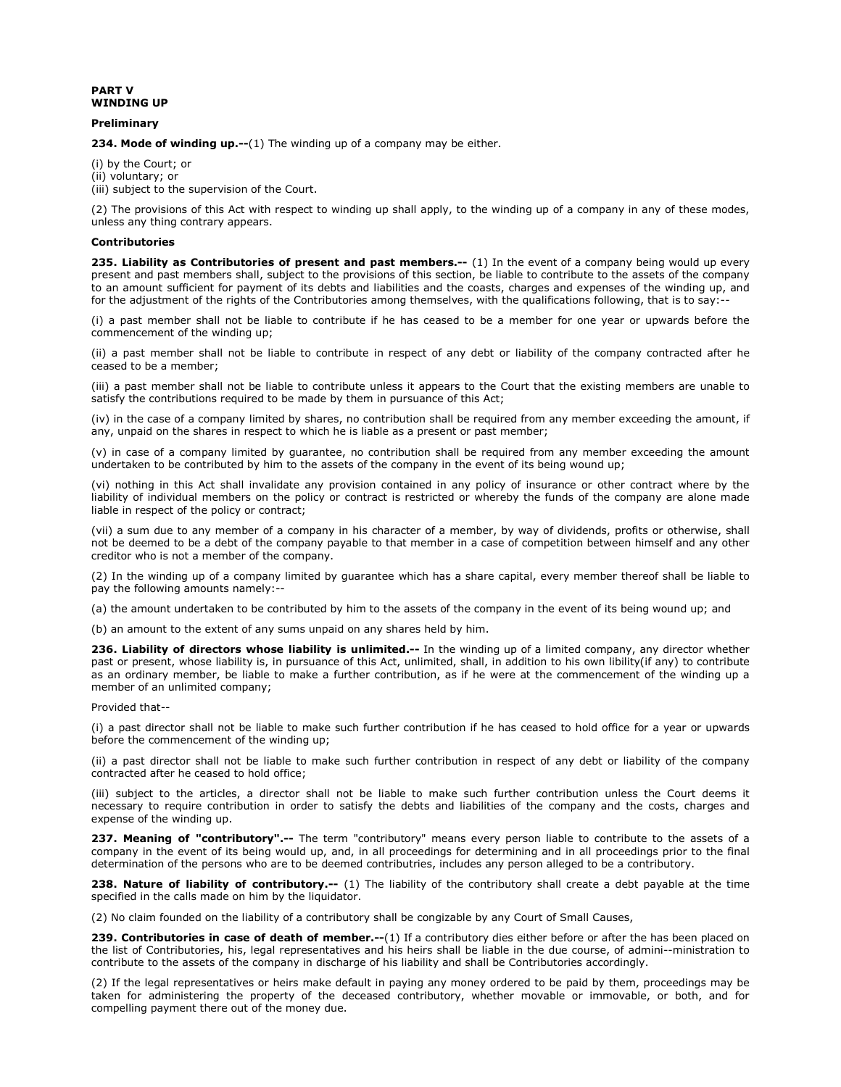# PART V WINDING UP

## Preliminary

**234. Mode of winding up.--** $(1)$  The winding up of a company may be either.

(i) by the Court; or (ii) voluntary; or (iii) subject to the supervision of the Court.

(2) The provisions of this Act with respect to winding up shall apply, to the winding up of a company in any of these modes, unless any thing contrary appears.

### Contributories

235. Liability as Contributories of present and past members.-- (1) In the event of a company being would up every present and past members shall, subject to the provisions of this section, be liable to contribute to the assets of the company to an amount sufficient for payment of its debts and liabilities and the coasts, charges and expenses of the winding up, and for the adjustment of the rights of the Contributories among themselves, with the qualifications following, that is to say:--

(i) a past member shall not be liable to contribute if he has ceased to be a member for one year or upwards before the commencement of the winding up;

(ii) a past member shall not be liable to contribute in respect of any debt or liability of the company contracted after he ceased to be a member;

(iii) a past member shall not be liable to contribute unless it appears to the Court that the existing members are unable to satisfy the contributions required to be made by them in pursuance of this Act;

(iv) in the case of a company limited by shares, no contribution shall be required from any member exceeding the amount, if any, unpaid on the shares in respect to which he is liable as a present or past member;

(v) in case of a company limited by guarantee, no contribution shall be required from any member exceeding the amount undertaken to be contributed by him to the assets of the company in the event of its being wound up;

(vi) nothing in this Act shall invalidate any provision contained in any policy of insurance or other contract where by the liability of individual members on the policy or contract is restricted or whereby the funds of the company are alone made liable in respect of the policy or contract;

(vii) a sum due to any member of a company in his character of a member, by way of dividends, profits or otherwise, shall not be deemed to be a debt of the company payable to that member in a case of competition between himself and any other creditor who is not a member of the company.

(2) In the winding up of a company limited by guarantee which has a share capital, every member thereof shall be liable to pay the following amounts namely:--

(a) the amount undertaken to be contributed by him to the assets of the company in the event of its being wound up; and

(b) an amount to the extent of any sums unpaid on any shares held by him.

236. Liability of directors whose liability is unlimited.-- In the winding up of a limited company, any director whether past or present, whose liability is, in pursuance of this Act, unlimited, shall, in addition to his own libility(if any) to contribute as an ordinary member, be liable to make a further contribution, as if he were at the commencement of the winding up a member of an unlimited company;

Provided that--

(i) a past director shall not be liable to make such further contribution if he has ceased to hold office for a year or upwards before the commencement of the winding up;

(ii) a past director shall not be liable to make such further contribution in respect of any debt or liability of the company contracted after he ceased to hold office;

(iii) subject to the articles, a director shall not be liable to make such further contribution unless the Court deems it necessary to require contribution in order to satisfy the debts and liabilities of the company and the costs, charges and expense of the winding up.

237. Meaning of "contributory".-- The term "contributory" means every person liable to contribute to the assets of a company in the event of its being would up, and, in all proceedings for determining and in all proceedings prior to the final determination of the persons who are to be deemed contributries, includes any person alleged to be a contributory.

238. Nature of liability of contributory .-- (1) The liability of the contributory shall create a debt payable at the time specified in the calls made on him by the liquidator.

(2) No claim founded on the liability of a contributory shall be congizable by any Court of Small Causes,

239. Contributories in case of death of member.--(1) If a contributory dies either before or after the has been placed on the list of Contributories, his, legal representatives and his heirs shall be liable in the due course, of admini--ministration to contribute to the assets of the company in discharge of his liability and shall be Contributories accordingly.

(2) If the legal representatives or heirs make default in paying any money ordered to be paid by them, proceedings may be taken for administering the property of the deceased contributory, whether movable or immovable, or both, and for compelling payment there out of the money due.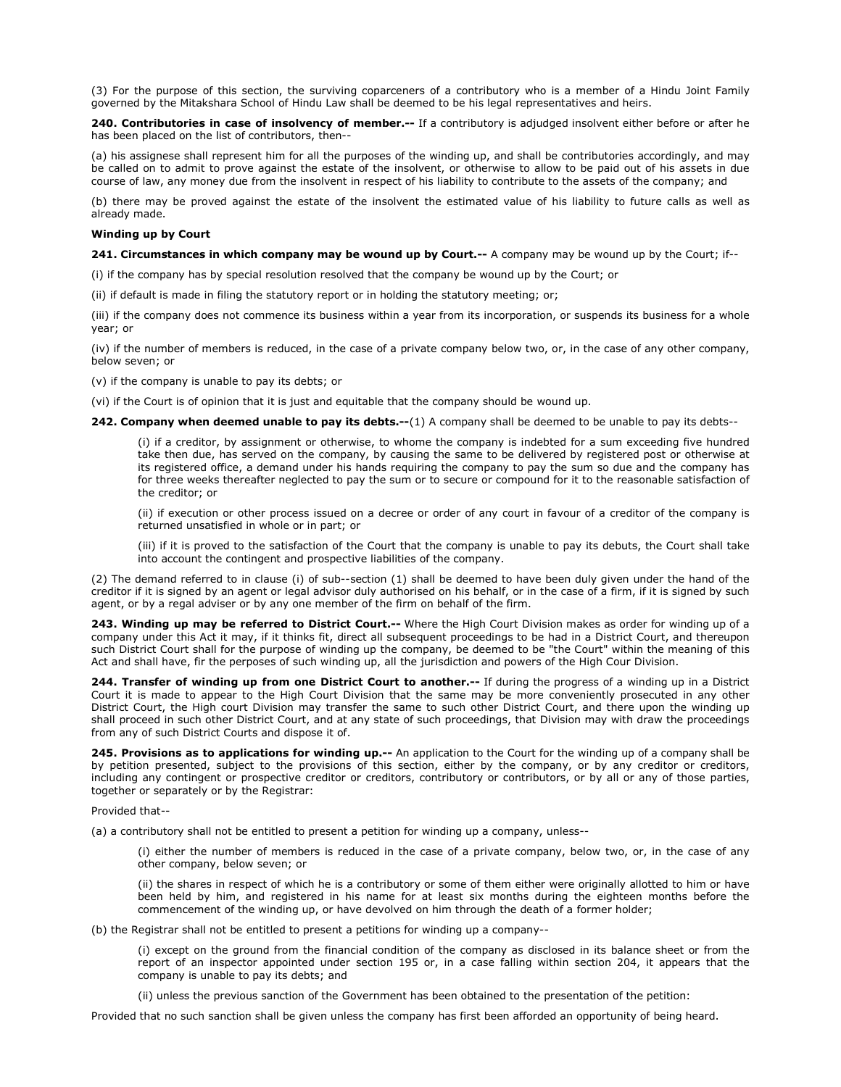(3) For the purpose of this section, the surviving coparceners of a contributory who is a member of a Hindu Joint Family governed by the Mitakshara School of Hindu Law shall be deemed to be his legal representatives and heirs.

240. Contributories in case of insolvency of member.-- If a contributory is adjudged insolvent either before or after he has been placed on the list of contributors, then--

(a) his assignese shall represent him for all the purposes of the winding up, and shall be contributories accordingly, and may be called on to admit to prove against the estate of the insolvent, or otherwise to allow to be paid out of his assets in due course of law, any money due from the insolvent in respect of his liability to contribute to the assets of the company; and

(b) there may be proved against the estate of the insolvent the estimated value of his liability to future calls as well as already made.

## Winding up by Court

241. Circumstances in which company may be wound up by Court.-- A company may be wound up by the Court; if--

(i) if the company has by special resolution resolved that the company be wound up by the Court; or

(ii) if default is made in filing the statutory report or in holding the statutory meeting; or;

(iii) if the company does not commence its business within a year from its incorporation, or suspends its business for a whole year; or

(iv) if the number of members is reduced, in the case of a private company below two, or, in the case of any other company, below seven; or

(v) if the company is unable to pay its debts; or

(vi) if the Court is of opinion that it is just and equitable that the company should be wound up.

242. Company when deemed unable to pay its debts.--(1) A company shall be deemed to be unable to pay its debts--

(i) if a creditor, by assignment or otherwise, to whome the company is indebted for a sum exceeding five hundred take then due, has served on the company, by causing the same to be delivered by registered post or otherwise at its registered office, a demand under his hands requiring the company to pay the sum so due and the company has for three weeks thereafter neglected to pay the sum or to secure or compound for it to the reasonable satisfaction of the creditor; or

(ii) if execution or other process issued on a decree or order of any court in favour of a creditor of the company is returned unsatisfied in whole or in part; or

(iii) if it is proved to the satisfaction of the Court that the company is unable to pay its debuts, the Court shall take into account the contingent and prospective liabilities of the company.

(2) The demand referred to in clause (i) of sub--section (1) shall be deemed to have been duly given under the hand of the creditor if it is signed by an agent or legal advisor duly authorised on his behalf, or in the case of a firm, if it is signed by such agent, or by a regal adviser or by any one member of the firm on behalf of the firm.

243. Winding up may be referred to District Court.-- Where the High Court Division makes as order for winding up of a company under this Act it may, if it thinks fit, direct all subsequent proceedings to be had in a District Court, and thereupon such District Court shall for the purpose of winding up the company, be deemed to be "the Court" within the meaning of this Act and shall have, fir the perposes of such winding up, all the jurisdiction and powers of the High Cour Division.

244. Transfer of winding up from one District Court to another.-- If during the progress of a winding up in a District Court it is made to appear to the High Court Division that the same may be more conveniently prosecuted in any other District Court, the High court Division may transfer the same to such other District Court, and there upon the winding up shall proceed in such other District Court, and at any state of such proceedings, that Division may with draw the proceedings from any of such District Courts and dispose it of.

245. Provisions as to applications for winding up.-- An application to the Court for the winding up of a company shall be by petition presented, subject to the provisions of this section, either by the company, or by any creditor or creditors, including any contingent or prospective creditor or creditors, contributory or contributors, or by all or any of those parties, together or separately or by the Registrar:

Provided that--

(a) a contributory shall not be entitled to present a petition for winding up a company, unless--

(i) either the number of members is reduced in the case of a private company, below two, or, in the case of any other company, below seven; or

(ii) the shares in respect of which he is a contributory or some of them either were originally allotted to him or have been held by him, and registered in his name for at least six months during the eighteen months before the commencement of the winding up, or have devolved on him through the death of a former holder;

(b) the Registrar shall not be entitled to present a petitions for winding up a company--

(i) except on the ground from the financial condition of the company as disclosed in its balance sheet or from the report of an inspector appointed under section 195 or, in a case falling within section 204, it appears that the company is unable to pay its debts; and

(ii) unless the previous sanction of the Government has been obtained to the presentation of the petition:

Provided that no such sanction shall be given unless the company has first been afforded an opportunity of being heard.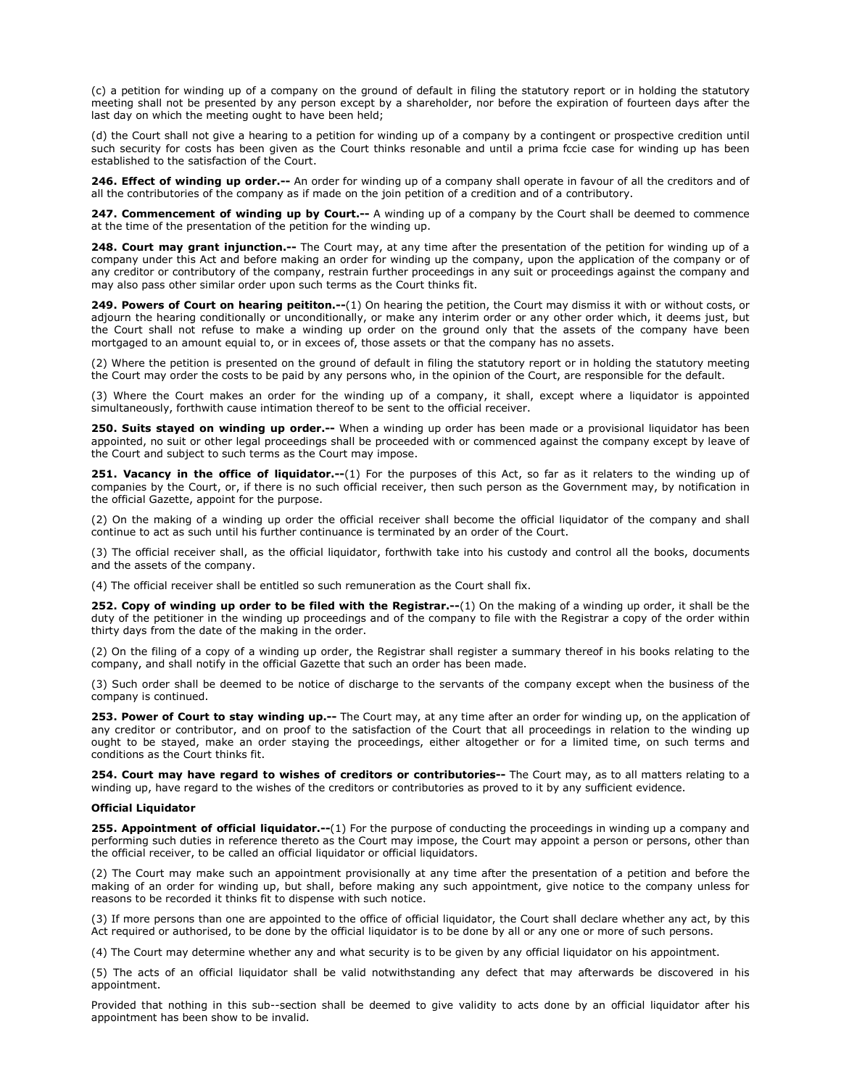(c) a petition for winding up of a company on the ground of default in filing the statutory report or in holding the statutory meeting shall not be presented by any person except by a shareholder, nor before the expiration of fourteen days after the last day on which the meeting ought to have been held;

(d) the Court shall not give a hearing to a petition for winding up of a company by a contingent or prospective credition until such security for costs has been given as the Court thinks resonable and until a prima fccie case for winding up has been established to the satisfaction of the Court.

246. Effect of winding up order.-- An order for winding up of a company shall operate in favour of all the creditors and of all the contributories of the company as if made on the join petition of a credition and of a contributory.

247. Commencement of winding up by Court.-- A winding up of a company by the Court shall be deemed to commence at the time of the presentation of the petition for the winding up.

248. Court may grant injunction.-- The Court may, at any time after the presentation of the petition for winding up of a company under this Act and before making an order for winding up the company, upon the application of the company or of any creditor or contributory of the company, restrain further proceedings in any suit or proceedings against the company and may also pass other similar order upon such terms as the Court thinks fit.

249. Powers of Court on hearing peititon.--(1) On hearing the petition, the Court may dismiss it with or without costs, or adjourn the hearing conditionally or unconditionally, or make any interim order or any other order which, it deems just, but the Court shall not refuse to make a winding up order on the ground only that the assets of the company have been mortgaged to an amount equial to, or in excees of, those assets or that the company has no assets.

(2) Where the petition is presented on the ground of default in filing the statutory report or in holding the statutory meeting the Court may order the costs to be paid by any persons who, in the opinion of the Court, are responsible for the default.

(3) Where the Court makes an order for the winding up of a company, it shall, except where a liquidator is appointed simultaneously, forthwith cause intimation thereof to be sent to the official receiver.

250. Suits stayed on winding up order.-- When a winding up order has been made or a provisional liquidator has been appointed, no suit or other legal proceedings shall be proceeded with or commenced against the company except by leave of the Court and subject to such terms as the Court may impose.

251. Vacancy in the office of liquidator.--(1) For the purposes of this Act, so far as it relaters to the winding up of companies by the Court, or, if there is no such official receiver, then such person as the Government may, by notification in the official Gazette, appoint for the purpose.

(2) On the making of a winding up order the official receiver shall become the official liquidator of the company and shall continue to act as such until his further continuance is terminated by an order of the Court.

(3) The official receiver shall, as the official liquidator, forthwith take into his custody and control all the books, documents and the assets of the company.

(4) The official receiver shall be entitled so such remuneration as the Court shall fix.

252. Copy of winding up order to be filed with the Registrar.--(1) On the making of a winding up order, it shall be the duty of the petitioner in the winding up proceedings and of the company to file with the Registrar a copy of the order within thirty days from the date of the making in the order.

(2) On the filing of a copy of a winding up order, the Registrar shall register a summary thereof in his books relating to the company, and shall notify in the official Gazette that such an order has been made.

(3) Such order shall be deemed to be notice of discharge to the servants of the company except when the business of the company is continued.

253. Power of Court to stay winding up.-- The Court may, at any time after an order for winding up, on the application of any creditor or contributor, and on proof to the satisfaction of the Court that all proceedings in relation to the winding up ought to be stayed, make an order staying the proceedings, either altogether or for a limited time, on such terms and conditions as the Court thinks fit.

254. Court may have regard to wishes of creditors or contributories-- The Court may, as to all matters relating to a winding up, have regard to the wishes of the creditors or contributories as proved to it by any sufficient evidence.

## Official Liquidator

255. Appointment of official liquidator.--(1) For the purpose of conducting the proceedings in winding up a company and performing such duties in reference thereto as the Court may impose, the Court may appoint a person or persons, other than the official receiver, to be called an official liquidator or official liquidators.

(2) The Court may make such an appointment provisionally at any time after the presentation of a petition and before the making of an order for winding up, but shall, before making any such appointment, give notice to the company unless for reasons to be recorded it thinks fit to dispense with such notice.

(3) If more persons than one are appointed to the office of official liquidator, the Court shall declare whether any act, by this Act required or authorised, to be done by the official liquidator is to be done by all or any one or more of such persons.

(4) The Court may determine whether any and what security is to be given by any official liquidator on his appointment.

(5) The acts of an official liquidator shall be valid notwithstanding any defect that may afterwards be discovered in his appointment.

Provided that nothing in this sub--section shall be deemed to give validity to acts done by an official liquidator after his appointment has been show to be invalid.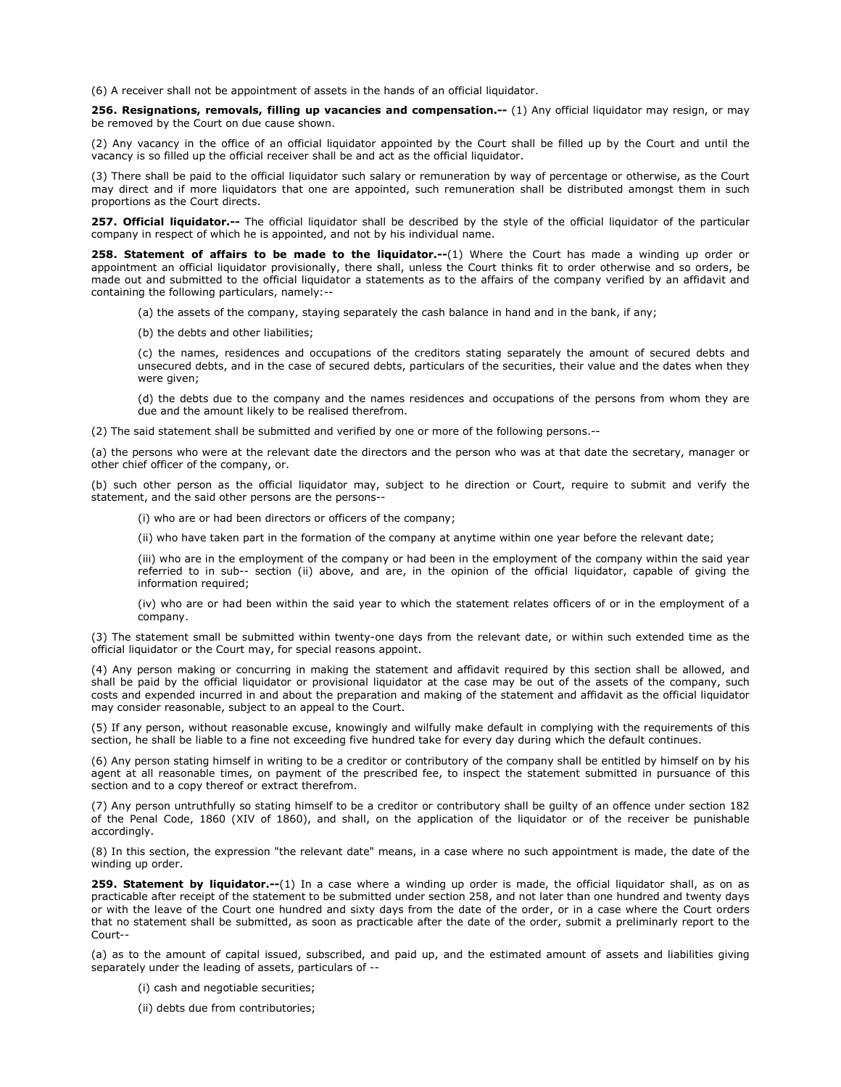(6) A receiver shall not be appointment of assets in the hands of an official liquidator.

256. Resignations, removals, filling up vacancies and compensation.-- (1) Any official liquidator may resign, or may be removed by the Court on due cause shown.

(2) Any vacancy in the office of an official liquidator appointed by the Court shall be filled up by the Court and until the vacancy is so filled up the official receiver shall be and act as the official liquidator.

(3) There shall be paid to the official liquidator such salary or remuneration by way of percentage or otherwise, as the Court may direct and if more liquidators that one are appointed, such remuneration shall be distributed amongst them in such proportions as the Court directs.

257. Official liquidator.-- The official liquidator shall be described by the style of the official liquidator of the particular company in respect of which he is appointed, and not by his individual name.

258. Statement of affairs to be made to the liquidator.--(1) Where the Court has made a winding up order or appointment an official liquidator provisionally, there shall, unless the Court thinks fit to order otherwise and so orders, be made out and submitted to the official liquidator a statements as to the affairs of the company verified by an affidavit and containing the following particulars, namely:--

(a) the assets of the company, staying separately the cash balance in hand and in the bank, if any;

(b) the debts and other liabilities;

(c) the names, residences and occupations of the creditors stating separately the amount of secured debts and unsecured debts, and in the case of secured debts, particulars of the securities, their value and the dates when they were given;

(d) the debts due to the company and the names residences and occupations of the persons from whom they are due and the amount likely to be realised therefrom.

(2) The said statement shall be submitted and verified by one or more of the following persons.--

(a) the persons who were at the relevant date the directors and the person who was at that date the secretary, manager or other chief officer of the company, or.

(b) such other person as the official liquidator may, subject to he direction or Court, require to submit and verify the statement, and the said other persons are the persons--

(i) who are or had been directors or officers of the company;

(ii) who have taken part in the formation of the company at anytime within one year before the relevant date;

(iii) who are in the employment of the company or had been in the employment of the company within the said year referried to in sub-- section (ii) above, and are, in the opinion of the official liquidator, capable of giving the information required;

(iv) who are or had been within the said year to which the statement relates officers of or in the employment of a company.

(3) The statement small be submitted within twenty-one days from the relevant date, or within such extended time as the official liquidator or the Court may, for special reasons appoint.

(4) Any person making or concurring in making the statement and affidavit required by this section shall be allowed, and shall be paid by the official liquidator or provisional liquidator at the case may be out of the assets of the company, such costs and expended incurred in and about the preparation and making of the statement and affidavit as the official liquidator may consider reasonable, subject to an appeal to the Court.

(5) If any person, without reasonable excuse, knowingly and wilfully make default in complying with the requirements of this section, he shall be liable to a fine not exceeding five hundred take for every day during which the default continues.

(6) Any person stating himself in writing to be a creditor or contributory of the company shall be entitled by himself on by his agent at all reasonable times, on payment of the prescribed fee, to inspect the statement submitted in pursuance of this section and to a copy thereof or extract therefrom.

(7) Any person untruthfully so stating himself to be a creditor or contributory shall be guilty of an offence under section 182 of the Penal Code, 1860 (XIV of 1860), and shall, on the application of the liquidator or of the receiver be punishable accordingly.

(8) In this section, the expression "the relevant date" means, in a case where no such appointment is made, the date of the winding up order.

259. Statement by liquidator.--(1) In a case where a winding up order is made, the official liquidator shall, as on as practicable after receipt of the statement to be submitted under section 258, and not later than one hundred and twenty days or with the leave of the Court one hundred and sixty days from the date of the order, or in a case where the Court orders that no statement shall be submitted, as soon as practicable after the date of the order, submit a preliminarly report to the Court--

(a) as to the amount of capital issued, subscribed, and paid up, and the estimated amount of assets and liabilities giving separately under the leading of assets, particulars of --

- (i) cash and negotiable securities;
- (ii) debts due from contributories;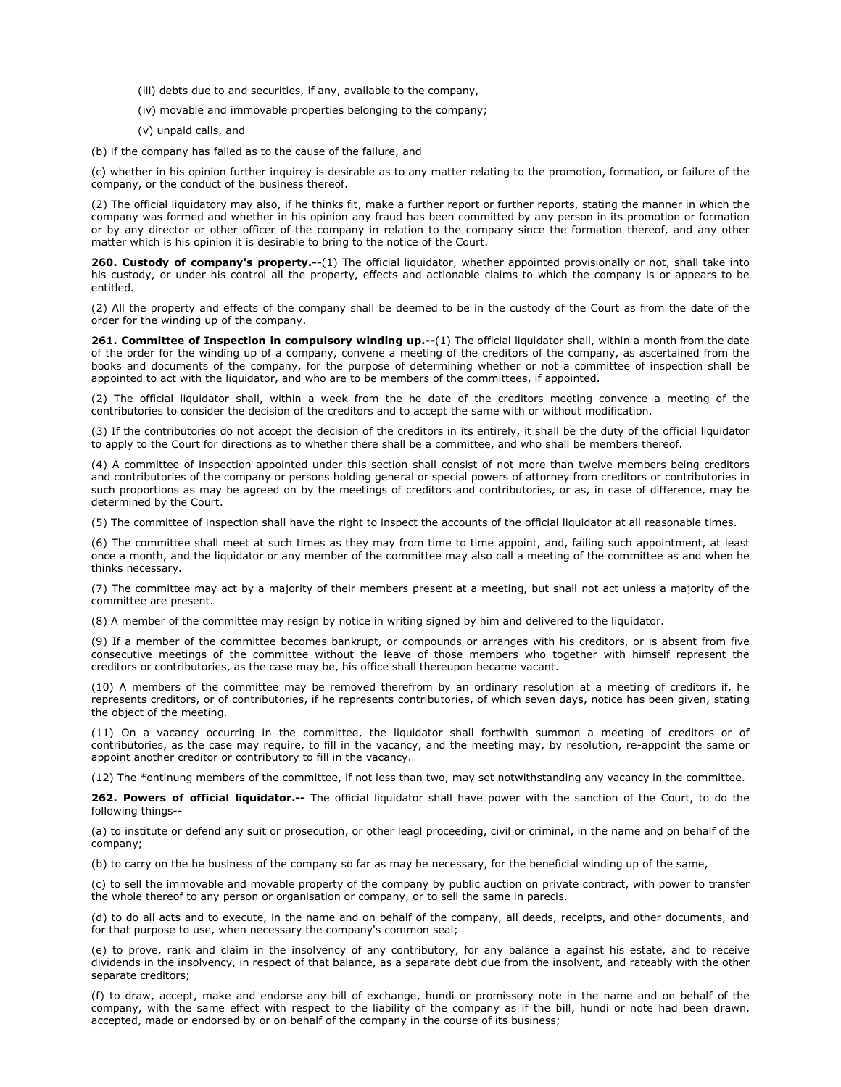- (iii) debts due to and securities, if any, available to the company,
- (iv) movable and immovable properties belonging to the company;
- (v) unpaid calls, and

(b) if the company has failed as to the cause of the failure, and

(c) whether in his opinion further inquirey is desirable as to any matter relating to the promotion, formation, or failure of the company, or the conduct of the business thereof.

(2) The official liquidatory may also, if he thinks fit, make a further report or further reports, stating the manner in which the company was formed and whether in his opinion any fraud has been committed by any person in its promotion or formation or by any director or other officer of the company in relation to the company since the formation thereof, and any other matter which is his opinion it is desirable to bring to the notice of the Court.

260. Custody of company's property.--(1) The official liquidator, whether appointed provisionally or not, shall take into his custody, or under his control all the property, effects and actionable claims to which the company is or appears to be entitled.

(2) All the property and effects of the company shall be deemed to be in the custody of the Court as from the date of the order for the winding up of the company.

261. Committee of Inspection in compulsory winding up.--(1) The official liquidator shall, within a month from the date of the order for the winding up of a company, convene a meeting of the creditors of the company, as ascertained from the books and documents of the company, for the purpose of determining whether or not a committee of inspection shall be appointed to act with the liquidator, and who are to be members of the committees, if appointed.

(2) The official liquidator shall, within a week from the he date of the creditors meeting convence a meeting of the contributories to consider the decision of the creditors and to accept the same with or without modification.

(3) If the contributories do not accept the decision of the creditors in its entirely, it shall be the duty of the official liquidator to apply to the Court for directions as to whether there shall be a committee, and who shall be members thereof.

(4) A committee of inspection appointed under this section shall consist of not more than twelve members being creditors and contributories of the company or persons holding general or special powers of attorney from creditors or contributories in such proportions as may be agreed on by the meetings of creditors and contributories, or as, in case of difference, may be determined by the Court.

(5) The committee of inspection shall have the right to inspect the accounts of the official liquidator at all reasonable times.

(6) The committee shall meet at such times as they may from time to time appoint, and, failing such appointment, at least once a month, and the liquidator or any member of the committee may also call a meeting of the committee as and when he thinks necessary.

(7) The committee may act by a majority of their members present at a meeting, but shall not act unless a majority of the committee are present.

(8) A member of the committee may resign by notice in writing signed by him and delivered to the liquidator.

(9) If a member of the committee becomes bankrupt, or compounds or arranges with his creditors, or is absent from five consecutive meetings of the committee without the leave of those members who together with himself represent the creditors or contributories, as the case may be, his office shall thereupon became vacant.

(10) A members of the committee may be removed therefrom by an ordinary resolution at a meeting of creditors if, he represents creditors, or of contributories, if he represents contributories, of which seven days, notice has been given, stating the object of the meeting.

(11) On a vacancy occurring in the committee, the liquidator shall forthwith summon a meeting of creditors or of contributories, as the case may require, to fill in the vacancy, and the meeting may, by resolution, re-appoint the same or appoint another creditor or contributory to fill in the vacancy.

(12) The \*ontinung members of the committee, if not less than two, may set notwithstanding any vacancy in the committee.

262. Powers of official liquidator.-- The official liquidator shall have power with the sanction of the Court, to do the following things--

(a) to institute or defend any suit or prosecution, or other leagl proceeding, civil or criminal, in the name and on behalf of the company;

(b) to carry on the he business of the company so far as may be necessary, for the beneficial winding up of the same,

(c) to sell the immovable and movable property of the company by public auction on private contract, with power to transfer the whole thereof to any person or organisation or company, or to sell the same in parecis.

(d) to do all acts and to execute, in the name and on behalf of the company, all deeds, receipts, and other documents, and for that purpose to use, when necessary the company's common seal;

(e) to prove, rank and claim in the insolvency of any contributory, for any balance a against his estate, and to receive dividends in the insolvency, in respect of that balance, as a separate debt due from the insolvent, and rateably with the other separate creditors;

(f) to draw, accept, make and endorse any bill of exchange, hundi or promissory note in the name and on behalf of the company, with the same effect with respect to the liability of the company as if the bill, hundi or note had been drawn, accepted, made or endorsed by or on behalf of the company in the course of its business;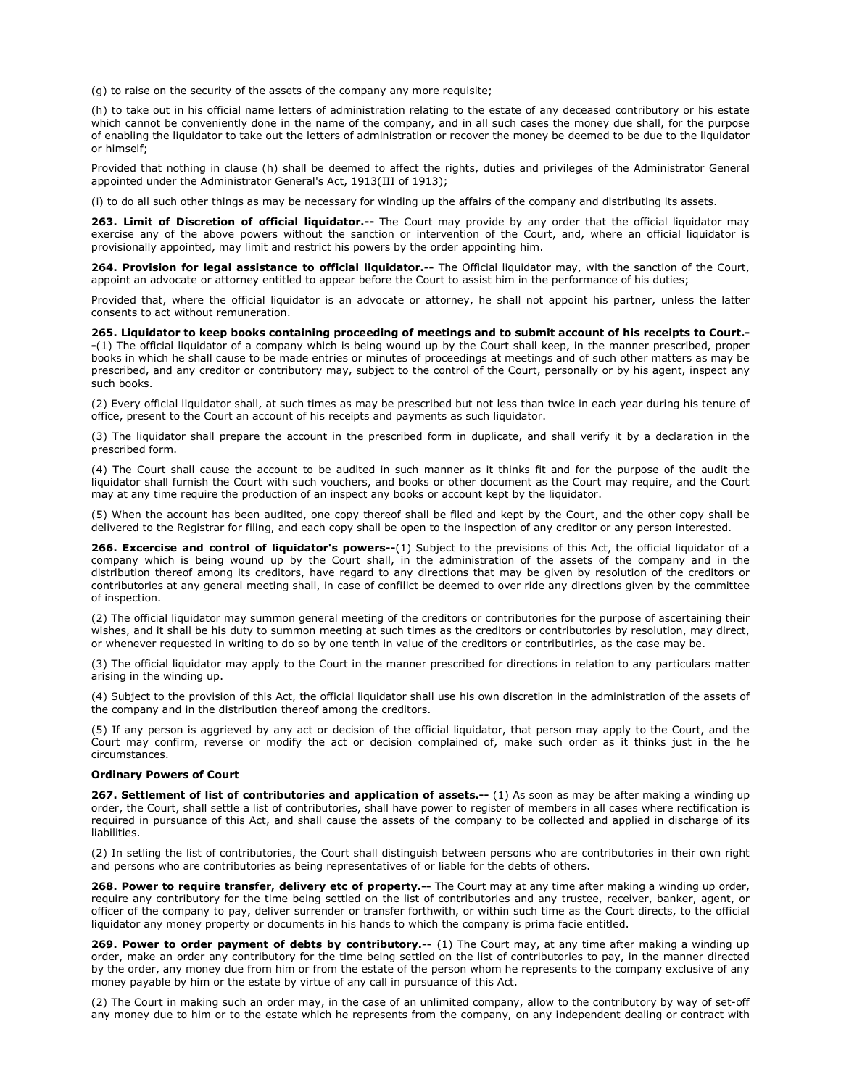(g) to raise on the security of the assets of the company any more requisite;

(h) to take out in his official name letters of administration relating to the estate of any deceased contributory or his estate which cannot be conveniently done in the name of the company, and in all such cases the money due shall, for the purpose of enabling the liquidator to take out the letters of administration or recover the money be deemed to be due to the liquidator or himself;

Provided that nothing in clause (h) shall be deemed to affect the rights, duties and privileges of the Administrator General appointed under the Administrator General's Act, 1913(III of 1913);

(i) to do all such other things as may be necessary for winding up the affairs of the company and distributing its assets.

263. Limit of Discretion of official liquidator.-- The Court may provide by any order that the official liquidator may exercise any of the above powers without the sanction or intervention of the Court, and, where an official liquidator is provisionally appointed, may limit and restrict his powers by the order appointing him.

264. Provision for legal assistance to official liquidator.-- The Official liquidator may, with the sanction of the Court, appoint an advocate or attorney entitled to appear before the Court to assist him in the performance of his duties;

Provided that, where the official liquidator is an advocate or attorney, he shall not appoint his partner, unless the latter consents to act without remuneration.

265. Liquidator to keep books containing proceeding of meetings and to submit account of his receipts to Court.- -(1) The official liquidator of a company which is being wound up by the Court shall keep, in the manner prescribed, proper books in which he shall cause to be made entries or minutes of proceedings at meetings and of such other matters as may be prescribed, and any creditor or contributory may, subject to the control of the Court, personally or by his agent, inspect any such books.

(2) Every official liquidator shall, at such times as may be prescribed but not less than twice in each year during his tenure of office, present to the Court an account of his receipts and payments as such liquidator.

(3) The liquidator shall prepare the account in the prescribed form in duplicate, and shall verify it by a declaration in the prescribed form.

(4) The Court shall cause the account to be audited in such manner as it thinks fit and for the purpose of the audit the liquidator shall furnish the Court with such vouchers, and books or other document as the Court may require, and the Court may at any time require the production of an inspect any books or account kept by the liquidator.

(5) When the account has been audited, one copy thereof shall be filed and kept by the Court, and the other copy shall be delivered to the Registrar for filing, and each copy shall be open to the inspection of any creditor or any person interested.

266. Excercise and control of liquidator's powers--(1) Subject to the previsions of this Act, the official liquidator of a company which is being wound up by the Court shall, in the administration of the assets of the company and in the distribution thereof among its creditors, have regard to any directions that may be given by resolution of the creditors or contributories at any general meeting shall, in case of confilict be deemed to over ride any directions given by the committee of inspection.

(2) The official liquidator may summon general meeting of the creditors or contributories for the purpose of ascertaining their wishes, and it shall be his duty to summon meeting at such times as the creditors or contributories by resolution, may direct, or whenever requested in writing to do so by one tenth in value of the creditors or contributiries, as the case may be.

(3) The official liquidator may apply to the Court in the manner prescribed for directions in relation to any particulars matter arising in the winding up.

(4) Subject to the provision of this Act, the official liquidator shall use his own discretion in the administration of the assets of the company and in the distribution thereof among the creditors.

(5) If any person is aggrieved by any act or decision of the official liquidator, that person may apply to the Court, and the Court may confirm, reverse or modify the act or decision complained of, make such order as it thinks just in the he circumstances.

## Ordinary Powers of Court

267. Settlement of list of contributories and application of assets.-- (1) As soon as may be after making a winding up order, the Court, shall settle a list of contributories, shall have power to register of members in all cases where rectification is required in pursuance of this Act, and shall cause the assets of the company to be collected and applied in discharge of its liabilities.

(2) In setling the list of contributories, the Court shall distinguish between persons who are contributories in their own right and persons who are contributories as being representatives of or liable for the debts of others.

268. Power to require transfer, delivery etc of property.-- The Court may at any time after making a winding up order, require any contributory for the time being settled on the list of contributories and any trustee, receiver, banker, agent, or officer of the company to pay, deliver surrender or transfer forthwith, or within such time as the Court directs, to the official liquidator any money property or documents in his hands to which the company is prima facie entitled.

269. Power to order payment of debts by contributory.-- (1) The Court may, at any time after making a winding up order, make an order any contributory for the time being settled on the list of contributories to pay, in the manner directed by the order, any money due from him or from the estate of the person whom he represents to the company exclusive of any money payable by him or the estate by virtue of any call in pursuance of this Act.

(2) The Court in making such an order may, in the case of an unlimited company, allow to the contributory by way of set-off any money due to him or to the estate which he represents from the company, on any independent dealing or contract with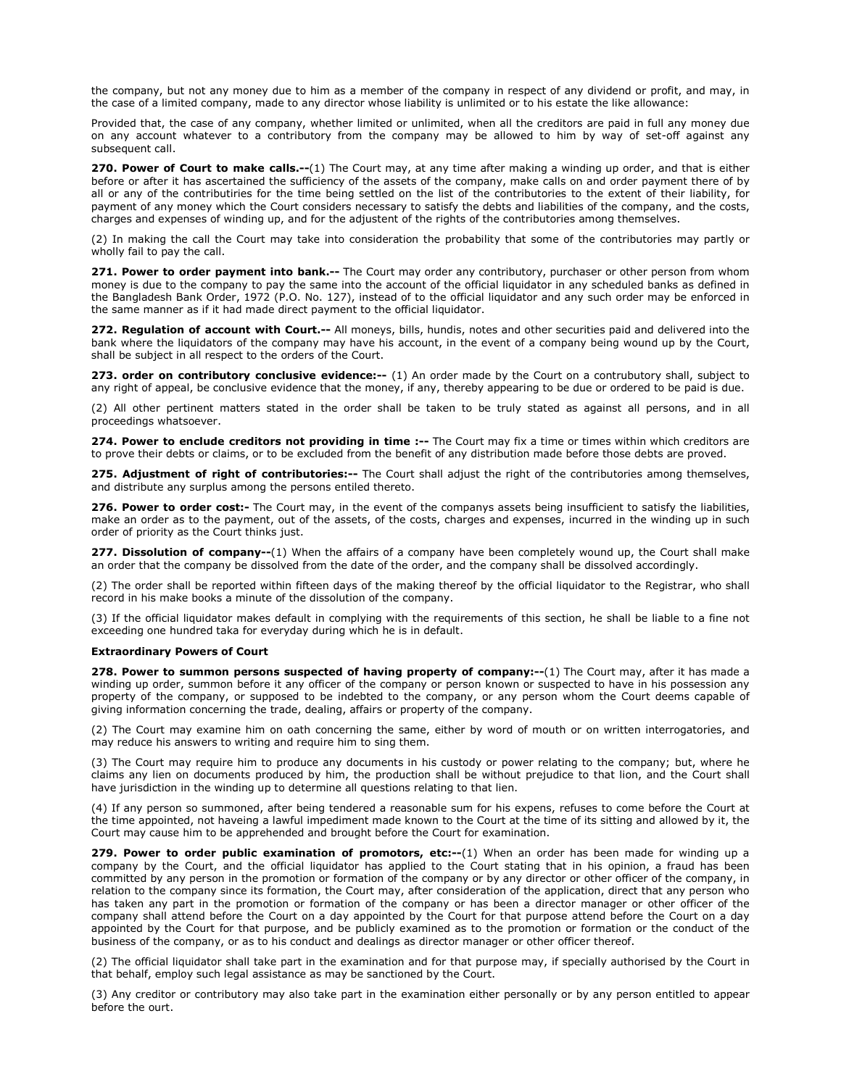the company, but not any money due to him as a member of the company in respect of any dividend or profit, and may, in the case of a limited company, made to any director whose liability is unlimited or to his estate the like allowance:

Provided that, the case of any company, whether limited or unlimited, when all the creditors are paid in full any money due on any account whatever to a contributory from the company may be allowed to him by way of set-off against any subsequent call.

270. Power of Court to make calls.--(1) The Court may, at any time after making a winding up order, and that is either before or after it has ascertained the sufficiency of the assets of the company, make calls on and order payment there of by all or any of the contributiries for the time being settled on the list of the contributories to the extent of their liability, for payment of any money which the Court considers necessary to satisfy the debts and liabilities of the company, and the costs, charges and expenses of winding up, and for the adjustent of the rights of the contributories among themselves.

(2) In making the call the Court may take into consideration the probability that some of the contributories may partly or wholly fail to pay the call.

271. Power to order payment into bank.-- The Court may order any contributory, purchaser or other person from whom money is due to the company to pay the same into the account of the official liquidator in any scheduled banks as defined in the Bangladesh Bank Order, 1972 (P.O. No. 127), instead of to the official liquidator and any such order may be enforced in the same manner as if it had made direct payment to the official liquidator.

272. Requlation of account with Court.-- All moneys, bills, hundis, notes and other securities paid and delivered into the bank where the liquidators of the company may have his account, in the event of a company being wound up by the Court, shall be subject in all respect to the orders of the Court.

273. order on contributory conclusive evidence:-- (1) An order made by the Court on a contrubutory shall, subject to any right of appeal, be conclusive evidence that the money, if any, thereby appearing to be due or ordered to be paid is due.

(2) All other pertinent matters stated in the order shall be taken to be truly stated as against all persons, and in all proceedings whatsoever.

274. Power to enclude creditors not providing in time :-- The Court may fix a time or times within which creditors are to prove their debts or claims, or to be excluded from the benefit of any distribution made before those debts are proved.

275. Adjustment of right of contributories:-- The Court shall adjust the right of the contributories among themselves, and distribute any surplus among the persons entiled thereto.

276. Power to order cost:- The Court may, in the event of the companys assets being insufficient to satisfy the liabilities, make an order as to the payment, out of the assets, of the costs, charges and expenses, incurred in the winding up in such order of priority as the Court thinks just.

277. Dissolution of company--(1) When the affairs of a company have been completely wound up, the Court shall make an order that the company be dissolved from the date of the order, and the company shall be dissolved accordingly.

(2) The order shall be reported within fifteen days of the making thereof by the official liquidator to the Registrar, who shall record in his make books a minute of the dissolution of the company.

(3) If the official liquidator makes default in complying with the requirements of this section, he shall be liable to a fine not exceeding one hundred taka for everyday during which he is in default.

### Extraordinary Powers of Court

278. Power to summon persons suspected of having property of company:--(1) The Court may, after it has made a winding up order, summon before it any officer of the company or person known or suspected to have in his possession any property of the company, or supposed to be indebted to the company, or any person whom the Court deems capable of giving information concerning the trade, dealing, affairs or property of the company.

(2) The Court may examine him on oath concerning the same, either by word of mouth or on written interrogatories, and may reduce his answers to writing and require him to sing them.

(3) The Court may require him to produce any documents in his custody or power relating to the company; but, where he claims any lien on documents produced by him, the production shall be without prejudice to that lion, and the Court shall have jurisdiction in the winding up to determine all questions relating to that lien.

(4) If any person so summoned, after being tendered a reasonable sum for his expens, refuses to come before the Court at the time appointed, not haveing a lawful impediment made known to the Court at the time of its sitting and allowed by it, the Court may cause him to be apprehended and brought before the Court for examination.

279. Power to order public examination of promotors, etc:--(1) When an order has been made for winding up a company by the Court, and the official liquidator has applied to the Court stating that in his opinion, a fraud has been committed by any person in the promotion or formation of the company or by any director or other officer of the company, in relation to the company since its formation, the Court may, after consideration of the application, direct that any person who has taken any part in the promotion or formation of the company or has been a director manager or other officer of the company shall attend before the Court on a day appointed by the Court for that purpose attend before the Court on a day appointed by the Court for that purpose, and be publicly examined as to the promotion or formation or the conduct of the business of the company, or as to his conduct and dealings as director manager or other officer thereof.

(2) The official liquidator shall take part in the examination and for that purpose may, if specially authorised by the Court in that behalf, employ such legal assistance as may be sanctioned by the Court.

(3) Any creditor or contributory may also take part in the examination either personally or by any person entitled to appear before the ourt.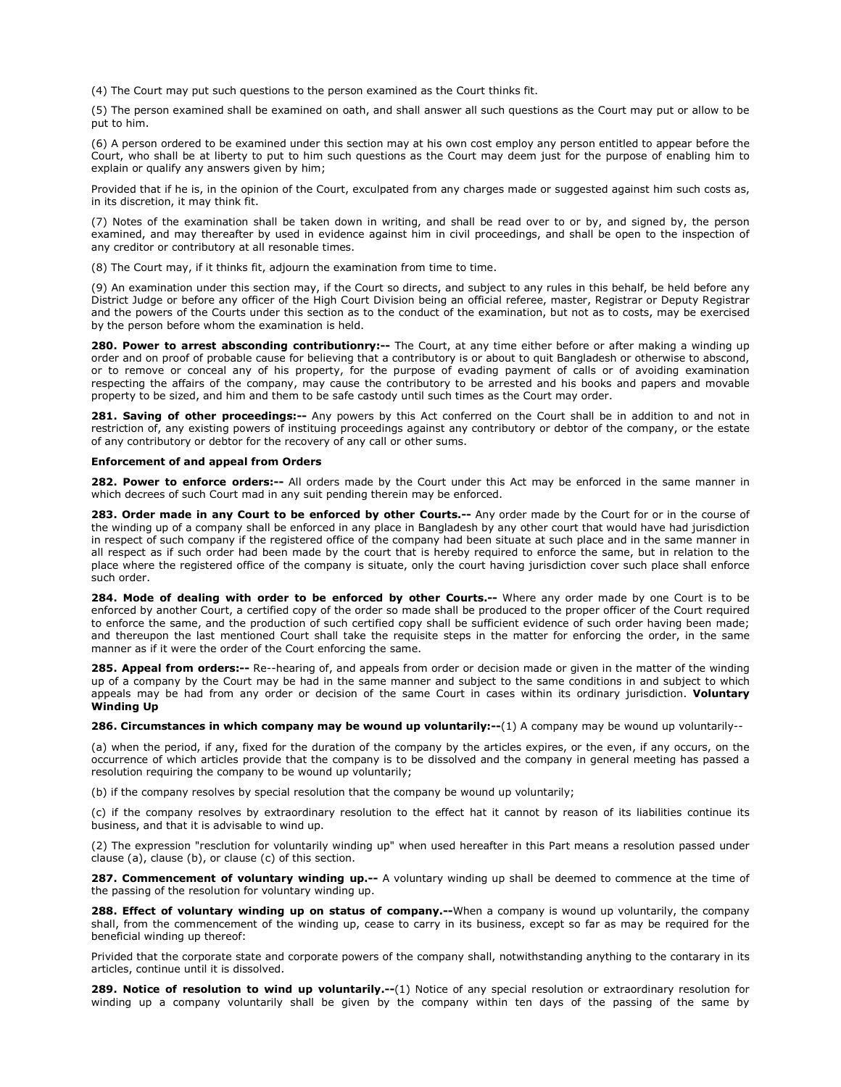(4) The Court may put such questions to the person examined as the Court thinks fit.

(5) The person examined shall be examined on oath, and shall answer all such questions as the Court may put or allow to be put to him.

(6) A person ordered to be examined under this section may at his own cost employ any person entitled to appear before the Court, who shall be at liberty to put to him such questions as the Court may deem just for the purpose of enabling him to explain or qualify any answers given by him;

Provided that if he is, in the opinion of the Court, exculpated from any charges made or suggested against him such costs as, in its discretion, it may think fit.

(7) Notes of the examination shall be taken down in writing, and shall be read over to or by, and signed by, the person examined, and may thereafter by used in evidence against him in civil proceedings, and shall be open to the inspection of any creditor or contributory at all resonable times.

(8) The Court may, if it thinks fit, adjourn the examination from time to time.

(9) An examination under this section may, if the Court so directs, and subject to any rules in this behalf, be held before any District Judge or before any officer of the High Court Division being an official referee, master, Registrar or Deputy Registrar and the powers of the Courts under this section as to the conduct of the examination, but not as to costs, may be exercised by the person before whom the examination is held.

280. Power to arrest absconding contributionry:-- The Court, at any time either before or after making a winding up order and on proof of probable cause for believing that a contributory is or about to quit Bangladesh or otherwise to abscond, or to remove or conceal any of his property, for the purpose of evading payment of calls or of avoiding examination respecting the affairs of the company, may cause the contributory to be arrested and his books and papers and movable property to be sized, and him and them to be safe castody until such times as the Court may order.

281. Saving of other proceedings:-- Any powers by this Act conferred on the Court shall be in addition to and not in restriction of, any existing powers of instituing proceedings against any contributory or debtor of the company, or the estate of any contributory or debtor for the recovery of any call or other sums.

## Enforcement of and appeal from Orders

282. Power to enforce orders:-- All orders made by the Court under this Act may be enforced in the same manner in which decrees of such Court mad in any suit pending therein may be enforced.

283. Order made in any Court to be enforced by other Courts.-- Any order made by the Court for or in the course of the winding up of a company shall be enforced in any place in Bangladesh by any other court that would have had jurisdiction in respect of such company if the registered office of the company had been situate at such place and in the same manner in all respect as if such order had been made by the court that is hereby required to enforce the same, but in relation to the place where the registered office of the company is situate, only the court having jurisdiction cover such place shall enforce such order.

284. Mode of dealing with order to be enforced by other Courts.-- Where any order made by one Court is to be enforced by another Court, a certified copy of the order so made shall be produced to the proper officer of the Court required to enforce the same, and the production of such certified copy shall be sufficient evidence of such order having been made; and thereupon the last mentioned Court shall take the requisite steps in the matter for enforcing the order, in the same manner as if it were the order of the Court enforcing the same.

285. Appeal from orders:-- Re--hearing of, and appeals from order or decision made or given in the matter of the winding up of a company by the Court may be had in the same manner and subject to the same conditions in and subject to which appeals may be had from any order or decision of the same Court in cases within its ordinary jurisdiction. Voluntary Winding Up

286. Circumstances in which company may be wound up voluntarily:--(1) A company may be wound up voluntarily--

(a) when the period, if any, fixed for the duration of the company by the articles expires, or the even, if any occurs, on the occurrence of which articles provide that the company is to be dissolved and the company in general meeting has passed a resolution requiring the company to be wound up voluntarily;

(b) if the company resolves by special resolution that the company be wound up voluntarily;

(c) if the company resolves by extraordinary resolution to the effect hat it cannot by reason of its liabilities continue its business, and that it is advisable to wind up.

(2) The expression "resclution for voluntarily winding up" when used hereafter in this Part means a resolution passed under clause (a), clause (b), or clause (c) of this section.

287. Commencement of voluntary winding up.-- A voluntary winding up shall be deemed to commence at the time of the passing of the resolution for voluntary winding up.

288. Effect of voluntary winding up on status of company.--When a company is wound up voluntarily, the company shall, from the commencement of the winding up, cease to carry in its business, except so far as may be required for the beneficial winding up thereof:

Privided that the corporate state and corporate powers of the company shall, notwithstanding anything to the contarary in its articles, continue until it is dissolved.

**289. Notice of resolution to wind up voluntarily.**--(1) Notice of any special resolution or extraordinary resolution for winding up a company voluntarily shall be given by the company within ten days of the passing of the same by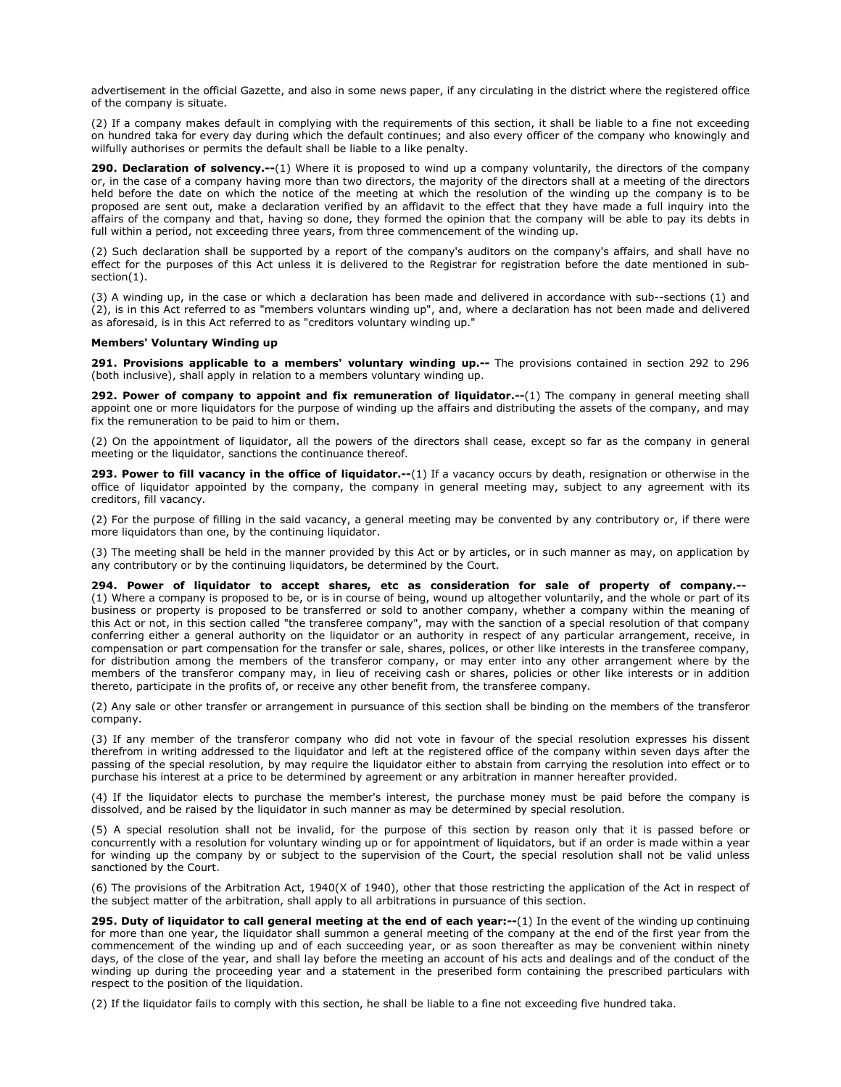advertisement in the official Gazette, and also in some news paper, if any circulating in the district where the registered office of the company is situate.

(2) If a company makes default in complying with the requirements of this section, it shall be liable to a fine not exceeding on hundred taka for every day during which the default continues; and also every officer of the company who knowingly and wilfully authorises or permits the default shall be liable to a like penalty.

290. Declaration of solvency.--(1) Where it is proposed to wind up a company voluntarily, the directors of the company or, in the case of a company having more than two directors, the majority of the directors shall at a meeting of the directors held before the date on which the notice of the meeting at which the resolution of the winding up the company is to be proposed are sent out, make a declaration verified by an affidavit to the effect that they have made a full inquiry into the affairs of the company and that, having so done, they formed the opinion that the company will be able to pay its debts in full within a period, not exceeding three years, from three commencement of the winding up.

(2) Such declaration shall be supported by a report of the company's auditors on the company's affairs, and shall have no effect for the purposes of this Act unless it is delivered to the Registrar for registration before the date mentioned in subsection(1).

(3) A winding up, in the case or which a declaration has been made and delivered in accordance with sub--sections (1) and (2), is in this Act referred to as "members voluntars winding up", and, where a declaration has not been made and delivered as aforesaid, is in this Act referred to as "creditors voluntary winding up."

### Members' Voluntary Winding up

291. Provisions applicable to a members' voluntary winding up.-- The provisions contained in section 292 to 296 (both inclusive), shall apply in relation to a members voluntary winding up.

292. Power of company to appoint and fix remuneration of liquidator.--(1) The company in general meeting shall appoint one or more liquidators for the purpose of winding up the affairs and distributing the assets of the company, and may fix the remuneration to be paid to him or them.

(2) On the appointment of liquidator, all the powers of the directors shall cease, except so far as the company in general meeting or the liquidator, sanctions the continuance thereof.

293. Power to fill vacancy in the office of liquidator.--(1) If a vacancy occurs by death, resignation or otherwise in the office of liquidator appointed by the company, the company in general meeting may, subject to any agreement with its creditors, fill vacancy.

(2) For the purpose of filling in the said vacancy, a general meeting may be convented by any contributory or, if there were more liquidators than one, by the continuing liquidator.

(3) The meeting shall be held in the manner provided by this Act or by articles, or in such manner as may, on application by any contributory or by the continuing liquidators, be determined by the Court.

294. Power of liquidator to accept shares, etc as consideration for sale of property of company.-- (1) Where a company is proposed to be, or is in course of being, wound up altogether voluntarily, and the whole or part of its business or property is proposed to be transferred or sold to another company, whether a company within the meaning of this Act or not, in this section called "the transferee company", may with the sanction of a special resolution of that company conferring either a general authority on the liquidator or an authority in respect of any particular arrangement, receive, in compensation or part compensation for the transfer or sale, shares, polices, or other like interests in the transferee company, for distribution among the members of the transferor company, or may enter into any other arrangement where by the members of the transferor company may, in lieu of receiving cash or shares, policies or other like interests or in addition thereto, participate in the profits of, or receive any other benefit from, the transferee company.

(2) Any sale or other transfer or arrangement in pursuance of this section shall be binding on the members of the transferor company.

(3) If any member of the transferor company who did not vote in favour of the special resolution expresses his dissent therefrom in writing addressed to the liquidator and left at the registered office of the company within seven days after the passing of the special resolution, by may require the liquidator either to abstain from carrying the resolution into effect or to purchase his interest at a price to be determined by agreement or any arbitration in manner hereafter provided.

(4) If the liquidator elects to purchase the member's interest, the purchase money must be paid before the company is dissolved, and be raised by the liquidator in such manner as may be determined by special resolution.

(5) A special resolution shall not be invalid, for the purpose of this section by reason only that it is passed before or concurrently with a resolution for voluntary winding up or for appointment of liquidators, but if an order is made within a year for winding up the company by or subject to the supervision of the Court, the special resolution shall not be valid unless sanctioned by the Court.

(6) The provisions of the Arbitration Act, 1940(X of 1940), other that those restricting the application of the Act in respect of the subject matter of the arbitration, shall apply to all arbitrations in pursuance of this section.

295. Duty of liquidator to call general meeting at the end of each year:-- $(1)$  In the event of the winding up continuing for more than one year, the liquidator shall summon a general meeting of the company at the end of the first year from the commencement of the winding up and of each succeeding year, or as soon thereafter as may be convenient within ninety days, of the close of the year, and shall lay before the meeting an account of his acts and dealings and of the conduct of the winding up during the proceeding year and a statement in the preseribed form containing the prescribed particulars with respect to the position of the liquidation.

(2) If the liquidator fails to comply with this section, he shall be liable to a fine not exceeding five hundred taka.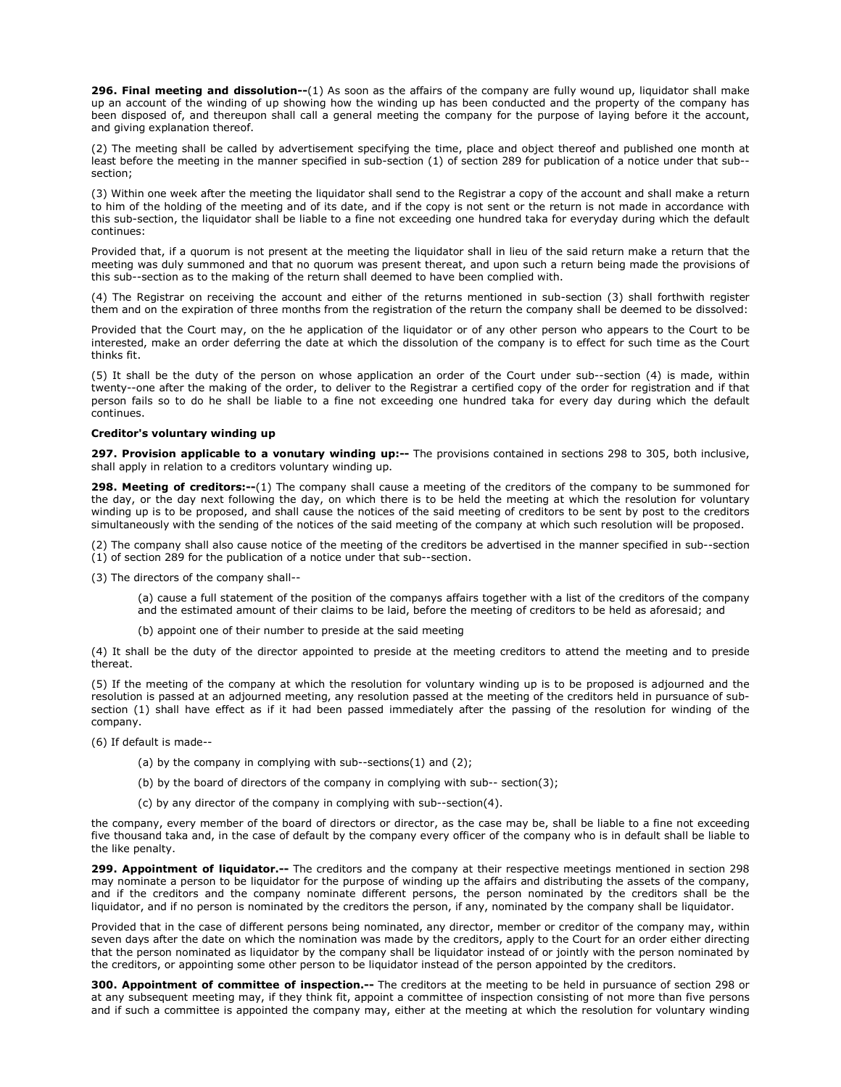296. Final meeting and dissolution- $-1$ ) As soon as the affairs of the company are fully wound up, liquidator shall make up an account of the winding of up showing how the winding up has been conducted and the property of the company has been disposed of, and thereupon shall call a general meeting the company for the purpose of laying before it the account, and giving explanation thereof.

(2) The meeting shall be called by advertisement specifying the time, place and object thereof and published one month at least before the meeting in the manner specified in sub-section (1) of section 289 for publication of a notice under that sub- section;

(3) Within one week after the meeting the liquidator shall send to the Registrar a copy of the account and shall make a return to him of the holding of the meeting and of its date, and if the copy is not sent or the return is not made in accordance with this sub-section, the liquidator shall be liable to a fine not exceeding one hundred taka for everyday during which the default continues:

Provided that, if a quorum is not present at the meeting the liquidator shall in lieu of the said return make a return that the meeting was duly summoned and that no quorum was present thereat, and upon such a return being made the provisions of this sub--section as to the making of the return shall deemed to have been complied with.

(4) The Registrar on receiving the account and either of the returns mentioned in sub-section (3) shall forthwith register them and on the expiration of three months from the registration of the return the company shall be deemed to be dissolved:

Provided that the Court may, on the he application of the liquidator or of any other person who appears to the Court to be interested, make an order deferring the date at which the dissolution of the company is to effect for such time as the Court thinks fit.

(5) It shall be the duty of the person on whose application an order of the Court under sub--section (4) is made, within twenty--one after the making of the order, to deliver to the Registrar a certified copy of the order for registration and if that person fails so to do he shall be liable to a fine not exceeding one hundred taka for every day during which the default continues.

#### Creditor's voluntary winding up

297. Provision applicable to a vonutary winding up:-- The provisions contained in sections 298 to 305, both inclusive, shall apply in relation to a creditors voluntary winding up.

298. Meeting of creditors:--(1) The company shall cause a meeting of the creditors of the company to be summoned for the day, or the day next following the day, on which there is to be held the meeting at which the resolution for voluntary winding up is to be proposed, and shall cause the notices of the said meeting of creditors to be sent by post to the creditors simultaneously with the sending of the notices of the said meeting of the company at which such resolution will be proposed.

(2) The company shall also cause notice of the meeting of the creditors be advertised in the manner specified in sub--section (1) of section 289 for the publication of a notice under that sub--section.

(3) The directors of the company shall--

(a) cause a full statement of the position of the companys affairs together with a list of the creditors of the company and the estimated amount of their claims to be laid, before the meeting of creditors to be held as aforesaid; and

(b) appoint one of their number to preside at the said meeting

(4) It shall be the duty of the director appointed to preside at the meeting creditors to attend the meeting and to preside thereat.

(5) If the meeting of the company at which the resolution for voluntary winding up is to be proposed is adjourned and the resolution is passed at an adjourned meeting, any resolution passed at the meeting of the creditors held in pursuance of subsection (1) shall have effect as if it had been passed immediately after the passing of the resolution for winding of the company.

(6) If default is made--

- (a) by the company in complying with sub--sections(1) and (2);
- (b) by the board of directors of the company in complying with sub-- section(3);
- (c) by any director of the company in complying with sub--section(4).

the company, every member of the board of directors or director, as the case may be, shall be liable to a fine not exceeding five thousand taka and, in the case of default by the company every officer of the company who is in default shall be liable to the like penalty.

299. Appointment of liquidator.-- The creditors and the company at their respective meetings mentioned in section 298 may nominate a person to be liquidator for the purpose of winding up the affairs and distributing the assets of the company, and if the creditors and the company nominate different persons, the person nominated by the creditors shall be the liquidator, and if no person is nominated by the creditors the person, if any, nominated by the company shall be liquidator.

Provided that in the case of different persons being nominated, any director, member or creditor of the company may, within seven days after the date on which the nomination was made by the creditors, apply to the Court for an order either directing that the person nominated as liquidator by the company shall be liquidator instead of or jointly with the person nominated by the creditors, or appointing some other person to be liquidator instead of the person appointed by the creditors.

300. Appointment of committee of inspection.-- The creditors at the meeting to be held in pursuance of section 298 or at any subsequent meeting may, if they think fit, appoint a committee of inspection consisting of not more than five persons and if such a committee is appointed the company may, either at the meeting at which the resolution for voluntary winding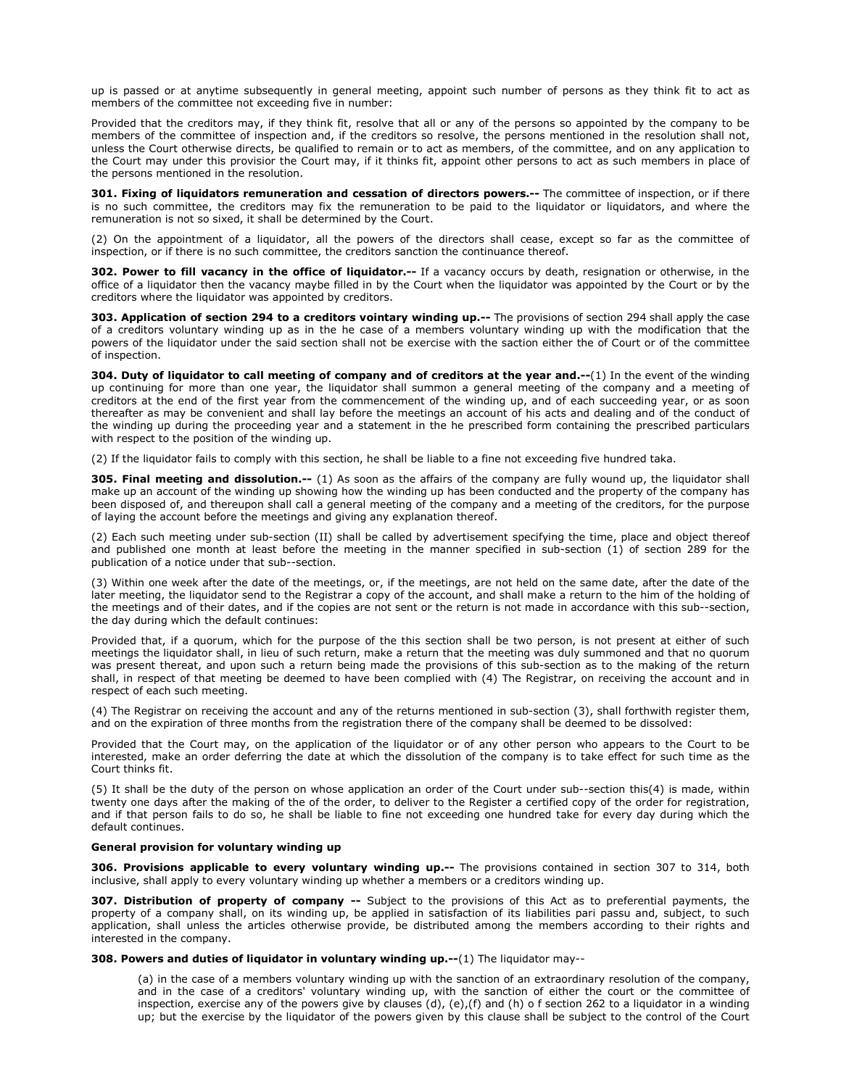up is passed or at anytime subsequently in general meeting, appoint such number of persons as they think fit to act as members of the committee not exceeding five in number:

Provided that the creditors may, if they think fit, resolve that all or any of the persons so appointed by the company to be members of the committee of inspection and, if the creditors so resolve, the persons mentioned in the resolution shall not, unless the Court otherwise directs, be qualified to remain or to act as members, of the committee, and on any application to the Court may under this provisior the Court may, if it thinks fit, appoint other persons to act as such members in place of the persons mentioned in the resolution.

301. Fixing of liquidators remuneration and cessation of directors powers.-- The committee of inspection, or if there is no such committee, the creditors may fix the remuneration to be paid to the liquidator or liquidators, and where the remuneration is not so sixed, it shall be determined by the Court.

(2) On the appointment of a liquidator, all the powers of the directors shall cease, except so far as the committee of inspection, or if there is no such committee, the creditors sanction the continuance thereof.

302. Power to fill vacancy in the office of liquidator.-- If a vacancy occurs by death, resignation or otherwise, in the office of a liquidator then the vacancy maybe filled in by the Court when the liquidator was appointed by the Court or by the creditors where the liquidator was appointed by creditors.

303. Application of section 294 to a creditors vointary winding up.-- The provisions of section 294 shall apply the case of a creditors voluntary winding up as in the he case of a members voluntary winding up with the modification that the powers of the liquidator under the said section shall not be exercise with the saction either the of Court or of the committee of inspection.

304. Duty of liquidator to call meeting of company and of creditors at the year and. $-(1)$  In the event of the winding up continuing for more than one year, the liquidator shall summon a general meeting of the company and a meeting of creditors at the end of the first year from the commencement of the winding up, and of each succeeding year, or as soon thereafter as may be convenient and shall lay before the meetings an account of his acts and dealing and of the conduct of the winding up during the proceeding year and a statement in the he prescribed form containing the prescribed particulars with respect to the position of the winding up.

(2) If the liquidator fails to comply with this section, he shall be liable to a fine not exceeding five hundred taka.

305. Final meeting and dissolution.-- (1) As soon as the affairs of the company are fully wound up, the liquidator shall make up an account of the winding up showing how the winding up has been conducted and the property of the company has been disposed of, and thereupon shall call a general meeting of the company and a meeting of the creditors, for the purpose of laying the account before the meetings and giving any explanation thereof.

(2) Each such meeting under sub-section (II) shall be called by advertisement specifying the time, place and object thereof and published one month at least before the meeting in the manner specified in sub-section (1) of section 289 for the publication of a notice under that sub--section.

(3) Within one week after the date of the meetings, or, if the meetings, are not held on the same date, after the date of the later meeting, the liquidator send to the Registrar a copy of the account, and shall make a return to the him of the holding of the meetings and of their dates, and if the copies are not sent or the return is not made in accordance with this sub--section, the day during which the default continues:

Provided that, if a quorum, which for the purpose of the this section shall be two person, is not present at either of such meetings the liquidator shall, in lieu of such return, make a return that the meeting was duly summoned and that no quorum was present thereat, and upon such a return being made the provisions of this sub-section as to the making of the return shall, in respect of that meeting be deemed to have been complied with (4) The Registrar, on receiving the account and in respect of each such meeting.

(4) The Registrar on receiving the account and any of the returns mentioned in sub-section (3), shall forthwith register them, and on the expiration of three months from the registration there of the company shall be deemed to be dissolved:

Provided that the Court may, on the application of the liquidator or of any other person who appears to the Court to be interested, make an order deferring the date at which the dissolution of the company is to take effect for such time as the Court thinks fit.

(5) It shall be the duty of the person on whose application an order of the Court under sub--section this(4) is made, within twenty one days after the making of the of the order, to deliver to the Register a certified copy of the order for registration, and if that person fails to do so, he shall be liable to fine not exceeding one hundred take for every day during which the default continues.

# General provision for voluntary winding up

306. Provisions applicable to every voluntary winding up.-- The provisions contained in section 307 to 314, both inclusive, shall apply to every voluntary winding up whether a members or a creditors winding up.

307. Distribution of property of company -- Subject to the provisions of this Act as to preferential payments, the property of a company shall, on its winding up, be applied in satisfaction of its liabilities pari passu and, subject, to such application, shall unless the articles otherwise provide, be distributed among the members according to their rights and interested in the company.

### 308. Powers and duties of liquidator in voluntary winding up.--(1) The liquidator may--

(a) in the case of a members voluntary winding up with the sanction of an extraordinary resolution of the company, and in the case of a creditors' voluntary winding up, with the sanction of either the court or the committee of inspection, exercise any of the powers give by clauses  $(d)$ ,  $(e)$ ,  $(f)$  and  $(h)$  of section 262 to a liquidator in a winding up; but the exercise by the liquidator of the powers given by this clause shall be subject to the control of the Court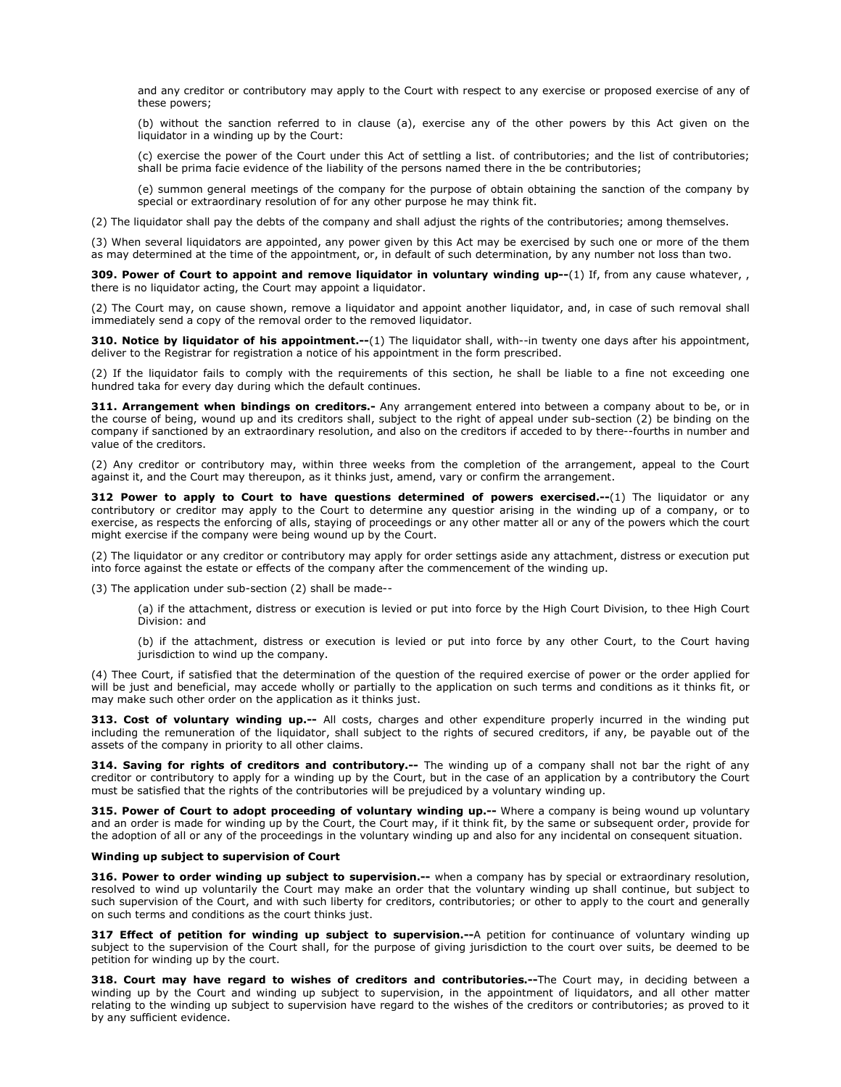and any creditor or contributory may apply to the Court with respect to any exercise or proposed exercise of any of these powers;

(b) without the sanction referred to in clause (a), exercise any of the other powers by this Act given on the liquidator in a winding up by the Court:

(c) exercise the power of the Court under this Act of settling a list. of contributories; and the list of contributories; shall be prima facie evidence of the liability of the persons named there in the be contributories;

(e) summon general meetings of the company for the purpose of obtain obtaining the sanction of the company by special or extraordinary resolution of for any other purpose he may think fit.

(2) The liquidator shall pay the debts of the company and shall adjust the rights of the contributories; among themselves.

(3) When several liquidators are appointed, any power given by this Act may be exercised by such one or more of the them as may determined at the time of the appointment, or, in default of such determination, by any number not loss than two.

309. Power of Court to appoint and remove liquidator in voluntary winding up--(1) If, from any cause whatever, , there is no liquidator acting, the Court may appoint a liquidator.

(2) The Court may, on cause shown, remove a liquidator and appoint another liquidator, and, in case of such removal shall immediately send a copy of the removal order to the removed liquidator.

310. Notice by liquidator of his appointment.--(1) The liquidator shall, with--in twenty one days after his appointment, deliver to the Registrar for registration a notice of his appointment in the form prescribed.

(2) If the liquidator fails to comply with the requirements of this section, he shall be liable to a fine not exceeding one hundred taka for every day during which the default continues.

311. Arrangement when bindings on creditors.- Any arrangement entered into between a company about to be, or in the course of being, wound up and its creditors shall, subject to the right of appeal under sub-section (2) be binding on the company if sanctioned by an extraordinary resolution, and also on the creditors if acceded to by there--fourths in number and value of the creditors.

(2) Any creditor or contributory may, within three weeks from the completion of the arrangement, appeal to the Court against it, and the Court may thereupon, as it thinks just, amend, vary or confirm the arrangement.

312 Power to apply to Court to have questions determined of powers exercised.--(1) The liquidator or any contributory or creditor may apply to the Court to determine any questior arising in the winding up of a company, or to exercise, as respects the enforcing of alls, staying of proceedings or any other matter all or any of the powers which the court might exercise if the company were being wound up by the Court.

(2) The liquidator or any creditor or contributory may apply for order settings aside any attachment, distress or execution put into force against the estate or effects of the company after the commencement of the winding up.

(3) The application under sub-section (2) shall be made--

(a) if the attachment, distress or execution is levied or put into force by the High Court Division, to thee High Court Division: and

(b) if the attachment, distress or execution is levied or put into force by any other Court, to the Court having jurisdiction to wind up the company.

(4) Thee Court, if satisfied that the determination of the question of the required exercise of power or the order applied for will be just and beneficial, may accede wholly or partially to the application on such terms and conditions as it thinks fit, or may make such other order on the application as it thinks just.

313. Cost of voluntary winding up.-- All costs, charges and other expenditure properly incurred in the winding put including the remuneration of the liquidator, shall subject to the rights of secured creditors, if any, be payable out of the assets of the company in priority to all other claims.

314. Saving for rights of creditors and contributory.-- The winding up of a company shall not bar the right of any creditor or contributory to apply for a winding up by the Court, but in the case of an application by a contributory the Court must be satisfied that the rights of the contributories will be prejudiced by a voluntary winding up.

315. Power of Court to adopt proceeding of voluntary winding up.-- Where a company is being wound up voluntary and an order is made for winding up by the Court, the Court may, if it think fit, by the same or subsequent order, provide for the adoption of all or any of the proceedings in the voluntary winding up and also for any incidental on consequent situation.

#### Winding up subject to supervision of Court

316. Power to order winding up subject to supervision.-- when a company has by special or extraordinary resolution, resolved to wind up voluntarily the Court may make an order that the voluntary winding up shall continue, but subject to such supervision of the Court, and with such liberty for creditors, contributories; or other to apply to the court and generally on such terms and conditions as the court thinks just.

317 Effect of petition for winding up subject to supervision.--A petition for continuance of voluntary winding up subject to the supervision of the Court shall, for the purpose of giving jurisdiction to the court over suits, be deemed to be petition for winding up by the court.

318. Court may have regard to wishes of creditors and contributories.--The Court may, in deciding between a winding up by the Court and winding up subject to supervision, in the appointment of liquidators, and all other matter relating to the winding up subject to supervision have regard to the wishes of the creditors or contributories; as proved to it by any sufficient evidence.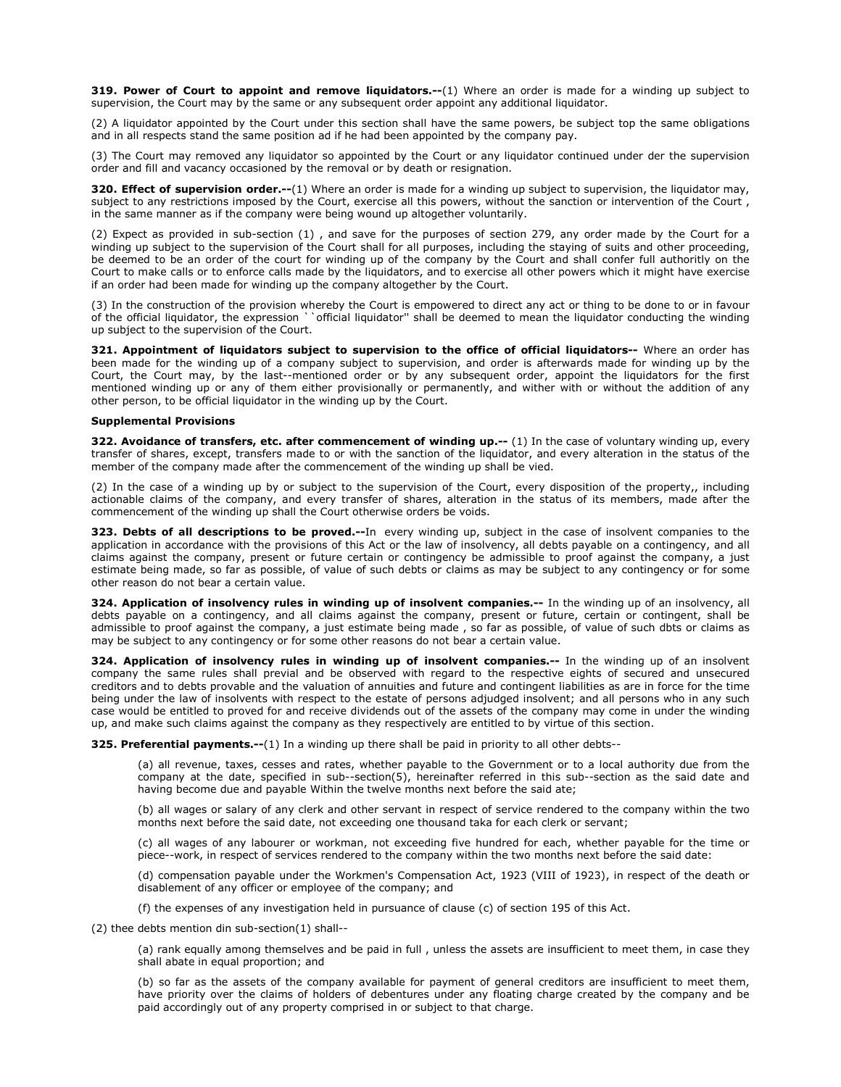319. Power of Court to appoint and remove liquidators.--(1) Where an order is made for a winding up subject to supervision, the Court may by the same or any subsequent order appoint any additional liquidator.

(2) A liquidator appointed by the Court under this section shall have the same powers, be subject top the same obligations and in all respects stand the same position ad if he had been appointed by the company pay.

(3) The Court may removed any liquidator so appointed by the Court or any liquidator continued under der the supervision order and fill and vacancy occasioned by the removal or by death or resignation.

320. Effect of supervision order.--(1) Where an order is made for a winding up subject to supervision, the liquidator may, subject to any restrictions imposed by the Court, exercise all this powers, without the sanction or intervention of the Court , in the same manner as if the company were being wound up altogether voluntarily.

(2) Expect as provided in sub-section (1) , and save for the purposes of section 279, any order made by the Court for a winding up subject to the supervision of the Court shall for all purposes, including the staying of suits and other proceeding, be deemed to be an order of the court for winding up of the company by the Court and shall confer full authoritly on the Court to make calls or to enforce calls made by the liquidators, and to exercise all other powers which it might have exercise if an order had been made for winding up the company altogether by the Court.

(3) In the construction of the provision whereby the Court is empowered to direct any act or thing to be done to or in favour of the official liquidator, the expression ``official liquidator'' shall be deemed to mean the liquidator conducting the winding up subject to the supervision of the Court.

321. Appointment of liquidators subject to supervision to the office of official liquidators-- Where an order has been made for the winding up of a company subject to supervision, and order is afterwards made for winding up by the Court, the Court may, by the last--mentioned order or by any subsequent order, appoint the liquidators for the first mentioned winding up or any of them either provisionally or permanently, and wither with or without the addition of any other person, to be official liquidator in the winding up by the Court.

## Supplemental Provisions

322. Avoidance of transfers, etc. after commencement of winding up.-- (1) In the case of voluntary winding up, every transfer of shares, except, transfers made to or with the sanction of the liquidator, and every alteration in the status of the member of the company made after the commencement of the winding up shall be vied.

(2) In the case of a winding up by or subject to the supervision of the Court, every disposition of the property,, including actionable claims of the company, and every transfer of shares, alteration in the status of its members, made after the commencement of the winding up shall the Court otherwise orders be voids.

323. Debts of all descriptions to be proved.--In every winding up, subject in the case of insolvent companies to the application in accordance with the provisions of this Act or the law of insolvency, all debts payable on a contingency, and all claims against the company, present or future certain or contingency be admissible to proof against the company, a just estimate being made, so far as possible, of value of such debts or claims as may be subject to any contingency or for some other reason do not bear a certain value.

324. Application of insolvency rules in winding up of insolvent companies.-- In the winding up of an insolvency, all debts payable on a contingency, and all claims against the company, present or future, certain or contingent, shall be admissible to proof against the company, a just estimate being made , so far as possible, of value of such dbts or claims as may be subject to any contingency or for some other reasons do not bear a certain value.

324. Application of insolvency rules in winding up of insolvent companies.-- In the winding up of an insolvent company the same rules shall previal and be observed with regard to the respective eights of secured and unsecured creditors and to debts provable and the valuation of annuities and future and contingent liabilities as are in force for the time being under the law of insolvents with respect to the estate of persons adjudged insolvent; and all persons who in any such case would be entitled to proved for and receive dividends out of the assets of the company may come in under the winding up, and make such claims against the company as they respectively are entitled to by virtue of this section.

325. Preferential payments.--(1) In a winding up there shall be paid in priority to all other debts--

(a) all revenue, taxes, cesses and rates, whether payable to the Government or to a local authority due from the company at the date, specified in sub--section(5), hereinafter referred in this sub--section as the said date and having become due and payable Within the twelve months next before the said ate;

(b) all wages or salary of any clerk and other servant in respect of service rendered to the company within the two months next before the said date, not exceeding one thousand taka for each clerk or servant;

(c) all wages of any labourer or workman, not exceeding five hundred for each, whether payable for the time or piece--work, in respect of services rendered to the company within the two months next before the said date:

(d) compensation payable under the Workmen's Compensation Act, 1923 (VIII of 1923), in respect of the death or disablement of any officer or employee of the company; and

(f) the expenses of any investigation held in pursuance of clause (c) of section 195 of this Act.

(2) thee debts mention din sub-section(1) shall--

(a) rank equally among themselves and be paid in full , unless the assets are insufficient to meet them, in case they shall abate in equal proportion; and

(b) so far as the assets of the company available for payment of general creditors are insufficient to meet them, have priority over the claims of holders of debentures under any floating charge created by the company and be paid accordingly out of any property comprised in or subject to that charge.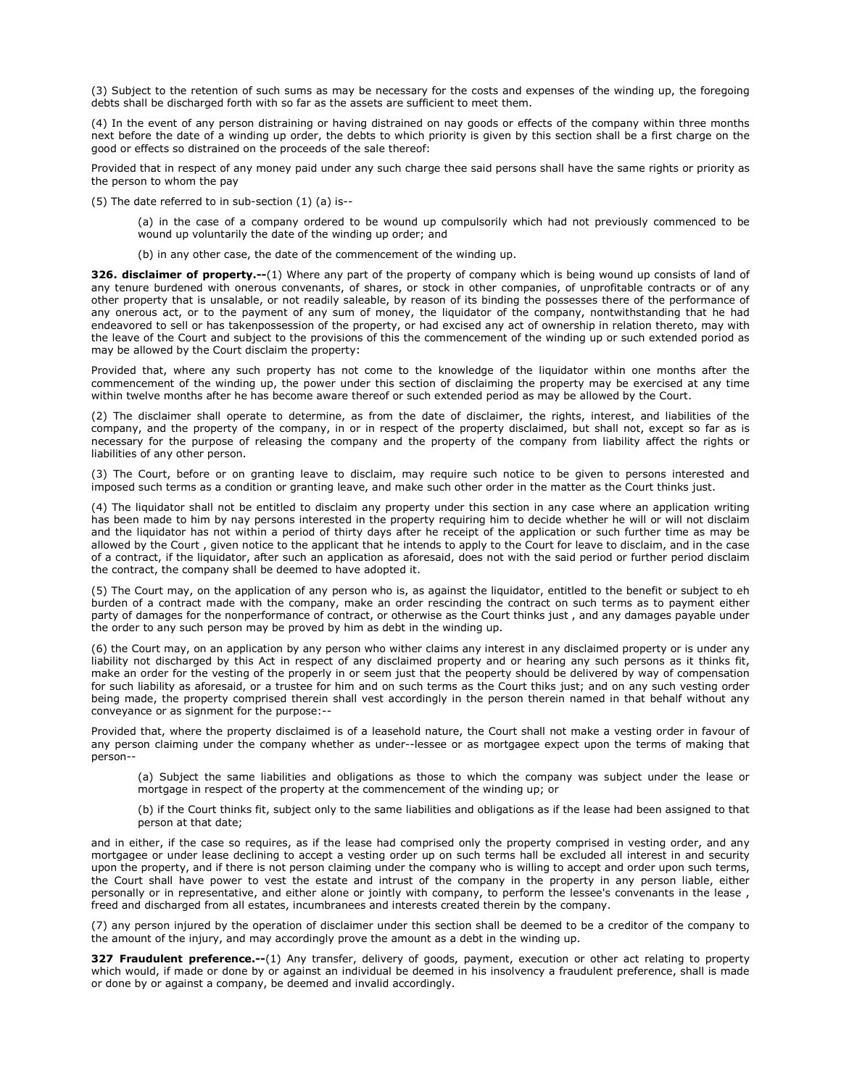(3) Subject to the retention of such sums as may be necessary for the costs and expenses of the winding up, the foregoing debts shall be discharged forth with so far as the assets are sufficient to meet them.

(4) In the event of any person distraining or having distrained on nay goods or effects of the company within three months next before the date of a winding up order, the debts to which priority is given by this section shall be a first charge on the good or effects so distrained on the proceeds of the sale thereof:

Provided that in respect of any money paid under any such charge thee said persons shall have the same rights or priority as the person to whom the pay

(5) The date referred to in sub-section (1) (a) is--

(a) in the case of a company ordered to be wound up compulsorily which had not previously commenced to be wound up voluntarily the date of the winding up order; and

(b) in any other case, the date of the commencement of the winding up.

326. disclaimer of property.--(1) Where any part of the property of company which is being wound up consists of land of any tenure burdened with onerous convenants, of shares, or stock in other companies, of unprofitable contracts or of any other property that is unsalable, or not readily saleable, by reason of its binding the possesses there of the performance of any onerous act, or to the payment of any sum of money, the liquidator of the company, nontwithstanding that he had endeavored to sell or has takenpossession of the property, or had excised any act of ownership in relation thereto, may with the leave of the Court and subject to the provisions of this the commencement of the winding up or such extended poriod as may be allowed by the Court disclaim the property:

Provided that, where any such property has not come to the knowledge of the liquidator within one months after the commencement of the winding up, the power under this section of disclaiming the property may be exercised at any time within twelve months after he has become aware thereof or such extended period as may be allowed by the Court.

(2) The disclaimer shall operate to determine, as from the date of disclaimer, the rights, interest, and liabilities of the company, and the property of the company, in or in respect of the property disclaimed, but shall not, except so far as is necessary for the purpose of releasing the company and the property of the company from liability affect the rights or liabilities of any other person.

(3) The Court, before or on granting leave to disclaim, may require such notice to be given to persons interested and imposed such terms as a condition or granting leave, and make such other order in the matter as the Court thinks just.

(4) The liquidator shall not be entitled to disclaim any property under this section in any case where an application writing has been made to him by nay persons interested in the property requiring him to decide whether he will or will not disclaim and the liquidator has not within a period of thirty days after he receipt of the application or such further time as may be allowed by the Court , given notice to the applicant that he intends to apply to the Court for leave to disclaim, and in the case of a contract, if the liquidator, after such an application as aforesaid, does not with the said period or further period disclaim the contract, the company shall be deemed to have adopted it.

(5) The Court may, on the application of any person who is, as against the liquidator, entitled to the benefit or subject to eh burden of a contract made with the company, make an order rescinding the contract on such terms as to payment either party of damages for the nonperformance of contract, or otherwise as the Court thinks just , and any damages payable under the order to any such person may be proved by him as debt in the winding up.

(6) the Court may, on an application by any person who wither claims any interest in any disclaimed property or is under any liability not discharged by this Act in respect of any disclaimed property and or hearing any such persons as it thinks fit, make an order for the vesting of the properly in or seem just that the peoperty should be delivered by way of compensation for such liability as aforesaid, or a trustee for him and on such terms as the Court thiks just; and on any such vesting order being made, the property comprised therein shall vest accordingly in the person therein named in that behalf without any conveyance or as signment for the purpose:--

Provided that, where the property disclaimed is of a leasehold nature, the Court shall not make a vesting order in favour of any person claiming under the company whether as under--lessee or as mortgagee expect upon the terms of making that person--

(a) Subject the same liabilities and obligations as those to which the company was subject under the lease or mortgage in respect of the property at the commencement of the winding up; or

(b) if the Court thinks fit, subject only to the same liabilities and obligations as if the lease had been assigned to that person at that date;

and in either, if the case so requires, as if the lease had comprised only the property comprised in vesting order, and any mortgagee or under lease declining to accept a vesting order up on such terms hall be excluded all interest in and security upon the property, and if there is not person claiming under the company who is willing to accept and order upon such terms, the Court shall have power to vest the estate and intrust of the company in the property in any person liable, either personally or in representative, and either alone or jointly with company, to perform the lessee's convenants in the lease , freed and discharged from all estates, incumbranees and interests created therein by the company.

(7) any person injured by the operation of disclaimer under this section shall be deemed to be a creditor of the company to the amount of the injury, and may accordingly prove the amount as a debt in the winding up.

327 Fraudulent preference.--(1) Any transfer, delivery of goods, payment, execution or other act relating to property which would, if made or done by or against an individual be deemed in his insolvency a fraudulent preference, shall is made or done by or against a company, be deemed and invalid accordingly.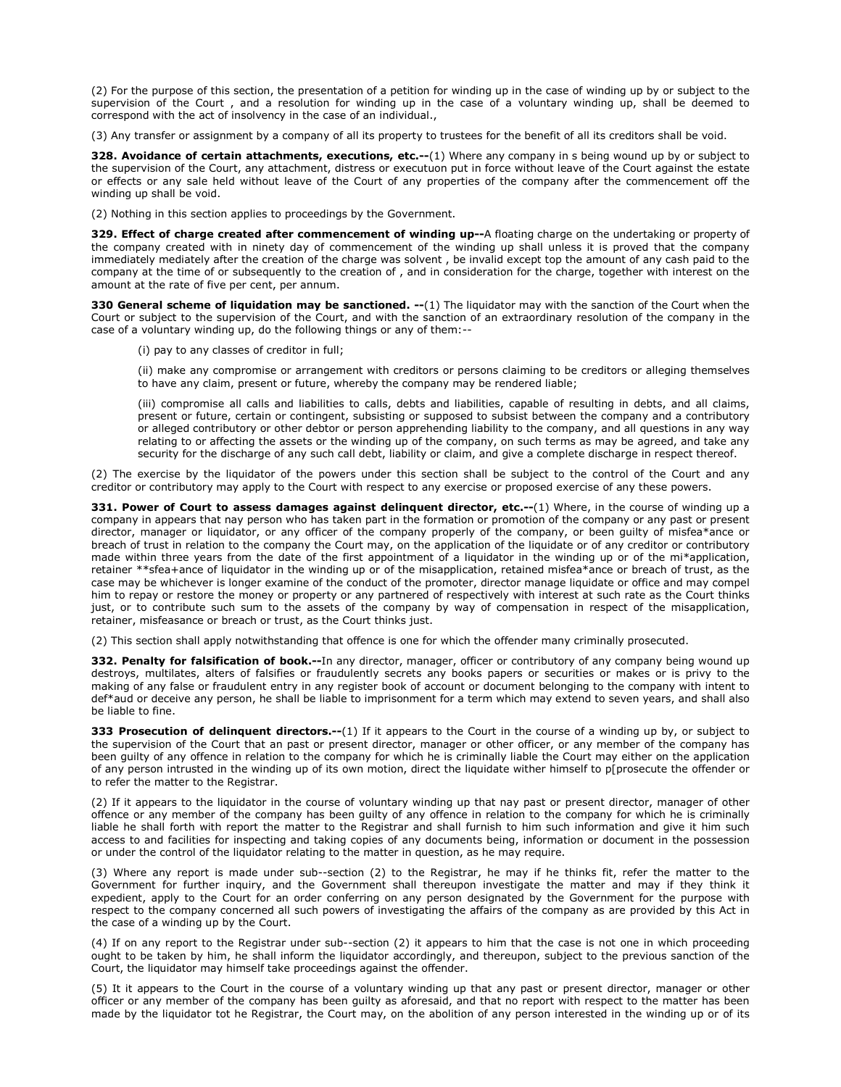(2) For the purpose of this section, the presentation of a petition for winding up in the case of winding up by or subject to the supervision of the Court , and a resolution for winding up in the case of a voluntary winding up, shall be deemed to correspond with the act of insolvency in the case of an individual.,

(3) Any transfer or assignment by a company of all its property to trustees for the benefit of all its creditors shall be void.

328. Avoidance of certain attachments, executions, etc.--(1) Where any company in s being wound up by or subject to the supervision of the Court, any attachment, distress or executuon put in force without leave of the Court against the estate or effects or any sale held without leave of the Court of any properties of the company after the commencement off the winding up shall be void.

(2) Nothing in this section applies to proceedings by the Government.

329. Effect of charge created after commencement of winding up--A floating charge on the undertaking or property of the company created with in ninety day of commencement of the winding up shall unless it is proved that the company immediately mediately after the creation of the charge was solvent , be invalid except top the amount of any cash paid to the company at the time of or subsequently to the creation of , and in consideration for the charge, together with interest on the amount at the rate of five per cent, per annum.

330 General scheme of liquidation may be sanctioned. --(1) The liquidator may with the sanction of the Court when the Court or subject to the supervision of the Court, and with the sanction of an extraordinary resolution of the company in the case of a voluntary winding up, do the following things or any of them:--

(i) pay to any classes of creditor in full;

(ii) make any compromise or arrangement with creditors or persons claiming to be creditors or alleging themselves to have any claim, present or future, whereby the company may be rendered liable;

(iii) compromise all calls and liabilities to calls, debts and liabilities, capable of resulting in debts, and all claims, present or future, certain or contingent, subsisting or supposed to subsist between the company and a contributory or alleged contributory or other debtor or person apprehending liability to the company, and all questions in any way relating to or affecting the assets or the winding up of the company, on such terms as may be agreed, and take any security for the discharge of any such call debt, liability or claim, and give a complete discharge in respect thereof.

(2) The exercise by the liquidator of the powers under this section shall be subject to the control of the Court and any creditor or contributory may apply to the Court with respect to any exercise or proposed exercise of any these powers.

331. Power of Court to assess damages against delinquent director, etc.-- $(1)$  Where, in the course of winding up a company in appears that nay person who has taken part in the formation or promotion of the company or any past or present director, manager or liquidator, or any officer of the company properly of the company, or been guilty of misfea\*ance or breach of trust in relation to the company the Court may, on the application of the liquidate or of any creditor or contributory made within three years from the date of the first appointment of a liquidator in the winding up or of the mi\*application, retainer \*\*sfea+ance of liquidator in the winding up or of the misapplication, retained misfea\*ance or breach of trust, as the case may be whichever is longer examine of the conduct of the promoter, director manage liquidate or office and may compel him to repay or restore the money or property or any partnered of respectively with interest at such rate as the Court thinks just, or to contribute such sum to the assets of the company by way of compensation in respect of the misapplication, retainer, misfeasance or breach or trust, as the Court thinks just.

(2) This section shall apply notwithstanding that offence is one for which the offender many criminally prosecuted.

332. Penalty for falsification of book.--In any director, manager, officer or contributory of any company being wound up destroys, multilates, alters of falsifies or fraudulently secrets any books papers or securities or makes or is privy to the making of any false or fraudulent entry in any register book of account or document belonging to the company with intent to def\*aud or deceive any person, he shall be liable to imprisonment for a term which may extend to seven years, and shall also be liable to fine.

333 Prosecution of delinquent directors.--(1) If it appears to the Court in the course of a winding up by, or subject to the supervision of the Court that an past or present director, manager or other officer, or any member of the company has been guilty of any offence in relation to the company for which he is criminally liable the Court may either on the application of any person intrusted in the winding up of its own motion, direct the liquidate wither himself to p[prosecute the offender or to refer the matter to the Registrar.

(2) If it appears to the liquidator in the course of voluntary winding up that nay past or present director, manager of other offence or any member of the company has been guilty of any offence in relation to the company for which he is criminally liable he shall forth with report the matter to the Registrar and shall furnish to him such information and give it him such access to and facilities for inspecting and taking copies of any documents being, information or document in the possession or under the control of the liquidator relating to the matter in question, as he may require.

(3) Where any report is made under sub--section (2) to the Registrar, he may if he thinks fit, refer the matter to the Government for further inquiry, and the Government shall thereupon investigate the matter and may if they think it expedient, apply to the Court for an order conferring on any person designated by the Government for the purpose with respect to the company concerned all such powers of investigating the affairs of the company as are provided by this Act in the case of a winding up by the Court.

(4) If on any report to the Registrar under sub--section (2) it appears to him that the case is not one in which proceeding ought to be taken by him, he shall inform the liquidator accordingly, and thereupon, subject to the previous sanction of the Court, the liquidator may himself take proceedings against the offender.

(5) It it appears to the Court in the course of a voluntary winding up that any past or present director, manager or other officer or any member of the company has been guilty as aforesaid, and that no report with respect to the matter has been made by the liquidator tot he Registrar, the Court may, on the abolition of any person interested in the winding up or of its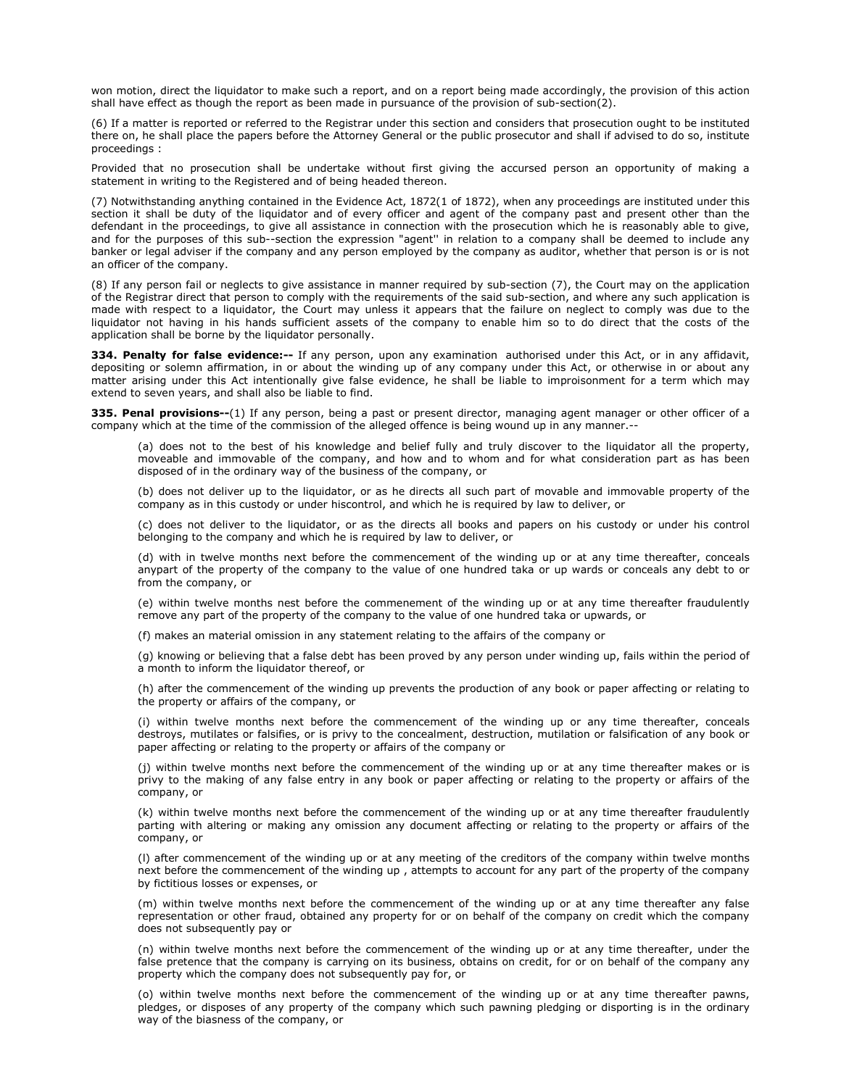won motion, direct the liquidator to make such a report, and on a report being made accordingly, the provision of this action shall have effect as though the report as been made in pursuance of the provision of sub-section(2).

(6) If a matter is reported or referred to the Registrar under this section and considers that prosecution ought to be instituted there on, he shall place the papers before the Attorney General or the public prosecutor and shall if advised to do so, institute proceedings :

Provided that no prosecution shall be undertake without first giving the accursed person an opportunity of making a statement in writing to the Registered and of being headed thereon.

(7) Notwithstanding anything contained in the Evidence Act, 1872(1 of 1872), when any proceedings are instituted under this section it shall be duty of the liquidator and of every officer and agent of the company past and present other than the defendant in the proceedings, to give all assistance in connection with the prosecution which he is reasonably able to give, and for the purposes of this sub--section the expression "agent'' in relation to a company shall be deemed to include any banker or legal adviser if the company and any person employed by the company as auditor, whether that person is or is not an officer of the company.

(8) If any person fail or neglects to give assistance in manner required by sub-section (7), the Court may on the application of the Registrar direct that person to comply with the requirements of the said sub-section, and where any such application is made with respect to a liquidator, the Court may unless it appears that the failure on neglect to comply was due to the liquidator not having in his hands sufficient assets of the company to enable him so to do direct that the costs of the application shall be borne by the liquidator personally.

334. Penalty for false evidence:-- If any person, upon any examination authorised under this Act, or in any affidavit, depositing or solemn affirmation, in or about the winding up of any company under this Act, or otherwise in or about any matter arising under this Act intentionally give false evidence, he shall be liable to improisonment for a term which may extend to seven years, and shall also be liable to find.

335. Penal provisions--(1) If any person, being a past or present director, managing agent manager or other officer of a company which at the time of the commission of the alleged offence is being wound up in any manner.--

(a) does not to the best of his knowledge and belief fully and truly discover to the liquidator all the property, moveable and immovable of the company, and how and to whom and for what consideration part as has been disposed of in the ordinary way of the business of the company, or

(b) does not deliver up to the liquidator, or as he directs all such part of movable and immovable property of the company as in this custody or under hiscontrol, and which he is required by law to deliver, or

(c) does not deliver to the liquidator, or as the directs all books and papers on his custody or under his control belonging to the company and which he is required by law to deliver, or

(d) with in twelve months next before the commencement of the winding up or at any time thereafter, conceals anypart of the property of the company to the value of one hundred taka or up wards or conceals any debt to or from the company, or

(e) within twelve months nest before the commenement of the winding up or at any time thereafter fraudulently remove any part of the property of the company to the value of one hundred taka or upwards, or

(f) makes an material omission in any statement relating to the affairs of the company or

(g) knowing or believing that a false debt has been proved by any person under winding up, fails within the period of a month to inform the liquidator thereof, or

(h) after the commencement of the winding up prevents the production of any book or paper affecting or relating to the property or affairs of the company, or

(i) within twelve months next before the commencement of the winding up or any time thereafter, conceals destroys, mutilates or falsifies, or is privy to the concealment, destruction, mutilation or falsification of any book or paper affecting or relating to the property or affairs of the company or

(j) within twelve months next before the commencement of the winding up or at any time thereafter makes or is privy to the making of any false entry in any book or paper affecting or relating to the property or affairs of the company, or

(k) within twelve months next before the commencement of the winding up or at any time thereafter fraudulently parting with altering or making any omission any document affecting or relating to the property or affairs of the company, or

(l) after commencement of the winding up or at any meeting of the creditors of the company within twelve months next before the commencement of the winding up , attempts to account for any part of the property of the company by fictitious losses or expenses, or

(m) within twelve months next before the commencement of the winding up or at any time thereafter any false representation or other fraud, obtained any property for or on behalf of the company on credit which the company does not subsequently pay or

(n) within twelve months next before the commencement of the winding up or at any time thereafter, under the false pretence that the company is carrying on its business, obtains on credit, for or on behalf of the company any property which the company does not subsequently pay for, or

(o) within twelve months next before the commencement of the winding up or at any time thereafter pawns, pledges, or disposes of any property of the company which such pawning pledging or disporting is in the ordinary way of the biasness of the company, or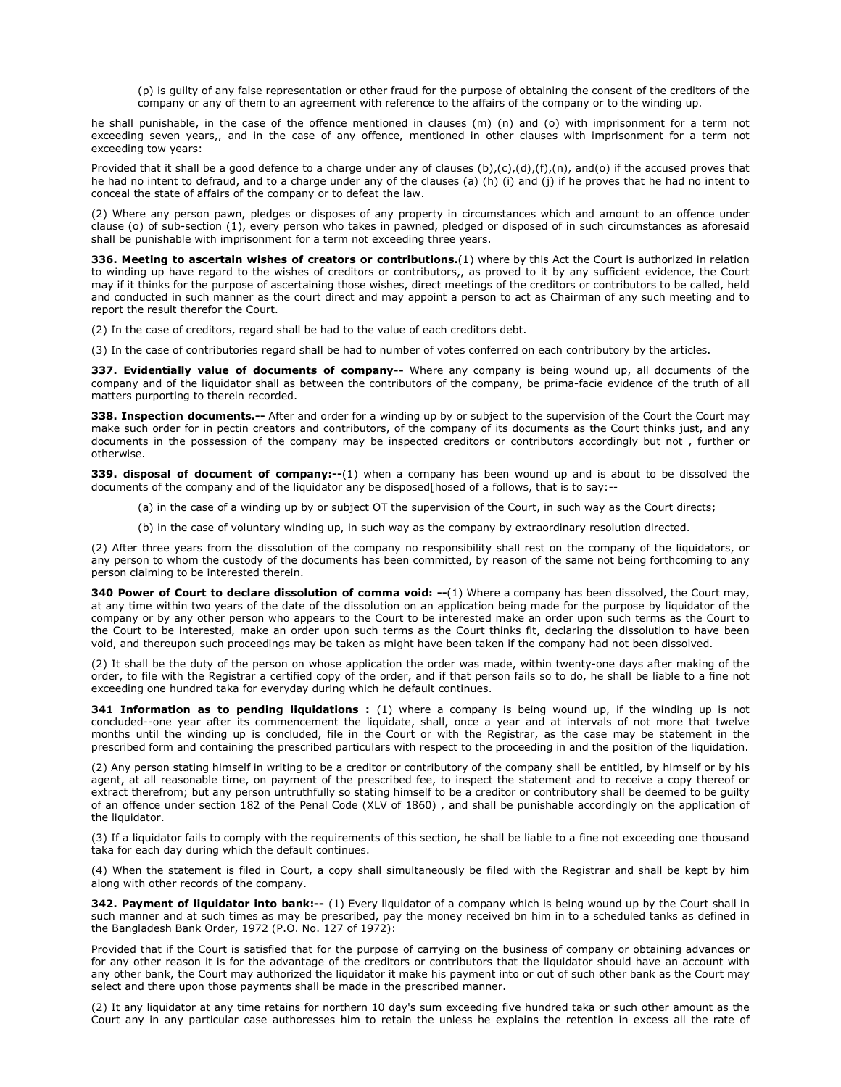(p) is guilty of any false representation or other fraud for the purpose of obtaining the consent of the creditors of the company or any of them to an agreement with reference to the affairs of the company or to the winding up.

he shall punishable, in the case of the offence mentioned in clauses (m) (n) and (o) with imprisonment for a term not exceeding seven years,, and in the case of any offence, mentioned in other clauses with imprisonment for a term not exceeding tow years:

Provided that it shall be a good defence to a charge under any of clauses (b),(c),(d),(f),(n), and(o) if the accused proves that he had no intent to defraud, and to a charge under any of the clauses (a) (h) (i) and (j) if he proves that he had no intent to conceal the state of affairs of the company or to defeat the law.

(2) Where any person pawn, pledges or disposes of any property in circumstances which and amount to an offence under clause (o) of sub-section (1), every person who takes in pawned, pledged or disposed of in such circumstances as aforesaid shall be punishable with imprisonment for a term not exceeding three years.

336. Meeting to ascertain wishes of creators or contributions.(1) where by this Act the Court is authorized in relation to winding up have regard to the wishes of creditors or contributors,, as proved to it by any sufficient evidence, the Court may if it thinks for the purpose of ascertaining those wishes, direct meetings of the creditors or contributors to be called, held and conducted in such manner as the court direct and may appoint a person to act as Chairman of any such meeting and to report the result therefor the Court.

(2) In the case of creditors, regard shall be had to the value of each creditors debt.

(3) In the case of contributories regard shall be had to number of votes conferred on each contributory by the articles.

337. Evidentially value of documents of company-- Where any company is being wound up, all documents of the company and of the liquidator shall as between the contributors of the company, be prima-facie evidence of the truth of all matters purporting to therein recorded.

338. Inspection documents.-- After and order for a winding up by or subject to the supervision of the Court the Court may make such order for in pectin creators and contributors, of the company of its documents as the Court thinks just, and any documents in the possession of the company may be inspected creditors or contributors accordingly but not , further or otherwise.

339. disposal of document of company:--(1) when a company has been wound up and is about to be dissolved the documents of the company and of the liquidator any be disposed[hosed of a follows, that is to say:--

(a) in the case of a winding up by or subject OT the supervision of the Court, in such way as the Court directs;

(b) in the case of voluntary winding up, in such way as the company by extraordinary resolution directed.

(2) After three years from the dissolution of the company no responsibility shall rest on the company of the liquidators, or any person to whom the custody of the documents has been committed, by reason of the same not being forthcoming to any person claiming to be interested therein.

340 Power of Court to declare dissolution of comma void:  $-(1)$  Where a company has been dissolved, the Court may, at any time within two years of the date of the dissolution on an application being made for the purpose by liquidator of the company or by any other person who appears to the Court to be interested make an order upon such terms as the Court to the Court to be interested, make an order upon such terms as the Court thinks fit, declaring the dissolution to have been void, and thereupon such proceedings may be taken as might have been taken if the company had not been dissolved.

(2) It shall be the duty of the person on whose application the order was made, within twenty-one days after making of the order, to file with the Registrar a certified copy of the order, and if that person fails so to do, he shall be liable to a fine not exceeding one hundred taka for everyday during which he default continues.

341 Information as to pending liquidations : (1) where a company is being wound up, if the winding up is not concluded--one year after its commencement the liquidate, shall, once a year and at intervals of not more that twelve months until the winding up is concluded, file in the Court or with the Registrar, as the case may be statement in the prescribed form and containing the prescribed particulars with respect to the proceeding in and the position of the liquidation.

(2) Any person stating himself in writing to be a creditor or contributory of the company shall be entitled, by himself or by his agent, at all reasonable time, on payment of the prescribed fee, to inspect the statement and to receive a copy thereof or extract therefrom; but any person untruthfully so stating himself to be a creditor or contributory shall be deemed to be guilty of an offence under section 182 of the Penal Code (XLV of 1860) , and shall be punishable accordingly on the application of the liquidator.

(3) If a liquidator fails to comply with the requirements of this section, he shall be liable to a fine not exceeding one thousand taka for each day during which the default continues.

(4) When the statement is filed in Court, a copy shall simultaneously be filed with the Registrar and shall be kept by him along with other records of the company.

342. Payment of liquidator into bank:-- (1) Every liquidator of a company which is being wound up by the Court shall in such manner and at such times as may be prescribed, pay the money received bn him in to a scheduled tanks as defined in the Bangladesh Bank Order, 1972 (P.O. No. 127 of 1972):

Provided that if the Court is satisfied that for the purpose of carrying on the business of company or obtaining advances or for any other reason it is for the advantage of the creditors or contributors that the liquidator should have an account with any other bank, the Court may authorized the liquidator it make his payment into or out of such other bank as the Court may select and there upon those payments shall be made in the prescribed manner.

(2) It any liquidator at any time retains for northern 10 day's sum exceeding five hundred taka or such other amount as the Court any in any particular case authoresses him to retain the unless he explains the retention in excess all the rate of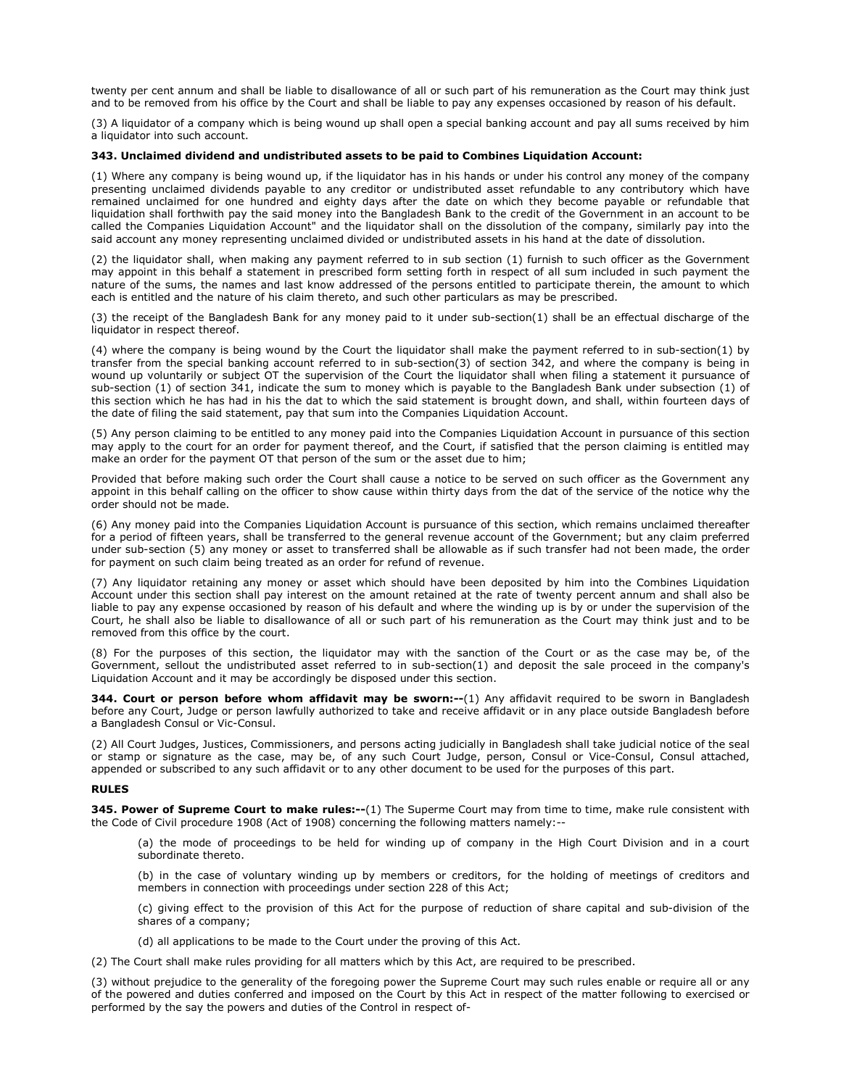twenty per cent annum and shall be liable to disallowance of all or such part of his remuneration as the Court may think just and to be removed from his office by the Court and shall be liable to pay any expenses occasioned by reason of his default.

(3) A liquidator of a company which is being wound up shall open a special banking account and pay all sums received by him a liquidator into such account.

## 343. Unclaimed dividend and undistributed assets to be paid to Combines Liquidation Account:

(1) Where any company is being wound up, if the liquidator has in his hands or under his control any money of the company presenting unclaimed dividends payable to any creditor or undistributed asset refundable to any contributory which have remained unclaimed for one hundred and eighty days after the date on which they become payable or refundable that liquidation shall forthwith pay the said money into the Bangladesh Bank to the credit of the Government in an account to be called the Companies Liquidation Account" and the liquidator shall on the dissolution of the company, similarly pay into the said account any money representing unclaimed divided or undistributed assets in his hand at the date of dissolution.

(2) the liquidator shall, when making any payment referred to in sub section (1) furnish to such officer as the Government may appoint in this behalf a statement in prescribed form setting forth in respect of all sum included in such payment the nature of the sums, the names and last know addressed of the persons entitled to participate therein, the amount to which each is entitled and the nature of his claim thereto, and such other particulars as may be prescribed.

(3) the receipt of the Bangladesh Bank for any money paid to it under sub-section(1) shall be an effectual discharge of the liquidator in respect thereof.

(4) where the company is being wound by the Court the liquidator shall make the payment referred to in sub-section(1) by transfer from the special banking account referred to in sub-section(3) of section 342, and where the company is being in wound up voluntarily or subject OT the supervision of the Court the liquidator shall when filing a statement it pursuance of sub-section (1) of section 341, indicate the sum to money which is payable to the Bangladesh Bank under subsection (1) of this section which he has had in his the dat to which the said statement is brought down, and shall, within fourteen days of the date of filing the said statement, pay that sum into the Companies Liquidation Account.

(5) Any person claiming to be entitled to any money paid into the Companies Liquidation Account in pursuance of this section may apply to the court for an order for payment thereof, and the Court, if satisfied that the person claiming is entitled may make an order for the payment OT that person of the sum or the asset due to him;

Provided that before making such order the Court shall cause a notice to be served on such officer as the Government any appoint in this behalf calling on the officer to show cause within thirty days from the dat of the service of the notice why the order should not be made.

(6) Any money paid into the Companies Liquidation Account is pursuance of this section, which remains unclaimed thereafter for a period of fifteen years, shall be transferred to the general revenue account of the Government; but any claim preferred under sub-section (5) any money or asset to transferred shall be allowable as if such transfer had not been made, the order for payment on such claim being treated as an order for refund of revenue.

(7) Any liquidator retaining any money or asset which should have been deposited by him into the Combines Liquidation Account under this section shall pay interest on the amount retained at the rate of twenty percent annum and shall also be liable to pay any expense occasioned by reason of his default and where the winding up is by or under the supervision of the Court, he shall also be liable to disallowance of all or such part of his remuneration as the Court may think just and to be removed from this office by the court.

(8) For the purposes of this section, the liquidator may with the sanction of the Court or as the case may be, of the Government, sellout the undistributed asset referred to in sub-section(1) and deposit the sale proceed in the company's Liquidation Account and it may be accordingly be disposed under this section.

344. Court or person before whom affidavit may be sworn:--(1) Any affidavit required to be sworn in Bangladesh before any Court, Judge or person lawfully authorized to take and receive affidavit or in any place outside Bangladesh before a Bangladesh Consul or Vic-Consul.

(2) All Court Judges, Justices, Commissioners, and persons acting judicially in Bangladesh shall take judicial notice of the seal or stamp or signature as the case, may be, of any such Court Judge, person, Consul or Vice-Consul, Consul attached, appended or subscribed to any such affidavit or to any other document to be used for the purposes of this part.

## RULES

345. Power of Supreme Court to make rules:--(1) The Superme Court may from time to time, make rule consistent with the Code of Civil procedure 1908 (Act of 1908) concerning the following matters namely:--

(a) the mode of proceedings to be held for winding up of company in the High Court Division and in a court subordinate thereto.

(b) in the case of voluntary winding up by members or creditors, for the holding of meetings of creditors and members in connection with proceedings under section 228 of this Act;

(c) giving effect to the provision of this Act for the purpose of reduction of share capital and sub-division of the shares of a company;

(d) all applications to be made to the Court under the proving of this Act.

(2) The Court shall make rules providing for all matters which by this Act, are required to be prescribed.

(3) without prejudice to the generality of the foregoing power the Supreme Court may such rules enable or require all or any of the powered and duties conferred and imposed on the Court by this Act in respect of the matter following to exercised or performed by the say the powers and duties of the Control in respect of-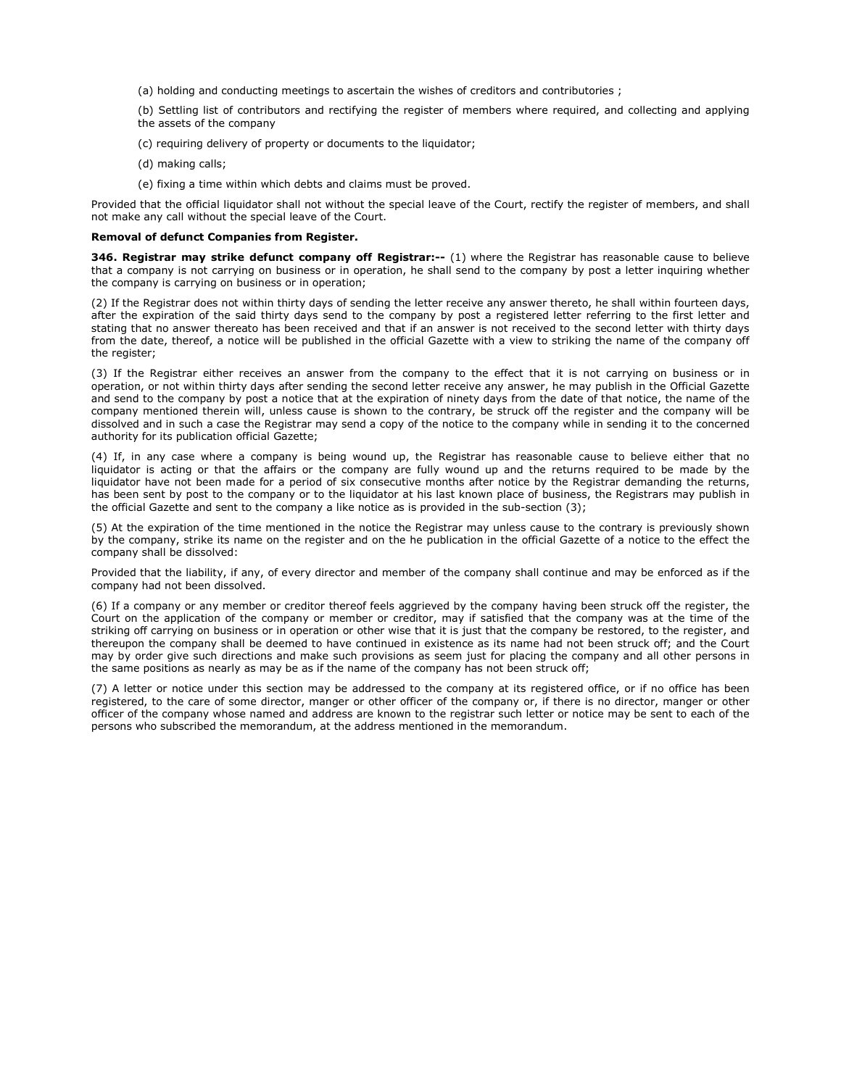- (a) holding and conducting meetings to ascertain the wishes of creditors and contributories ;
- (b) Settling list of contributors and rectifying the register of members where required, and collecting and applying the assets of the company
- (c) requiring delivery of property or documents to the liquidator;
- (d) making calls;
- (e) fixing a time within which debts and claims must be proved.

Provided that the official liquidator shall not without the special leave of the Court, rectify the register of members, and shall not make any call without the special leave of the Court.

### Removal of defunct Companies from Register.

346. Registrar may strike defunct company off Registrar:-- (1) where the Registrar has reasonable cause to believe that a company is not carrying on business or in operation, he shall send to the company by post a letter inquiring whether the company is carrying on business or in operation;

(2) If the Registrar does not within thirty days of sending the letter receive any answer thereto, he shall within fourteen days, after the expiration of the said thirty days send to the company by post a registered letter referring to the first letter and stating that no answer thereato has been received and that if an answer is not received to the second letter with thirty days from the date, thereof, a notice will be published in the official Gazette with a view to striking the name of the company off the register;

(3) If the Registrar either receives an answer from the company to the effect that it is not carrying on business or in operation, or not within thirty days after sending the second letter receive any answer, he may publish in the Official Gazette and send to the company by post a notice that at the expiration of ninety days from the date of that notice, the name of the company mentioned therein will, unless cause is shown to the contrary, be struck off the register and the company will be dissolved and in such a case the Registrar may send a copy of the notice to the company while in sending it to the concerned authority for its publication official Gazette;

(4) If, in any case where a company is being wound up, the Registrar has reasonable cause to believe either that no liquidator is acting or that the affairs or the company are fully wound up and the returns required to be made by the liquidator have not been made for a period of six consecutive months after notice by the Registrar demanding the returns, has been sent by post to the company or to the liquidator at his last known place of business, the Registrars may publish in the official Gazette and sent to the company a like notice as is provided in the sub-section (3);

(5) At the expiration of the time mentioned in the notice the Registrar may unless cause to the contrary is previously shown by the company, strike its name on the register and on the he publication in the official Gazette of a notice to the effect the company shall be dissolved:

Provided that the liability, if any, of every director and member of the company shall continue and may be enforced as if the company had not been dissolved.

(6) If a company or any member or creditor thereof feels aggrieved by the company having been struck off the register, the Court on the application of the company or member or creditor, may if satisfied that the company was at the time of the striking off carrying on business or in operation or other wise that it is just that the company be restored, to the register, and thereupon the company shall be deemed to have continued in existence as its name had not been struck off; and the Court may by order give such directions and make such provisions as seem just for placing the company and all other persons in the same positions as nearly as may be as if the name of the company has not been struck off;

(7) A letter or notice under this section may be addressed to the company at its registered office, or if no office has been registered, to the care of some director, manger or other officer of the company or, if there is no director, manger or other officer of the company whose named and address are known to the registrar such letter or notice may be sent to each of the persons who subscribed the memorandum, at the address mentioned in the memorandum.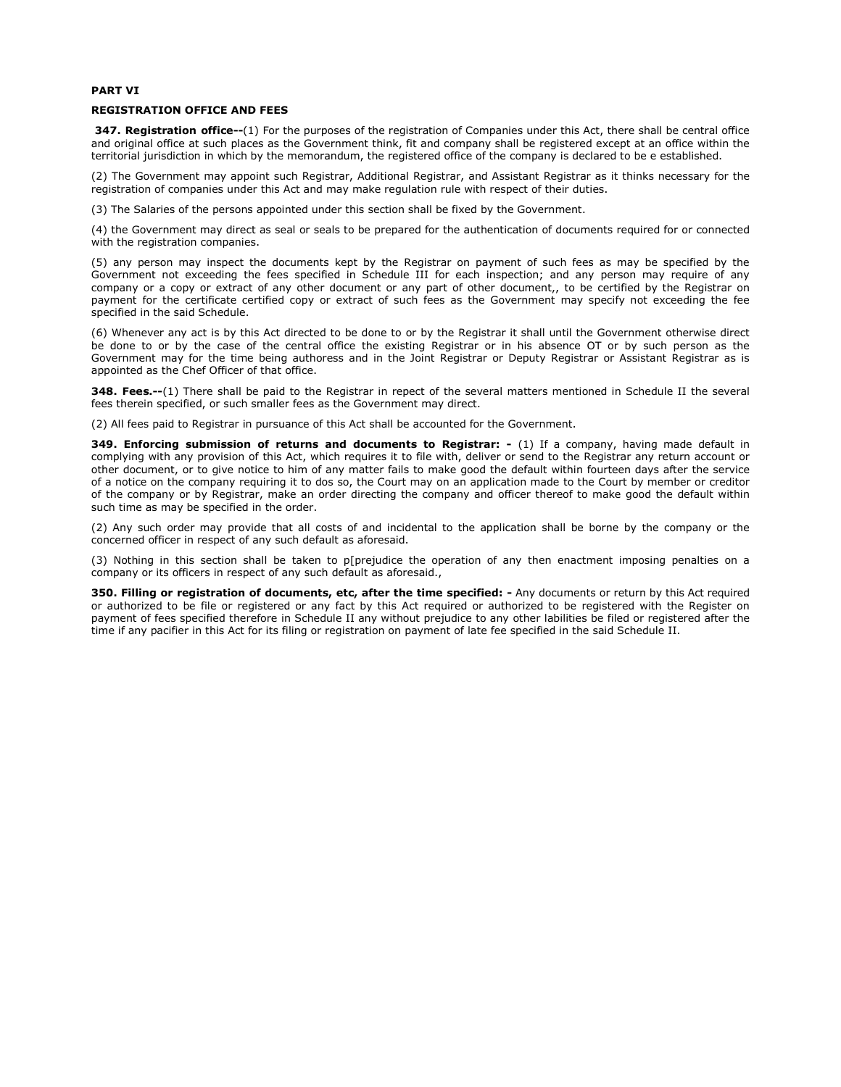# PART VI

### REGISTRATION OFFICE AND FEES

347. Registration office--(1) For the purposes of the registration of Companies under this Act, there shall be central office and original office at such places as the Government think, fit and company shall be registered except at an office within the territorial jurisdiction in which by the memorandum, the registered office of the company is declared to be e established.

(2) The Government may appoint such Registrar, Additional Registrar, and Assistant Registrar as it thinks necessary for the registration of companies under this Act and may make regulation rule with respect of their duties.

(3) The Salaries of the persons appointed under this section shall be fixed by the Government.

(4) the Government may direct as seal or seals to be prepared for the authentication of documents required for or connected with the registration companies.

(5) any person may inspect the documents kept by the Registrar on payment of such fees as may be specified by the Government not exceeding the fees specified in Schedule III for each inspection; and any person may require of any company or a copy or extract of any other document or any part of other document,, to be certified by the Registrar on payment for the certificate certified copy or extract of such fees as the Government may specify not exceeding the fee specified in the said Schedule.

(6) Whenever any act is by this Act directed to be done to or by the Registrar it shall until the Government otherwise direct be done to or by the case of the central office the existing Registrar or in his absence OT or by such person as the Government may for the time being authoress and in the Joint Registrar or Deputy Registrar or Assistant Registrar as is appointed as the Chef Officer of that office.

348. Fees.--(1) There shall be paid to the Registrar in repect of the several matters mentioned in Schedule II the several fees therein specified, or such smaller fees as the Government may direct.

(2) All fees paid to Registrar in pursuance of this Act shall be accounted for the Government.

349. Enforcing submission of returns and documents to Registrar: - (1) If a company, having made default in complying with any provision of this Act, which requires it to file with, deliver or send to the Registrar any return account or other document, or to give notice to him of any matter fails to make good the default within fourteen days after the service of a notice on the company requiring it to dos so, the Court may on an application made to the Court by member or creditor of the company or by Registrar, make an order directing the company and officer thereof to make good the default within such time as may be specified in the order.

(2) Any such order may provide that all costs of and incidental to the application shall be borne by the company or the concerned officer in respect of any such default as aforesaid.

(3) Nothing in this section shall be taken to p[prejudice the operation of any then enactment imposing penalties on a company or its officers in respect of any such default as aforesaid.,

350. Filling or registration of documents, etc, after the time specified: - Any documents or return by this Act required or authorized to be file or registered or any fact by this Act required or authorized to be registered with the Register on payment of fees specified therefore in Schedule II any without prejudice to any other labilities be filed or registered after the time if any pacifier in this Act for its filing or registration on payment of late fee specified in the said Schedule II.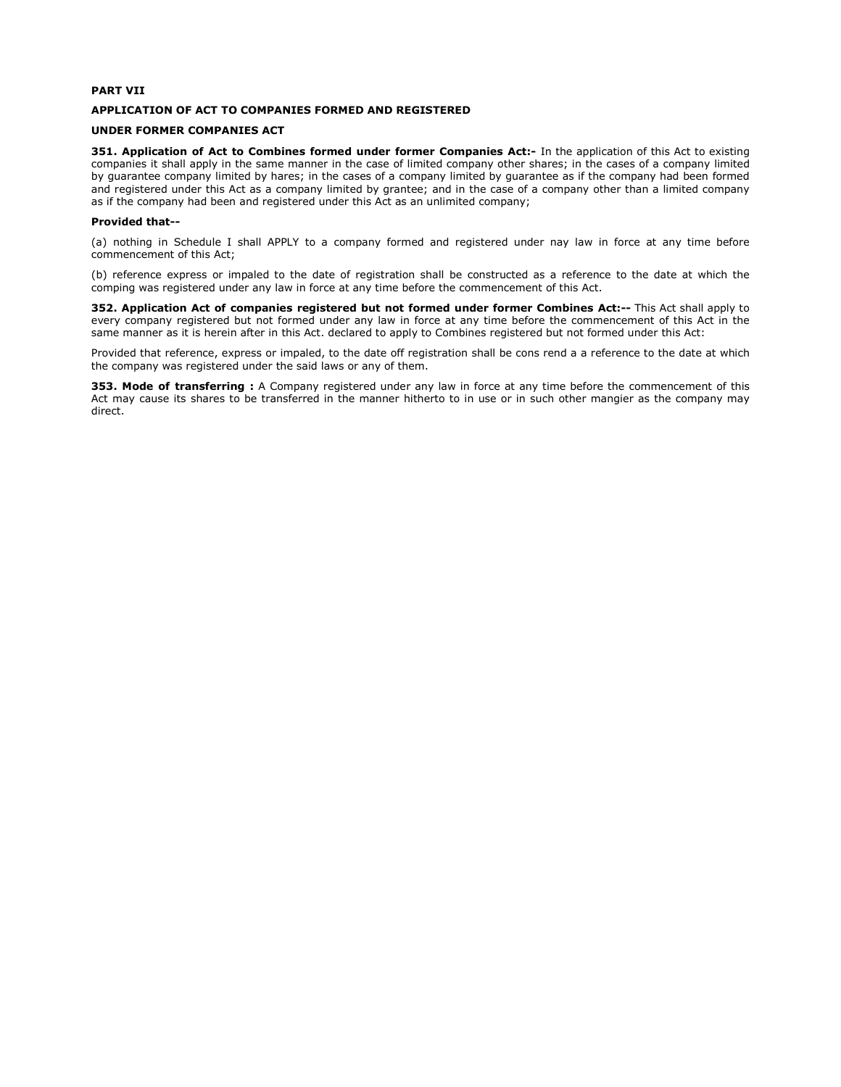# PART VII

## APPLICATION OF ACT TO COMPANIES FORMED AND REGISTERED

# UNDER FORMER COMPANIES ACT

351. Application of Act to Combines formed under former Companies Act:- In the application of this Act to existing companies it shall apply in the same manner in the case of limited company other shares; in the cases of a company limited by guarantee company limited by hares; in the cases of a company limited by guarantee as if the company had been formed and registered under this Act as a company limited by grantee; and in the case of a company other than a limited company as if the company had been and registered under this Act as an unlimited company;

### Provided that--

(a) nothing in Schedule I shall APPLY to a company formed and registered under nay law in force at any time before commencement of this Act;

(b) reference express or impaled to the date of registration shall be constructed as a reference to the date at which the comping was registered under any law in force at any time before the commencement of this Act.

352. Application Act of companies registered but not formed under former Combines Act:-- This Act shall apply to every company registered but not formed under any law in force at any time before the commencement of this Act in the same manner as it is herein after in this Act. declared to apply to Combines registered but not formed under this Act:

Provided that reference, express or impaled, to the date off registration shall be cons rend a a reference to the date at which the company was registered under the said laws or any of them.

353. Mode of transferring : A Company registered under any law in force at any time before the commencement of this Act may cause its shares to be transferred in the manner hitherto to in use or in such other mangier as the company may direct.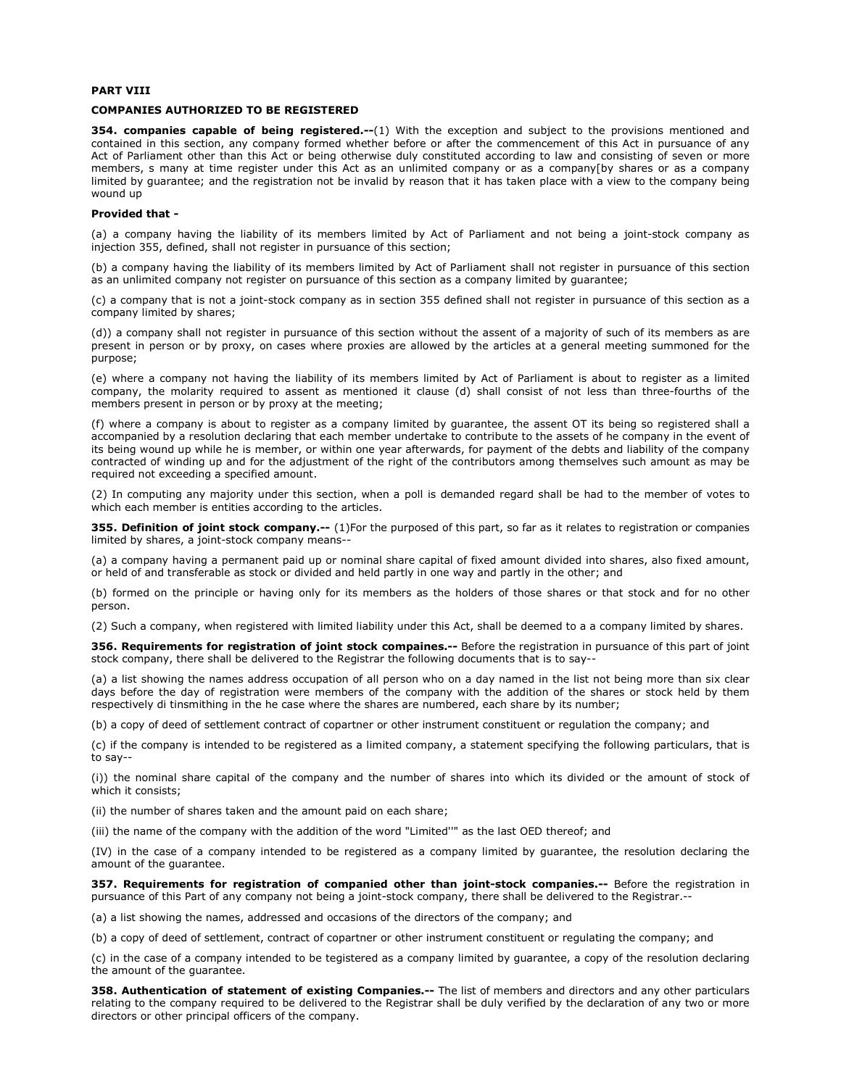## PART VIII

#### COMPANIES AUTHORIZED TO BE REGISTERED

354. companies capable of being registered.--(1) With the exception and subject to the provisions mentioned and contained in this section, any company formed whether before or after the commencement of this Act in pursuance of any Act of Parliament other than this Act or being otherwise duly constituted according to law and consisting of seven or more members, s many at time register under this Act as an unlimited company or as a company[by shares or as a company limited by guarantee; and the registration not be invalid by reason that it has taken place with a view to the company being wound up

#### Provided that -

(a) a company having the liability of its members limited by Act of Parliament and not being a joint-stock company as injection 355, defined, shall not register in pursuance of this section;

(b) a company having the liability of its members limited by Act of Parliament shall not register in pursuance of this section as an unlimited company not register on pursuance of this section as a company limited by guarantee;

(c) a company that is not a joint-stock company as in section 355 defined shall not register in pursuance of this section as a company limited by shares;

(d)) a company shall not register in pursuance of this section without the assent of a majority of such of its members as are present in person or by proxy, on cases where proxies are allowed by the articles at a general meeting summoned for the purpose;

(e) where a company not having the liability of its members limited by Act of Parliament is about to register as a limited company, the molarity required to assent as mentioned it clause (d) shall consist of not less than three-fourths of the members present in person or by proxy at the meeting;

(f) where a company is about to register as a company limited by guarantee, the assent OT its being so registered shall a accompanied by a resolution declaring that each member undertake to contribute to the assets of he company in the event of its being wound up while he is member, or within one year afterwards, for payment of the debts and liability of the company contracted of winding up and for the adjustment of the right of the contributors among themselves such amount as may be required not exceeding a specified amount.

(2) In computing any majority under this section, when a poll is demanded regard shall be had to the member of votes to which each member is entities according to the articles.

355. Definition of joint stock company .-- (1) For the purposed of this part, so far as it relates to registration or companies limited by shares, a joint-stock company means--

(a) a company having a permanent paid up or nominal share capital of fixed amount divided into shares, also fixed amount, or held of and transferable as stock or divided and held partly in one way and partly in the other; and

(b) formed on the principle or having only for its members as the holders of those shares or that stock and for no other person.

(2) Such a company, when registered with limited liability under this Act, shall be deemed to a a company limited by shares.

356. Requirements for registration of joint stock compaines.-- Before the registration in pursuance of this part of joint stock company, there shall be delivered to the Registrar the following documents that is to say--

(a) a list showing the names address occupation of all person who on a day named in the list not being more than six clear days before the day of registration were members of the company with the addition of the shares or stock held by them respectively di tinsmithing in the he case where the shares are numbered, each share by its number;

(b) a copy of deed of settlement contract of copartner or other instrument constituent or regulation the company; and

(c) if the company is intended to be registered as a limited company, a statement specifying the following particulars, that is to say--

(i)) the nominal share capital of the company and the number of shares into which its divided or the amount of stock of which it consists;

(ii) the number of shares taken and the amount paid on each share;

(iii) the name of the company with the addition of the word "Limited''" as the last OED thereof; and

(IV) in the case of a company intended to be registered as a company limited by guarantee, the resolution declaring the amount of the guarantee.

357. Requirements for registration of companied other than joint-stock companies.-- Before the registration in pursuance of this Part of any company not being a joint-stock company, there shall be delivered to the Registrar.--

(a) a list showing the names, addressed and occasions of the directors of the company; and

(b) a copy of deed of settlement, contract of copartner or other instrument constituent or regulating the company; and

(c) in the case of a company intended to be tegistered as a company limited by guarantee, a copy of the resolution declaring the amount of the guarantee.

358. Authentication of statement of existing Companies.-- The list of members and directors and any other particulars relating to the company required to be delivered to the Registrar shall be duly verified by the declaration of any two or more directors or other principal officers of the company.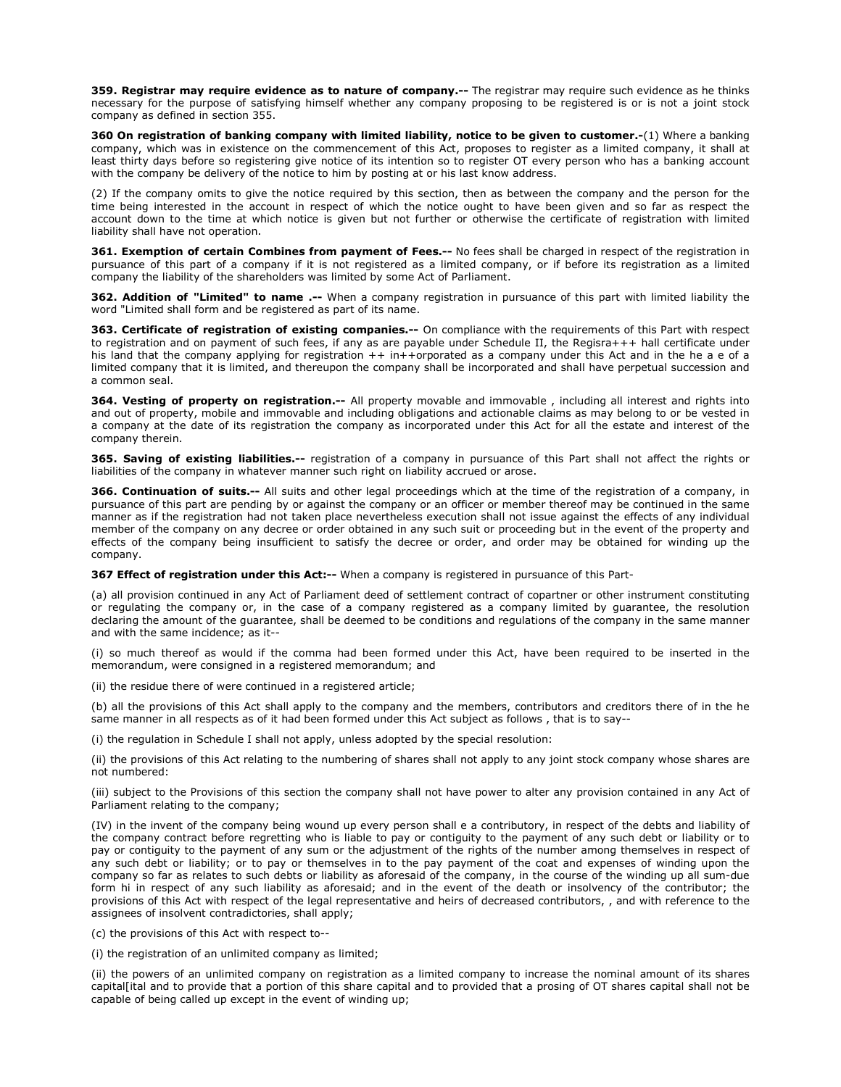359. Registrar may require evidence as to nature of company .-- The registrar may require such evidence as he thinks necessary for the purpose of satisfying himself whether any company proposing to be registered is or is not a joint stock company as defined in section 355.

360 On registration of banking company with limited liability, notice to be given to customer.-(1) Where a banking company, which was in existence on the commencement of this Act, proposes to register as a limited company, it shall at least thirty days before so registering give notice of its intention so to register OT every person who has a banking account with the company be delivery of the notice to him by posting at or his last know address.

(2) If the company omits to give the notice required by this section, then as between the company and the person for the time being interested in the account in respect of which the notice ought to have been given and so far as respect the account down to the time at which notice is given but not further or otherwise the certificate of registration with limited liability shall have not operation.

361. Exemption of certain Combines from payment of Fees.-- No fees shall be charged in respect of the registration in pursuance of this part of a company if it is not registered as a limited company, or if before its registration as a limited company the liability of the shareholders was limited by some Act of Parliament.

362. Addition of "Limited" to name .-- When a company registration in pursuance of this part with limited liability the word "Limited shall form and be registered as part of its name.

363. Certificate of registration of existing companies.-- On compliance with the requirements of this Part with respect to registration and on payment of such fees, if any as are payable under Schedule II, the Regisra+++ hall certificate under his land that the company applying for registration ++ in++orporated as a company under this Act and in the he a e of a limited company that it is limited, and thereupon the company shall be incorporated and shall have perpetual succession and a common seal.

364. Vesting of property on registration.-- All property movable and immovable, including all interest and rights into and out of property, mobile and immovable and including obligations and actionable claims as may belong to or be vested in a company at the date of its registration the company as incorporated under this Act for all the estate and interest of the company therein.

365. Saving of existing liabilities.-- registration of a company in pursuance of this Part shall not affect the rights or liabilities of the company in whatever manner such right on liability accrued or arose.

366. Continuation of suits.-- All suits and other legal proceedings which at the time of the registration of a company, in pursuance of this part are pending by or against the company or an officer or member thereof may be continued in the same manner as if the registration had not taken place nevertheless execution shall not issue against the effects of any individual member of the company on any decree or order obtained in any such suit or proceeding but in the event of the property and effects of the company being insufficient to satisfy the decree or order, and order may be obtained for winding up the company.

367 Effect of registration under this Act:-- When a company is registered in pursuance of this Part-

(a) all provision continued in any Act of Parliament deed of settlement contract of copartner or other instrument constituting or regulating the company or, in the case of a company registered as a company limited by guarantee, the resolution declaring the amount of the guarantee, shall be deemed to be conditions and regulations of the company in the same manner and with the same incidence; as it--

(i) so much thereof as would if the comma had been formed under this Act, have been required to be inserted in the memorandum, were consigned in a registered memorandum; and

(ii) the residue there of were continued in a registered article;

(b) all the provisions of this Act shall apply to the company and the members, contributors and creditors there of in the he same manner in all respects as of it had been formed under this Act subject as follows , that is to say--

(i) the regulation in Schedule I shall not apply, unless adopted by the special resolution:

(ii) the provisions of this Act relating to the numbering of shares shall not apply to any joint stock company whose shares are not numbered:

(iii) subject to the Provisions of this section the company shall not have power to alter any provision contained in any Act of Parliament relating to the company;

(IV) in the invent of the company being wound up every person shall e a contributory, in respect of the debts and liability of the company contract before regretting who is liable to pay or contiguity to the payment of any such debt or liability or to pay or contiguity to the payment of any sum or the adjustment of the rights of the number among themselves in respect of any such debt or liability; or to pay or themselves in to the pay payment of the coat and expenses of winding upon the company so far as relates to such debts or liability as aforesaid of the company, in the course of the winding up all sum-due form hi in respect of any such liability as aforesaid; and in the event of the death or insolvency of the contributor; the provisions of this Act with respect of the legal representative and heirs of decreased contributors, , and with reference to the assignees of insolvent contradictories, shall apply;

(c) the provisions of this Act with respect to--

(i) the registration of an unlimited company as limited;

(ii) the powers of an unlimited company on registration as a limited company to increase the nominal amount of its shares capital[ital and to provide that a portion of this share capital and to provided that a prosing of OT shares capital shall not be capable of being called up except in the event of winding up;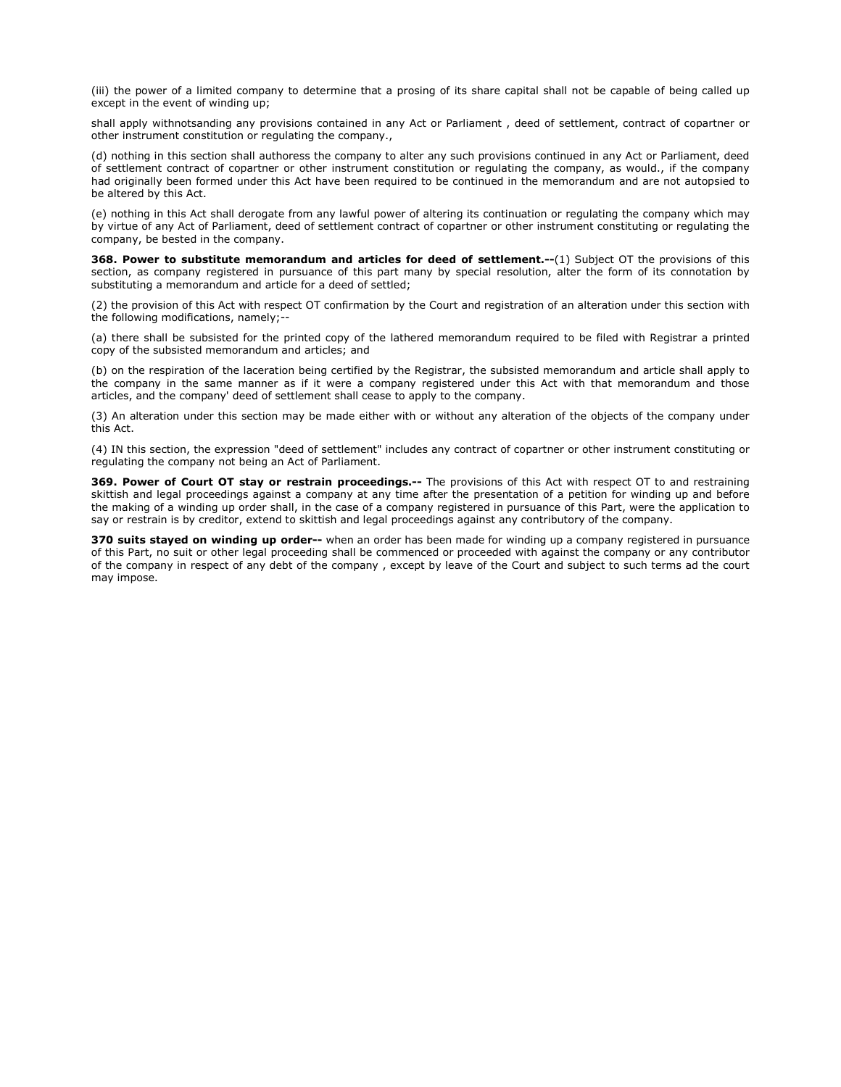(iii) the power of a limited company to determine that a prosing of its share capital shall not be capable of being called up except in the event of winding up;

shall apply withnotsanding any provisions contained in any Act or Parliament , deed of settlement, contract of copartner or other instrument constitution or regulating the company.,

(d) nothing in this section shall authoress the company to alter any such provisions continued in any Act or Parliament, deed of settlement contract of copartner or other instrument constitution or regulating the company, as would., if the company had originally been formed under this Act have been required to be continued in the memorandum and are not autopsied to be altered by this Act.

(e) nothing in this Act shall derogate from any lawful power of altering its continuation or regulating the company which may by virtue of any Act of Parliament, deed of settlement contract of copartner or other instrument constituting or regulating the company, be bested in the company.

368. Power to substitute memorandum and articles for deed of settlement.--(1) Subject OT the provisions of this section, as company registered in pursuance of this part many by special resolution, alter the form of its connotation by substituting a memorandum and article for a deed of settled;

(2) the provision of this Act with respect OT confirmation by the Court and registration of an alteration under this section with the following modifications, namely;--

(a) there shall be subsisted for the printed copy of the lathered memorandum required to be filed with Registrar a printed copy of the subsisted memorandum and articles; and

(b) on the respiration of the laceration being certified by the Registrar, the subsisted memorandum and article shall apply to the company in the same manner as if it were a company registered under this Act with that memorandum and those articles, and the company' deed of settlement shall cease to apply to the company.

(3) An alteration under this section may be made either with or without any alteration of the objects of the company under this Act.

(4) IN this section, the expression "deed of settlement" includes any contract of copartner or other instrument constituting or regulating the company not being an Act of Parliament.

369. Power of Court OT stay or restrain proceedings.-- The provisions of this Act with respect OT to and restraining skittish and legal proceedings against a company at any time after the presentation of a petition for winding up and before the making of a winding up order shall, in the case of a company registered in pursuance of this Part, were the application to say or restrain is by creditor, extend to skittish and legal proceedings against any contributory of the company.

370 suits stayed on winding up order-- when an order has been made for winding up a company registered in pursuance of this Part, no suit or other legal proceeding shall be commenced or proceeded with against the company or any contributor of the company in respect of any debt of the company , except by leave of the Court and subject to such terms ad the court may impose.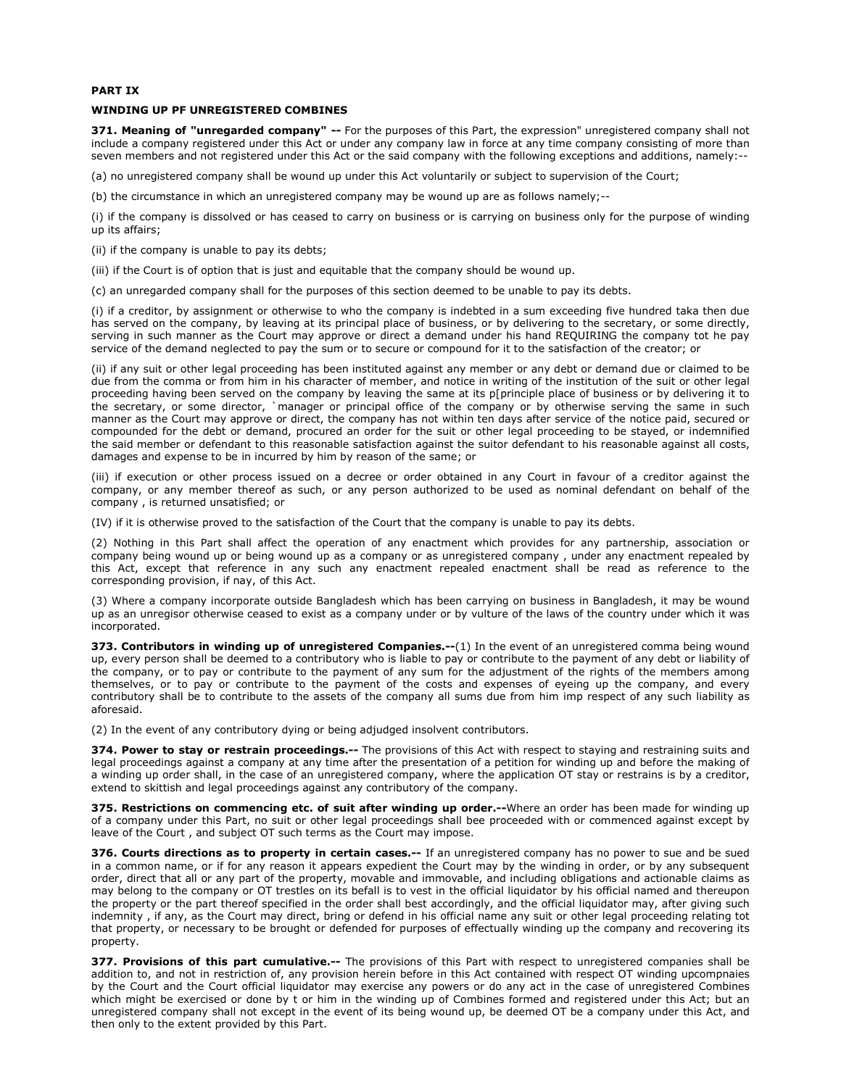# PART IX

### WINDING UP PF UNREGISTERED COMBINES

371. Meaning of "unregarded company" -- For the purposes of this Part, the expression" unregistered company shall not include a company registered under this Act or under any company law in force at any time company consisting of more than seven members and not registered under this Act or the said company with the following exceptions and additions, namely:--

(a) no unregistered company shall be wound up under this Act voluntarily or subject to supervision of the Court;

(b) the circumstance in which an unregistered company may be wound up are as follows namely;--

(i) if the company is dissolved or has ceased to carry on business or is carrying on business only for the purpose of winding up its affairs;

(ii) if the company is unable to pay its debts;

(iii) if the Court is of option that is just and equitable that the company should be wound up.

(c) an unregarded company shall for the purposes of this section deemed to be unable to pay its debts.

(i) if a creditor, by assignment or otherwise to who the company is indebted in a sum exceeding five hundred taka then due has served on the company, by leaving at its principal place of business, or by delivering to the secretary, or some directly, serving in such manner as the Court may approve or direct a demand under his hand REQUIRING the company tot he pay service of the demand neglected to pay the sum or to secure or compound for it to the satisfaction of the creator; or

(ii) if any suit or other legal proceeding has been instituted against any member or any debt or demand due or claimed to be due from the comma or from him in his character of member, and notice in writing of the institution of the suit or other legal proceeding having been served on the company by leaving the same at its p[principle place of business or by delivering it to the secretary, or some director, `manager or principal office of the company or by otherwise serving the same in such manner as the Court may approve or direct, the company has not within ten days after service of the notice paid, secured or compounded for the debt or demand, procured an order for the suit or other legal proceeding to be stayed, or indemnified the said member or defendant to this reasonable satisfaction against the suitor defendant to his reasonable against all costs, damages and expense to be in incurred by him by reason of the same; or

(iii) if execution or other process issued on a decree or order obtained in any Court in favour of a creditor against the company, or any member thereof as such, or any person authorized to be used as nominal defendant on behalf of the company , is returned unsatisfied; or

(IV) if it is otherwise proved to the satisfaction of the Court that the company is unable to pay its debts.

(2) Nothing in this Part shall affect the operation of any enactment which provides for any partnership, association or company being wound up or being wound up as a company or as unregistered company , under any enactment repealed by this Act, except that reference in any such any enactment repealed enactment shall be read as reference to the corresponding provision, if nay, of this Act.

(3) Where a company incorporate outside Bangladesh which has been carrying on business in Bangladesh, it may be wound up as an unregisor otherwise ceased to exist as a company under or by vulture of the laws of the country under which it was incorporated.

373. Contributors in winding up of unregistered Companies.--(1) In the event of an unregistered comma being wound up, every person shall be deemed to a contributory who is liable to pay or contribute to the payment of any debt or liability of the company, or to pay or contribute to the payment of any sum for the adjustment of the rights of the members among themselves, or to pay or contribute to the payment of the costs and expenses of eyeing up the company, and every contributory shall be to contribute to the assets of the company all sums due from him imp respect of any such liability as aforesaid.

(2) In the event of any contributory dying or being adjudged insolvent contributors.

374. Power to stay or restrain proceedings.-- The provisions of this Act with respect to staying and restraining suits and legal proceedings against a company at any time after the presentation of a petition for winding up and before the making of a winding up order shall, in the case of an unregistered company, where the application OT stay or restrains is by a creditor, extend to skittish and legal proceedings against any contributory of the company.

375. Restrictions on commencing etc. of suit after winding up order.--Where an order has been made for winding up of a company under this Part, no suit or other legal proceedings shall bee proceeded with or commenced against except by leave of the Court , and subject OT such terms as the Court may impose.

376. Courts directions as to property in certain cases.-- If an unregistered company has no power to sue and be sued in a common name, or if for any reason it appears expedient the Court may by the winding in order, or by any subsequent order, direct that all or any part of the property, movable and immovable, and including obligations and actionable claims as may belong to the company or OT trestles on its befall is to vest in the official liquidator by his official named and thereupon the property or the part thereof specified in the order shall best accordingly, and the official liquidator may, after giving such indemnity , if any, as the Court may direct, bring or defend in his official name any suit or other legal proceeding relating tot that property, or necessary to be brought or defended for purposes of effectually winding up the company and recovering its property.

377. Provisions of this part cumulative.-- The provisions of this Part with respect to unregistered companies shall be addition to, and not in restriction of, any provision herein before in this Act contained with respect OT winding upcompnaies by the Court and the Court official liquidator may exercise any powers or do any act in the case of unregistered Combines which might be exercised or done by t or him in the winding up of Combines formed and registered under this Act; but an unregistered company shall not except in the event of its being wound up, be deemed OT be a company under this Act, and then only to the extent provided by this Part.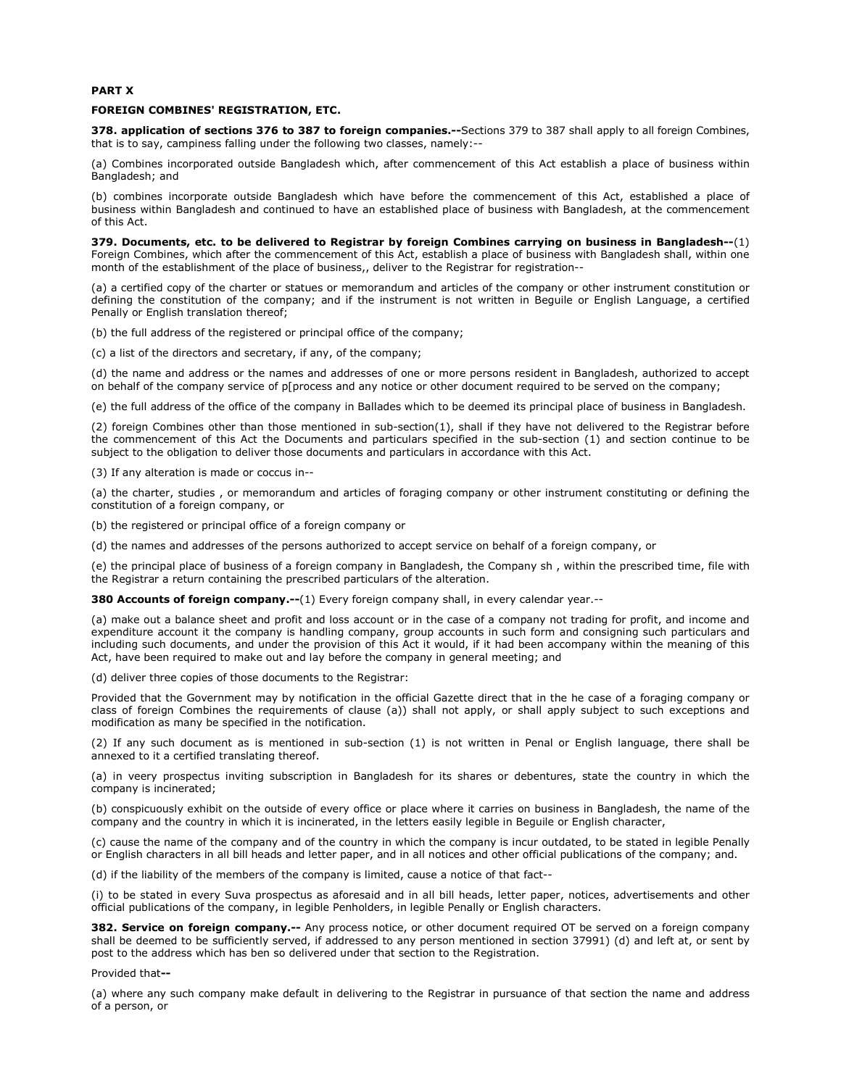# PART X

### FOREIGN COMBINES' REGISTRATION, ETC.

378. application of sections 376 to 387 to foreign companies.--Sections 379 to 387 shall apply to all foreign Combines, that is to say, campiness falling under the following two classes, namely:--

(a) Combines incorporated outside Bangladesh which, after commencement of this Act establish a place of business within Bangladesh; and

(b) combines incorporate outside Bangladesh which have before the commencement of this Act, established a place of business within Bangladesh and continued to have an established place of business with Bangladesh, at the commencement of this Act.

379. Documents, etc. to be delivered to Registrar by foreign Combines carrying on business in Bangladesh--(1) Foreign Combines, which after the commencement of this Act, establish a place of business with Bangladesh shall, within one month of the establishment of the place of business,, deliver to the Registrar for registration--

(a) a certified copy of the charter or statues or memorandum and articles of the company or other instrument constitution or defining the constitution of the company; and if the instrument is not written in Beguile or English Language, a certified Penally or English translation thereof;

(b) the full address of the registered or principal office of the company;

(c) a list of the directors and secretary, if any, of the company;

(d) the name and address or the names and addresses of one or more persons resident in Bangladesh, authorized to accept on behalf of the company service of p[process and any notice or other document required to be served on the company;

(e) the full address of the office of the company in Ballades which to be deemed its principal place of business in Bangladesh.

(2) foreign Combines other than those mentioned in sub-section(1), shall if they have not delivered to the Registrar before the commencement of this Act the Documents and particulars specified in the sub-section (1) and section continue to be subject to the obligation to deliver those documents and particulars in accordance with this Act.

(3) If any alteration is made or coccus in--

(a) the charter, studies , or memorandum and articles of foraging company or other instrument constituting or defining the constitution of a foreign company, or

(b) the registered or principal office of a foreign company or

(d) the names and addresses of the persons authorized to accept service on behalf of a foreign company, or

(e) the principal place of business of a foreign company in Bangladesh, the Company sh , within the prescribed time, file with the Registrar a return containing the prescribed particulars of the alteration.

380 Accounts of foreign company .-- (1) Every foreign company shall, in every calendar year .--

(a) make out a balance sheet and profit and loss account or in the case of a company not trading for profit, and income and expenditure account it the company is handling company, group accounts in such form and consigning such particulars and including such documents, and under the provision of this Act it would, if it had been accompany within the meaning of this Act, have been required to make out and lay before the company in general meeting; and

(d) deliver three copies of those documents to the Registrar:

Provided that the Government may by notification in the official Gazette direct that in the he case of a foraging company or class of foreign Combines the requirements of clause (a)) shall not apply, or shall apply subject to such exceptions and modification as many be specified in the notification.

(2) If any such document as is mentioned in sub-section (1) is not written in Penal or English language, there shall be annexed to it a certified translating thereof.

(a) in veery prospectus inviting subscription in Bangladesh for its shares or debentures, state the country in which the company is incinerated;

(b) conspicuously exhibit on the outside of every office or place where it carries on business in Bangladesh, the name of the company and the country in which it is incinerated, in the letters easily legible in Beguile or English character,

(c) cause the name of the company and of the country in which the company is incur outdated, to be stated in legible Penally or English characters in all bill heads and letter paper, and in all notices and other official publications of the company; and.

(d) if the liability of the members of the company is limited, cause a notice of that fact--

(i) to be stated in every Suva prospectus as aforesaid and in all bill heads, letter paper, notices, advertisements and other official publications of the company, in legible Penholders, in legible Penally or English characters.

382. Service on foreign company.-- Any process notice, or other document required OT be served on a foreign company shall be deemed to be sufficiently served, if addressed to any person mentioned in section 37991) (d) and left at, or sent by post to the address which has ben so delivered under that section to the Registration.

Provided that--

(a) where any such company make default in delivering to the Registrar in pursuance of that section the name and address of a person, or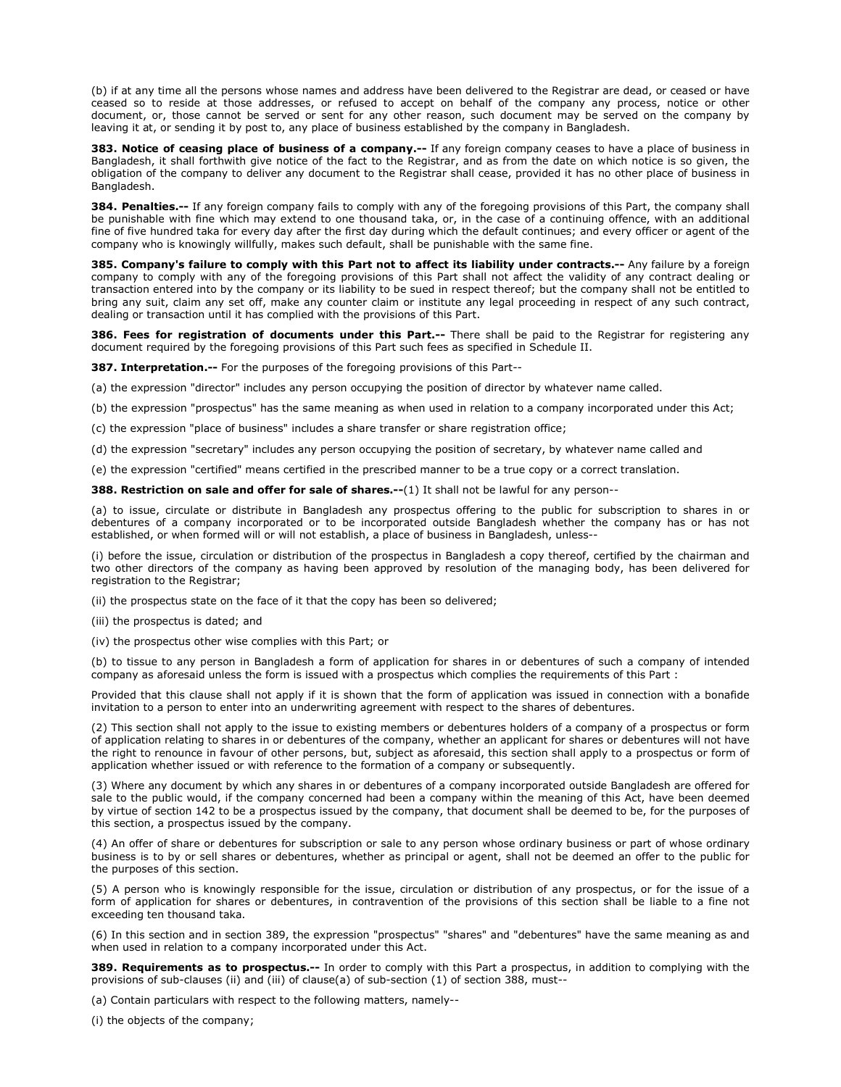(b) if at any time all the persons whose names and address have been delivered to the Registrar are dead, or ceased or have ceased so to reside at those addresses, or refused to accept on behalf of the company any process, notice or other document, or, those cannot be served or sent for any other reason, such document may be served on the company by leaving it at, or sending it by post to, any place of business established by the company in Bangladesh.

383. Notice of ceasing place of business of a company .-- If any foreign company ceases to have a place of business in Bangladesh, it shall forthwith give notice of the fact to the Registrar, and as from the date on which notice is so given, the obligation of the company to deliver any document to the Registrar shall cease, provided it has no other place of business in Bangladesh.

384. Penalties.-- If any foreign company fails to comply with any of the foregoing provisions of this Part, the company shall be punishable with fine which may extend to one thousand taka, or, in the case of a continuing offence, with an additional fine of five hundred taka for every day after the first day during which the default continues; and every officer or agent of the company who is knowingly willfully, makes such default, shall be punishable with the same fine.

385. Company's failure to comply with this Part not to affect its liability under contracts.-- Any failure by a foreign company to comply with any of the foregoing provisions of this Part shall not affect the validity of any contract dealing or transaction entered into by the company or its liability to be sued in respect thereof; but the company shall not be entitled to bring any suit, claim any set off, make any counter claim or institute any legal proceeding in respect of any such contract, dealing or transaction until it has complied with the provisions of this Part.

386. Fees for registration of documents under this Part.-- There shall be paid to the Registrar for registering any document required by the foregoing provisions of this Part such fees as specified in Schedule II.

387. Interpretation.-- For the purposes of the foregoing provisions of this Part--

(a) the expression "director" includes any person occupying the position of director by whatever name called.

(b) the expression "prospectus" has the same meaning as when used in relation to a company incorporated under this Act;

(c) the expression "place of business" includes a share transfer or share registration office;

(d) the expression "secretary" includes any person occupying the position of secretary, by whatever name called and

(e) the expression "certified" means certified in the prescribed manner to be a true copy or a correct translation.

388. Restriction on sale and offer for sale of shares.--(1) It shall not be lawful for any person--

(a) to issue, circulate or distribute in Bangladesh any prospectus offering to the public for subscription to shares in or debentures of a company incorporated or to be incorporated outside Bangladesh whether the company has or has not established, or when formed will or will not establish, a place of business in Bangladesh, unless--

(i) before the issue, circulation or distribution of the prospectus in Bangladesh a copy thereof, certified by the chairman and two other directors of the company as having been approved by resolution of the managing body, has been delivered for registration to the Registrar;

(ii) the prospectus state on the face of it that the copy has been so delivered;

(iii) the prospectus is dated; and

(iv) the prospectus other wise complies with this Part; or

(b) to tissue to any person in Bangladesh a form of application for shares in or debentures of such a company of intended company as aforesaid unless the form is issued with a prospectus which complies the requirements of this Part :

Provided that this clause shall not apply if it is shown that the form of application was issued in connection with a bonafide invitation to a person to enter into an underwriting agreement with respect to the shares of debentures.

(2) This section shall not apply to the issue to existing members or debentures holders of a company of a prospectus or form of application relating to shares in or debentures of the company, whether an applicant for shares or debentures will not have the right to renounce in favour of other persons, but, subject as aforesaid, this section shall apply to a prospectus or form of application whether issued or with reference to the formation of a company or subsequently.

(3) Where any document by which any shares in or debentures of a company incorporated outside Bangladesh are offered for sale to the public would, if the company concerned had been a company within the meaning of this Act, have been deemed by virtue of section 142 to be a prospectus issued by the company, that document shall be deemed to be, for the purposes of this section, a prospectus issued by the company.

(4) An offer of share or debentures for subscription or sale to any person whose ordinary business or part of whose ordinary business is to by or sell shares or debentures, whether as principal or agent, shall not be deemed an offer to the public for the purposes of this section.

(5) A person who is knowingly responsible for the issue, circulation or distribution of any prospectus, or for the issue of a form of application for shares or debentures, in contravention of the provisions of this section shall be liable to a fine not exceeding ten thousand taka.

(6) In this section and in section 389, the expression "prospectus" "shares" and "debentures" have the same meaning as and when used in relation to a company incorporated under this Act.

389. Requirements as to prospectus.-- In order to comply with this Part a prospectus, in addition to complying with the provisions of sub-clauses (ii) and (iii) of clause(a) of sub-section (1) of section 388, must--

(a) Contain particulars with respect to the following matters, namely--

(i) the objects of the company;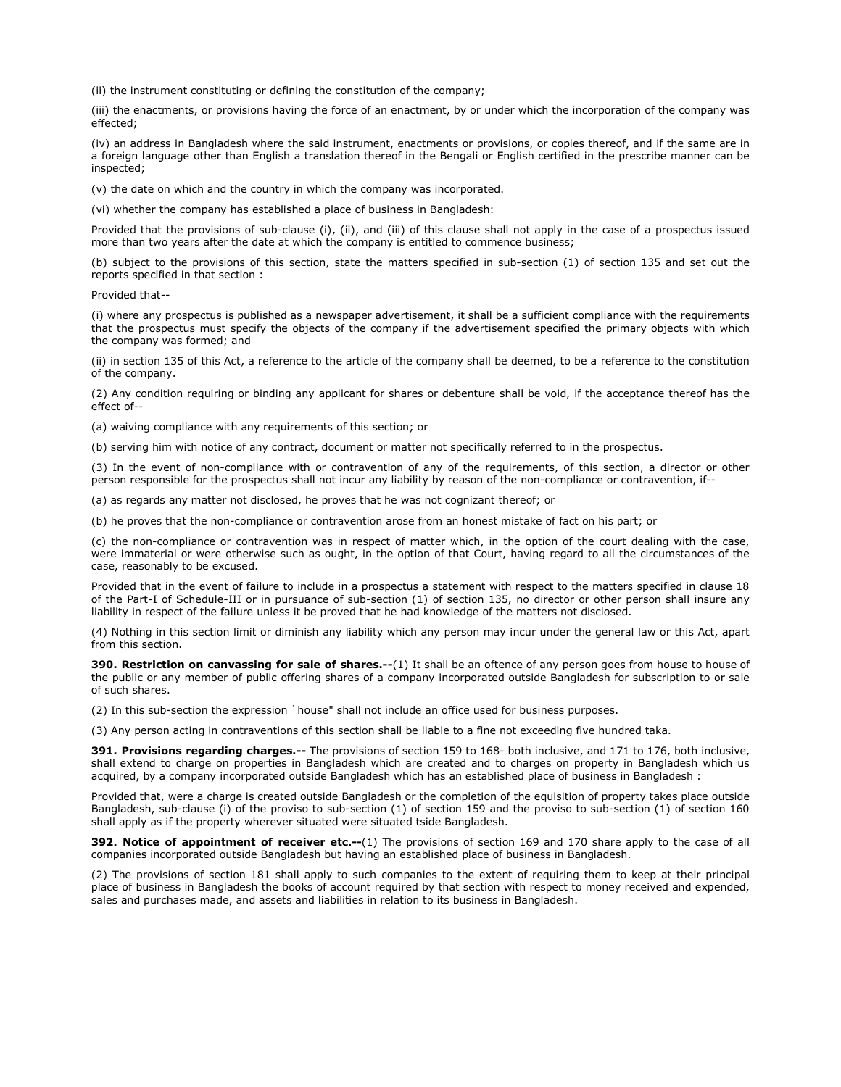(ii) the instrument constituting or defining the constitution of the company;

(iii) the enactments, or provisions having the force of an enactment, by or under which the incorporation of the company was effected;

(iv) an address in Bangladesh where the said instrument, enactments or provisions, or copies thereof, and if the same are in a foreign language other than English a translation thereof in the Bengali or English certified in the prescribe manner can be inspected;

(v) the date on which and the country in which the company was incorporated.

(vi) whether the company has established a place of business in Bangladesh:

Provided that the provisions of sub-clause (i), (ii), and (iii) of this clause shall not apply in the case of a prospectus issued more than two years after the date at which the company is entitled to commence business;

(b) subject to the provisions of this section, state the matters specified in sub-section (1) of section 135 and set out the reports specified in that section :

Provided that--

(i) where any prospectus is published as a newspaper advertisement, it shall be a sufficient compliance with the requirements that the prospectus must specify the objects of the company if the advertisement specified the primary objects with which the company was formed; and

(ii) in section 135 of this Act, a reference to the article of the company shall be deemed, to be a reference to the constitution of the company.

(2) Any condition requiring or binding any applicant for shares or debenture shall be void, if the acceptance thereof has the effect of--

(a) waiving compliance with any requirements of this section; or

(b) serving him with notice of any contract, document or matter not specifically referred to in the prospectus.

(3) In the event of non-compliance with or contravention of any of the requirements, of this section, a director or other person responsible for the prospectus shall not incur any liability by reason of the non-compliance or contravention, if--

(a) as regards any matter not disclosed, he proves that he was not cognizant thereof; or

(b) he proves that the non-compliance or contravention arose from an honest mistake of fact on his part; or

(c) the non-compliance or contravention was in respect of matter which, in the option of the court dealing with the case, were immaterial or were otherwise such as ought, in the option of that Court, having regard to all the circumstances of the case, reasonably to be excused.

Provided that in the event of failure to include in a prospectus a statement with respect to the matters specified in clause 18 of the Part-I of Schedule-III or in pursuance of sub-section (1) of section 135, no director or other person shall insure any liability in respect of the failure unless it be proved that he had knowledge of the matters not disclosed.

(4) Nothing in this section limit or diminish any liability which any person may incur under the general law or this Act, apart from this section.

390. Restriction on canvassing for sale of shares.--(1) It shall be an oftence of any person goes from house to house of the public or any member of public offering shares of a company incorporated outside Bangladesh for subscription to or sale of such shares.

(2) In this sub-section the expression `house" shall not include an office used for business purposes.

(3) Any person acting in contraventions of this section shall be liable to a fine not exceeding five hundred taka.

391. Provisions regarding charges.-- The provisions of section 159 to 168- both inclusive, and 171 to 176, both inclusive, shall extend to charge on properties in Bangladesh which are created and to charges on property in Bangladesh which us acquired, by a company incorporated outside Bangladesh which has an established place of business in Bangladesh :

Provided that, were a charge is created outside Bangladesh or the completion of the equisition of property takes place outside Bangladesh, sub-clause (i) of the proviso to sub-section (1) of section 159 and the proviso to sub-section (1) of section 160 shall apply as if the property wherever situated were situated tside Bangladesh.

392. Notice of appointment of receiver etc.--(1) The provisions of section 169 and 170 share apply to the case of all companies incorporated outside Bangladesh but having an established place of business in Bangladesh.

(2) The provisions of section 181 shall apply to such companies to the extent of requiring them to keep at their principal place of business in Bangladesh the books of account required by that section with respect to money received and expended, sales and purchases made, and assets and liabilities in relation to its business in Bangladesh.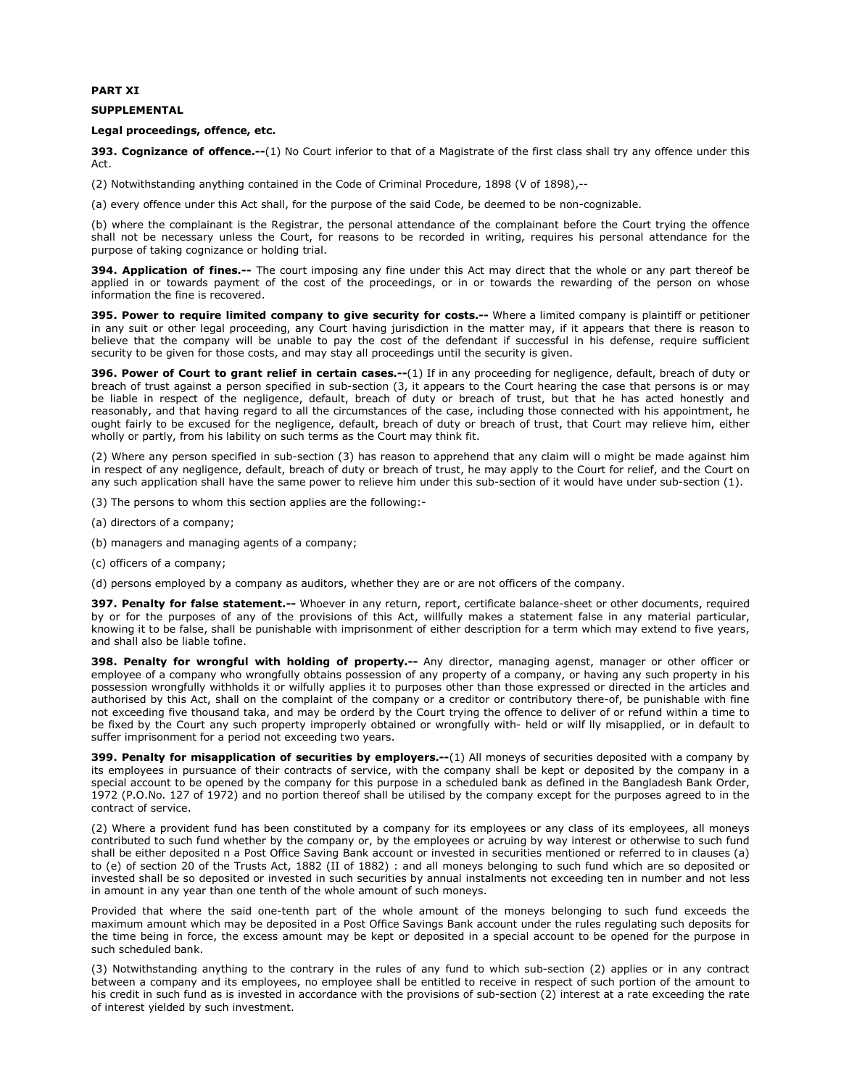# PART XI

## SUPPLEMENTAL

### Legal proceedings, offence, etc.

393. Cognizance of offence.--(1) No Court inferior to that of a Magistrate of the first class shall try any offence under this Act.

(2) Notwithstanding anything contained in the Code of Criminal Procedure, 1898 (V of 1898),--

(a) every offence under this Act shall, for the purpose of the said Code, be deemed to be non-cognizable.

(b) where the complainant is the Registrar, the personal attendance of the complainant before the Court trying the offence shall not be necessary unless the Court, for reasons to be recorded in writing, requires his personal attendance for the purpose of taking cognizance or holding trial.

394. Application of fines.-- The court imposing any fine under this Act may direct that the whole or any part thereof be applied in or towards payment of the cost of the proceedings, or in or towards the rewarding of the person on whose information the fine is recovered.

395. Power to require limited company to give security for costs.-- Where a limited company is plaintiff or petitioner in any suit or other legal proceeding, any Court having jurisdiction in the matter may, if it appears that there is reason to believe that the company will be unable to pay the cost of the defendant if successful in his defense, require sufficient security to be given for those costs, and may stay all proceedings until the security is given.

396. Power of Court to grant relief in certain cases.--(1) If in any proceeding for negligence, default, breach of duty or breach of trust against a person specified in sub-section (3, it appears to the Court hearing the case that persons is or may be liable in respect of the negligence, default, breach of duty or breach of trust, but that he has acted honestly and reasonably, and that having regard to all the circumstances of the case, including those connected with his appointment, he ought fairly to be excused for the negligence, default, breach of duty or breach of trust, that Court may relieve him, either wholly or partly, from his lability on such terms as the Court may think fit.

(2) Where any person specified in sub-section (3) has reason to apprehend that any claim will o might be made against him in respect of any negligence, default, breach of duty or breach of trust, he may apply to the Court for relief, and the Court on any such application shall have the same power to relieve him under this sub-section of it would have under sub-section (1).

(3) The persons to whom this section applies are the following:-

- (a) directors of a company;
- (b) managers and managing agents of a company;
- (c) officers of a company;

(d) persons employed by a company as auditors, whether they are or are not officers of the company.

397. Penalty for false statement.-- Whoever in any return, report, certificate balance-sheet or other documents, required by or for the purposes of any of the provisions of this Act, willfully makes a statement false in any material particular, knowing it to be false, shall be punishable with imprisonment of either description for a term which may extend to five years, and shall also be liable tofine.

398. Penalty for wrongful with holding of property.-- Any director, managing agenst, manager or other officer or employee of a company who wrongfully obtains possession of any property of a company, or having any such property in his possession wrongfully withholds it or wilfully applies it to purposes other than those expressed or directed in the articles and authorised by this Act, shall on the complaint of the company or a creditor or contributory there-of, be punishable with fine not exceeding five thousand taka, and may be orderd by the Court trying the offence to deliver of or refund within a time to be fixed by the Court any such property improperly obtained or wrongfully with- held or wilf lly misapplied, or in default to suffer imprisonment for a period not exceeding two years.

399. Penalty for misapplication of securities by employers. $-(-1)$  All moneys of securities deposited with a company by its employees in pursuance of their contracts of service, with the company shall be kept or deposited by the company in a special account to be opened by the company for this purpose in a scheduled bank as defined in the Bangladesh Bank Order, 1972 (P.O.No. 127 of 1972) and no portion thereof shall be utilised by the company except for the purposes agreed to in the contract of service.

(2) Where a provident fund has been constituted by a company for its employees or any class of its employees, all moneys contributed to such fund whether by the company or, by the employees or acruing by way interest or otherwise to such fund shall be either deposited n a Post Office Saving Bank account or invested in securities mentioned or referred to in clauses (a) to (e) of section 20 of the Trusts Act, 1882 (II of 1882) : and all moneys belonging to such fund which are so deposited or invested shall be so deposited or invested in such securities by annual instalments not exceeding ten in number and not less in amount in any year than one tenth of the whole amount of such moneys.

Provided that where the said one-tenth part of the whole amount of the moneys belonging to such fund exceeds the maximum amount which may be deposited in a Post Office Savings Bank account under the rules regulating such deposits for the time being in force, the excess amount may be kept or deposited in a special account to be opened for the purpose in such scheduled bank.

(3) Notwithstanding anything to the contrary in the rules of any fund to which sub-section (2) applies or in any contract between a company and its employees, no employee shall be entitled to receive in respect of such portion of the amount to his credit in such fund as is invested in accordance with the provisions of sub-section (2) interest at a rate exceeding the rate of interest yielded by such investment.